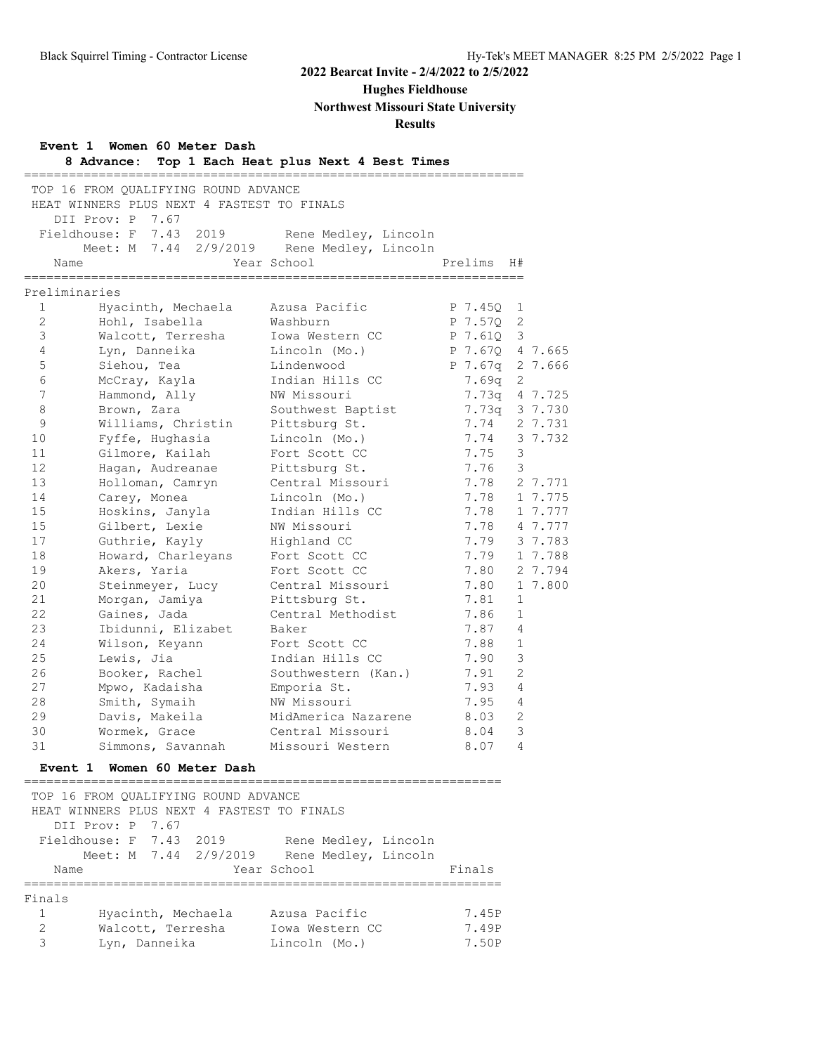**Hughes Fieldhouse**

**Northwest Missouri State University**

## **Results**

| Event 1 Women 60 Meter Dash<br>Top 1 Each Heat plus Next 4 Best Times<br>8 Advance: |                                                        |                                     |               |                |         |  |
|-------------------------------------------------------------------------------------|--------------------------------------------------------|-------------------------------------|---------------|----------------|---------|--|
|                                                                                     | TOP 16 FROM QUALIFYING ROUND ADVANCE                   | ___________________________________ |               |                |         |  |
|                                                                                     | HEAT WINNERS PLUS NEXT 4 FASTEST TO FINALS             |                                     |               |                |         |  |
|                                                                                     | DII Prov: P 7.67                                       |                                     |               |                |         |  |
|                                                                                     | Fieldhouse: F 7.43 2019                                | Rene Medley, Lincoln                |               |                |         |  |
|                                                                                     | Meet: M 7.44 2/9/2019                                  | Rene Medley, Lincoln                |               |                |         |  |
|                                                                                     | Name                                                   | Year School                         | Prelims       | H#             |         |  |
|                                                                                     | Preliminaries                                          |                                     |               |                |         |  |
| $\mathbf{1}$                                                                        | Hyacinth, Mechaela                                     | Azusa Pacific                       | P 7.45Q       | 1              |         |  |
| $\overline{2}$                                                                      | Hohl, Isabella                                         | Washburn                            | P 7.57Q       | 2              |         |  |
| 3                                                                                   | Walcott, Terresha                                      | Iowa Western CC                     | P 7.61Q       | 3              |         |  |
| 4                                                                                   | Lyn, Danneika                                          | Lincoln (Mo.)                       | P 7.670       |                | 4 7.665 |  |
| 5                                                                                   | Siehou, Tea                                            | Lindenwood                          | P 7.67q       |                | 2 7.666 |  |
| 6                                                                                   | McCray, Kayla                                          | Indian Hills CC                     | 7.69q         | 2              |         |  |
| $7\overline{ }$                                                                     | Hammond, Ally                                          | NW Missouri                         | 7.73q         |                | 4 7.725 |  |
| 8                                                                                   | Brown, Zara                                            | Southwest Baptist                   | 7.73q 3 7.730 |                |         |  |
| 9                                                                                   | Williams, Christin                                     | Pittsburg St.                       | 7.74          |                | 2 7.731 |  |
| 10                                                                                  | Fyffe, Hughasia                                        | Lincoln (Mo.)                       | 7.74          |                | 3 7.732 |  |
| 11                                                                                  | Gilmore, Kailah                                        | Fort Scott CC                       | 7.75          | 3              |         |  |
| 12                                                                                  | Hagan, Audreanae                                       | Pittsburg St.                       | 7.76          | 3              |         |  |
| 13                                                                                  | Holloman, Camryn                                       | Central Missouri                    | 7.78          |                | 2 7.771 |  |
| 14                                                                                  | Carey, Monea                                           | Lincoln (Mo.)                       | 7.78          |                | 1 7.775 |  |
| 15                                                                                  | Hoskins, Janyla                                        | Indian Hills CC                     | 7.78          |                | 1 7.777 |  |
| 15                                                                                  | Gilbert, Lexie                                         | NW Missouri                         | 7.78          |                | 4 7.777 |  |
| 17                                                                                  | Guthrie, Kayly                                         | Highland CC                         | 7.79          |                | 3 7.783 |  |
| 18                                                                                  | Howard, Charleyans                                     | Fort Scott CC                       | 7.79          |                | 1 7.788 |  |
| 19                                                                                  | Akers, Yaria                                           | Fort Scott CC                       | 7.80          |                | 2 7.794 |  |
| 20                                                                                  | Steinmeyer, Lucy                                       | Central Missouri                    | 7.80          |                | 1 7.800 |  |
| 21                                                                                  | Morgan, Jamiya                                         | Pittsburg St.                       | 7.81          | $\mathbf 1$    |         |  |
| 22                                                                                  | Gaines, Jada                                           | Central Methodist                   | 7.86          | 1              |         |  |
| 23                                                                                  | Ibidunni, Elizabet                                     | Baker                               | 7.87          | 4              |         |  |
| 24                                                                                  | Wilson, Keyann                                         | Fort Scott CC                       | 7.88          | 1              |         |  |
| 25                                                                                  | Lewis, Jia                                             | Indian Hills CC                     | 7.90          | 3              |         |  |
| 26                                                                                  | Booker, Rachel                                         | Southwestern (Kan.)                 | 7.91          | $\overline{2}$ |         |  |
| 27                                                                                  | Mpwo, Kadaisha                                         | Emporia St.                         | 7.93          | 4              |         |  |
| 28                                                                                  | Smith, Symaih                                          | NW Missouri                         | 7.95          | 4              |         |  |
| 29                                                                                  | Davis, Makeila                                         | MidAmerica Nazarene                 | 8.03          | $\mathbf{2}$   |         |  |
| 30                                                                                  | Wormek, Grace                                          | Central Missouri                    | 8.04          | 3              |         |  |
| 31                                                                                  | Simmons, Savannah                                      | Missouri Western                    | 8.07          | 4              |         |  |
|                                                                                     | Event 1 Women 60 Meter Dash<br>----------------------- |                                     |               |                |         |  |
|                                                                                     | TOP 16 FROM QUALIFYING ROUND ADVANCE                   |                                     |               |                |         |  |
|                                                                                     | HEAT WINNERS PLUS NEXT 4 FASTEST TO FINALS             |                                     |               |                |         |  |
|                                                                                     | DII Prov: P 7.67                                       |                                     |               |                |         |  |
|                                                                                     | Fieldhouse: F 7.43 2019                                | Rene Medley, Lincoln                |               |                |         |  |
|                                                                                     | Meet: M 7.44 2/9/2019                                  | Rene Medley, Lincoln                |               |                |         |  |
| Name                                                                                |                                                        | Year School                         | Finals        |                |         |  |
| Finals                                                                              |                                                        |                                     |               |                |         |  |
| $\mathbf{1}$                                                                        | Hyacinth, Mechaela                                     | Azusa Pacific                       | 7.45P         |                |         |  |
| $\mathbf{2}$                                                                        | Walcott, Terresha                                      | Iowa Western CC                     | 7.49P         |                |         |  |
| 3                                                                                   | Lyn, Danneika                                          | Lincoln (Mo.)                       | 7.50P         |                |         |  |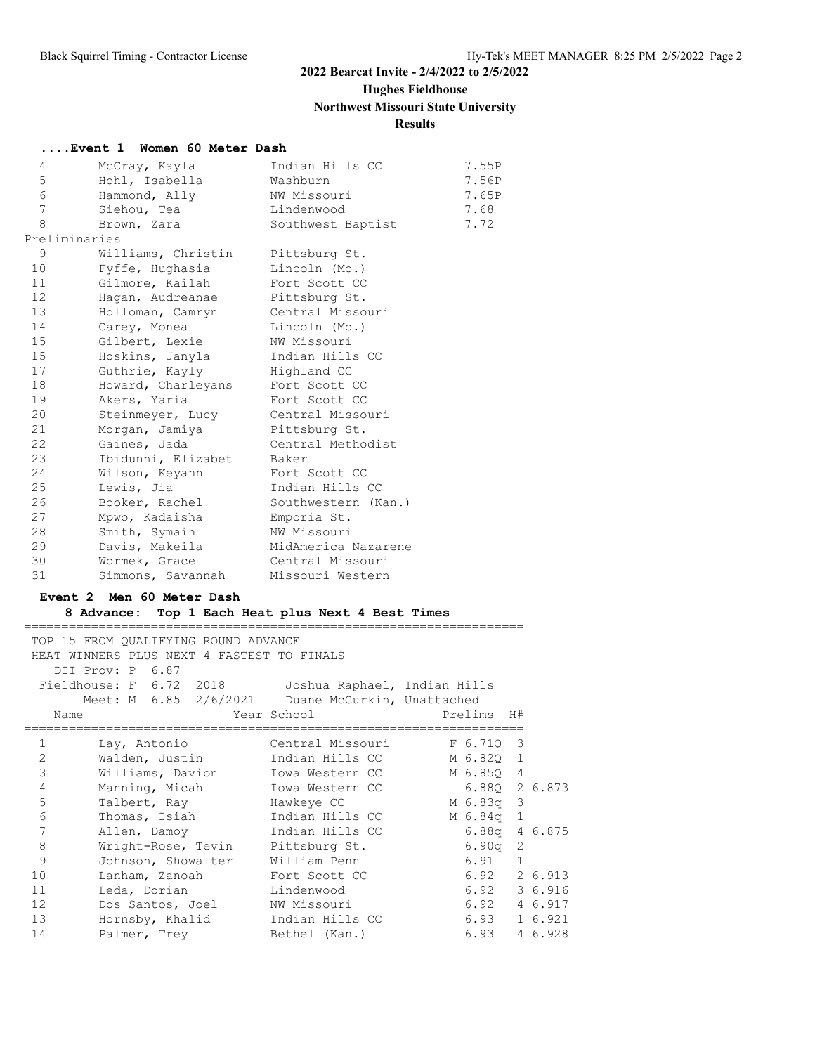# **Hughes Fieldhouse**

**Northwest Missouri State University**

# **Results**

#### **....Event 1 Women 60 Meter Dash**

| 4               | McCray, Kayla      | Indian Hills CC     | 7.55P |
|-----------------|--------------------|---------------------|-------|
| 5               | Hohl, Isabella     | Washburn            | 7.56P |
| 6               | Hammond, Ally      | NW Missouri         | 7.65P |
| 7               | Siehou, Tea        | Lindenwood          | 7.68  |
| 8               | Brown, Zara        | Southwest Baptist   | 7.72  |
|                 | Preliminaries      |                     |       |
| 9               | Williams, Christin | Pittsburg St.       |       |
| 10 <sup>°</sup> | Fyffe, Hughasia    | Lincoln (Mo.)       |       |
| 11              | Gilmore, Kailah    | Fort Scott CC       |       |
| 12 <sup>7</sup> | Haqan, Audreanae   | Pittsburg St.       |       |
| 13 <sup>°</sup> | Holloman, Camryn   | Central Missouri    |       |
| 14              | Carey, Monea       | Lincoln (Mo.)       |       |
| 15 <sub>1</sub> | Gilbert, Lexie     | NW Missouri         |       |
| 15 <sub>1</sub> | Hoskins, Janyla    | Indian Hills CC     |       |
| 17              | Guthrie, Kayly     | Highland CC         |       |
| 18              | Howard, Charleyans | Fort Scott CC       |       |
| 19              | Akers, Yaria       | Fort Scott CC       |       |
| 20              | Steinmeyer, Lucy   | Central Missouri    |       |
| 21              | Morgan, Jamiya     | Pittsburg St.       |       |
| 22              | Gaines, Jada       | Central Methodist   |       |
| 23              | Ibidunni, Elizabet | Baker               |       |
| 24              | Wilson, Keyann     | Fort Scott CC       |       |
| 25              | Lewis, Jia         | Indian Hills CC     |       |
| 26              | Booker, Rachel     | Southwestern (Kan.) |       |
| 27              | Mpwo, Kadaisha     | Emporia St.         |       |
| 28              | Smith, Symaih      | NW Missouri         |       |
| 29              | Davis, Makeila     | MidAmerica Nazarene |       |
| 30              | Wormek, Grace      | Central Missouri    |       |
| 31              | Simmons, Savannah  | Missouri Western    |       |
|                 |                    |                     |       |

#### **Event 2 Men 60 Meter Dash**

#### **8 Advance: Top 1 Each Heat plus Next 4 Best Times**

|                | TOP 15 FROM QUALIFYING ROUND ADVANCE                 |                           |                 |   |         |
|----------------|------------------------------------------------------|---------------------------|-----------------|---|---------|
|                | HEAT WINNERS PLUS NEXT 4 FASTEST TO FINALS           |                           |                 |   |         |
|                | DII Prov: P 6.87                                     |                           |                 |   |         |
|                | Fieldhouse: F 6.72 2018 Joshua Raphael, Indian Hills |                           |                 |   |         |
|                | Meet: M 6.85 2/6/2021 Duane McCurkin, Unattached     |                           |                 |   |         |
| Name           |                                                      | Year School States School | Prelims H#      |   |         |
|                |                                                      |                           |                 |   |         |
| $\mathbf{1}$   | Lay, Antonio                                         | Central Missouri          | F 6.710 3       |   |         |
| $\mathbf{2}$   | Walden, Justin Maldan Hills CC                       |                           | M 6.82Q 1       |   |         |
| $\mathfrak{Z}$ | Williams, Davion Iowa Western CC                     |                           | M 6.850 4       |   |         |
| 4              | Manning, Micah Iowa Western CC 6.88Q 2 6.873         |                           |                 |   |         |
| 5              | Talbert, Ray Hawkeye CC                              |                           | M 6.83q 3       |   |         |
| 6              | Thomas, Isiah       Indian Hills CC                  |                           | M 6.84q 1       |   |         |
| 7              | Allen, Damoy         Indian Hills CC                 |                           | $6.88q$ 4 6.875 |   |         |
| $\,8\,$        | Wright-Rose, Tevin Pittsburg St.                     |                           | 6.90q           | 2 |         |
| 9              | Johnson, Showalter William Penn                      |                           | $6.91$ 1        |   |         |
| 10             | Lanham, Zanoah Fort Scott CC                         |                           | 6.92 2 6.913    |   |         |
| 11             | Leda, Dorian Lindenwood                              |                           | 6.92 3 6.916    |   |         |
| 12             | Dos Santos, Joel NW Missouri                         |                           | $6.92$ 4 6.917  |   |         |
| 13             | Hornsby, Khalid Indian Hills CC                      |                           | 6.93 1 6.921    |   |         |
| 14             | Palmer, Trey Bethel (Kan.)                           |                           | 6.93            |   | 4 6.928 |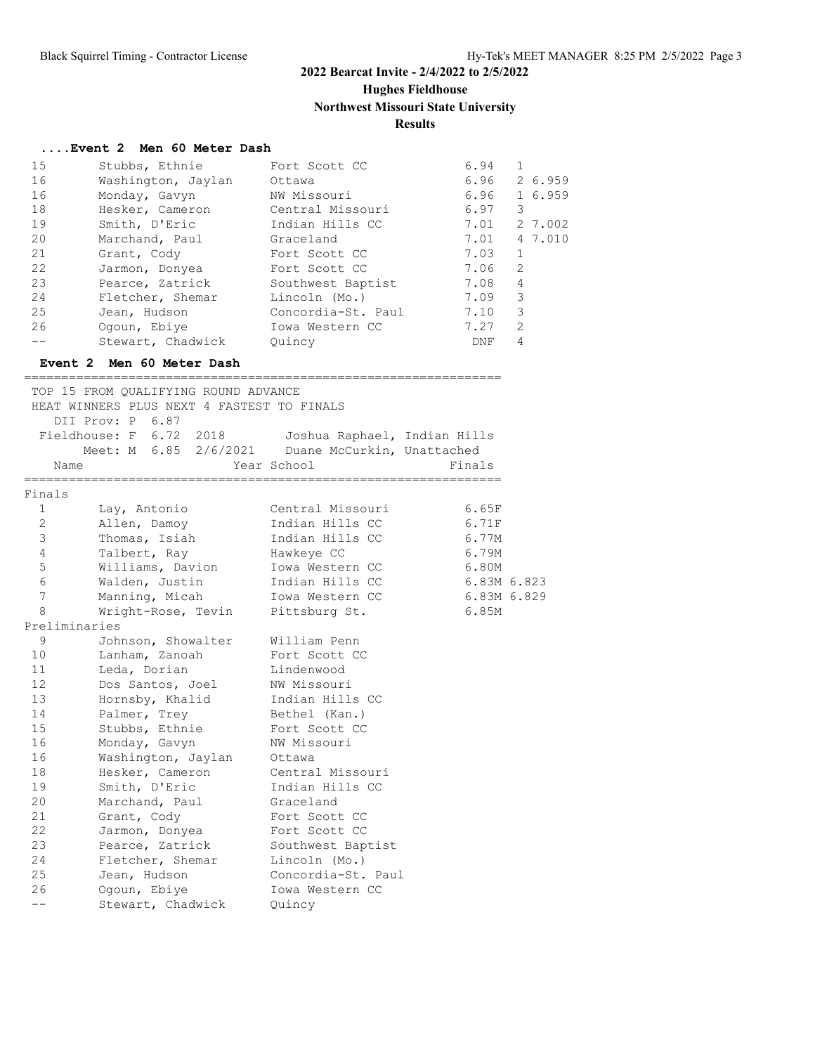**Hughes Fieldhouse**

# **Northwest Missouri State University**

## **Results**

#### **....Event 2 Men 60 Meter Dash**

| 15 | Stubbs, Ethnie            | Fort Scott CC      | 6.94 |                |  |  |
|----|---------------------------|--------------------|------|----------------|--|--|
| 16 | Washington, Jaylan        | Ottawa             | 6.96 | 2 6.959        |  |  |
| 16 | Monday, Gavyn             | NW Missouri        | 6.96 | 1 6.959        |  |  |
| 18 | Hesker, Cameron           | Central Missouri   | 6.97 | 3              |  |  |
| 19 | Smith, D'Eric             | Indian Hills CC    | 7.01 | 2 7.002        |  |  |
| 20 | Marchand, Paul            | Graceland          | 7.01 | 4 7,010        |  |  |
| 21 | Grant, Cody               | Fort Scott CC      | 7.03 | $\mathbf{1}$   |  |  |
| 22 | Jarmon, Donyea            | Fort Scott CC      | 7.06 | 2              |  |  |
| 23 | Pearce, Zatrick           | Southwest Baptist  | 7.08 | 4              |  |  |
| 24 | Fletcher, Shemar          | Lincoln (Mo.)      | 7.09 | 3              |  |  |
| 25 | Jean, Hudson              | Concordia-St. Paul | 7.10 | 3              |  |  |
| 26 | Ogoun, Ebiye              | Iowa Western CC    | 7.27 | $\overline{2}$ |  |  |
|    | Stewart, Chadwick         | Ouincy             | DNF  | 4              |  |  |
|    | Event 2 Men 60 Meter Dash |                    |      |                |  |  |

#### ================================================================

|                 | TOP 15 FROM QUALIFYING ROUND ADVANCE<br>HEAT WINNERS PLUS NEXT 4 FASTEST TO FINALS |                                                            |             |  |
|-----------------|------------------------------------------------------------------------------------|------------------------------------------------------------|-------------|--|
|                 | DII Prov: P 6.87                                                                   |                                                            |             |  |
|                 | Fieldhouse: F 6.72 2018<br>Meet: M 6.85 2/6/2021                                   | Joshua Raphael, Indian Hills<br>Duane McCurkin, Unattached |             |  |
|                 | Name                                                                               | Year School                                                | Finals      |  |
| Finals          |                                                                                    |                                                            |             |  |
| $\mathbf{1}$    | Lay, Antonio                                                                       | Central Missouri                                           | 6.65F       |  |
| 2               | Allen, Damoy                                                                       | Indian Hills CC                                            | 6.71F       |  |
| 3               | Thomas, Isiah                                                                      | Indian Hills CC                                            | 6.77M       |  |
| 4               | Talbert, Ray                                                                       | Hawkeye CC                                                 | 6.79M       |  |
| 5               | Williams, Davion                                                                   | Iowa Western CC                                            | 6.80M       |  |
| $\epsilon$      | Walden, Justin                                                                     | Indian Hills CC                                            | 6.83M 6.823 |  |
| 7               | Manning, Micah                                                                     | Iowa Western CC                                            | 6.83M 6.829 |  |
| 8               | Wright-Rose, Tevin                                                                 | Pittsburg St.                                              | 6.85M       |  |
|                 | Preliminaries                                                                      |                                                            |             |  |
| 9               | Johnson, Showalter                                                                 | William Penn                                               |             |  |
| 10              | Lanham, Zanoah                                                                     | Fort Scott CC                                              |             |  |
| 11              | Leda, Dorian                                                                       | Lindenwood                                                 |             |  |
| 12 <sup>7</sup> | Dos Santos, Joel                                                                   | NW Missouri                                                |             |  |
| 13 <sup>°</sup> | Hornsby, Khalid                                                                    | Indian Hills CC                                            |             |  |
| 14              | Palmer, Trey                                                                       | Bethel (Kan.)                                              |             |  |
| 15              | Stubbs, Ethnie                                                                     | Fort Scott CC                                              |             |  |
| 16              | Monday, Gavyn                                                                      | NW Missouri                                                |             |  |
| 16              | Washington, Jaylan                                                                 | Ottawa                                                     |             |  |
| 18              | Hesker, Cameron                                                                    | Central Missouri                                           |             |  |
| 19              | Smith, D'Eric                                                                      | Indian Hills CC                                            |             |  |
| 20              | Marchand, Paul                                                                     | Graceland                                                  |             |  |
| 21              | Grant, Cody                                                                        | Fort Scott CC                                              |             |  |
| 22              | Jarmon, Donyea                                                                     | Fort Scott CC                                              |             |  |
| 23              | Pearce, Zatrick                                                                    | Southwest Baptist                                          |             |  |
| 24              | Fletcher, Shemar                                                                   | Lincoln (Mo.)                                              |             |  |
| 25              | Jean, Hudson                                                                       | Concordia-St. Paul                                         |             |  |
| 26              | Oqoun, Ebiye                                                                       | Iowa Western CC                                            |             |  |
| $- -$           | Stewart, Chadwick                                                                  | Ouincy                                                     |             |  |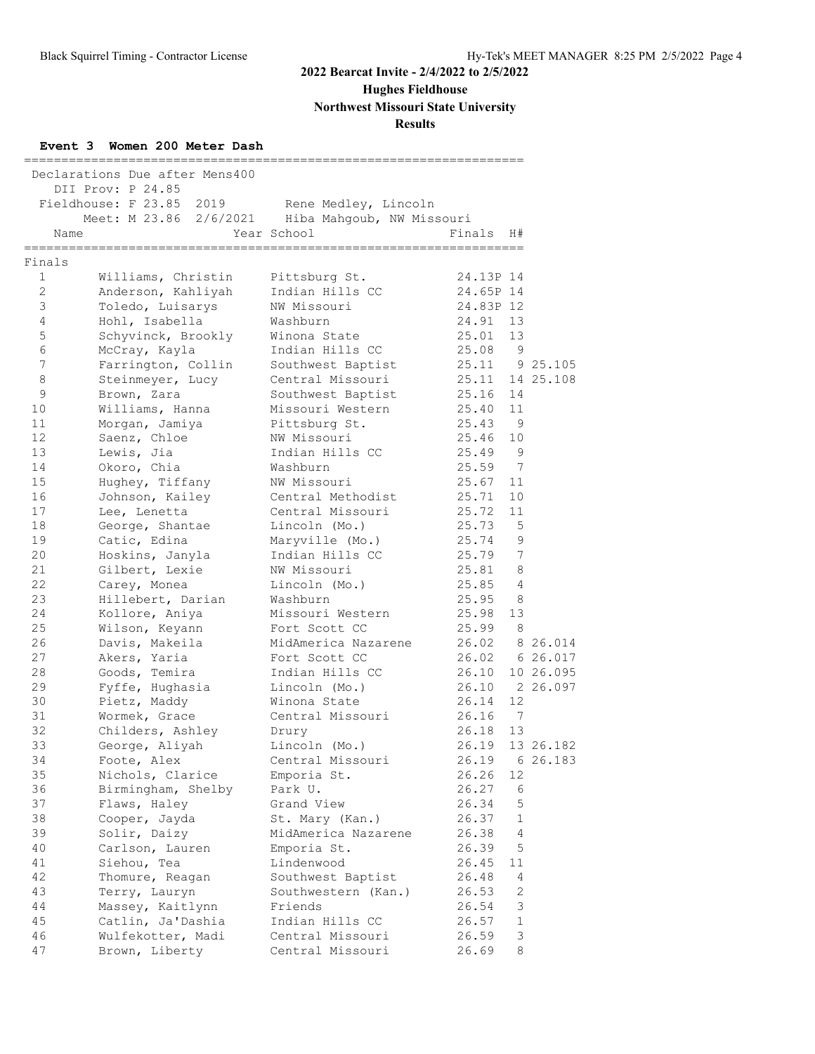**Hughes Fieldhouse**

**Northwest Missouri State University**

## **Results**

## **Event 3 Women 200 Meter Dash**

|                         | Declarations Due after Mens400<br>DII Prov: P 24.85<br>Fieldhouse: F 23.85 2019 | Rene Medley, Lincoln                      |                            |                      |           |
|-------------------------|---------------------------------------------------------------------------------|-------------------------------------------|----------------------------|----------------------|-----------|
|                         | Meet: M 23.86 2/6/2021 Hiba Mahgoub, NW Missouri                                |                                           |                            |                      |           |
| Name<br>=============== |                                                                                 | Year School<br>__________________________ | Finals<br>================ | H#                   |           |
| Finals                  |                                                                                 |                                           |                            |                      |           |
| $\mathbf{1}$            | Williams, Christin                                                              | Pittsburg St.                             | 24.13P 14                  |                      |           |
| $\overline{2}$          | Anderson, Kahliyah                                                              | Indian Hills CC                           | 24.65P 14                  |                      |           |
| 3                       | Toledo, Luisarys                                                                | NW Missouri                               | 24.83P 12                  |                      |           |
| 4                       | Hohl, Isabella                                                                  | Washburn                                  | 24.91                      | 13                   |           |
| 5                       | Schyvinck, Brookly                                                              | Winona State                              | 25.01                      | 13                   |           |
| 6                       | McCray, Kayla                                                                   | Indian Hills CC                           | 25.08 9                    |                      |           |
| $7\phantom{.0}$         | Farrington, Collin                                                              | Southwest Baptist                         | 25.11 9 25.105             |                      |           |
| 8                       | Steinmeyer, Lucy                                                                | Central Missouri                          | 25.11 14 25.108            |                      |           |
| 9                       | Brown, Zara                                                                     | Southwest Baptist                         | 25.16                      | 14                   |           |
| 10                      | Williams, Hanna                                                                 | Missouri Western                          | 25.40                      | 11<br>$\overline{9}$ |           |
| 11<br>12                | Morgan, Jamiya<br>Saenz, Chloe                                                  | Pittsburg St.<br>NW Missouri              | 25.43<br>25.46             | 10                   |           |
| 13                      | Lewis, Jia                                                                      | Indian Hills CC                           | 25.49 9                    |                      |           |
| 14                      | Okoro, Chia                                                                     | Washburn                                  | 25.59 7                    |                      |           |
| 15                      | Hughey, Tiffany                                                                 | NW Missouri                               | 25.67                      | 11                   |           |
| 16                      | Johnson, Kailey                                                                 | Central Methodist                         | 25.71                      | 10                   |           |
| 17                      | Lee, Lenetta                                                                    | Central Missouri                          | 25.72                      | 11                   |           |
| 18                      | George, Shantae                                                                 | Lincoln (Mo.)                             | 25.73                      | 5                    |           |
| 19                      | Catic, Edina                                                                    | Maryville (Mo.)                           | 25.74 9                    |                      |           |
| 20                      | Hoskins, Janyla                                                                 | Indian Hills CC                           | 25.79                      | $7\phantom{.0}$      |           |
| 21                      | Gilbert, Lexie                                                                  | NW Missouri                               | 25.81                      | 8                    |           |
| 22                      | Carey, Monea                                                                    | Lincoln (Mo.)                             | 25.85 4                    |                      |           |
| 23                      | Hillebert, Darian                                                               | Washburn                                  | 25.95 8                    |                      |           |
| 24                      | Kollore, Aniya                                                                  | Missouri Western                          | 25.98                      | 13                   |           |
| 25                      | Wilson, Keyann                                                                  | Fort Scott CC                             | 25.99                      | - 8                  |           |
| 26                      | Davis, Makeila                                                                  | MidAmerica Nazarene                       | 26.02 8 26.014             |                      |           |
| 27                      | Akers, Yaria                                                                    | Fort Scott CC                             | 26.02 6 26.017             |                      |           |
| 28                      | Goods, Temira                                                                   | Indian Hills CC                           | 26.10                      |                      | 10 26.095 |
| 29                      | Fyffe, Hughasia                                                                 | Lincoln (Mo.)                             | 26.10 2 26.097             |                      |           |
| 30                      | Pietz, Maddy                                                                    | Winona State                              | 26.14                      | 12                   |           |
| 31                      | Wormek, Grace                                                                   | Central Missouri                          | 26.16                      | $\overline{7}$       |           |
| 32                      | Childers, Ashley                                                                | Drury                                     | 26.18                      | 13                   |           |
| 33                      | George, Aliyah                                                                  | Lincoln (Mo.)                             | 26.19                      |                      | 13 26.182 |
| 34                      | Foote, Alex                                                                     | Central Missouri                          | 26.19                      |                      | 6 26.183  |
| 35                      | Nichols, Clarice                                                                | Emporia St.                               | 26.26                      | 12                   |           |
| 36                      | Birmingham, Shelby                                                              | Park U.                                   | 26.27                      | 6                    |           |
| 37                      | Flaws, Haley                                                                    | Grand View                                | 26.34                      | 5                    |           |
| 38                      | Cooper, Jayda                                                                   | St. Mary (Kan.)                           | 26.37                      | 1                    |           |
| 39                      | Solir, Daizy                                                                    | MidAmerica Nazarene                       | 26.38                      | $\overline{4}$       |           |
| 40                      | Carlson, Lauren                                                                 | Emporia St.                               | 26.39                      | 5                    |           |
| 41                      | Siehou, Tea                                                                     | Lindenwood                                | 26.45                      | 11                   |           |
| 42                      | Thomure, Reagan                                                                 | Southwest Baptist                         | 26.48                      | 4                    |           |
| 43                      | Terry, Lauryn                                                                   | Southwestern (Kan.)                       | 26.53                      | 2                    |           |
| 44                      | Massey, Kaitlynn                                                                | Friends                                   | 26.54                      | 3                    |           |
| 45                      | Catlin, Ja'Dashia                                                               | Indian Hills CC                           | 26.57                      | $\mathbf{1}$         |           |
| 46                      | Wulfekotter, Madi                                                               | Central Missouri                          | 26.59                      | 3                    |           |
| 47                      | Brown, Liberty                                                                  | Central Missouri                          | 26.69                      | 8                    |           |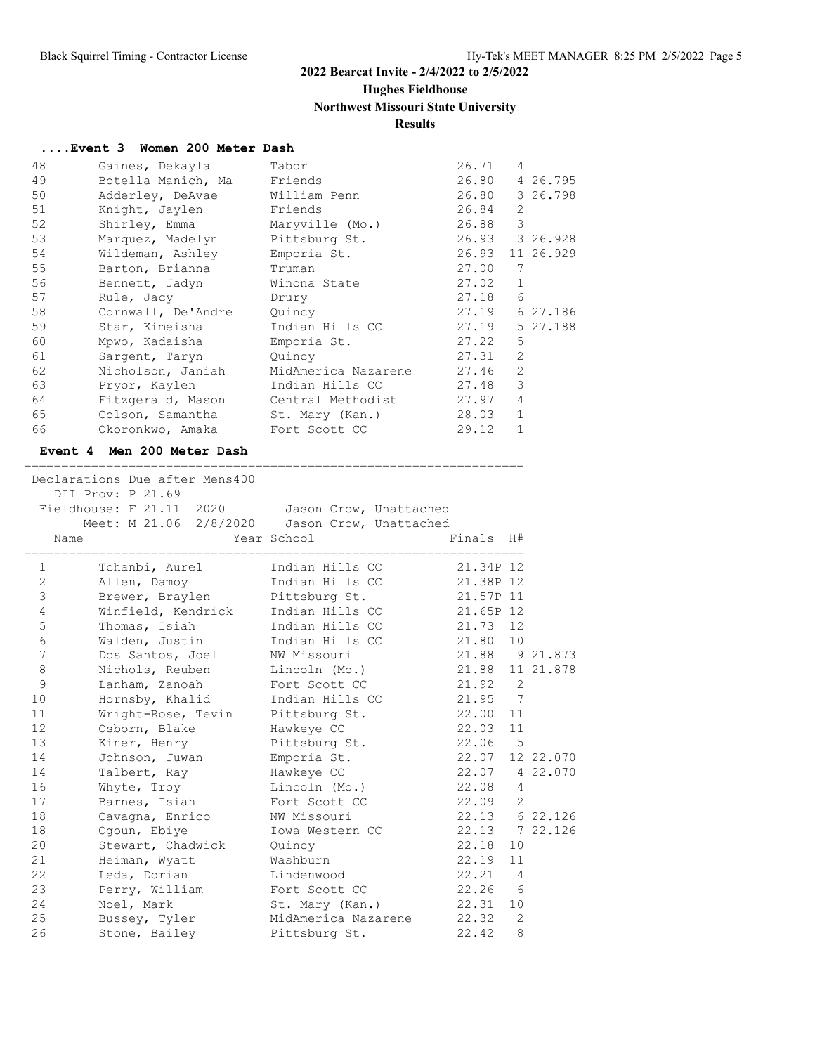## **Hughes Fieldhouse**

## **Northwest Missouri State University**

## **Results**

#### **....Event 3 Women 200 Meter Dash**

| 48 | Gaines, Dekayla                  | Tabor               | 26.71 | $\overline{4}$ |                |
|----|----------------------------------|---------------------|-------|----------------|----------------|
| 49 | Botella Manich, Ma               | Friends             | 26.80 |                | 4 26.795       |
| 50 | Adderley, DeAvae                 | William Penn        | 26.80 |                | 3 26.798       |
| 51 | Knight, Jaylen                   | Friends             | 26.84 | $\overline{2}$ |                |
| 52 | Shirley, Emma                    | Maryville (Mo.)     | 26.88 | 3              |                |
| 53 | Marquez, Madelyn                 | Pittsburg St.       |       |                | 26.93 3 26.928 |
| 54 | Wildeman, Ashley                 | Emporia St.         | 26.93 |                | 11 26.929      |
| 55 | Barton, Brianna                  | Truman              | 27.00 | 7              |                |
| 56 | Bennett, Jadyn                   | Winona State        | 27.02 | $\mathbf{1}$   |                |
| 57 | Rule, Jacy                       | Drury               | 27.18 | 6              |                |
| 58 | Cornwall, De'Andre               | Quincy              | 27.19 |                | 6 27.186       |
| 59 | Star, Kimeisha                   | Indian Hills CC     | 27.19 |                | 5 27.188       |
| 60 | Mpwo, Kadaisha                   | Emporia St.         | 27.22 | 5              |                |
| 61 | Sargent, Taryn                   | Quincy              | 27.31 | $\overline{2}$ |                |
| 62 | Nicholson, Janiah                | MidAmerica Nazarene | 27.46 | $\overline{2}$ |                |
| 63 | Pryor, Kaylen                    | Indian Hills CC     | 27.48 | 3              |                |
| 64 | Fitzgerald, Mason                | Central Methodist   | 27.97 | $\overline{4}$ |                |
| 65 | Colson, Samantha St. Mary (Kan.) |                     | 28.03 | $\mathbf{1}$   |                |
| 66 | Okoronkwo, Amaka Fort Scott CC   |                     | 29.12 | $\mathbf{1}$   |                |
|    |                                  |                     |       |                |                |

#### **Event 4 Men 200 Meter Dash**

|                 | Declarations Due after Mens400<br>DII Prov: P 21.69 |                             |                 |                |           |
|-----------------|-----------------------------------------------------|-----------------------------|-----------------|----------------|-----------|
|                 | Fieldhouse: F 21.11 2020 Jason Crow, Unattached     |                             |                 |                |           |
|                 | Meet: M 21.06 2/8/2020 Jason Crow, Unattached       |                             |                 |                |           |
| Name            |                                                     | Year School                 | Finals          | H#             |           |
| 1               | Tchanbi, Aurel Margaret Indian Hills CC             |                             | 21.34P 12       |                |           |
| 2               | Allen, Damoy                                        | Indian Hills CC             | 21.38P 12       |                |           |
| 3               | Brewer, Braylen                                     | Pittsburg St.               | 21.57P 11       |                |           |
| 4               | Winfield, Kendrick                                  | Indian Hills CC             | 21.65P 12       |                |           |
| $\mathsf S$     | Thomas, Isiah                                       | Indian Hills CC             | 21.73 12        |                |           |
| $\epsilon$      | Walden, Justin                                      | Indian Hills CC             | 21.80 10        |                |           |
| $7\phantom{.0}$ | Dos Santos, Joel                                    | NW Missouri                 | 21.88 9 21.873  |                |           |
| 8               | Nichols, Reuben                                     | Lincoln (Mo.)               | 21.88 11 21.878 |                |           |
| $\mathsf 9$     | Lanham, Zanoah                                      | Fort Scott CC               | 21.92 2         |                |           |
| 10              | Hornsby, Khalid                                     | Indian Hills CC             | 21.95 7         |                |           |
| 11              | Wright-Rose, Tevin                                  | Pittsburg St.               | 22.00           | 11             |           |
| 12              | Osborn, Blake                                       | Hawkeye CC                  | 22.03 11        |                |           |
| 13              | Kiner, Henry                                        | Pittsburg St.               | 22.06 5         |                |           |
| 14              | Johnson, Juwan                                      | Emporia St.                 | 22.07           |                | 12 22.070 |
| 14              | Talbert, Ray                                        | Hawkeye CC                  | 22.07 4 22.070  |                |           |
| 16              | Whyte, Troy                                         | Lincoln (Mo.)               | 22.08           | $\overline{4}$ |           |
| 17              | Barnes, Isiah                                       | Fort Scott CC               | 22.09 2         |                |           |
| 18              | Cavagna, Enrico                                     | NW Missouri                 | 22.13 6 22.126  |                |           |
| 18              | Oqoun, Ebiye                                        | Iowa Western CC             | 22.13 7 22.126  |                |           |
| 20              | Stewart, Chadwick                                   | Quincy                      | 22.18           | 10             |           |
| 21              | Heiman, Wyatt                                       | Washburn                    | 22.19           | 11             |           |
| 22              | Leda, Dorian                                        | Lindenwood                  | $22.21$ 4       |                |           |
| 23              | Perry, William                                      | Fort Scott CC               | $22.26$ 6       |                |           |
| 24              | Noel, Mark                                          | St. Mary (Kan.)             | 22.31           | 10             |           |
| 25              | Bussey, Tyler                                       | MidAmerica Nazarene 22.32 2 |                 |                |           |
| 26              | Stone, Bailey                                       | Pittsburg St.               | 22.42           | 8              |           |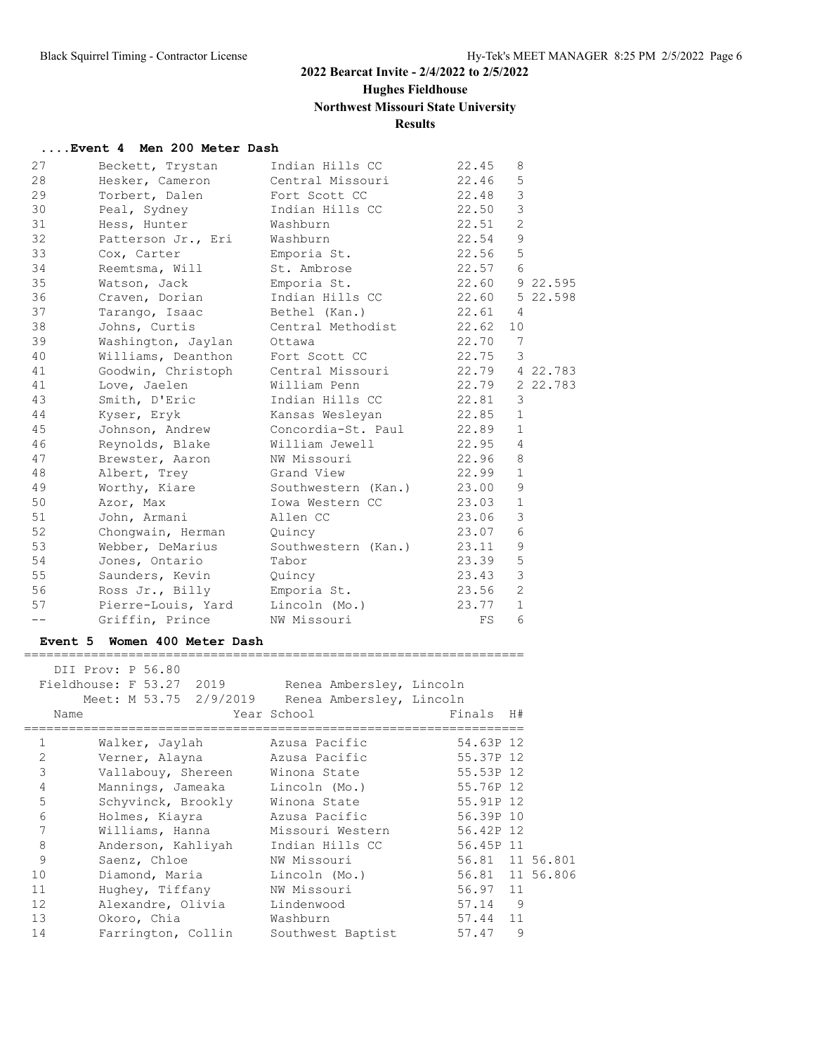# **Hughes Fieldhouse**

## **Northwest Missouri State University**

## **Results**

#### **....Event 4 Men 200 Meter Dash**

| 27               | Beckett, Trystan                                                       | Indian Hills CC                                         | 22.45          | 8              |           |
|------------------|------------------------------------------------------------------------|---------------------------------------------------------|----------------|----------------|-----------|
| 28               | Hesker, Cameron                                                        | Central Missouri                                        | 22.46          | $\mathsf S$    |           |
| 29               | Torbert, Dalen                                                         | Fort Scott CC                                           | 22.48          | $\mathcal{E}$  |           |
| 30               | Peal, Sydney                                                           | Indian Hills CC                                         | 22.50          | $\mathsf 3$    |           |
| 31               | Hess, Hunter                                                           | Washburn                                                | 22.51          | 2              |           |
| 32               | Patterson Jr., Eri                                                     | Washburn                                                | 22.54          | $\mathcal{G}$  |           |
| 33               | Cox, Carter                                                            | Emporia St.                                             | 22.56          | 5              |           |
| 34               | Reemtsma, Will                                                         | St. Ambrose                                             | 22.57          | 6              |           |
| 35               | Watson, Jack                                                           | Emporia St.                                             | 22.60 9 22.595 |                |           |
| 36               |                                                                        | Indian Hills CC                                         | 22.60 5 22.598 |                |           |
| 37               | Craven, Dorian                                                         |                                                         |                |                |           |
|                  | Tarango, Isaac                                                         | Bethel (Kan.)                                           | 22.61          | 4              |           |
| 38               | Johns, Curtis                                                          | Central Methodist                                       | 22.62          | 10             |           |
| 39               | Washington, Jaylan<br>Williams, Deanthon Fort Scott CC                 | Ottawa                                                  | 22.70          | $\overline{7}$ |           |
| 40               |                                                                        |                                                         | 22.75          | $\mathbf{3}$   |           |
| 41               | Goodwin, Christoph                                                     | Central Missouri                                        | 22.79 4 22.783 |                |           |
| 41               | Love, Jaelen                                                           | William Penn                                            | 22.79 2 22.783 |                |           |
| 43               | Smith, D'Eric                                                          | Indian Hills CC                                         | 22.81          | 3              |           |
| 44               | Kyser, Eryk                                                            | Kansas Wesleyan<br>Kansas wesic,.<br>Concordia-St. Paul | 22.85          | $\mathbf{1}$   |           |
| 45               | Johnson, Andrew                                                        |                                                         | 22.89          | $\mathbf{1}$   |           |
| 46               | Reynolds, Blake                                                        |                                                         | 22.95          | $\overline{4}$ |           |
| 47               | Brewster, Aaron                                                        | NW Missouri                                             | 22.96          | 8              |           |
| 48               | Albert, Trey                                                           | Grand View                                              | 22.99          | $\mathbf{1}$   |           |
| 49               | Worthy, Kiare                                                          | Southwestern (Kan.)                                     | 23.00          | 9              |           |
| 50               | Azor, Max                                                              | Iowa Western CC                                         | 23.03          | $\mathbf{1}$   |           |
| 51               | John, Armani                                                           | Allen CC                                                | 23.06          | $\mathfrak{Z}$ |           |
| 52               | Chongwain, Herman Quincy                                               |                                                         | 23.07          | $\epsilon$     |           |
| 53               | Webber, DeMarius Southwestern (Kan.)                                   |                                                         | 23.11          | $\mathsf 9$    |           |
| 54               | Jones, Ontario                                                         | Tabor                                                   | 23.39          | $\mathbf 5$    |           |
| 55               | Saunders, Kevin Quincy                                                 |                                                         | 23.43          | $\mathcal{S}$  |           |
| 56               | Ross Jr., Billy Emporia St.                                            |                                                         | 23.56          | 2              |           |
| 57               | Pierre-Louis, Yard Lincoln (Mo.)                                       |                                                         | 23.77          | $\mathbf{1}$   |           |
| $- -$            | Griffin, Prince NW Missouri                                            |                                                         | FS             | 6              |           |
|                  | Event 5 Women 400 Meter Dash                                           |                                                         |                |                |           |
|                  | =========================                                              |                                                         |                |                |           |
|                  | DII Prov: P 56.80<br>Fieldhouse: F 53.27 2019 Renea Ambersley, Lincoln |                                                         |                |                |           |
|                  | Meet: M 53.75 2/9/2019 Renea Ambersley, Lincoln                        |                                                         |                |                |           |
|                  |                                                                        |                                                         |                |                |           |
| Name             |                                                                        | Year School                                             | Finals H#      |                |           |
| $\mathbf{1}$     | Walker, Jaylah Mazusa Pacific                                          |                                                         | 54.63P 12      |                |           |
| $2^{\circ}$      | Verner, Alayna                                                         | Azusa Pacific                                           | 55.37P 12      |                |           |
| $\mathsf 3$      | Vallabouy, Shereen                                                     | Winona State                                            | 55.53P 12      |                |           |
| $\overline{4}$   | Mannings, Jameaka                                                      | Lincoln (Mo.)                                           | 55.76P 12      |                |           |
| $\mathbb S$      | Schyvinck, Brookly                                                     | Winona State                                            | 55.91P 12      |                |           |
| $\epsilon$       | Holmes, Kiayra                                                         | Azusa Pacific                                           | 56.39P 10      |                |           |
| $\boldsymbol{7}$ | Williams, Hanna                                                        | Missouri Western                                        | 56.42P 12      |                |           |
| $\,8\,$          | Anderson, Kahliyah                                                     | Indian Hills CC                                         | 56.45P 11      |                |           |
| $\mathsf 9$      | Saenz, Chloe                                                           | NW Missouri                                             | 56.81          |                | 11 56.801 |
| 10               | Diamond, Maria                                                         | Lincoln (Mo.)                                           | 56.81          |                | 11 56.806 |
| 11               | Hughey, Tiffany                                                        | NW Missouri                                             | 56.97          | 11             |           |
| 12               | Alexandre, Olivia                                                      | Lindenwood                                              | 57.14          | 9              |           |
|                  |                                                                        |                                                         |                |                |           |
| 13               | Okoro, Chia                                                            | Washburn                                                | 57.44          | 11             |           |

14 Farrington, Collin Southwest Baptist 57.47 9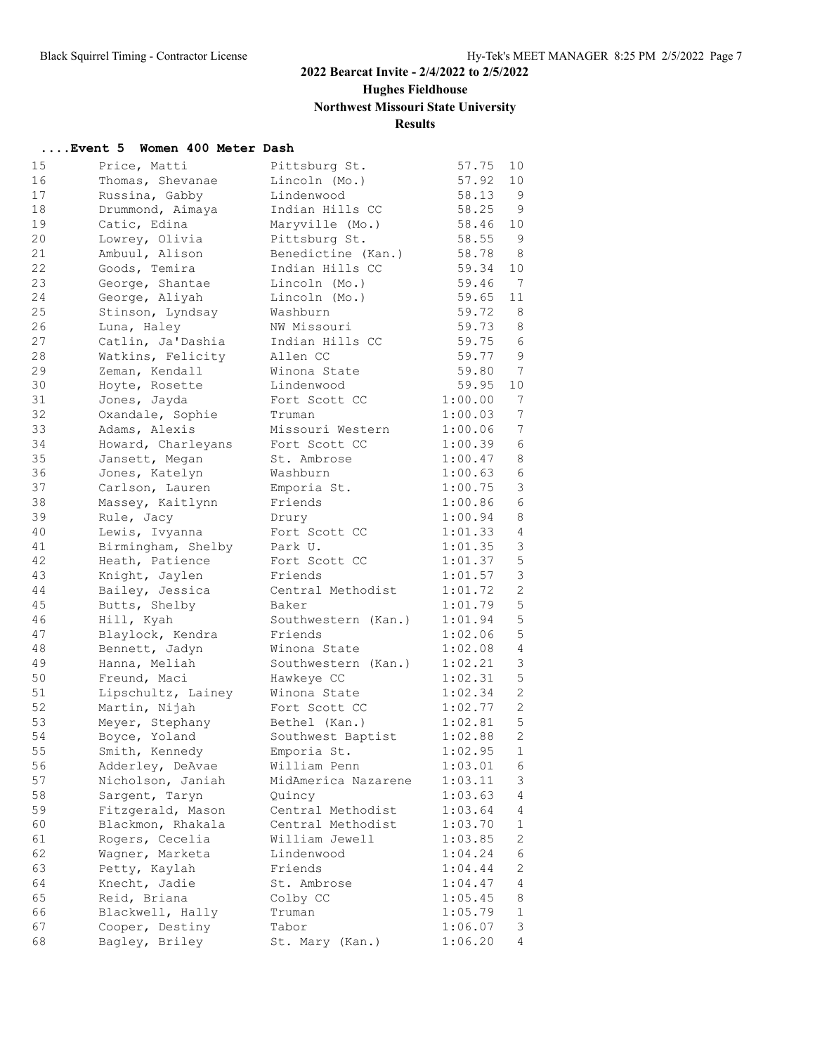**Hughes Fieldhouse**

**Northwest Missouri State University**

## **Results**

#### **....Event 5 Women 400 Meter Dash**

| 15 | Price, Matti       | Pittsburg St.       | 57.75   | 10             |
|----|--------------------|---------------------|---------|----------------|
| 16 | Thomas, Shevanae   | Lincoln (Mo.)       | 57.92   | 10             |
| 17 | Russina, Gabby     | Lindenwood          | 58.13   | 9              |
| 18 | Drummond, Aimaya   | Indian Hills CC     | 58.25   | 9              |
| 19 | Catic, Edina       | Maryville (Mo.)     | 58.46   | 10             |
| 20 | Lowrey, Olivia     | Pittsburg St.       | 58.55   | 9              |
| 21 | Ambuul, Alison     | Benedictine (Kan.)  | 58.78   | 8              |
| 22 | Goods, Temira      | Indian Hills CC     | 59.34   | 10             |
| 23 | George, Shantae    | Lincoln (Mo.)       | 59.46   | 7              |
| 24 | George, Aliyah     | Lincoln (Mo.)       | 59.65   | 11             |
| 25 | Stinson, Lyndsay   | Washburn            | 59.72   | 8              |
| 26 | Luna, Haley        | NW Missouri         | 59.73   | 8              |
| 27 | Catlin, Ja'Dashia  | Indian Hills CC     | 59.75   | 6              |
| 28 | Watkins, Felicity  | Allen CC            | 59.77   | 9              |
| 29 | Zeman, Kendall     | Winona State        | 59.80   | 7              |
| 30 |                    | Lindenwood          | 59.95   | 10             |
| 31 | Hoyte, Rosette     |                     |         | 7              |
|    | Jones, Jayda       | Fort Scott CC       | 1:00.00 |                |
| 32 | Oxandale, Sophie   | Truman              | 1:00.03 | 7              |
| 33 | Adams, Alexis      | Missouri Western    | 1:00.06 | 7              |
| 34 | Howard, Charleyans | Fort Scott CC       | 1:00.39 | 6              |
| 35 | Jansett, Megan     | St. Ambrose         | 1:00.47 | 8              |
| 36 | Jones, Katelyn     | Washburn            | 1:00.63 | 6              |
| 37 | Carlson, Lauren    | Emporia St.         | 1:00.75 | 3              |
| 38 | Massey, Kaitlynn   | Friends             | 1:00.86 | 6              |
| 39 | Rule, Jacy         | Drury               | 1:00.94 | 8              |
| 40 | Lewis, Ivyanna     | Fort Scott CC       | 1:01.33 | $\overline{4}$ |
| 41 | Birmingham, Shelby | Park U.             | 1:01.35 | $\mathfrak{Z}$ |
| 42 | Heath, Patience    | Fort Scott CC       | 1:01.37 | 5              |
| 43 | Knight, Jaylen     | Friends             | 1:01.57 | $\mathfrak{Z}$ |
| 44 | Bailey, Jessica    | Central Methodist   | 1:01.72 | $\mathbf{2}$   |
| 45 | Butts, Shelby      | Baker               | 1:01.79 | 5              |
| 46 | Hill, Kyah         | Southwestern (Kan.) | 1:01.94 | 5              |
| 47 | Blaylock, Kendra   | Friends             | 1:02.06 | 5              |
| 48 | Bennett, Jadyn     | Winona State        | 1:02.08 | 4              |
| 49 | Hanna, Meliah      | Southwestern (Kan.) | 1:02.21 | 3              |
| 50 | Freund, Maci       | Hawkeye CC          | 1:02.31 | 5              |
| 51 | Lipschultz, Lainey | Winona State        | 1:02.34 | $\mathbf{2}$   |
| 52 | Martin, Nijah      | Fort Scott CC       | 1:02.77 | $\mathbf{2}$   |
| 53 | Meyer, Stephany    | Bethel (Kan.)       | 1:02.81 | 5              |
| 54 | Boyce, Yoland      | Southwest Baptist   | 1:02.88 | $\mathbf{2}$   |
| 55 | Smith, Kennedy     | Emporia St.         | 1:02.95 | 1              |
| 56 | Adderley, DeAvae   | William Penn        | 1:03.01 | 6              |
| 57 | Nicholson, Janiah  | MidAmerica Nazarene | 1:03.11 | 3              |
| 58 | Sargent, Taryn     | Quincy              | 1:03.63 | $\overline{4}$ |
| 59 | Fitzgerald, Mason  | Central Methodist   | 1:03.64 | $\overline{4}$ |
| 60 | Blackmon, Rhakala  | Central Methodist   | 1:03.70 | $\mathbf{1}$   |
| 61 | Rogers, Cecelia    | William Jewell      | 1:03.85 | 2              |
| 62 | Wagner, Marketa    | Lindenwood          | 1:04.24 | 6              |
| 63 | Petty, Kaylah      | Friends             | 1:04.44 | $\mathbf{2}$   |
| 64 | Knecht, Jadie      | St. Ambrose         | 1:04.47 | $\overline{4}$ |
|    | Reid, Briana       |                     |         |                |
| 65 |                    | Colby CC            | 1:05.45 | 8              |
| 66 | Blackwell, Hally   | Truman              | 1:05.79 | 1              |
| 67 | Cooper, Destiny    | Tabor               | 1:06.07 | 3              |
| 68 | Bagley, Briley     | St. Mary (Kan.)     | 1:06.20 | 4              |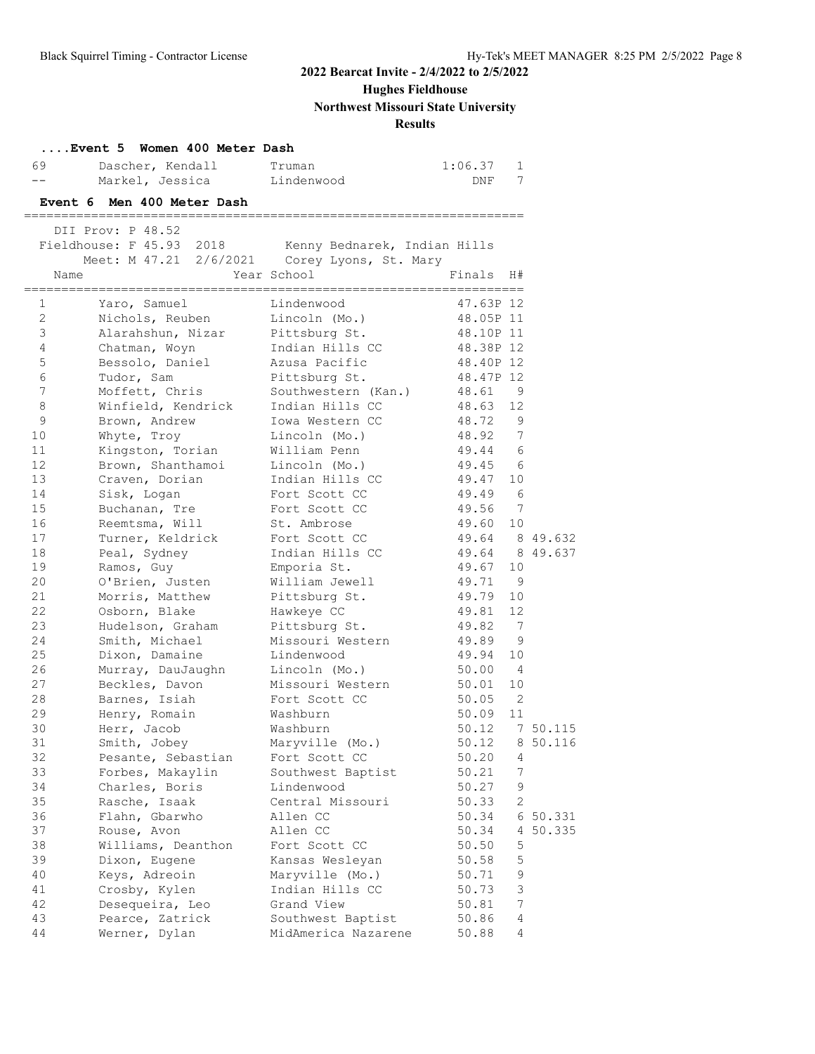## **Hughes Fieldhouse**

**Northwest Missouri State University**

## **Results**

| 69 — 10       | Event 5 Women 400 Meter Dash<br>Dascher, Kendall      | Truman              | 1:06.37        | $\mathbf{1}$ |                |
|---------------|-------------------------------------------------------|---------------------|----------------|--------------|----------------|
| $- -$         | Markel, Jessica Lindenwood                            |                     | DNF            | 7            |                |
|               | Event 6 Men 400 Meter Dash                            |                     |                |              |                |
|               | DII Prov: P 48.52                                     |                     |                |              |                |
|               | Fieldhouse: F 45.93 2018 Kenny Bednarek, Indian Hills |                     |                |              |                |
|               | Meet: M 47.21 2/6/2021 Corey Lyons, St. Mary          |                     |                |              |                |
| Name          |                                                       | Year School         | Finals H#      |              |                |
| $\mathbf{1}$  | Yaro, Samuel                                          | Lindenwood          | 47.63P 12      |              |                |
| $\mathcal{L}$ | Nichols, Reuben Lincoln (Mo.)                         |                     | 48.05P 11      |              |                |
| 3             | Alarahshun, Nizar Pittsburg St.                       |                     | 48.10P 11      |              |                |
| 4             | Chatman, Woyn                                         | Indian Hills CC     | 48.38P 12      |              |                |
| 5             | Bessolo, Daniel                                       | Azusa Pacific       | 48.40P 12      |              |                |
| 6             | Tudor, Sam                                            | Pittsburg St.       | 48.47P 12      |              |                |
| 7             | Moffett, Chris                                        | Southwestern (Kan.) | 48.61 9        |              |                |
| 8             | Winfield, Kendrick                                    | Indian Hills CC     | 48.63 12       |              |                |
| 9             | Brown, Andrew                                         | Iowa Western CC     | 48.72          | 9            |                |
| 10            | Whyte, Troy                                           | Lincoln (Mo.)       | 48.92 7        |              |                |
| 11            | Kingston, Torian                                      | William Penn        | 49.44 6        |              |                |
| 12            | Brown, Shanthamoi                                     | Lincoln (Mo.)       | 49.45 6        |              |                |
| 13            | Craven, Dorian                                        | Indian Hills CC     | 49.47          | 10           |                |
| 14            | Sisk, Logan                                           | Fort Scott CC       | 49.49 6        |              |                |
| 15            | Buchanan, Tre                                         | Fort Scott CC       | 49.56 7        |              |                |
| 16            | Reemtsma, Will                                        | St. Ambrose         | 49.60          | 10           |                |
| 17            | Turner, Keldrick                                      | Fort Scott CC       | 49.64 8 49.632 |              |                |
| 18            | Peal, Sydney                                          | Indian Hills CC     | 49.64 8 49.637 |              |                |
| 19            | Ramos, Guy                                            | Emporia St.         | 49.67          | 10           |                |
| 20            | O'Brien, Justen                                       | William Jewell      | 49.71          | - 9          |                |
| 21            | Morris, Matthew                                       | Pittsburg St.       | 49.79          | 10           |                |
| 22            | Osborn, Blake                                         | Hawkeye CC          | 49.81          | 12           |                |
| 23            | Hudelson, Graham                                      | Pittsburg St.       | 49.82          | 7            |                |
| 24            | Smith, Michael                                        | Missouri Western    | 49.89          | - 9          |                |
| 25            | Dixon, Damaine                                        | Lindenwood          | 49.94          | 10           |                |
| 26            | Murray, DauJaughn                                     | Lincoln (Mo.)       | 50.00 4        |              |                |
| 27            | Beckles, Davon                                        | Missouri Western    | 50.01          | 10           |                |
| 28            | Barnes, Isiah                                         | Fort Scott CC       | $50.05$ 2      |              |                |
| 29            | Henry, Romain                                         | Washburn            | 50.09          | 11           |                |
| 30            | Herr, Jacob                                           | Washburn            |                |              | 50.12 7 50.115 |
| 31            | Smith, Jobey                                          | Maryville (Mo.)     | 50.12          |              | 8 50.116       |
| 32            | Pesante, Sebastian                                    | Fort Scott CC       | 50.20          | 4            |                |
| 33            | Forbes, Makaylin                                      | Southwest Baptist   | 50.21          | 7            |                |
| 34            | Charles, Boris                                        | Lindenwood          | 50.27          | 9            |                |
| 35            | Rasche, Isaak                                         | Central Missouri    | 50.33          | 2            |                |
| 36            | Flahn, Gbarwho                                        | Allen CC            | 50.34          |              | 6 50.331       |
| 37            | Rouse, Avon                                           | Allen CC            | 50.34          |              | 4 50.335       |
| 38            | Williams, Deanthon                                    | Fort Scott CC       | 50.50          | 5            |                |
| 39            | Dixon, Eugene                                         | Kansas Wesleyan     | 50.58          | 5            |                |
| 40            | Keys, Adreoin                                         | Maryville (Mo.)     | 50.71          | 9            |                |
| 41            | Crosby, Kylen                                         | Indian Hills CC     | 50.73          | 3            |                |
| 42            | Desequeira, Leo                                       | Grand View          | 50.81          | 7            |                |
| 43            |                                                       |                     |                | 4            |                |
| 44            | Pearce, Zatrick<br>Werner, Dylan                      | Southwest Baptist   | 50.86          | 4            |                |
|               |                                                       | MidAmerica Nazarene | 50.88          |              |                |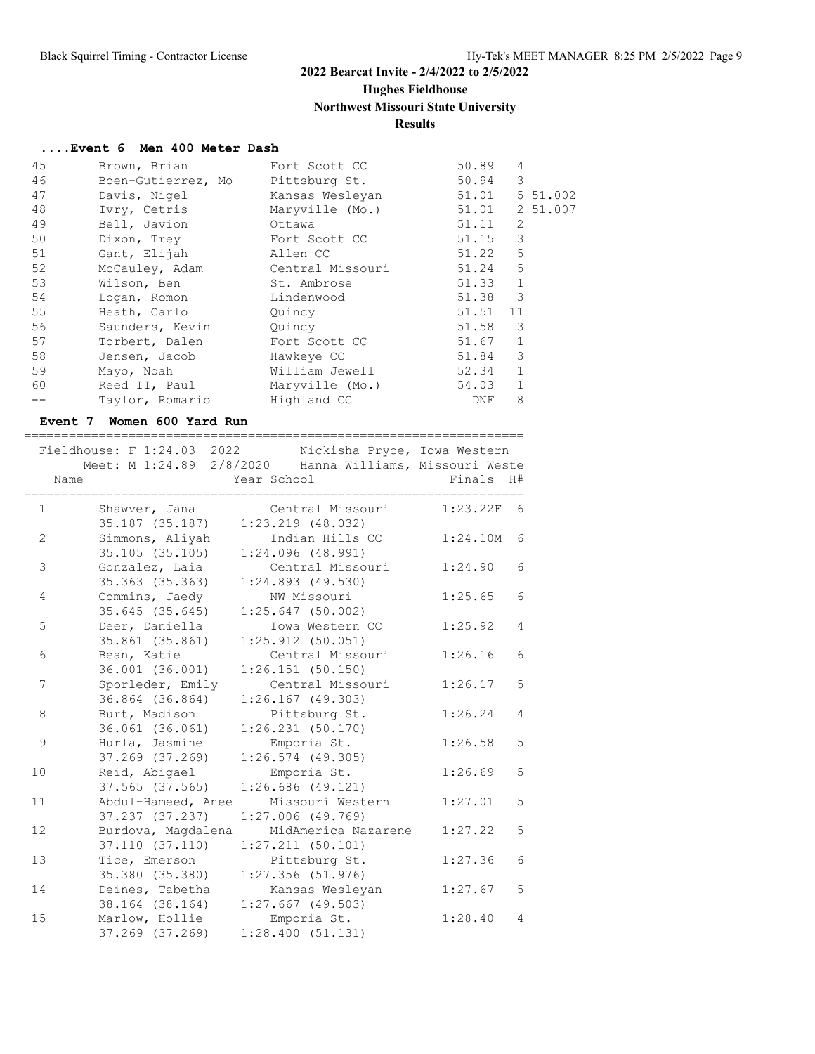## **Hughes Fieldhouse**

## **Northwest Missouri State University**

## **Results**

#### **....Event 6 Men 400 Meter Dash**

| 45 | Brown, Brian                     | Fort Scott CC                 | 50.89          | 4            |          |
|----|----------------------------------|-------------------------------|----------------|--------------|----------|
| 46 | Boen-Gutierrez, Mo Pittsburg St. |                               | 50.94          | 3            |          |
| 47 | Davis, Nigel                     | Kansas Wesleyan               | 51.01          |              | 5 51.002 |
| 48 | Ivry, Cetris                     | Maryville (Mo.)               | 51.01 2 51.007 |              |          |
| 49 | Bell, Javion                     | Ottawa                        | 51.11          | 2            |          |
| 50 | Dixon, Trey                      | Fort Scott CC                 | 51.15          | 3            |          |
| 51 | Gant, Elijah                     | Allen CC                      | 51.22          | 5            |          |
| 52 | McCauley, Adam                   | Central Missouri              | 51.24          | 5            |          |
| 53 | Wilson, Ben                      | St. Ambrose                   | 51.33          | $\mathbf{1}$ |          |
| 54 | Logan, Romon                     | Lindenwood                    | 51.38          | 3            |          |
| 55 | Heath, Carlo                     | Quincy                        | 51.51 11       |              |          |
| 56 | Saunders, Kevin                  | Quincy                        | 51.58          | 3            |          |
| 57 | Torbert, Dalen                   | Fort Scott CC                 | 51.67          | $\mathbf{1}$ |          |
| 58 | Jensen, Jacob                    | Hawkeye CC                    | 51.84          | 3            |          |
| 59 | Mayo, Noah                       | William Jewell                | 52.34          | $\mathbf{1}$ |          |
| 60 |                                  | Reed II, Paul Maryville (Mo.) | 54.03          | $\mathbf{1}$ |          |
|    | Taylor, Romario                  | Highland CC                   | DNF            | 8            |          |
|    |                                  |                               |                |              |          |

#### **Event 7 Women 600 Yard Run**

|    | Fieldhouse: F 1:24.03 2022 Nickisha Pryce, Iowa Western<br>Meet: M 1:24.89 2/8/2020 Hanna Williams, Missouri Weste |                           |
|----|--------------------------------------------------------------------------------------------------------------------|---------------------------|
|    | Year School<br>Name                                                                                                | Finals<br>H#              |
|    | Central Missouri<br>Shawver, Jana<br>1<br>35.187 (35.187)<br>$1:23.219$ $(48.032)$                                 | $1:23.22F$ 6              |
|    | Simmons, Aliyah<br>2<br>Indian Hills CC<br>35.105 (35.105)<br>1:24.096(48.991)                                     | 6<br>1:24.10M             |
|    | 3<br>Gonzalez, Laia<br>Central Missouri<br>35.363 (35.363)<br>$1:24.893$ (49.530)                                  | 6<br>1:24.90              |
|    | Commins, Jaedy<br>NW Missouri<br>4<br>35.645(35.645)<br>$1:25.647$ (50.002)                                        | 6<br>1:25.65              |
|    | 5<br>Deer, Daniella<br>Iowa Western CC<br>35.861 (35.861)<br>$1:25.912$ (50.051)                                   | 1:25.92<br>$\overline{4}$ |
|    | Central Missouri<br>Bean, Katie<br>6<br>36.001 (36.001)<br>1:26.151(50.150)                                        | 6<br>1:26.16              |
|    | 7<br>Sporleder, Emily<br>Central Missouri<br>36.864 (36.864)<br>$1:26.167$ (49.303)                                | 5<br>1:26.17              |
|    | 8<br>Burt, Madison<br>Pittsburg St.<br>36.061 (36.061)<br>1:26.231(50.170)                                         | $\overline{4}$<br>1:26.24 |
|    | 9<br>Hurla, Jasmine<br>Emporia St.<br>37.269 (37.269)<br>$1:26.574$ (49.305)                                       | $\overline{5}$<br>1:26.58 |
| 10 | Reid, Abigael<br>Emporia St.<br>$1:26.686$ (49.121)<br>37.565 (37.565)                                             | 5<br>1:26.69              |
| 11 | Abdul-Hameed, Anee<br>Missouri Western<br>37.237 (37.237)<br>$1:27.006$ (49.769)                                   | 5<br>1:27.01              |
| 12 | MidAmerica Nazarene<br>Burdova, Magdalena<br>37.110 (37.110)<br>$1:27.211$ (50.101)                                | 1:27.22<br>5              |
| 13 | Tice, Emerson<br>Pittsburg St.<br>35.380 (35.380)<br>$1:27.356$ (51.976)                                           | 6<br>1:27.36              |
| 14 | Deines, Tabetha<br>Kansas Wesleyan<br>38.164 (38.164)<br>$1:27.667$ (49.503)                                       | 5<br>1:27.67              |
| 15 | Marlow, Hollie<br>Emporia St.<br>37.269 (37.269)<br>1:28.400(51.131)                                               | 1:28.40<br>$\overline{4}$ |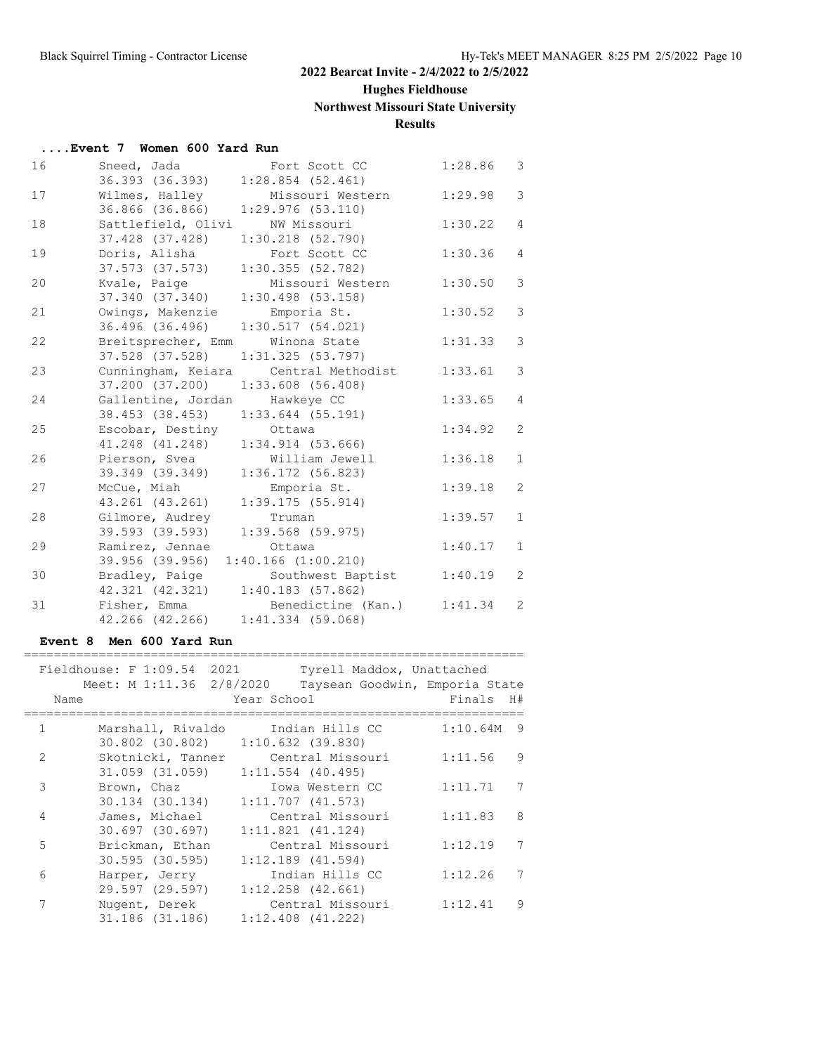# **Hughes Fieldhouse**

# **Northwest Missouri State University**

# **Results**

| Event 7 Women 600 Yard Run |  |  |  |
|----------------------------|--|--|--|
|                            |  |  |  |

| 16 | Sneed, Jada<br>Fort Scott CC               | 1:28.86 | 3              |
|----|--------------------------------------------|---------|----------------|
|    | 36.393 (36.393)<br>$1:28.854$ (52.461)     |         |                |
| 17 | Wilmes, Halley<br>Missouri Western         | 1:29.98 | $\mathcal{E}$  |
|    | 36.866 (36.866)<br>1:29.976(53.110)        |         |                |
| 18 | Sattlefield, Olivi<br>NW Missouri          | 1:30.22 | $\overline{4}$ |
|    | 37.428 (37.428)<br>$1:30.218$ $(52.790)$   |         |                |
| 19 | Doris, Alisha<br>Fort Scott CC             | 1:30.36 | $\overline{4}$ |
|    | 37.573 (37.573)<br>1:30.355(52.782)        |         |                |
| 20 | Kvale, Paige<br>Missouri Western           | 1:30.50 | 3              |
|    | 37.340 (37.340)<br>$1:30.498$ (53.158)     |         |                |
| 21 | Owings, Makenzie<br>Emporia St.            | 1:30.52 | $\mathfrak{Z}$ |
|    | 36.496 (36.496)<br>1:30.517(54.021)        |         |                |
| 22 | Breitsprecher, Emm Winona State            | 1:31.33 | 3              |
|    | 37.528 (37.528)<br>1:31.325(53.797)        |         |                |
| 23 | Cunningham, Keiara Central Methodist       | 1:33.61 | 3              |
|    | 37.200 (37.200)<br>$1:33.608$ (56.408)     |         |                |
| 24 | Gallentine, Jordan<br>Hawkeye CC           | 1:33.65 | $\overline{4}$ |
|    | 38.453 (38.453)<br>$1:33.644$ (55.191)     |         |                |
| 25 | Escobar, Destiny<br>Ottawa                 | 1:34.92 | 2              |
|    | 41.248 (41.248)<br>$1:34.914$ (53.666)     |         |                |
| 26 | Pierson, Svea<br>William Jewell            | 1:36.18 | $\mathbf{1}$   |
|    | 39.349 (39.349)<br>$1:36.172$ (56.823)     |         |                |
| 27 | McCue, Miah<br>Emporia St.                 | 1:39.18 | $\overline{2}$ |
|    | 43.261 (43.261)<br>1:39.175(55.914)        |         |                |
| 28 | Gilmore, Audrey<br>Truman                  | 1:39.57 | $\mathbf{1}$   |
|    | 39.593 (39.593)<br>$1:39.568$ (59.975)     |         |                |
| 29 | Ramirez, Jennae<br>Ottawa                  | 1:40.17 | $\mathbf{1}$   |
|    | $1:40.166$ $(1:00.210)$<br>39.956 (39.956) |         |                |
| 30 | Southwest Baptist<br>Bradley, Paige        | 1:40.19 | $\overline{2}$ |
|    | 42.321 (42.321)<br>1:40.183(57.862)        |         |                |
| 31 | Fisher, Emma<br>Benedictine (Kan.)         | 1:41.34 | 2              |
|    | 42.266 (42.266)<br>$1:41.334$ (59.068)     |         |                |

#### **Event 8 Men 600 Yard Run**

|               | Fieldhouse: F 1:09.54 2021        | Tyrell Maddox, Unattached      |               |
|---------------|-----------------------------------|--------------------------------|---------------|
|               | Meet: M 1:11.36 2/8/2020          | Taysean Goodwin, Emporia State |               |
| Name          |                                   | Year School                    | Finals<br>H#  |
| $\mathbf{1}$  | Marshall, Rivaldo                 | Indian Hills CC                | 1:10.64M<br>9 |
|               | 30.802 (30.802) 1:10.632 (39.830) |                                |               |
| $\mathcal{L}$ | Skotnicki, Tanner                 | Central Missouri               | 1:11.56<br>9  |
|               | 31.059 (31.059)                   | $1:11.554$ (40.495)            |               |
| 3             | Brown, Chaz                       | Iowa Western CC                | 1:11.71       |
|               | 30.134 (30.134)                   | $1:11.707$ $(41.573)$          |               |
| 4             | James, Michael                    | Central Missouri               | 1:11.83<br>8  |
|               | 30.697 (30.697)                   | $1:11.821$ $(41.124)$          |               |
| 5             | Brickman, Ethan                   | Central Missouri               | 1:12.19       |
|               | $30.595$ $(30.595)$               | $1:12.189$ $(41.594)$          |               |
| 6             | Harper, Jerry                     | Indian Hills CC                | 1:12.26       |
|               | 29.597 (29.597)                   | $1:12.258$ (42.661)            |               |
|               | Nugent, Derek                     | Central Missouri               | 1:12.41<br>9  |
|               | 31.186 (31.186)                   | $1:12.408$ $(41.222)$          |               |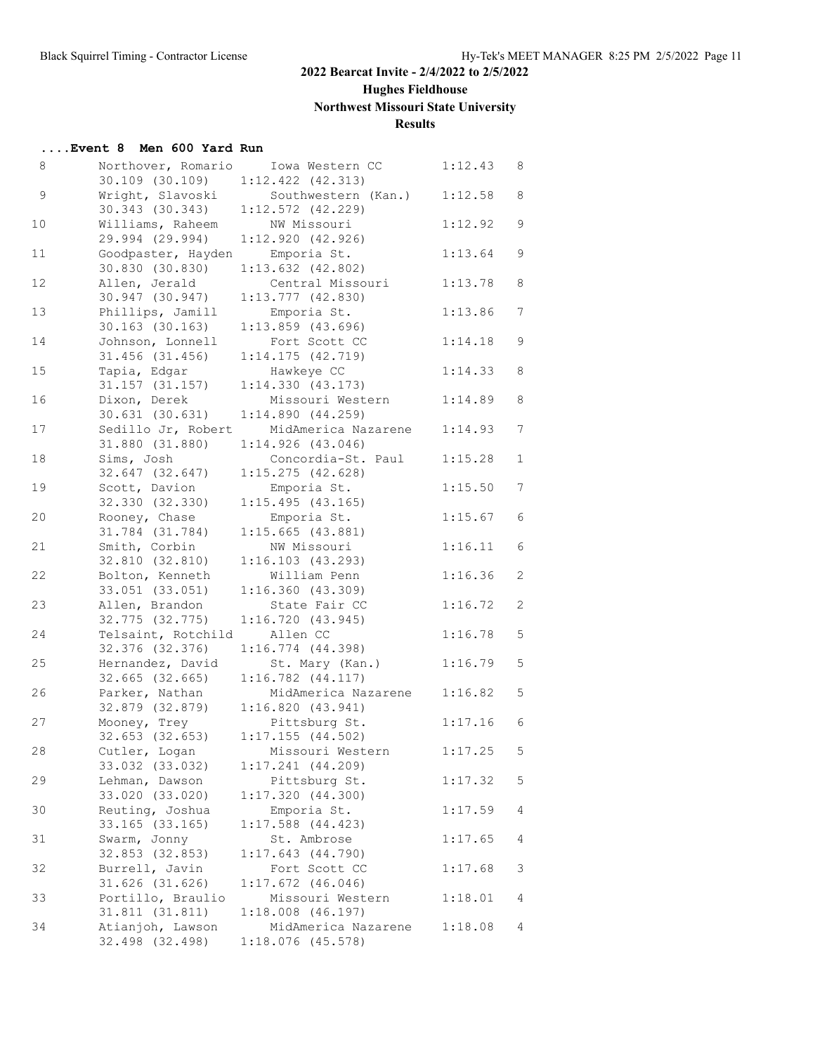# **Hughes Fieldhouse**

# **Northwest Missouri State University**

## **Results**

| Event 8 Men 600 Yard Run |  |  |  |  |  |
|--------------------------|--|--|--|--|--|
|--------------------------|--|--|--|--|--|

| 8  | Northover, Romario  | Iowa Western CC       | 1:12.43 | 8               |
|----|---------------------|-----------------------|---------|-----------------|
|    | 30.109 (30.109)     | $1:12.422$ $(42.313)$ |         |                 |
| 9  | Wright, Slavoski    | Southwestern (Kan.)   | 1:12.58 | 8               |
|    | 30.343 (30.343)     | $1:12.572$ (42.229)   |         |                 |
| 10 | Williams, Raheem    | NW Missouri           | 1:12.92 | $\mathsf 9$     |
|    | 29.994 (29.994)     | 1:12.920(42.926)      |         |                 |
| 11 | Goodpaster, Hayden  | Emporia St.           | 1:13.64 | 9               |
|    | 30.830 (30.830)     | $1:13.632$ $(42.802)$ |         |                 |
| 12 | Allen, Jerald       | Central Missouri      | 1:13.78 | 8               |
|    | 30.947 (30.947)     | $1:13.777$ (42.830)   |         |                 |
| 13 | Phillips, Jamill    | Emporia St.           | 1:13.86 | 7               |
|    | $30.163$ $(30.163)$ | $1:13.859$ (43.696)   |         |                 |
| 14 | Johnson, Lonnell    | Fort Scott CC         | 1:14.18 | 9               |
|    | 31.456 (31.456)     | 1:14.175(42.719)      |         |                 |
| 15 | Tapia, Edgar        | Hawkeye CC            | 1:14.33 | 8               |
|    | 31.157 (31.157)     | 1:14.330(43.173)      |         |                 |
| 16 | Dixon, Derek        | Missouri Western      | 1:14.89 | 8               |
|    | 30.631(30.631)      | 1:14.890(44.259)      |         |                 |
|    |                     | MidAmerica Nazarene   |         | $7\phantom{.0}$ |
| 17 | Sedillo Jr, Robert  |                       | 1:14.93 |                 |
|    | 31.880 (31.880)     | 1:14.926(43.046)      |         |                 |
| 18 | Sims, Josh          | Concordia-St. Paul    | 1:15.28 | $\mathbf{1}$    |
|    | 32.647 (32.647)     | 1:15.275(42.628)      |         |                 |
| 19 | Scott, Davion       | Emporia St.           | 1:15.50 | 7               |
|    | 32.330 (32.330)     | 1:15.495(43.165)      |         |                 |
| 20 | Rooney, Chase       | Emporia St.           | 1:15.67 | 6               |
|    | 31.784 (31.784)     | $1:15.665$ (43.881)   |         |                 |
| 21 | Smith, Corbin       | NW Missouri           | 1:16.11 | 6               |
|    | 32.810 (32.810)     | 1:16.103(43.293)      |         |                 |
| 22 | Bolton, Kenneth     | William Penn          | 1:16.36 | 2               |
|    | 33.051 (33.051)     | 1:16.360(43.309)      |         |                 |
| 23 | Allen, Brandon      | State Fair CC         | 1:16.72 | 2               |
|    | 32.775 (32.775)     | 1:16.720(43.945)      |         |                 |
| 24 | Telsaint, Rotchild  | Allen CC              | 1:16.78 | 5               |
|    | 32.376 (32.376)     | 1:16.774(44.398)      |         |                 |
| 25 | Hernandez, David    | St. Mary (Kan.)       | 1:16.79 | 5               |
|    | $32.665$ $(32.665)$ | $1:16.782$ $(44.117)$ |         |                 |
| 26 | Parker, Nathan      | MidAmerica Nazarene   | 1:16.82 | 5               |
|    | 32.879 (32.879)     | 1:16.820(43.941)      |         |                 |
| 27 | Mooney, Trey        | Pittsburg St.         | 1:17.16 | 6               |
|    | $32.653$ $(32.653)$ | 1:17.155(44.502)      |         |                 |
| 28 | Cutler, Logan       | Missouri Western      | 1:17.25 | 5               |
|    | 33.032 (33.032)     | $1:17.241$ $(44.209)$ |         |                 |
| 29 | Lehman, Dawson      | Pittsburg St.         | 1:17.32 | 5               |
|    | 33.020 (33.020)     | 1:17.320(44.300)      |         |                 |
| 30 | Reuting, Joshua     | Emporia St.           | 1:17.59 | 4               |
|    | 33.165 (33.165)     | $1:17.588$ $(44.423)$ |         |                 |
| 31 | Swarm, Jonny        | St. Ambrose           | 1:17.65 | 4               |
|    | 32.853 (32.853)     | 1:17.643(44.790)      |         |                 |
| 32 | Burrell, Javin      | Fort Scott CC         | 1:17.68 | 3               |
|    | 31.626 (31.626)     | $1:17.672$ (46.046)   |         |                 |
|    |                     |                       |         |                 |
| 33 | Portillo, Braulio   | Missouri Western      | 1:18.01 | 4               |
|    | 31.811 (31.811)     | $1:18.008$ $(46.197)$ |         |                 |
| 34 | Atianjoh, Lawson    | MidAmerica Nazarene   | 1:18.08 | 4               |
|    | 32.498 (32.498)     | $1:18.076$ (45.578)   |         |                 |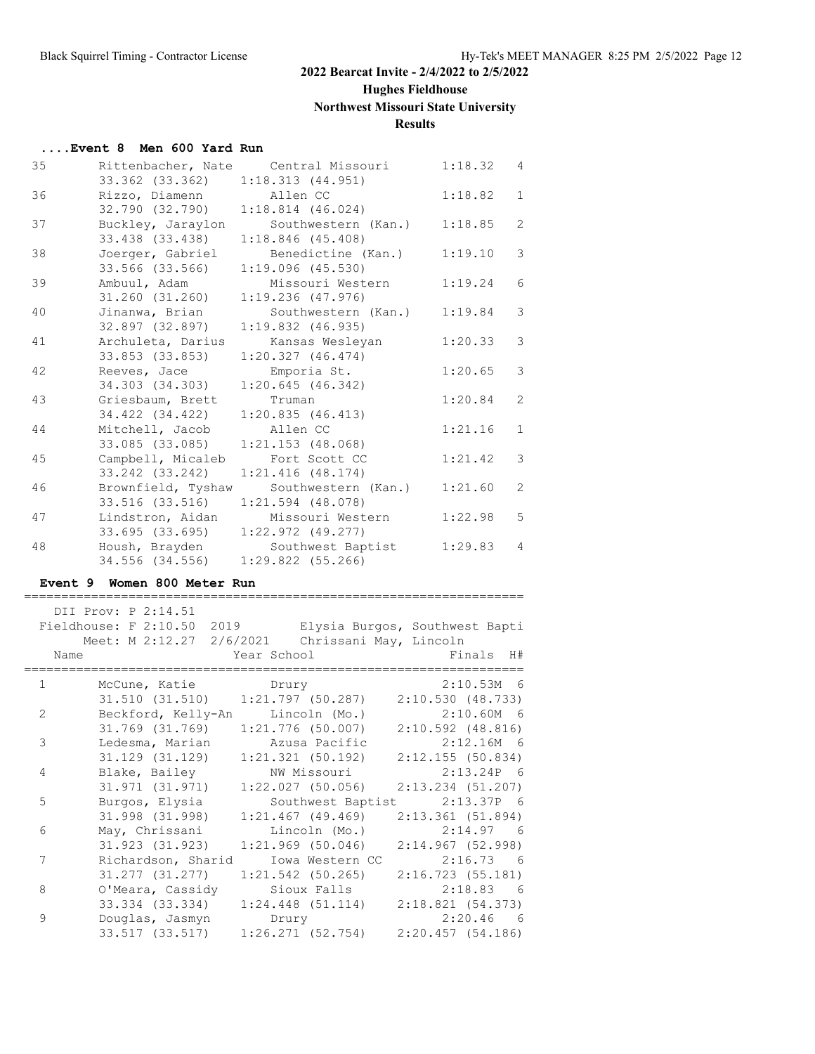# **Hughes Fieldhouse**

# **Northwest Missouri State University**

## **Results**

| Event 8 Men 600 Yard Run |  |  |  |
|--------------------------|--|--|--|
|--------------------------|--|--|--|

| 35 |                          | Rittenbacher, Nate Central Missouri | 1:18.32 4 |                |
|----|--------------------------|-------------------------------------|-----------|----------------|
|    | 33.362 (33.362)          | 1:18.313(44.951)                    |           |                |
| 36 | Rizzo, Diamenn Mallen CC |                                     | 1:18.82   | $\mathbf{1}$   |
|    | 32.790 (32.790)          | 1:18.814(46.024)                    |           |                |
| 37 | Buckley, Jaraylon        | Southwestern (Kan.)                 | 1:18.85   | $\overline{2}$ |
|    | 33.438 (33.438)          | $1:18.846$ (45.408)                 |           |                |
| 38 | Joerger, Gabriel         | Benedictine (Kan.)                  | 1:19.10   | 3              |
|    | 33.566 (33.566)          | $1:19.096$ (45.530)                 |           |                |
| 39 | Ambuul, Adam             | Missouri Western                    | 1:19.24   | 6              |
|    | 31.260 (31.260)          | $1:19.236$ (47.976)                 |           |                |
| 40 | Jinanwa, Brian           | Southwestern (Kan.)                 | 1:19.84   | 3              |
|    | 32.897 (32.897)          | $1:19.832$ (46.935)                 |           |                |
| 41 | Archuleta, Darius        | Kansas Wesleyan                     | 1:20.33   | 3              |
|    | 33.853 (33.853)          | 1:20.327(46.474)                    |           |                |
| 42 | Reeves, Jace             | Emporia St.                         | 1:20.65   | 3              |
|    | 34.303 (34.303)          | 1:20.645(46.342)                    |           |                |
| 43 | Griesbaum, Brett         | Truman                              | 1:20.84   | $\overline{2}$ |
|    | 34.422 (34.422)          | 1:20.835(46.413)                    |           |                |
| 44 | Mitchell, Jacob          | Allen CC                            | 1:21.16   | $\mathbf{1}$   |
|    | 33.085 (33.085)          | $1:21.153$ (48.068)                 |           |                |
| 45 | Campbell, Micaleb        | Fort Scott CC                       | 1:21.42   | 3              |
|    | 33.242 (33.242)          | $1:21.416$ (48.174)                 |           |                |
| 46 | Brownfield, Tyshaw       | Southwestern (Kan.)                 | 1:21.60   | 2              |
|    | 33.516 (33.516)          | $1:21.594$ (48.078)                 |           |                |
| 47 | Lindstron, Aidan         | Missouri Western                    | 1:22.98   | 5              |
|    | 33.695 (33.695)          | $1:22.972$ (49.277)                 |           |                |
| 48 | Housh, Brayden           | Southwest Baptist                   | 1:29.83   | $\overline{4}$ |
|    | 34.556 (34.556)          | $1:29.822$ (55.266)                 |           |                |

## **Event 9 Women 800 Meter Run**

|                | DII Prov: P 2:14.51                                       |       |                       |                                                                 |
|----------------|-----------------------------------------------------------|-------|-----------------------|-----------------------------------------------------------------|
|                | Fieldhouse: F 2:10.50 2019 Elysia Burgos, Southwest Bapti |       |                       |                                                                 |
|                | Meet: M 2:12.27 2/6/2021 Chrissani May, Lincoln           |       |                       |                                                                 |
| Name           |                                                           |       | Year School Theory    | Finals H#                                                       |
| $\mathbf{1}$   | McCune, Katie brury                                       |       |                       | $2:10.53M$ 6                                                    |
|                |                                                           |       |                       | $31.510$ $(31.510)$ $1:21.797$ $(50.287)$ $2:10.530$ $(48.733)$ |
| $\overline{2}$ | Beckford, Kelly-An Lincoln (Mo.)                          |       |                       | $2:10.60M$ 6                                                    |
|                | 31.769 (31.769)                                           |       | $1:21.776$ (50.007)   | $2:10.592$ (48.816)                                             |
| 3              | Ledesma, Marian                                           |       | Azusa Pacific         | $2:12.16M$ 6                                                    |
|                | 31.129 (31.129)                                           |       | $1:21.321$ (50.192)   | 2:12.155(50.834)                                                |
| 4              | Blake, Bailey                                             |       | NW Missouri           | $2:13.24P$ 6                                                    |
|                | 31,971 (31,971)                                           |       | $1:22.027$ (50.056)   | $2:13.234$ $(51.207)$                                           |
| 5              | Burgos, Elysia                                            |       |                       | Southwest Baptist 2:13.37P 6                                    |
|                | 31.998 (31.998)                                           |       | $1:21.467$ (49.469)   | 2:13.361(51.894)                                                |
| 6              | May, Chrissani                                            |       | Lincoln (Mo.)         | 2:14.97 6                                                       |
|                | 31.923 (31.923)                                           |       | $1:21.969$ (50.046)   | 2:14.967(52.998)                                                |
| 7              | Richardson, Sharid                                        |       | Iowa Western CC       | $2:16.73$ 6                                                     |
|                | 31.277 (31.277)                                           |       | $1:21.542$ (50.265)   | 2:16.723(55.181)                                                |
| 8              | O'Meara, Cassidy                                          |       | Sioux Falls           | $2:18.83$ 6                                                     |
|                | 33.334 (33.334)                                           |       | $1:24.448$ $(51.114)$ | 2:18.821(54.373)                                                |
| 9              | Douglas, Jasmyn                                           | Drury |                       | $2:20.46$ 6                                                     |
|                | 33.517 (33.517)                                           |       |                       | $1:26.271$ (52.754) $2:20.457$ (54.186)                         |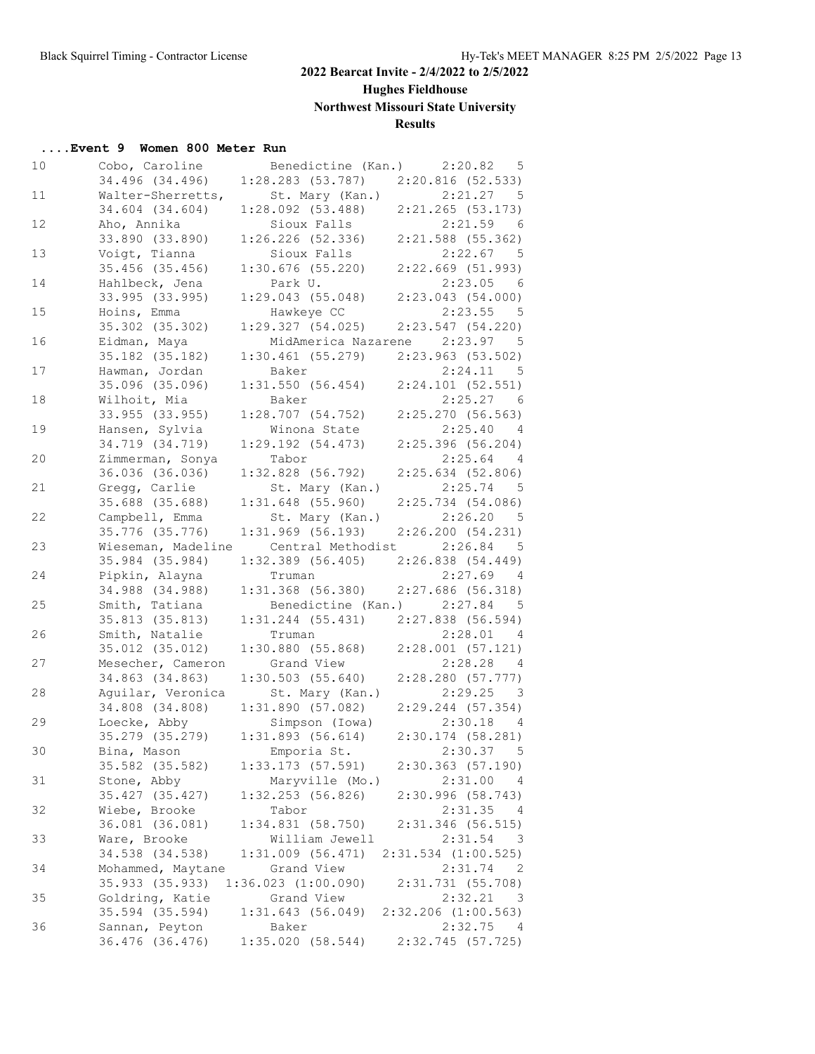# **Hughes Fieldhouse**

**Northwest Missouri State University**

## **Results**

| 10 | Cobo, Caroline    | Benedictine (Kan.) 2:20.82                   | $-5$                               |
|----|-------------------|----------------------------------------------|------------------------------------|
|    | 34.496 (34.496)   | $1:28.283$ (53.787) $2:20.816$ (52.533)      |                                    |
| 11 | Walter-Sherretts, | St. Mary (Kan.)                              | 2:21.27<br>$5^{\circ}$             |
|    | 34.604 (34.604)   | $1:28.092$ (53.488)                          | $2:21.265$ (53.173)                |
| 12 | Aho, Annika       | Sioux Falls                                  | 2:21.59<br>6                       |
|    | 33.890 (33.890)   | 1:26.226(52.336)                             | $2:21.588$ (55.362)                |
| 13 | Voigt, Tianna     | Sioux Falls                                  | 2:22.67 5                          |
|    | $35.456$ (35.456) | $1:30.676$ (55.220)                          | $2:22.669$ (51.993)                |
| 14 | Hahlbeck, Jena    | Park U.                                      | 2:23.05<br>6                       |
|    | 33.995 (33.995)   | 1:29.043(55.048)                             | 2:23.043(54.000)                   |
| 15 | Hoins, Emma       | Hawkeye CC                                   | 2:23.55<br>$5^{\circ}$             |
|    | 35.302 (35.302)   | 1:29.327(54.025)                             | 2:23.547(54.220)                   |
| 16 | Eidman, Maya      |                                              | MidAmerica Nazarene 2:23.97 5      |
|    | 35.182 (35.182)   | 1:30.461(55.279)                             | 2:23.963(53.502)                   |
| 17 | Hawman, Jordan    | Baker                                        | 2:24.11<br>$-5$                    |
|    |                   |                                              | $2:24.101$ (52.551)                |
|    | 35.096 (35.096)   | 1:31.550(56.454)                             |                                    |
| 18 | Wilhoit, Mia      | Baker                                        | $2:25.27$ 6                        |
|    | 33.955 (33.955)   | 1:28.707(54.752)                             | 2:25.270(56.563)                   |
| 19 | Hansen, Sylvia    | Winona State                                 | 2:25.40 4                          |
|    | 34.719 (34.719)   | 1:29.192(54.473)                             | 2:25.396(56.204)                   |
| 20 | Zimmerman, Sonya  | Tabor                                        | 2:25.64<br>$\overline{4}$          |
|    | 36.036 (36.036)   | $1:32.828$ (56.792)                          | 2:25.634(52.806)                   |
| 21 | Gregg, Carlie     | St. Mary (Kan.)                              | $2:25.74$ 5                        |
|    | 35.688 (35.688)   | $1:31.648$ (55.960)                          | $2:25.734$ (54.086)                |
| 22 | Campbell, Emma    | St. Mary (Kan.)                              | 2:26.20<br>$5^{\circ}$             |
|    | 35.776 (35.776)   | $1:31.969$ (56.193)                          | 2:26.200(54.231)                   |
| 23 |                   | Wieseman, Madeline Central Methodist 2:26.84 | $5^{\circ}$                        |
|    | 35.984 (35.984)   | $1:32.389$ (56.405)                          | 2:26.838(54.449)                   |
| 24 | Pipkin, Alayna    | Truman                                       | $2:27.69$ 4                        |
|    | 34.988 (34.988)   | $1:31.368$ (56.380)                          | $2:27.686$ (56.318)                |
| 25 | Smith, Tatiana    | Benedictine (Kan.) 2:27.84 5                 |                                    |
|    | 35.813 (35.813)   | $1:31.244$ (55.431) $2:27.838$ (56.594)      |                                    |
| 26 | Smith, Natalie    | Truman                                       | 2:28.01<br>$\overline{4}$          |
|    | 35.012 (35.012)   | 1:30.880(55.868)                             | $2:28.001$ (57.121)                |
| 27 | Mesecher, Cameron | Grand View                                   | 2:28.28<br>$\overline{4}$          |
|    | 34.863 (34.863)   | 1:30.503(55.640)                             | $2:28.280$ (57.777)                |
| 28 | Aguilar, Veronica | St. Mary (Kan.)                              | 2:29.25<br>$\overline{\mathbf{3}}$ |
|    | 34.808 (34.808)   | 1:31.890(57.082)                             | $2:29.244$ (57.354)                |
| 29 | Loecke, Abby      | Simpson (Iowa)                               | 2:30.18<br>$\overline{4}$          |
|    | 35.279 (35.279)   | 1:31.893(56.614)                             | $2:30.174$ (58.281)                |
| 30 | Bina, Mason       | Emporia St.                                  | 2:30.37<br>$5^{\circ}$             |
|    |                   |                                              |                                    |
|    | 35.582 (35.582)   | 1:33.173(57.591)                             | 2:30.363(57.190)                   |
| 31 | Stone, Abby       | Maryville (Mo.)                              | 2:31.00<br>$\overline{4}$          |
|    | 35.427 (35.427)   | $1:32.253$ (56.826)                          | 2:30.996(58.743)                   |
| 32 | Wiebe, Brooke     | Tabor                                        | 2:31.35<br>- 4                     |
|    | 36.081 (36.081)   | 1:34.831(58.750)                             | $2:31.346$ (56.515)                |
| 33 | Ware, Brooke      | William Jewell                               | 2:31.54<br>$\overline{\mathbf{3}}$ |
|    | 34.538 (34.538)   | $1:31.009$ $(56.471)$                        | $2:31.534$ $(1:00.525)$            |
| 34 | Mohammed, Maytane | Grand View                                   | 2:31.74<br>$\overline{2}$          |
|    | 35.933 (35.933)   | $1:36.023$ $(1:00.090)$                      | 2:31.731(55.708)                   |
| 35 | Goldring, Katie   | Grand View                                   | 2:32.21<br>$\overline{\mathbf{3}}$ |
|    | 35.594 (35.594)   | 1:31.643(56.049)                             | 2:32.206 (1:00.563)                |
| 36 | Sannan, Peyton    | Baker                                        | 2:32.75<br>4                       |
|    | 36.476 (36.476)   | 1:35.020(58.544)                             | 2:32.745(57.725)                   |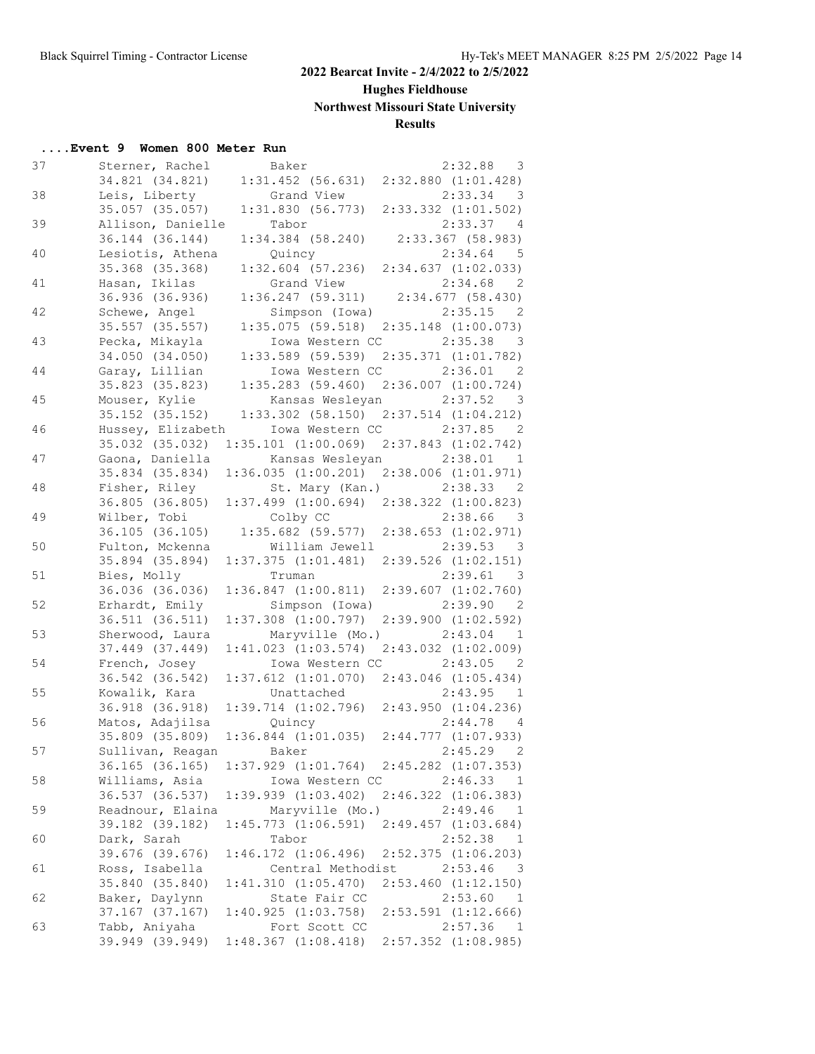## **Hughes Fieldhouse**

# **Northwest Missouri State University**

# **Results**

| 37 | Sterner, Rachel     | Baker                   | 2:32.88<br>3                                          |
|----|---------------------|-------------------------|-------------------------------------------------------|
|    |                     |                         | 34.821 (34.821) 1:31.452 (56.631) 2:32.880 (1:01.428) |
| 38 | Leis, Liberty       | Grand View              | 2:33.34<br>$\overline{\mathbf{3}}$                    |
|    | 35.057 (35.057)     |                         | $1:31.830$ (56.773) $2:33.332$ (1:01.502)             |
| 39 | Allison, Danielle   | Tabor                   | 2:33.37 4                                             |
|    | 36.144 (36.144)     | $1:34.384$ $(58.240)$   | $2:33.367$ (58.983)                                   |
| 40 | Lesiotis, Athena    | Quincy                  | $2:34.64$ 5                                           |
|    | 35.368 (35.368)     |                         | $1:32.604$ (57.236) 2:34.637 (1:02.033)               |
| 41 | Hasan, Ikilas       | Grand View              | $2:34.68$ 2                                           |
|    | 36.936 (36.936)     |                         | $1:36.247$ (59.311) $2:34.677$ (58.430)               |
| 42 | Schewe, Angel       | Simpson (Iowa)          | $2:35.15$ 2                                           |
|    | $35.557$ $(35.557)$ |                         | $1:35.075$ (59.518) $2:35.148$ (1:00.073)             |
| 43 | Pecka, Mikayla      | Iowa Western CC         | 2:35.38<br>$\overline{\mathbf{3}}$                    |
|    | 34.050 (34.050)     |                         | $1:33.589$ (59.539) $2:35.371$ (1:01.782)             |
| 44 | Garay, Lillian      | Iowa Western CC 2:36.01 | - 2                                                   |
|    | 35.823 (35.823)     |                         | $1:35.283$ (59.460) $2:36.007$ (1:00.724)             |
| 45 | Mouser, Kylie       |                         | Kansas Wesleyan 2:37.52 3                             |
|    | 35.152 (35.152)     |                         |                                                       |
|    |                     |                         | $1:33.302$ (58.150) $2:37.514$ (1:04.212)             |
| 46 | Hussey, Elizabeth   | Iowa Western CC         | 2:37.85 2                                             |
|    | 35.032 (35.032)     |                         | $1:35.101$ $(1:00.069)$ $2:37.843$ $(1:02.742)$       |
| 47 | Gaona, Daniella     |                         | Kansas Wesleyan 2:38.01<br>$\mathbf{1}$               |
|    | 35.834 (35.834)     |                         | $1:36.035$ $(1:00.201)$ $2:38.006$ $(1:01.971)$       |
| 48 | Fisher, Riley       |                         | St. Mary (Kan.) 2:38.33 2                             |
|    | 36.805(36.805)      |                         | $1:37.499$ $(1:00.694)$ $2:38.322$ $(1:00.823)$       |
| 49 | Wilber, Tobi        | Colby CC                | 2:38.66<br>$\overline{\mathbf{3}}$                    |
|    | 36.105 (36.105)     |                         | $1:35.682$ (59.577) $2:38.653$ (1:02.971)             |
| 50 | Fulton, Mckenna     |                         | William Jewell 2:39.53 3                              |
|    | 35.894 (35.894)     |                         | $1:37.375$ $(1:01.481)$ $2:39.526$ $(1:02.151)$       |
| 51 | Bies, Molly         | Truman                  | 2:39.61 3                                             |
|    | 36.036 (36.036)     | 1:36.847(1:00.811)      | 2:39.607(1:02.760)                                    |
| 52 | Erhardt, Emily      | Simpson (Iowa)          | 2:39.90 2                                             |
|    | 36.511 (36.511)     | $1:37.308$ $(1:00.797)$ | $2:39.900$ $(1:02.592)$                               |
| 53 | Sherwood, Laura     | Maryville (Mo.)         | 2:43.04<br>$\overline{1}$                             |
|    | 37.449 (37.449)     |                         | $1:41.023$ $(1:03.574)$ $2:43.032$ $(1:02.009)$       |
| 54 | French, Josey       |                         | Iowa Western CC 2:43.05 2                             |
|    | 36.542 (36.542)     |                         | $1:37.612$ $(1:01.070)$ $2:43.046$ $(1:05.434)$       |
| 55 | Kowalik, Kara       | Unattached              | 2:43.95<br>$\mathbf{1}$                               |
|    | 36.918 (36.918)     |                         | $1:39.714$ $(1:02.796)$ $2:43.950$ $(1:04.236)$       |
| 56 | Matos, Adajilsa     | Quincy                  | 2:44.78<br>$\overline{4}$                             |
|    | 35.809 (35.809)     |                         | $1:36.844$ $(1:01.035)$ $2:44.777$ $(1:07.933)$       |
| 57 | Sullivan, Reagan    | Baker                   | $2:45.29$ 2                                           |
|    |                     | $1:37.929$ $(1:01.764)$ | $2:45.282$ $(1:07.353)$                               |
|    | 36.165 (36.165)     | Iowa Western CC         |                                                       |
| 58 | Williams, Asia      |                         | 2:46.33<br>$\mathbf{1}$                               |
|    | 36.537 (36.537)     | $1:39.939$ $(1:03.402)$ | $2:46.322$ $(1:06.383)$                               |
| 59 | Readnour, Elaina    | Maryville (Mo.)         | 2:49.46<br>1                                          |
|    | 39.182 (39.182)     | 1:45.773(1:06.591)      | $2:49.457$ $(1:03.684)$                               |
| 60 | Dark, Sarah         | Tabor                   | 2:52.38<br>$\mathbf{1}$                               |
|    | 39.676 (39.676)     | 1:46.172(1:06.496)      | $2:52.375$ $(1:06.203)$                               |
| 61 | Ross, Isabella      | Central Methodist       | 2:53.46<br>$\overline{\mathbf{3}}$                    |
|    | 35.840 (35.840)     | 1:41.310(1:05.470)      | $2:53.460$ $(1:12.150)$                               |
| 62 | Baker, Daylynn      | State Fair CC           | 2:53.60<br>-1                                         |
|    | 37.167 (37.167)     | 1:40.925(1:03.758)      | $2:53.591$ $(1:12.666)$                               |
| 63 | Tabb, Aniyaha       | Fort Scott CC           | 2:57.36<br>$\frac{1}{2}$                              |
|    | 39.949 (39.949)     | 1:48.367(1:08.418)      | $2:57.352$ $(1:08.985)$                               |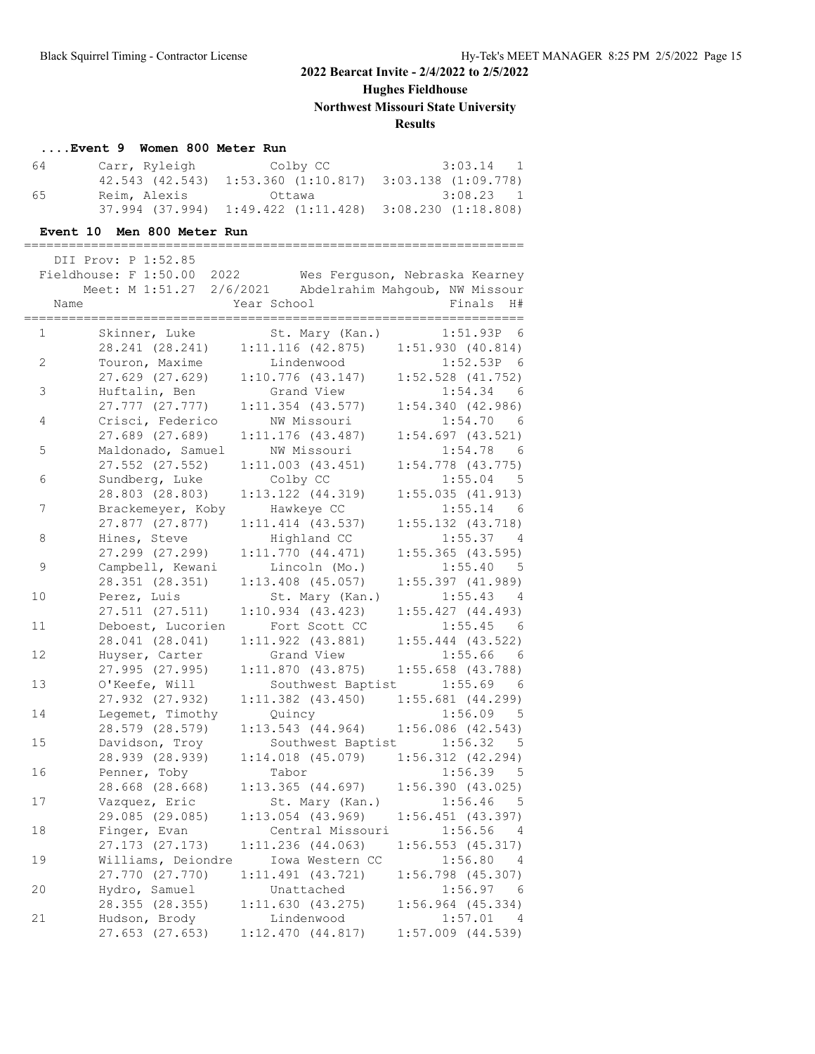**Hughes Fieldhouse**

**Northwest Missouri State University**

## **Results**

#### **....Event 9 Women 800 Meter Run**

| 64 | Carr, Ryleigh   | Colby CC                                                            | 3:03.14 1 |
|----|-----------------|---------------------------------------------------------------------|-----------|
|    | 42.543 (42.543) | $1:53.360$ $(1:10.817)$ $3:03.138$ $(1:09.778)$                     |           |
| 65 | Reim, Alexis    | Ottawa                                                              | 3:08.23 1 |
|    |                 | $37.994$ $(37.994)$ $1:49.422$ $(1:11.428)$ $3:08.230$ $(1:18.808)$ |           |

#### **Event 10 Men 800 Meter Run**

=================================================================== DII Prov: P 1:52.85

|              | Fieldhouse: F 1:50.00<br>2022<br>Meet: M 1:51.27 |             |                       | Wes Ferguson, Nebraska Kearney          |
|--------------|--------------------------------------------------|-------------|-----------------------|-----------------------------------------|
|              |                                                  |             |                       | 2/6/2021 Abdelrahim Mahqoub, NW Missour |
| Name         |                                                  | Year School |                       | Finals<br>H#                            |
| $\mathbf{1}$ | Skinner, Luke                                    |             | St. Mary (Kan.)       | 1:51.93P 6                              |
|              | 28.241 (28.241)                                  |             | $1:11.116$ (42.875)   | 1:51.930(40.814)                        |
| 2            | Touron, Maxime                                   |             | Lindenwood            | 1:52.53P 6                              |
|              | 27.629 (27.629)                                  |             | $1:10.776$ (43.147)   | $1:52.528$ $(41.752)$                   |
| 3            | Huftalin, Ben                                    |             | Grand View            | 1:54.34<br>- 6                          |
|              | 27.777 (27.777)                                  |             | $1:11.354$ (43.577)   | 1:54.340(42.986)                        |
| 4            | Crisci, Federico                                 |             | NW Missouri           | 1:54.70<br>- 6                          |
|              | 27.689 (27.689)                                  |             | $1:11.176$ (43.487)   | $1:54.697$ $(43.521)$                   |
| 5            | Maldonado, Samuel                                |             | NW Missouri           | 1:54.78<br>- 6                          |
|              | 27.552 (27.552)                                  |             | $1:11.003$ $(43.451)$ | $1:54.778$ $(43.775)$                   |
| 6            | Sundberg, Luke                                   | Colby CC    |                       | $1:55.04$ 5                             |
|              | 28.803 (28.803)                                  |             | $1:13.122$ $(44.319)$ | 1:55.035(41.913)                        |
| 7            |                                                  |             | Hawkeye CC            | - 6                                     |
|              | Brackemeyer, Koby                                |             |                       | 1:55.14                                 |
|              | 27.877 (27.877)                                  |             | $1:11.414$ $(43.537)$ | $1:55.132$ $(43.718)$                   |
| 8            | Hines, Steve                                     |             | Highland CC           | 1:55.37<br>4                            |
|              | 27.299 (27.299)                                  |             | 1:11.770(44.471)      | $1:55.365$ (43.595)                     |
| 9            | Campbell, Kewani                                 |             | Lincoln (Mo.)         | 1:55.40<br>$-5$                         |
|              | 28.351 (28.351)                                  |             | $1:13.408$ (45.057)   | 1:55.397 (41.989)                       |
| 10           | Perez, Luis                                      |             | St. Mary (Kan.)       | 1:55.43<br>$\overline{4}$               |
|              | 27.511 (27.511)                                  |             | $1:10.934$ $(43.423)$ | 1:55.427(44.493)                        |
| 11           | Deboest, Lucorien                                |             | Fort Scott CC         | 1:55.45<br>- 6                          |
|              | 28.041 (28.041)                                  |             | $1:11.922$ $(43.881)$ | $1:55.444$ (43.522)                     |
| 12           | Huyser, Carter                                   |             | Grand View            | 1:55.66<br>- 6                          |
|              | 27.995 (27.995)                                  |             | $1:11.870$ (43.875)   | $1:55.658$ (43.788)                     |
| 13           | O'Keefe, Will                                    |             | Southwest Baptist     | 1:55.69<br>- 6                          |
|              | 27.932 (27.932)                                  |             | $1:11.382$ $(43.450)$ | $1:55.681$ $(44.299)$                   |
| 14           | Legemet, Timothy                                 | Quincy      |                       | $1:56.09$ 5                             |
|              | 28.579 (28.579)                                  |             | 1:13.543(44.964)      | 1:56.086(42.543)                        |
| 15           | Davidson, Troy                                   |             | Southwest Baptist     | 1:56.32<br>- 5                          |
|              | 28.939 (28.939)                                  |             | $1:14.018$ $(45.079)$ | 1:56.312(42.294)                        |
| 16           | Penner, Toby                                     | Tabor       |                       | 1:56.39<br>$-5$                         |
|              | 28.668 (28.668)                                  |             | $1:13.365$ $(44.697)$ | 1:56.390(43.025)                        |
| 17           | Vazquez, Eric                                    |             | St. Mary (Kan.)       | 1:56.46<br>5                            |
|              | 29.085 (29.085)                                  |             | $1:13.054$ (43.969)   | $1:56.451$ (43.397)                     |
| 18           | Finger, Evan                                     |             | Central Missouri      | 1:56.56<br>$\overline{4}$               |
|              | 27.173 (27.173)                                  |             | $1:11.236$ $(44.063)$ | 1:56.553(45.317)                        |
| 19           | Williams, Deiondre                               |             | Iowa Western CC       | 1:56.80<br>$\overline{4}$               |
|              | 27.770 (27.770)                                  |             | $1:11.491$ $(43.721)$ | $1:56.798$ (45.307)                     |
| 20           | Hydro, Samuel                                    |             | Unattached            | 1:56.97<br>- 6                          |
|              | 28.355 (28.355)                                  |             | 1:11.630(43.275)      | $1:56.964$ $(45.334)$                   |
| 21           | Hudson, Brody                                    |             | Lindenwood            | 1:57.01<br>$\overline{4}$               |
|              | 27.653 (27.653)                                  |             | 1:12.470(44.817)      | $1:57.009$ $(44.539)$                   |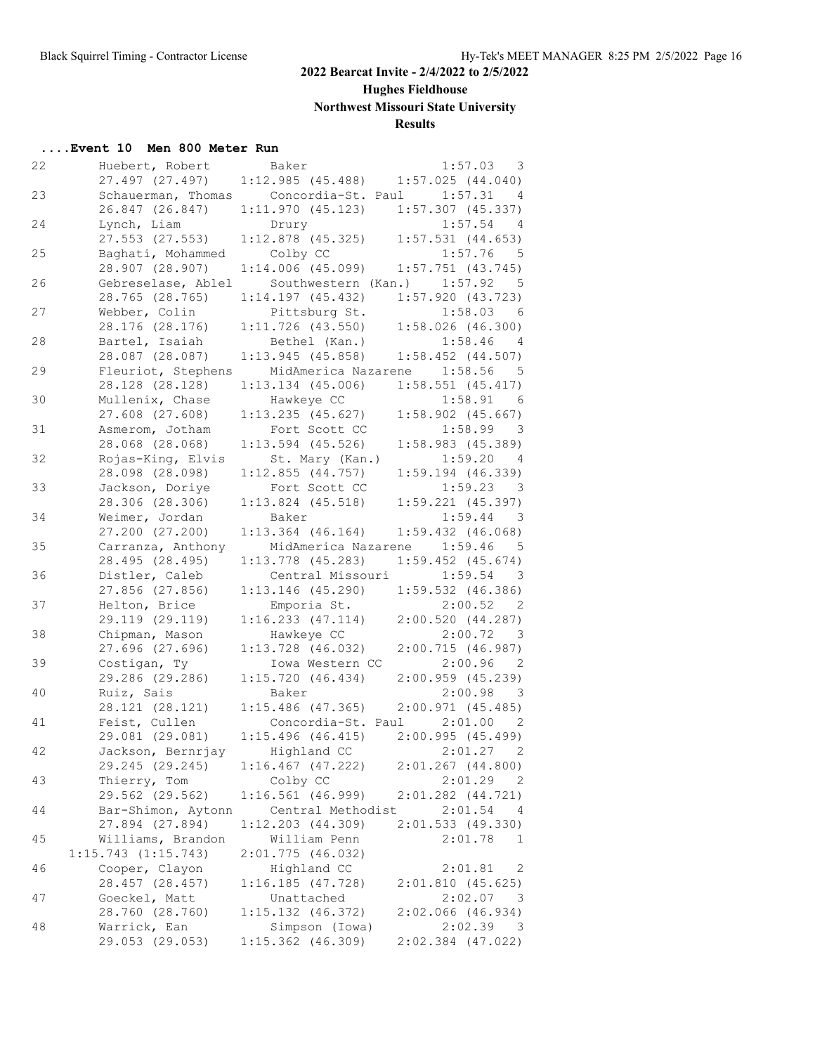**Hughes Fieldhouse**

# **Northwest Missouri State University**

# **Results**

## **....Event 10 Men 800 Meter Run**

| 22 | Huebert, Robert                      | Baker                                          | 1:57.03 3                          |
|----|--------------------------------------|------------------------------------------------|------------------------------------|
|    | 27.497 (27.497)                      | 1:12.985(45.488)                               | 1:57.025(44.040)                   |
| 23 |                                      | Schauerman, Thomas Concordia-St. Paul 1:57.31  | $\overline{4}$                     |
|    | 26.847 (26.847)                      | $1:11.970$ (45.123) $1:57.307$ (45.337)        |                                    |
| 24 | Lynch, Liam                          | Drury                                          | 1:57.54<br>$\overline{4}$          |
|    | $27.553$ $(27.553)$                  | $1:12.878$ (45.325)                            | $1:57.531$ $(44.653)$              |
| 25 | Baghati, Mohammed                    | Colby CC                                       | $1:57.76$ 5                        |
|    | 28.907 (28.907)                      | $1:14.006$ (45.099)                            | $1:57.751$ (43.745)                |
| 26 | Gebreselase, Ablel                   |                                                | Southwestern (Kan.) 1:57.92 5      |
|    | 28.765 (28.765)                      | 1:14.197(45.432)                               | 1:57.920(43.723)                   |
| 27 | Webber, Colin                        | Pittsburg St.                                  | $1:58.03$ 6                        |
|    | 28.176 (28.176)                      | $1:11.726$ (43.550)                            | $1:58.026$ (46.300)                |
| 28 | Bartel, Isaiah                       | Bethel (Kan.)                                  | $1:58.46$ 4                        |
|    | 28.087 (28.087)                      | 1:13.945(45.858)                               | $1:58.452$ (44.507)                |
| 29 |                                      | Fleuriot, Stephens MidAmerica Nazarene 1:58.56 | $-5$                               |
|    | 28.128 (28.128)                      | $1:13.134$ (45.006)                            | $1:58.551$ (45.417)                |
| 30 | Mullenix, Chase                      | Hawkeye CC                                     | $1:58.91$ 6                        |
|    | $27.608$ $(27.608)$                  | $1:13.235$ (45.627)                            | $1:58.902$ (45.667)                |
| 31 | Asmerom, Jotham                      | Fort Scott CC                                  | $1:58.99$ 3                        |
|    | 28.068 (28.068)                      | $1:13.594$ (45.526)                            | 1:58.983(45.389)                   |
| 32 | Rojas-King, Elvis<br>28.098 (28.098) | St. Mary (Kan.)<br>1:12.855(44.757)            | 1:59.20 4                          |
| 33 | Jackson, Doriye                      | Fort Scott CC                                  | $1:59.194$ (46.339)<br>$1:59.23$ 3 |
|    | 28.306 (28.306)                      | $1:13.824$ (45.518)                            | $1:59.221$ $(45.397)$              |
| 34 | Weimer, Jordan                       | Baker                                          | $1:59.44$ 3                        |
|    | 27.200 (27.200)                      | $1:13.364$ (46.164)                            | $1:59.432$ $(46.068)$              |
| 35 | Carranza, Anthony                    | MidAmerica Nazarene 1:59.46                    | $-5$                               |
|    | 28.495 (28.495)                      | $1:13.778$ (45.283)                            | $1:59.452$ $(45.674)$              |
| 36 | Distler, Caleb                       | Central Missouri                               | $1:59.54$ 3                        |
|    | 27.856 (27.856)                      | $1:13.146$ (45.290)                            | $1:59.532$ (46.386)                |
| 37 | Helton, Brice                        | Emporia St.                                    | 2:00.52 2                          |
|    | 29.119 (29.119)                      | 1:16.233(47.114)                               | 2:00.520(44.287)                   |
| 38 | Chipman, Mason                       | Hawkeye CC                                     | 2:00.72 3                          |
|    | $27.696$ $(27.696)$                  | 1:13.728 (46.032)                              | 2:00.715(46.987)                   |
| 39 | Costigan, Ty                         | Iowa Western CC                                | $2:00.96$ 2                        |
|    | 29.286 (29.286)                      | 1:15.720(46.434)                               | 2:00.959(45.239)                   |
| 40 | Ruiz, Sais                           | Baker                                          | 2:00.98<br>$\overline{\mathbf{3}}$ |
|    | 28.121 (28.121)                      | $1:15.486$ (47.365)                            | 2:00.971(45.485)                   |
| 41 | Feist, Cullen                        | Concordia-St. Paul 2:01.00                     | $\overline{2}$                     |
|    | 29.081 (29.081)                      | $1:15.496$ (46.415)                            | 2:00.995 (45.499)                  |
| 42 | Jackson, Bernrjay                    | Highland CC                                    | 2:01.27 2                          |
|    | 29.245 (29.245)                      | $1:16.467$ $(47.222)$                          | $2:01.267$ (44.800)                |
| 43 | Thierry, Tom                         | Colby CC                                       | 2:01.29<br>- 2                     |
|    | 29.562 (29.562)                      | $1:16.561$ (46.999)                            | 2:01.282 (44.721)                  |
| 44 | Bar-Shimon, Aytonn                   | Central Methodist                              | 2:01.54<br>-4                      |
|    | 27.894 (27.894)                      | $1:12.203$ $(44.309)$                          | 2:01.533(49.330)                   |
| 45 | Williams, Brandon                    | William Penn                                   | 2:01.78<br>1                       |
|    | $1:15.743$ $(1:15.743)$              | 2:01.775 (46.032)                              |                                    |
| 46 | Cooper, Clayon                       | Highland CC                                    | 2:01.81<br>2                       |
|    | 28.457 (28.457)                      | 1:16.185(47.728)                               | 2:01.810(45.625)                   |
| 47 | Goeckel, Matt                        | Unattached                                     | 2:02.07<br>$\overline{\mathbf{3}}$ |
|    | 28.760 (28.760)                      | $1:15.132$ $(46.372)$                          | $2:02.066$ (46.934)                |
| 48 | Warrick, Ean                         | Simpson (Iowa)                                 | 2:02.39<br>$\overline{\mathbf{3}}$ |
|    | 29.053 (29.053)                      | $1:15.362$ (46.309)                            | $2:02.384$ (47.022)                |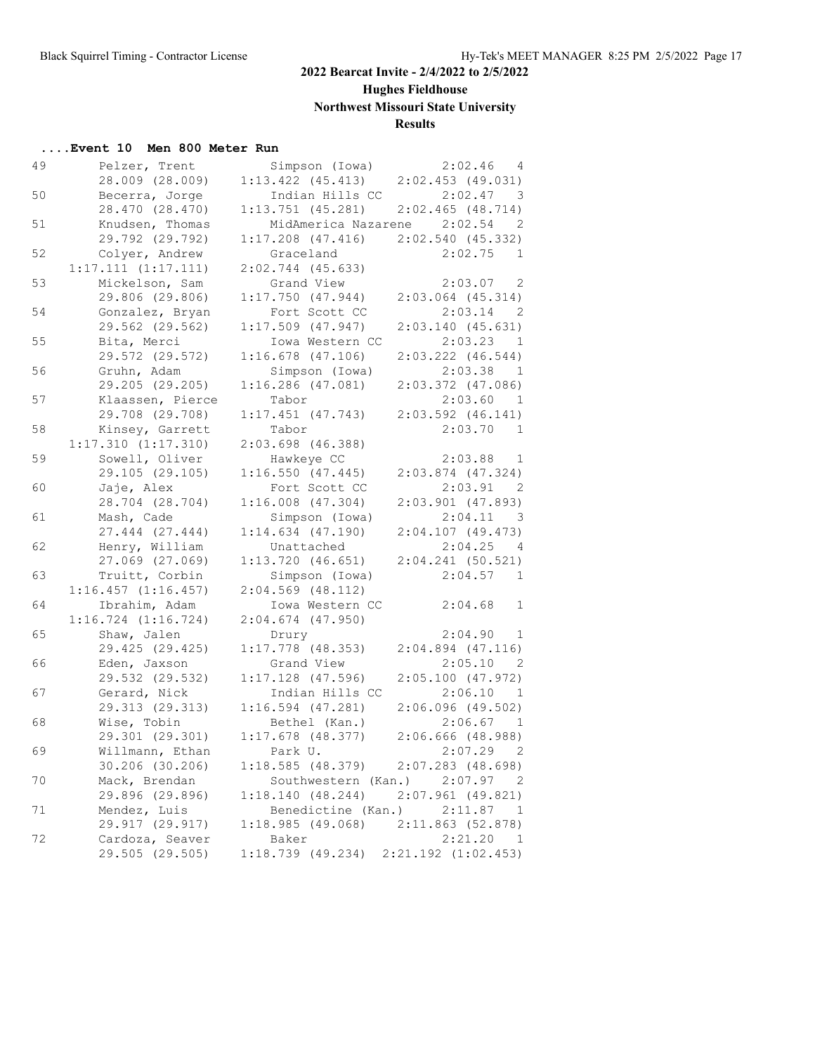# **Hughes Fieldhouse**

**Northwest Missouri State University**

## **Results**

## **....Event 10 Men 800 Meter Run**

| 49 | Pelzer, Trent           | Simpson (Iowa)                                   | $2:02.46$ 4                        |
|----|-------------------------|--------------------------------------------------|------------------------------------|
|    | 28.009 (28.009)         | $1:13.422$ (45.413) $2:02.453$ (49.031)          |                                    |
| 50 | Becerra, Jorge          | Indian Hills CC                                  | $2:02.47$ 3                        |
|    | 28.470 (28.470)         | $1:13.751$ (45.281) $2:02.465$ (48.714)          |                                    |
| 51 | Knudsen, Thomas         |                                                  | MidAmerica Nazarene 2:02.54 2      |
|    | 29.792 (29.792)         | $1:17.208$ (47.416) $2:02.540$ (45.332)          |                                    |
| 52 | Colyer, Andrew          | Graceland                                        | $2:02.75$ 1                        |
|    | 1:17.111(1:17.111)      | $2:02.744$ (45.633)                              |                                    |
| 53 | Mickelson, Sam          | Grand View                                       | 2:03.07 2                          |
|    | 29.806 (29.806)         | 1:17.750(47.944)                                 | $2:03.064$ (45.314)                |
| 54 | Gonzalez, Bryan         | Fort Scott CC                                    | $2:03.14$ 2                        |
|    | 29.562 (29.562)         | $1:17.509$ (47.947)                              | 2:03.140(45.631)                   |
| 55 | Bita, Merci             | Iowa Western CC                                  | 2:03.23<br>1                       |
|    | 29.572 (29.572)         | $1:16.678$ (47.106)                              | $2:03.222$ $(46.544)$              |
| 56 | Gruhn, Adam             | Simpson (Iowa)                                   | $2:03.38$ 1                        |
|    |                         | $1:16.286$ (47.081)                              |                                    |
|    | 29.205 (29.205)         |                                                  | $2:03.372$ (47.086)                |
| 57 | Klaassen, Pierce        | Tabor<br>$1:17.451$ (47.743) $2:03.592$ (46.141) | 2:03.60 1                          |
|    | 29.708 (29.708)         |                                                  |                                    |
| 58 | Kinsey, Garrett         | Tabor                                            | 2:03.70 1                          |
|    | 1:17.310(1:17.310)      | 2:03.698 (46.388)                                |                                    |
| 59 | Sowell, Oliver          | Hawkeye CC                                       | $2:03.88$ 1                        |
|    | 29.105 (29.105)         | 1:16.550(47.445)                                 | $2:03.874$ (47.324)                |
| 60 | Jaje, Alex              | Fort Scott CC                                    | $2:03.91$ 2                        |
|    | 28.704 (28.704)         | $1:16.008$ $(47.304)$                            | $2:03.901$ (47.893)                |
| 61 | Mash, Cade              | Simpson (Iowa)                                   | 2:04.11<br>$\overline{\mathbf{3}}$ |
|    | 27.444 (27.444)         | $1:14.634$ $(47.190)$                            | $2:04.107$ (49.473)                |
| 62 | Henry, William          | Unattached                                       | 2:04.25<br>$\overline{4}$          |
|    | 27.069 (27.069)         | 1:13.720(46.651)                                 | $2:04.241$ (50.521)                |
| 63 | Truitt, Corbin          | Simpson (Iowa)                                   | $2:04.57$ 1                        |
|    | $1:16.457$ $(1:16.457)$ | $2:04.569$ (48.112)                              |                                    |
| 64 | Ibrahim, Adam           | Iowa Western CC                                  | 2:04.68<br>$\mathbf{1}$            |
|    | $1:16.724$ $(1:16.724)$ | $2:04.674$ (47.950)                              |                                    |
| 65 | Shaw, Jalen             | Drury                                            | 2:04.90 1                          |
|    | 29.425 (29.425)         | $1:17.778$ (48.353)                              | $2:04.894$ (47.116)                |
| 66 | Eden, Jaxson            | Grand View                                       | 2:05.10 2                          |
|    | 29.532 (29.532)         | $1:17.128$ (47.596)                              | 2:05.100(47.972)                   |
| 67 | Gerard, Nick            | Indian Hills CC                                  | 2:06.10<br>1                       |
|    | 29.313 (29.313)         | $1:16.594$ (47.281)                              | $2:06.096$ (49.502)                |
| 68 | Wise, Tobin             | Bethel (Kan.)                                    | $2:06.67$ 1                        |
|    | 29.301 (29.301)         | $1:17.678$ (48.377)                              | 2:06.666 (48.988)                  |
| 69 | Willmann, Ethan         | Park U.                                          | $2:07.29$ 2                        |
|    | 30.206 (30.206)         | 1:18.585(48.379)                                 | $2:07.283$ (48.698)                |
| 70 | Mack, Brendan           | Southwestern (Kan.)                              | 2:07.97<br>- 2                     |
|    | 29.896 (29.896)         | 1:18.140(48.244)                                 | $2:07.961$ (49.821)                |
| 71 | Mendez, Luis            | Benedictine (Kan.)                               | 2:11.87<br>- 1                     |
|    | 29.917 (29.917)         | 1:18.985(49.068)                                 | 2:11.863 (52.878)                  |
| 72 | Cardoza, Seaver         | Baker                                            | 2:21.20<br>- 1                     |
|    | 29.505 (29.505)         | 1:18.739(49.234)                                 | $2:21.192$ $(1:02.453)$            |
|    |                         |                                                  |                                    |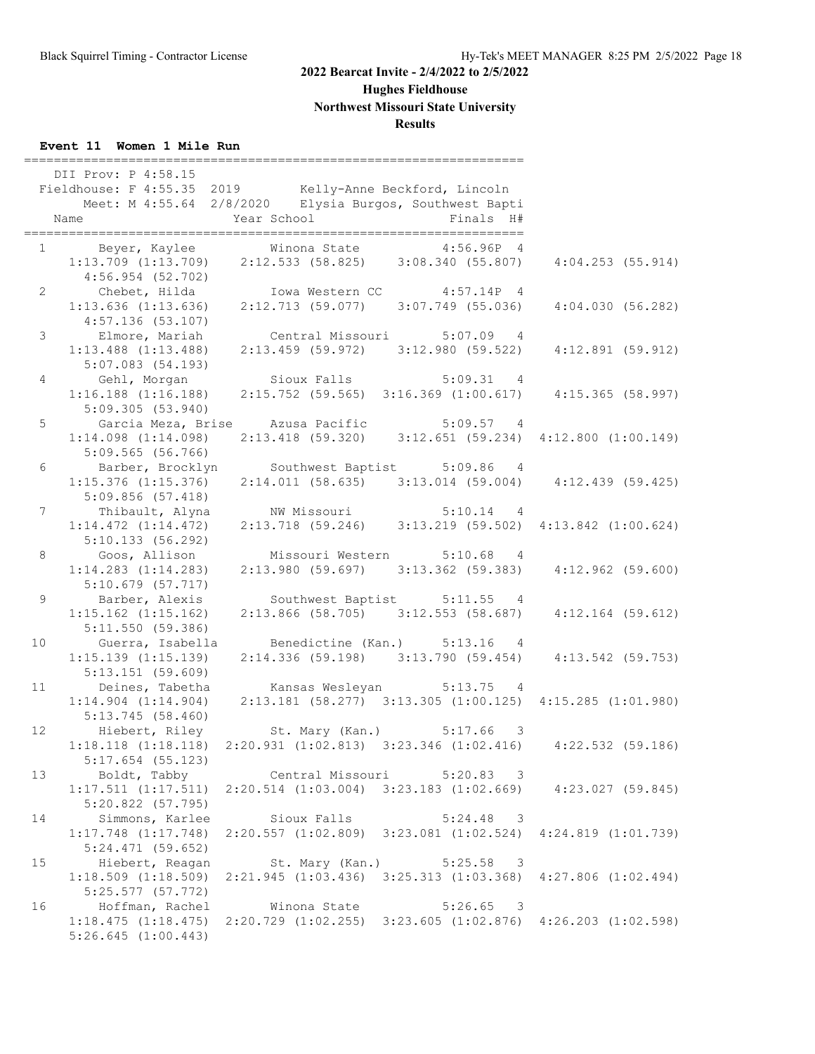# **Hughes Fieldhouse**

**Northwest Missouri State University**

## **Results**

## **Event 11 Women 1 Mile Run**

|                 | DII Prov: P 4:58.15<br>Fieldhouse: F 4:55.35 2019 Kelly-Anne Beckford, Lincoln<br>Name | Year School                   | Meet: M 4:55.64 2/8/2020 Elysia Burgos, Southwest Bapti<br>Finals H#                                                                                               |                         |
|-----------------|----------------------------------------------------------------------------------------|-------------------------------|--------------------------------------------------------------------------------------------------------------------------------------------------------------------|-------------------------|
|                 |                                                                                        |                               |                                                                                                                                                                    |                         |
| $2^{\circ}$     | 4:57.136(53.107)                                                                       |                               | 4:56.954 (52.702)<br>Chebet, Hilda Iowa Western CC 4:57.14P 4<br>1:13.636 (1:13.636) 2:12.713 (59.077) 3:07.749 (55.036)                                           | 4:04.030(56.282)        |
| $\mathcal{S}$   | $1:13.488$ $(1:13.488)$                                                                |                               | Elmore, Mariah Central Missouri 5:07.09 4<br>2:13.459 (59.972) 3:12.980 (59.522) 4:12.891 (59.912)                                                                 |                         |
| $4\overline{ }$ | 5:07.083(54.193)                                                                       |                               | Gehl, Morgan Sioux Falls 5:09.31 4<br>1:16.188 (1:16.188) 2:15.752 (59.565) 3:16.369 (1:00.617)<br>2:15.752 (59.565) 3:16.369 (1:00.617) 4:15.365 (58.997)         |                         |
| 5               | 5:09.305(53.940)<br>$1:14.098$ $(1:14.098)$                                            |                               | Garcia Meza, Brise     Azusa Pacific             5:09.57     4<br>$2:13.418$ (59.320) $3:12.651$ (59.234) $4:12.800$ (1:00.149)                                    |                         |
| 6               | $5:09.565$ (56.766)<br>$1:15.376$ $(1:15.376)$                                         |                               | Barber, Brocklyn Southwest Baptist 5:09.86 4<br>$2:14.011$ (58.635) 3:13.014 (59.004) 4:12.439 (59.425)                                                            |                         |
| $7\phantom{.0}$ | 5:09.856(57.418)<br>$1:14.472$ $(1:14.472)$                                            |                               | Thibault, Alyna MW Missouri 5:10.14 4<br>$2:13.718$ (59.246) 3:13.219 (59.502) 4:13.842 (1:00.624)                                                                 |                         |
| 8               | 5:10.133 (56.292)                                                                      |                               | Goos, Allison Missouri Western 5:10.68 4<br>1:14.283 (1:14.283) 2:13.980 (59.697) 3:13.362 (59.383)<br>$2:13.980$ (59.697) $3:13.362$ (59.383) $4:12.962$ (59.600) |                         |
| 9               | 5:10.679(57.717)<br>$1:15.162$ $(1:15.162)$<br>5:11.550(59.386)                        |                               | Barber, Alexis Southwest Baptist 5:11.55 4<br>$2:13.866$ (58.705) $3:12.553$ (58.687) $4:12.164$ (59.612)                                                          |                         |
| 10 <sub>1</sub> | Guerra, Isabella<br>$1:15.139$ $(1:15.139)$<br>5:13.151(59.609)                        |                               | Benedictine (Kan.) 5:13.16 4<br>2:14.336 (59.198) 3:13.790 (59.454) 4:13.542 (59.753)                                                                              |                         |
| 11              | Deines, Tabetha<br>5:13.745 (58.460)                                                   |                               | Kansas Wesleyan 5:13.75 4<br>$1:14.904$ $(1:14.904)$ $2:13.181$ $(58.277)$ $3:13.305$ $(1:00.125)$ $4:15.285$ $(1:01.980)$                                         |                         |
| 12 <sup>°</sup> | $5:17.654$ (55.123)                                                                    |                               | Hiebert, Riley St. Mary (Kan.) 5:17.66 3<br>$1:18.118$ (1:18.118) 2:20.931 (1:02.813) 3:23.346 (1:02.416) 4:22.532 (59.186)                                        |                         |
| 13              | $1:17.511$ $(1:17.511)$<br>$5:20.822$ (57.795)                                         | Boldt, Tabby Central Missouri | $5:20.83$ 3<br>$2:20.514$ $(1:03.004)$ $3:23.183$ $(1:02.669)$                                                                                                     | $4:23.027$ (59.845)     |
| 14              | Simmons, Karlee<br>$1:17.748$ $(1:17.748)$<br>$5:24.471$ (59.652)                      | Sioux Falls                   | $5:24.48$ 3<br>$2:20.557$ $(1:02.809)$ $3:23.081$ $(1:02.524)$ $4:24.819$ $(1:01.739)$                                                                             |                         |
| 15              | Hiebert, Reagan<br>$1:18.509$ $(1:18.509)$<br>5:25.577(57.772)                         | St. Mary (Kan.)               | 5:25.58<br>$\overline{\phantom{a}}$<br>$2:21.945$ $(1:03.436)$ $3:25.313$ $(1:03.368)$                                                                             | $4:27.806$ $(1:02.494)$ |
| 16              | Hoffman, Rachel<br>1:18.475(1:18.475)<br>$5:26.645$ $(1:00.443)$                       | Winona State                  | 5:26.65<br>$\overline{\phantom{a}}$<br>2:20.729 (1:02.255) 3:23.605 (1:02.876) 4:26.203 (1:02.598)                                                                 |                         |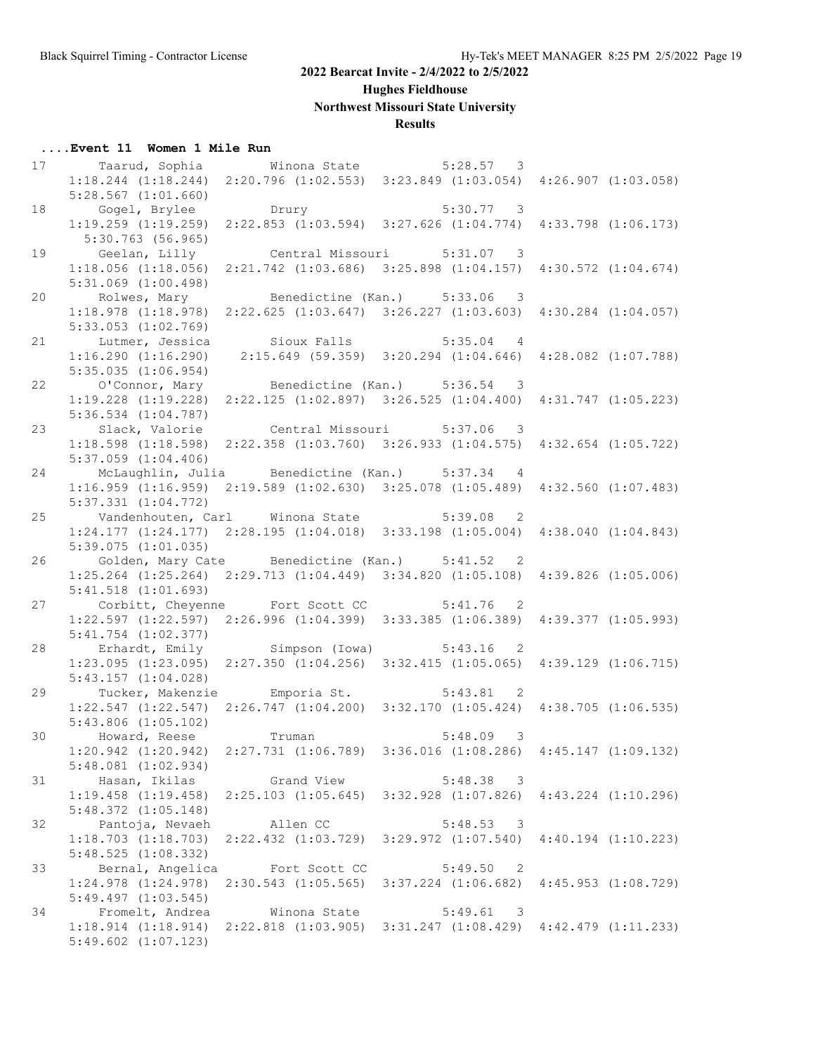## **Hughes Fieldhouse**

# **Northwest Missouri State University**

## **Results**

#### **....Event 11 Women 1 Mile Run**

| 17 |                                                                                                 |               |                                                                         |                          |                         |
|----|-------------------------------------------------------------------------------------------------|---------------|-------------------------------------------------------------------------|--------------------------|-------------------------|
|    | 1:18.244 (1:18.244) 2:20.796 (1:02.553) 3:23.849 (1:03.054) 4:26.907 (1:03.058)                 |               |                                                                         |                          |                         |
|    | $5:28.567$ $(1:01.660)$                                                                         |               |                                                                         |                          |                         |
| 18 | Gogel, Brylee                                                                                   | Drury         | $5:30.77$ 3                                                             |                          |                         |
|    | 1:19.259 (1:19.259) 2:22.853 (1:03.594) 3:27.626 (1:04.774) 4:33.798 (1:06.173)                 |               |                                                                         |                          |                         |
|    | $5:30.763$ (56.965)                                                                             |               |                                                                         |                          |                         |
| 19 | Geelan, Lilly                                                                                   |               | Central Missouri 5:31.07 3                                              |                          |                         |
|    |                                                                                                 |               |                                                                         |                          |                         |
|    | 1:18.056(1:18.056)                                                                              |               | 2:21.742 (1:03.686) 3:25.898 (1:04.157) 4:30.572 (1:04.674)             |                          |                         |
|    | $5:31.069$ $(1:00.498)$                                                                         |               |                                                                         |                          |                         |
| 20 | Rolwes, Mary Benedictine (Kan.) 5:33.06 3                                                       |               |                                                                         |                          |                         |
|    | $1:18.978$ $(1:18.978)$                                                                         |               | $2:22.625$ $(1:03.647)$ $3:26.227$ $(1:03.603)$ $4:30.284$ $(1:04.057)$ |                          |                         |
|    | $5:33.053$ $(1:02.769)$                                                                         |               |                                                                         |                          |                         |
| 21 | Lutmer, Jessica Sioux Falls 5:35.04 4                                                           |               |                                                                         |                          |                         |
|    | 1:16.290(1:16.290)                                                                              |               | 2:15.649 (59.359) 3:20.294 (1:04.646) 4:28.082 (1:07.788)               |                          |                         |
|    | $5:35.035$ $(1:06.954)$                                                                         |               |                                                                         |                          |                         |
| 22 | O'Connor, Mary Benedictine (Kan.) 5:36.54 3                                                     |               |                                                                         |                          |                         |
|    | 1:19.228 (1:19.228) 2:22.125 (1:02.897) 3:26.525 (1:04.400) 4:31.747 (1:05.223)                 |               |                                                                         |                          |                         |
|    | $5:36.534$ $(1:04.787)$                                                                         |               |                                                                         |                          |                         |
| 23 | Slack, Valorie Central Missouri 5:37.06 3                                                       |               |                                                                         |                          |                         |
|    |                                                                                                 |               |                                                                         |                          |                         |
|    | 1:18.598 (1:18.598) 2:22.358 (1:03.760) 3:26.933 (1:04.575) 4:32.654 (1:05.722)                 |               |                                                                         |                          |                         |
|    | $5:37.059$ $(1:04.406)$                                                                         |               |                                                                         |                          |                         |
| 24 | McLaughlin, Julia Benedictine (Kan.) 5:37.34 4                                                  |               |                                                                         |                          |                         |
|    | 1:16.959 (1:16.959) 2:19.589 (1:02.630) 3:25.078 (1:05.489) 4:32.560 (1:07.483)                 |               |                                                                         |                          |                         |
|    | $5:37.331$ $(1:04.772)$                                                                         |               |                                                                         |                          |                         |
| 25 | Vandenhouten, Carl Winona State 5:39.08 2                                                       |               |                                                                         |                          |                         |
|    | $1:24.177$ $(1:24.177)$ $2:28.195$ $(1:04.018)$ $3:33.198$ $(1:05.004)$ $4:38.040$ $(1:04.843)$ |               |                                                                         |                          |                         |
|    | 5:39.075(1:01.035)                                                                              |               |                                                                         |                          |                         |
| 26 | Golden, Mary Cate Benedictine (Kan.) 5:41.52 2                                                  |               |                                                                         |                          |                         |
|    | 1:25.264 (1:25.264) 2:29.713 (1:04.449) 3:34.820 (1:05.108) 4:39.826 (1:05.006)                 |               |                                                                         |                          |                         |
|    | $5:41.518$ $(1:01.693)$                                                                         |               |                                                                         |                          |                         |
| 27 | Corbitt, Cheyenne Fort Scott CC 5:41.76 2                                                       |               |                                                                         |                          |                         |
|    | 1:22.597 (1:22.597) 2:26.996 (1:04.399) 3:33.385 (1:06.389) 4:39.377 (1:05.993)                 |               |                                                                         |                          |                         |
|    |                                                                                                 |               |                                                                         |                          |                         |
|    | 5:41.754 (1:02.377)                                                                             |               |                                                                         |                          |                         |
| 28 | Erhardt, Emily Simpson (Iowa) 5:43.16 2                                                         |               |                                                                         |                          |                         |
|    | 1:23.095 (1:23.095) 2:27.350 (1:04.256) 3:32.415 (1:05.065) 4:39.129 (1:06.715)                 |               |                                                                         |                          |                         |
|    | 5:43.157(1:04.028)                                                                              |               |                                                                         |                          |                         |
| 29 | Tucker, Makenzie b Emporia St.                                                                  |               | $5:43.81$ 2                                                             |                          |                         |
|    | $1:22.547$ $(1:22.547)$ $2:26.747$ $(1:04.200)$ $3:32.170$ $(1:05.424)$ $4:38.705$ $(1:06.535)$ |               |                                                                         |                          |                         |
|    | $5:43.806$ $(1:05.102)$                                                                         |               |                                                                         |                          |                         |
| 30 | Howard, Reese Truman                                                                            |               | $5:48.09$ 3                                                             |                          |                         |
|    | 1:20.942 (1:20.942) 2:27.731 (1:06.789) 3:36.016 (1:08.286) 4:45.147 (1:09.132)                 |               |                                                                         |                          |                         |
|    | $5:48.081$ $(1:02.934)$                                                                         |               |                                                                         |                          |                         |
| 31 | Hasan, Ikilas                                                                                   | Grand View    | 5:48.38 3                                                               |                          |                         |
|    | $1:19.458$ $(1:19.458)$                                                                         |               | $2:25.103$ $(1:05.645)$ $3:32.928$ $(1:07.826)$                         |                          | $4:43.224$ $(1:10.296)$ |
|    |                                                                                                 |               |                                                                         |                          |                         |
|    | $5:48.372$ $(1:05.148)$                                                                         |               |                                                                         |                          |                         |
| 32 | Pantoja, Nevaeh                                                                                 | Allen CC      | 5:48.53 3                                                               |                          |                         |
|    | $1:18.703$ $(1:18.703)$ $2:22.432$ $(1:03.729)$ $3:29.972$ $(1:07.540)$ $4:40.194$ $(1:10.223)$ |               |                                                                         |                          |                         |
|    | 5:48.525(1:08.332)                                                                              |               |                                                                         |                          |                         |
| 33 | Bernal, Angelica                                                                                | Fort Scott CC | 5:49.50                                                                 | $\overline{2}$           |                         |
|    | $1:24.978$ $(1:24.978)$                                                                         |               | $2:30.543$ (1:05.565) $3:37.224$ (1:06.682)                             |                          | $4:45.953$ $(1:08.729)$ |
|    | $5:49.497$ $(1:03.545)$                                                                         |               |                                                                         |                          |                         |
| 34 | Fromelt, Andrea                                                                                 | Winona State  | 5:49.61                                                                 | $\overline{\phantom{a}}$ |                         |
|    | 1:18.914(1:18.914)                                                                              |               | 2:22.818 (1:03.905) 3:31.247 (1:08.429) 4:42.479 (1:11.233)             |                          |                         |
|    | $5:49.602$ $(1:07.123)$                                                                         |               |                                                                         |                          |                         |
|    |                                                                                                 |               |                                                                         |                          |                         |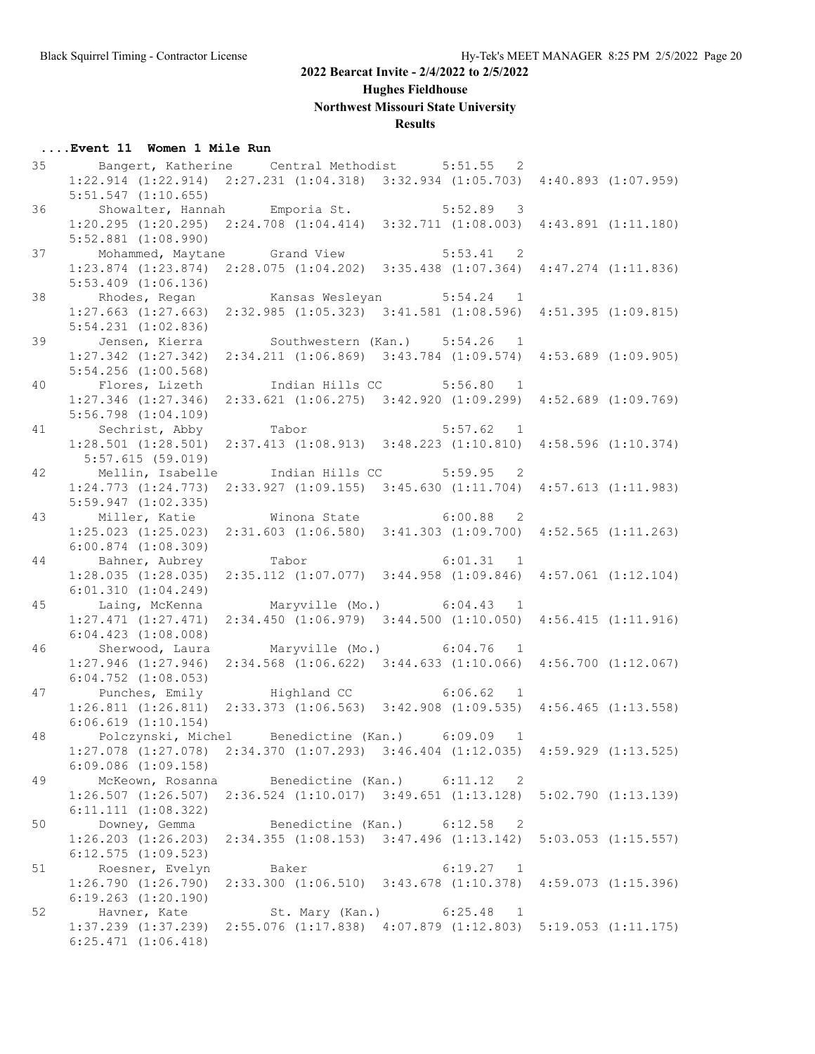## **Hughes Fieldhouse**

# **Northwest Missouri State University**

## **Results**

#### **....Event 11 Women 1 Mile Run**

| 35 | Bangert, Katherine Central Methodist 5:51.55 2                                                  |       |  |                                                             |  |
|----|-------------------------------------------------------------------------------------------------|-------|--|-------------------------------------------------------------|--|
|    | 1:22.914 (1:22.914) 2:27.231 (1:04.318) 3:32.934 (1:05.703) 4:40.893 (1:07.959)                 |       |  |                                                             |  |
|    | $5:51.547$ $(1:10.655)$                                                                         |       |  |                                                             |  |
| 36 | Showalter, Hannah Emporia St. 5:52.89 3                                                         |       |  |                                                             |  |
|    | $1:20.295$ $(1:20.295)$ $2:24.708$ $(1:04.414)$ $3:32.711$ $(1:08.003)$ $4:43.891$ $(1:11.180)$ |       |  |                                                             |  |
|    | $5:52.881$ $(1:08.990)$                                                                         |       |  |                                                             |  |
| 37 | Mohammed, Maytane Grand View 5:53.41 2                                                          |       |  |                                                             |  |
|    | 1:23.874 (1:23.874) 2:28.075 (1:04.202) 3:35.438 (1:07.364) 4:47.274 (1:11.836)                 |       |  |                                                             |  |
|    | $5:53.409$ $(1:06.136)$                                                                         |       |  |                                                             |  |
| 38 | Rhodes, Regan Kansas Wesleyan 5:54.24 1                                                         |       |  |                                                             |  |
|    | 1:27.663 (1:27.663) 2:32.985 (1:05.323) 3:41.581 (1:08.596) 4:51.395 (1:09.815)                 |       |  |                                                             |  |
|    | $5:54.231$ $(1:02.836)$                                                                         |       |  |                                                             |  |
| 39 | Jensen, Kierra   Southwestern (Kan.) 5:54.26 1                                                  |       |  |                                                             |  |
|    | 1:27.342 (1:27.342) 2:34.211 (1:06.869) 3:43.784 (1:09.574) 4:53.689 (1:09.905)                 |       |  |                                                             |  |
|    | $5:54.256$ $(1:00.568)$                                                                         |       |  |                                                             |  |
| 40 | Flores, Lizeth Indian Hills CC 5:56.80 1                                                        |       |  |                                                             |  |
|    | 1:27.346 (1:27.346) 2:33.621 (1:06.275) 3:42.920 (1:09.299) 4:52.689 (1:09.769)                 |       |  |                                                             |  |
|    | $5:56.798$ $(1:04.109)$                                                                         |       |  |                                                             |  |
|    | Sechrist, Abby Tabor                                                                            |       |  |                                                             |  |
| 41 |                                                                                                 |       |  | 5:57.62 1                                                   |  |
|    | 1:28.501 (1:28.501) 2:37.413 (1:08.913) 3:48.223 (1:10.810) 4:58.596 (1:10.374)                 |       |  |                                                             |  |
|    | 5:57.615(59.019)                                                                                |       |  |                                                             |  |
| 42 | Mellin, Isabelle      Indian Hills CC         5:59.95   2                                       |       |  |                                                             |  |
|    | 1:24.773 (1:24.773) 2:33.927 (1:09.155) 3:45.630 (1:11.704) 4:57.613 (1:11.983)                 |       |  |                                                             |  |
|    | 5:59.947(1:02.335)                                                                              |       |  |                                                             |  |
| 43 | Miller, Katie Minona State 6:00.88 2                                                            |       |  |                                                             |  |
|    | $1:25.023$ $(1:25.023)$ $2:31.603$ $(1:06.580)$ $3:41.303$ $(1:09.700)$ $4:52.565$ $(1:11.263)$ |       |  |                                                             |  |
|    | $6:00.874$ $(1:08.309)$                                                                         |       |  |                                                             |  |
| 44 | Bahner, Aubrey Tabor 6:01.31 1                                                                  |       |  |                                                             |  |
|    | 1:28.035 (1:28.035) 2:35.112 (1:07.077) 3:44.958 (1:09.846) 4:57.061 (1:12.104)                 |       |  |                                                             |  |
|    | 6:01.310(1:04.249)                                                                              |       |  |                                                             |  |
| 45 | Laing, McKenna Maryville (Mo.) 6:04.43 1                                                        |       |  |                                                             |  |
|    | $1:27.471$ $(1:27.471)$ $2:34.450$ $(1:06.979)$ $3:44.500$ $(1:10.050)$ $4:56.415$ $(1:11.916)$ |       |  |                                                             |  |
|    | $6:04.423$ $(1:08.008)$                                                                         |       |  |                                                             |  |
| 46 | Sherwood, Laura                                                                                 |       |  | Maryville (Mo.) 6:04.76 1                                   |  |
|    | $1:27.946$ $(1:27.946)$                                                                         |       |  | 2:34.568 (1:06.622) 3:44.633 (1:10.066) 4:56.700 (1:12.067) |  |
|    | $6:04.752$ $(1:08.053)$                                                                         |       |  |                                                             |  |
| 47 | Punches, Emily Highland CC 6:06.62 1                                                            |       |  |                                                             |  |
|    | 1:26.811 (1:26.811) 2:33.373 (1:06.563) 3:42.908 (1:09.535) 4:56.465 (1:13.558)                 |       |  |                                                             |  |
|    | $6:06.619$ $(1:10.154)$                                                                         |       |  |                                                             |  |
| 48 | Polczynski, Michel Benedictine (Kan.) 6:09.09 1                                                 |       |  |                                                             |  |
|    | 1:27.078 (1:27.078) 2:34.370 (1:07.293) 3:46.404 (1:12.035) 4:59.929 (1:13.525)                 |       |  |                                                             |  |
|    | $6:09.086$ $(1:09.158)$                                                                         |       |  |                                                             |  |
| 49 | McKeown, Rosanna Benedictine (Kan.) 6:11.12 2                                                   |       |  |                                                             |  |
|    | 1:26.507 (1:26.507) 2:36.524 (1:10.017) 3:49.651 (1:13.128) 5:02.790 (1:13.139)                 |       |  |                                                             |  |
|    | $6:11.111$ $(1:08.322)$                                                                         |       |  |                                                             |  |
| 50 | Downey, Gemma                                                                                   |       |  | Benedictine (Kan.) 6:12.58 2                                |  |
|    | 1:26.203 (1:26.203) 2:34.355 (1:08.153) 3:47.496 (1:13.142) 5:03.053 (1:15.557)                 |       |  |                                                             |  |
|    | $6:12.575$ $(1:09.523)$                                                                         |       |  |                                                             |  |
| 51 | Roesner, Evelyn                                                                                 | Baker |  | 6:19.27 1                                                   |  |
|    | 1:26.790 (1:26.790) 2:33.300 (1:06.510) 3:43.678 (1:10.378) 4:59.073 (1:15.396)                 |       |  |                                                             |  |
|    | $6:19.263$ $(1:20.190)$                                                                         |       |  |                                                             |  |
| 52 | Havner, Kate                                                                                    |       |  | St. Mary (Kan.) 6:25.48 1                                   |  |
|    | 1:37.239 (1:37.239) 2:55.076 (1:17.838) 4:07.879 (1:12.803) 5:19.053 (1:11.175)                 |       |  |                                                             |  |
|    | $6:25.471$ $(1:06.418)$                                                                         |       |  |                                                             |  |
|    |                                                                                                 |       |  |                                                             |  |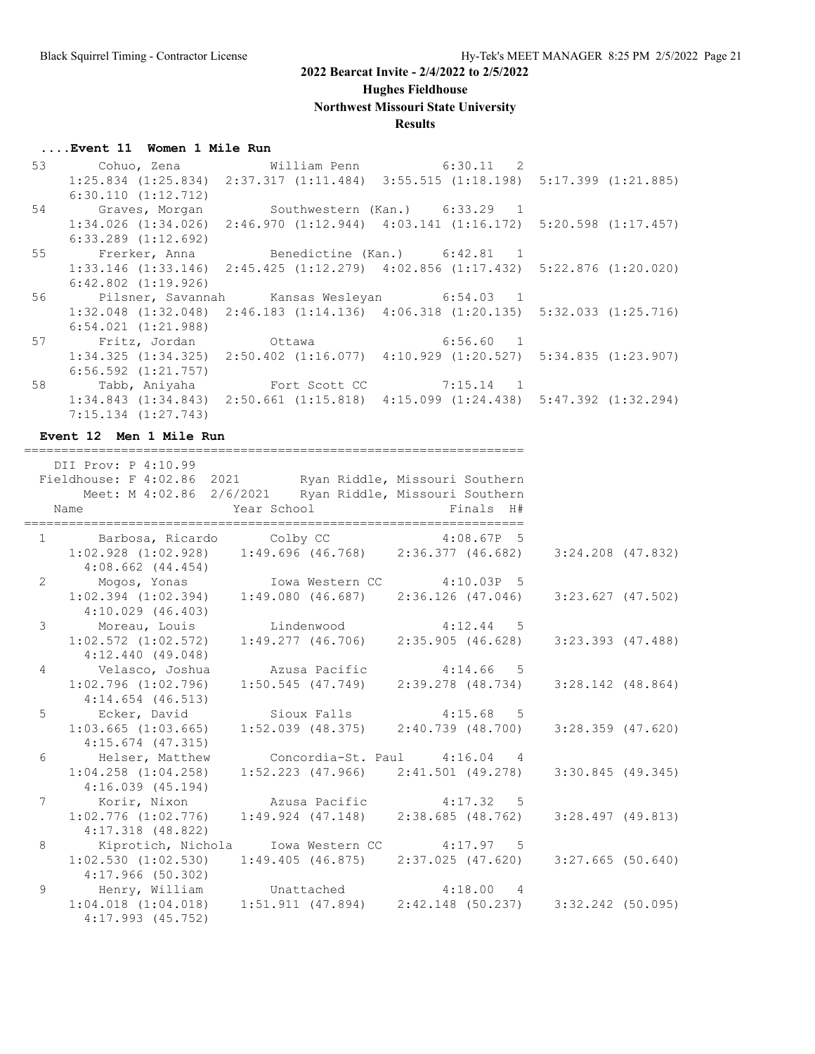#### **Hughes Fieldhouse**

**Northwest Missouri State University**

#### **Results**

#### **....Event 11 Women 1 Mile Run**

 53 Cohuo, Zena William Penn 6:30.11 2 1:25.834 (1:25.834) 2:37.317 (1:11.484) 3:55.515 (1:18.198) 5:17.399 (1:21.885) 6:30.110 (1:12.712) 54 Graves, Morgan Southwestern (Kan.) 6:33.29 1 1:34.026 (1:34.026) 2:46.970 (1:12.944) 4:03.141 (1:16.172) 5:20.598 (1:17.457) 6:33.289 (1:12.692) 55 Frerker, Anna Benedictine (Kan.) 6:42.81 1 1:33.146 (1:33.146) 2:45.425 (1:12.279) 4:02.856 (1:17.432) 5:22.876 (1:20.020) 6:42.802 (1:19.926) 56 Pilsner, Savannah Kansas Wesleyan 6:54.03 1 1:32.048 (1:32.048) 2:46.183 (1:14.136) 4:06.318 (1:20.135) 5:32.033 (1:25.716) 6:54.021 (1:21.988) 57 Fritz, Jordan Ottawa 6:56.60 1 1:34.325 (1:34.325) 2:50.402 (1:16.077) 4:10.929 (1:20.527) 5:34.835 (1:23.907) 6:56.592 (1:21.757) 58 Tabb, Aniyaha Fort Scott CC 7:15.14 1 1:34.843 (1:34.843) 2:50.661 (1:15.818) 4:15.099 (1:24.438) 5:47.392 (1:32.294) 7:15.134 (1:27.743)

===================================================================

**Event 12 Men 1 Mile Run**

|                | DII Prov: P 4:10.99                                                                                                          |                               |  |
|----------------|------------------------------------------------------------------------------------------------------------------------------|-------------------------------|--|
|                | Fieldhouse: F 4:02.86 2021 Ryan Riddle, Missouri Southern<br>Meet: M 4:02.86 2/6/2021 Ryan Riddle, Missouri Southern<br>Name | Year School <a> Finals H#</a> |  |
|                |                                                                                                                              |                               |  |
|                | 1 Barbosa, Ricardo Colby CC 4:08.67P 5<br>1:02.928 (1:02.928) 1:49.696 (46.768) 2:36.377 (46.682) 3:24.208 (47.832)          |                               |  |
|                | $4:08.662$ $(44.454)$                                                                                                        |                               |  |
| $\overline{2}$ |                                                                                                                              |                               |  |
|                | Mogos, Yonas Iowa Western CC 4:10.03P 5<br>1:02.394 (1:02.394) 1:49.080 (46.687) 2:36.126 (47.046) 3:23.627 (47.502)         |                               |  |
|                | $4:10.029$ (46.403)                                                                                                          |                               |  |
|                | 3 Moreau, Louis Lindenwood 4:12.44 5<br>1:02.572 (1:02.572) 1:49.277 (46.706) 2:35.905 (46.628) 3:23.393 (47.488)            |                               |  |
|                |                                                                                                                              |                               |  |
|                | $4:12.440$ (49.048)                                                                                                          |                               |  |
| $4^{\circ}$    | Velasco, Joshua     Azusa Pacific       4:14.66 5                                                                            |                               |  |
|                | $1:02.796$ (1:02.796) $1:50.545$ (47.749) $2:39.278$ (48.734) $3:28.142$ (48.864)                                            |                               |  |
|                | $4:14.654$ $(46.513)$                                                                                                        |                               |  |
|                | 5 Ecker, David Sioux Falls 4:15.68 5<br>1:03.665 (1:03.665) 1:52.039 (48.375) 2:40.739 (48.700) 3:28.359 (47.620)            |                               |  |
|                | $4:15.674$ (47.315)                                                                                                          |                               |  |
| 6              | Helser, Matthew Concordia-St. Paul 4:16.04 4                                                                                 |                               |  |
|                | $1:04.258$ (1:04.258) $1:52.223$ (47.966) $2:41.501$ (49.278) $3:30.845$ (49.345)                                            |                               |  |
|                | 4:16.039(45.194)                                                                                                             |                               |  |
|                | 7 Korir, Nixon Mzusa Pacific 4:17.32 5                                                                                       |                               |  |
|                | $1:02.776$ $(1:02.776)$ $1:49.924$ $(47.148)$ $2:38.685$ $(48.762)$ $3:28.497$ $(49.813)$                                    |                               |  |
|                | 4:17.318 (48.822)                                                                                                            |                               |  |
| 8              | Kiprotich, Nichola Iowa Western CC 4:17.97 5                                                                                 |                               |  |
|                | $1:02.530$ (1:02.530) 1:49.405 (46.875) 2:37.025 (47.620) 3:27.665 (50.640)                                                  |                               |  |
|                | 4:17.966(50.302)                                                                                                             |                               |  |
| 9              | Henry, William Unattached 4:18.00 4                                                                                          |                               |  |
|                | $1:04.018$ (1:04.018) $1:51.911$ (47.894) $2:42.148$ (50.237) $3:32.242$ (50.095)                                            |                               |  |
|                | $4:17.993$ $(45.752)$                                                                                                        |                               |  |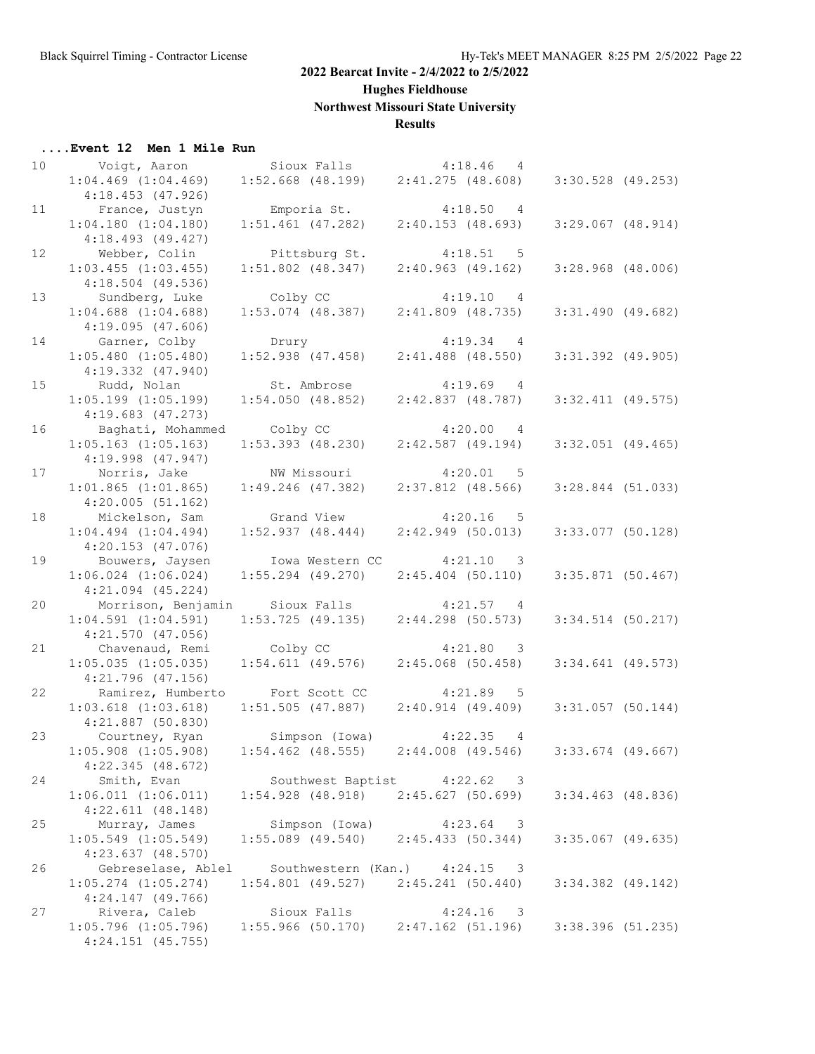**Hughes Fieldhouse**

**Northwest Missouri State University**

## **Results**

| Event 12 Men 1 Mile Run |  |  |  |  |  |
|-------------------------|--|--|--|--|--|
|-------------------------|--|--|--|--|--|

| 10 | Voigt, Aaron            |                       | Sioux Falls 4:18.46                     |                     | 4                                   |                       |  |
|----|-------------------------|-----------------------|-----------------------------------------|---------------------|-------------------------------------|-----------------------|--|
|    | $1:04.469$ $(1:04.469)$ |                       | $1:52.668$ (48.199) $2:41.275$ (48.608) |                     |                                     | $3:30.528$ (49.253)   |  |
|    | $4:18.453$ (47.926)     |                       |                                         |                     |                                     |                       |  |
|    |                         |                       |                                         |                     |                                     |                       |  |
| 11 | France, Justyn          | Emporia St.           |                                         | 4:18.50             | 4                                   |                       |  |
|    | $1:04.180$ $(1:04.180)$ | $1:51.461$ (47.282)   |                                         | 2:40.153(48.693)    |                                     | $3:29.067$ $(48.914)$ |  |
|    | $4:18.493$ (49.427)     |                       |                                         |                     |                                     |                       |  |
| 12 | Webber, Colin           |                       | Pittsburg St.                           | 4:18.51             | $5^{\circ}$                         |                       |  |
|    | $1:03.455$ $(1:03.455)$ | $1:51.802$ (48.347)   |                                         | 2:40.963(49.162)    |                                     | $3:28.968$ (48.006)   |  |
|    | $4:18.504$ (49.536)     |                       |                                         |                     |                                     |                       |  |
| 13 | Sundberg, Luke          | Colby CC              |                                         |                     | 4:19.10 4                           |                       |  |
|    |                         |                       |                                         |                     |                                     |                       |  |
|    | $1:04.688$ $(1:04.688)$ | $1:53.074$ (48.387)   |                                         | $2:41.809$ (48.735) |                                     | $3:31.490$ (49.682)   |  |
|    | 4:19.095(47.606)        |                       |                                         |                     |                                     |                       |  |
| 14 | Garner, Colby           | Drury                 |                                         | $4:19.34$ 4         |                                     |                       |  |
|    | $1:05.480$ $(1:05.480)$ | $1:52.938$ (47.458)   |                                         | $2:41.488$ (48.550) |                                     | $3:31.392$ (49.905)   |  |
|    | $4:19.332$ $(47.940)$   |                       |                                         |                     |                                     |                       |  |
| 15 | Rudd, Nolan             | St. Ambrose           |                                         | 4:19.69             | 4                                   |                       |  |
|    | $1:05.199$ $(1:05.199)$ | 1:54.050(48.852)      |                                         | 2:42.837(48.787)    |                                     | $3:32.411$ (49.575)   |  |
|    |                         |                       |                                         |                     |                                     |                       |  |
|    | $4:19.683$ $(47.273)$   |                       |                                         |                     |                                     |                       |  |
| 16 | Baghati, Mohammed       | Colby CC              |                                         | 4:20.00             | $\overline{4}$                      |                       |  |
|    | $1:05.163$ $(1:05.163)$ | $1:53.393$ $(48.230)$ |                                         | $2:42.587$ (49.194) |                                     | $3:32.051$ (49.465)   |  |
|    | $4:19.998$ $(47.947)$   |                       |                                         |                     |                                     |                       |  |
| 17 | Norris, Jake            |                       | NW Missouri                             | $4:20.01$ 5         |                                     |                       |  |
|    | $1:01.865$ $(1:01.865)$ | $1:49.246$ (47.382)   |                                         | $2:37.812$ (48.566) |                                     | $3:28.844$ (51.033)   |  |
|    | 4:20.005(51.162)        |                       |                                         |                     |                                     |                       |  |
|    |                         |                       |                                         |                     |                                     |                       |  |
| 18 | Mickelson, Sam          | Grand View            |                                         | 4:20.16             | -5                                  |                       |  |
|    | $1:04.494$ $(1:04.494)$ | 1:52.937(48.444)      |                                         | $2:42.949$ (50.013) |                                     | $3:33.077$ (50.128)   |  |
|    | $4:20.153$ $(47.076)$   |                       |                                         |                     |                                     |                       |  |
| 19 | Bouwers, Jaysen         |                       | Iowa Western CC                         | $4:21.10$ 3         |                                     |                       |  |
|    | $1:06.024$ $(1:06.024)$ |                       | $1:55.294$ (49.270)                     | $2:45.404$ (50.110) |                                     | $3:35.871$ (50.467)   |  |
|    | $4:21.094$ $(45.224)$   |                       |                                         |                     |                                     |                       |  |
| 20 | Morrison, Benjamin      |                       | Sioux Falls                             | 4:21.57             | 4                                   |                       |  |
|    | $1:04.591$ $(1:04.591)$ |                       | 1:53.725(49.135)                        | $2:44.298$ (50.573) |                                     | $3:34.514$ (50.217)   |  |
|    |                         |                       |                                         |                     |                                     |                       |  |
|    | $4:21.570$ $(47.056)$   |                       |                                         |                     |                                     |                       |  |
| 21 | Chavenaud, Remi         | Colby CC              |                                         |                     | 4:21.80 3                           |                       |  |
|    | $1:05.035$ $(1:05.035)$ | $1:54.611$ (49.576)   |                                         | $2:45.068$ (50.458) |                                     | $3:34.641$ (49.573)   |  |
|    | $4:21.796$ (47.156)     |                       |                                         |                     |                                     |                       |  |
| 22 | Ramirez, Humberto       |                       | Fort Scott CC                           | 4:21.89             | 5                                   |                       |  |
|    | $1:03.618$ $(1:03.618)$ | $1:51.505$ (47.887)   |                                         | $2:40.914$ (49.409) |                                     | $3:31.057$ (50.144)   |  |
|    | $4:21.887$ (50.830)     |                       |                                         |                     |                                     |                       |  |
| 23 |                         | Simpson (Iowa)        |                                         |                     |                                     |                       |  |
|    | Courtney, Ryan          |                       |                                         | $4:22.35$ 4         |                                     |                       |  |
|    | $1:05.908$ $(1:05.908)$ | $1:54.462$ (48.555)   |                                         | $2:44.008$ (49.546) |                                     | $3:33.674$ (49.667)   |  |
|    | 4:22.345(48.672)        |                       |                                         |                     |                                     |                       |  |
| 24 | Smith, Evan             |                       | Southwest Baptist 4:22.62 3             |                     |                                     |                       |  |
|    | $1:06.011$ $(1:06.011)$ |                       | $1:54.928$ (48.918) $2:45.627$ (50.699) |                     |                                     | $3:34.463$ (48.836)   |  |
|    | $4:22.611$ $(48.148)$   |                       |                                         |                     |                                     |                       |  |
| 25 | Murray, James           |                       | Simpson (Iowa)                          |                     | $4:23.64$ 3                         |                       |  |
|    | $1:05.549$ $(1:05.549)$ |                       | $1:55.089$ (49.540)                     | 2:45.433(50.344)    |                                     | $3:35.067$ (49.635)   |  |
|    |                         |                       |                                         |                     |                                     |                       |  |
|    | $4:23.637$ $(48.570)$   |                       |                                         |                     |                                     |                       |  |
| 26 | Gebreselase, Ablel      |                       | Southwestern (Kan.) 4:24.15             |                     | 3                                   |                       |  |
|    | $1:05.274$ $(1:05.274)$ |                       | $1:54.801$ (49.527) $2:45.241$ (50.440) |                     |                                     | $3:34.382$ (49.142)   |  |
|    | $4:24.147$ (49.766)     |                       |                                         |                     |                                     |                       |  |
| 27 | Rivera, Caleb           |                       | Sioux Falls                             |                     | 4:24.16<br>$\overline{\phantom{a}}$ |                       |  |
|    | $1:05.796$ $(1:05.796)$ |                       | $1:55.966$ (50.170) $2:47.162$ (51.196) |                     |                                     | $3:38.396$ (51.235)   |  |
|    | $4:24.151$ (45.755)     |                       |                                         |                     |                                     |                       |  |
|    |                         |                       |                                         |                     |                                     |                       |  |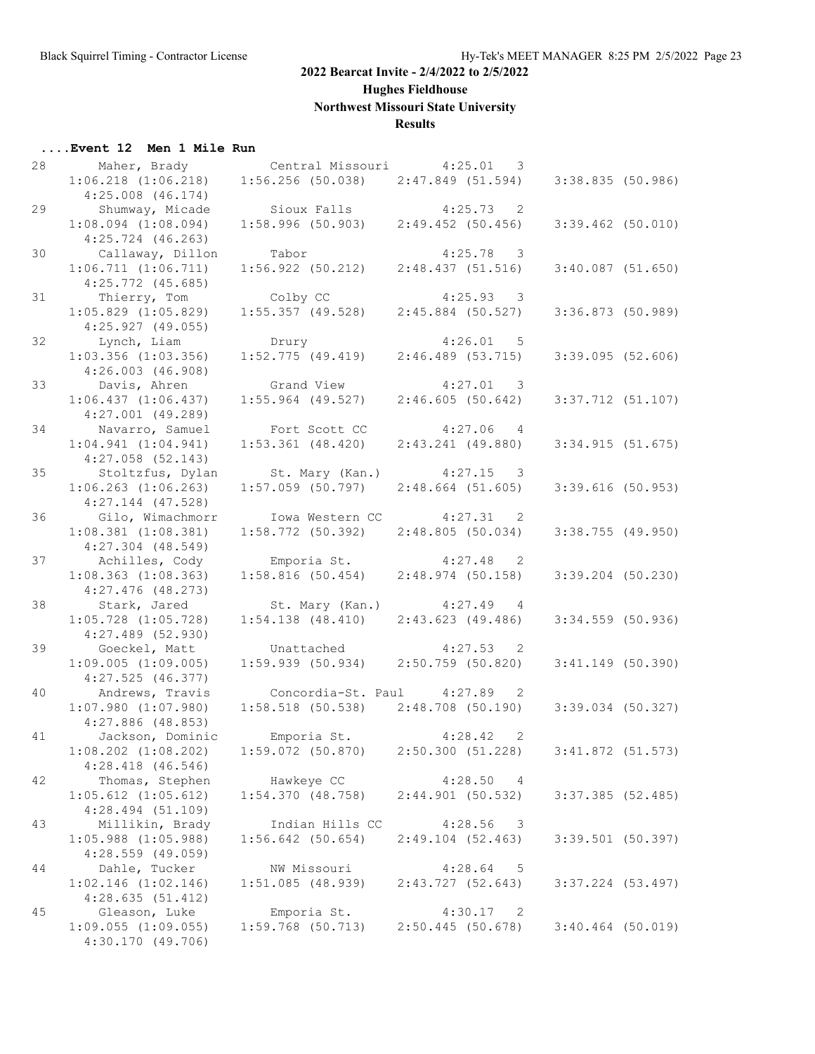**Hughes Fieldhouse**

**Northwest Missouri State University**

## **Results**

## **....Event 12 Men 1 Mile Run**

| 28 |                         |                                         |                                       |                     |  |
|----|-------------------------|-----------------------------------------|---------------------------------------|---------------------|--|
|    | $1:06.218$ $(1:06.218)$ | $1:56.256$ (50.038) $2:47.849$ (51.594) |                                       | 3:38.835 (50.986)   |  |
|    | $4:25.008$ $(46.174)$   |                                         |                                       |                     |  |
| 29 | Shumway, Micade         | Sioux Falls                             | $4:25.73$ 2                           |                     |  |
|    | $1:08.094$ $(1:08.094)$ | $1:58.996$ (50.903) $2:49.452$ (50.456) |                                       | $3:39.462$ (50.010) |  |
|    |                         |                                         |                                       |                     |  |
|    | $4:25.724$ $(46.263)$   |                                         |                                       |                     |  |
| 30 | Callaway, Dillon        | Tabor                                   | $4:25.78$ 3                           |                     |  |
|    | 1:06.711(1:06.711)      | 1:56.922(50.212)                        | 2:48.437(51.516)                      | $3:40.087$ (51.650) |  |
|    | $4:25.772$ $(45.685)$   |                                         |                                       |                     |  |
| 31 | Thierry, Tom            | Colby CC                                | $4:25.93$ 3                           |                     |  |
|    | $1:05.829$ $(1:05.829)$ | $1:55.357$ (49.528)                     | $2:45.884$ (50.527)                   | 3:36.873 (50.989)   |  |
|    | 4:25.927(49.055)        |                                         |                                       |                     |  |
| 32 | Lynch, Liam             | Drury                                   | $4:26.01$ 5                           |                     |  |
|    | $1:03.356$ $(1:03.356)$ | 1:52.775(49.419)                        | 2:46.489(53.715)                      | $3:39.095$ (52.606) |  |
|    | $4:26.003$ $(46.908)$   |                                         |                                       |                     |  |
| 33 |                         |                                         |                                       |                     |  |
|    | Davis, Ahren            | Grand View                              | $4:27.01$ 3                           |                     |  |
|    | 1:06.437(1:06.437)      | $1:55.964$ (49.527)                     | 2:46.605(50.642)                      | $3:37.712$ (51.107) |  |
|    | $4:27.001$ (49.289)     |                                         |                                       |                     |  |
| 34 | Navarro, Samuel         | Fort Scott CC                           | $4:27.06$ 4                           |                     |  |
|    | $1:04.941$ $(1:04.941)$ | $1:53.361$ $(48.420)$                   | $2:43.241$ (49.880)                   | 3:34.915(51.675)    |  |
|    | $4:27.058$ $(52.143)$   |                                         |                                       |                     |  |
| 35 | Stoltzfus, Dylan        | St. Mary (Kan.)                         | $4:27.15$ 3                           |                     |  |
|    | $1:06.263$ $(1:06.263)$ | $1:57.059$ (50.797)                     | 2:48.664(51.605)                      | $3:39.616$ (50.953) |  |
|    | $4:27.144$ $(47.528)$   |                                         |                                       |                     |  |
| 36 | Gilo, Wimachmorr        |                                         | Iowa Western CC 4:27.31 2             |                     |  |
|    |                         | 1:58.772(50.392)                        | 2:48.805(50.034)                      |                     |  |
|    | $1:08.381$ $(1:08.381)$ |                                         |                                       | $3:38.755$ (49.950) |  |
|    | $4:27.304$ $(48.549)$   |                                         |                                       |                     |  |
| 37 | Achilles, Cody          | Emporia St.                             | $4:27.48$ 2                           |                     |  |
|    | $1:08.363$ $(1:08.363)$ | 1:58.816(50.454)                        | 2:48.974(50.158)                      | $3:39.204$ (50.230) |  |
|    | $4:27.476$ (48.273)     |                                         |                                       |                     |  |
| 38 | Stark, Jared            | St. Mary (Kan.)                         | $4:27.49$ 4                           |                     |  |
|    | $1:05.728$ $(1:05.728)$ | $1:54.138$ (48.410) $2:43.623$ (49.486) |                                       | 3:34.559 (50.936)   |  |
|    | $4:27.489$ (52.930)     |                                         |                                       |                     |  |
| 39 | Goeckel, Matt           | Unattached                              | $4:27.53$ 2                           |                     |  |
|    | $1:09.005$ $(1:09.005)$ | 1:59.939(50.934)                        | 2:50.759(50.820)                      | $3:41.149$ (50.390) |  |
|    | 4:27.525(46.377)        |                                         |                                       |                     |  |
| 40 |                         |                                         |                                       |                     |  |
|    | Andrews, Travis         |                                         | Concordia-St. Paul 4:27.89 2          |                     |  |
|    | $1:07.980$ $(1:07.980)$ | $1:58.518$ (50.538) $2:48.708$ (50.190) |                                       | 3:39.034 (50.327)   |  |
|    | $4:27.886$ (48.853)     |                                         |                                       |                     |  |
| 41 | Jackson, Dominic        | Emporia St. 4:28.42 2                   |                                       |                     |  |
|    | $1:08.202$ $(1:08.202)$ | $1:59.072$ (50.870) 2:50.300 (51.228)   |                                       | 3:41.872(51.573)    |  |
|    | $4:28.418$ $(46.546)$   |                                         |                                       |                     |  |
| 42 | Thomas, Stephen         | Hawkeye CC                              | 4:28.50<br>4                          |                     |  |
|    | $1:05.612$ $(1:05.612)$ | 1:54.370(48.758)                        | $2:44.901$ (50.532)                   | $3:37.385$ (52.485) |  |
|    | $4:28.494$ (51.109)     |                                         |                                       |                     |  |
| 43 | Millikin, Brady         | Indian Hills CC                         | 4:28.56<br>$\overline{\phantom{a}}$   |                     |  |
|    | $1:05.988$ $(1:05.988)$ | $1:56.642$ (50.654)                     | 2:49.104(52.463)                      | $3:39.501$ (50.397) |  |
|    |                         |                                         |                                       |                     |  |
|    | $4:28.559$ (49.059)     |                                         |                                       |                     |  |
| 44 | Dahle, Tucker           | NW Missouri                             | 4:28.64<br>$-5$                       |                     |  |
|    | $1:02.146$ $(1:02.146)$ | 1:51.085(48.939)                        | 2:43.727(52.643)                      | $3:37.224$ (53.497) |  |
|    | 4:28.635(51.412)        |                                         |                                       |                     |  |
| 45 | Gleason, Luke           | Emporia St.                             | 4:30.17<br>$\overline{\phantom{0}}^2$ |                     |  |
|    | $1:09.055$ $(1:09.055)$ | $1:59.768$ (50.713)                     | $2:50.445$ (50.678)                   | $3:40.464$ (50.019) |  |
|    |                         |                                         |                                       |                     |  |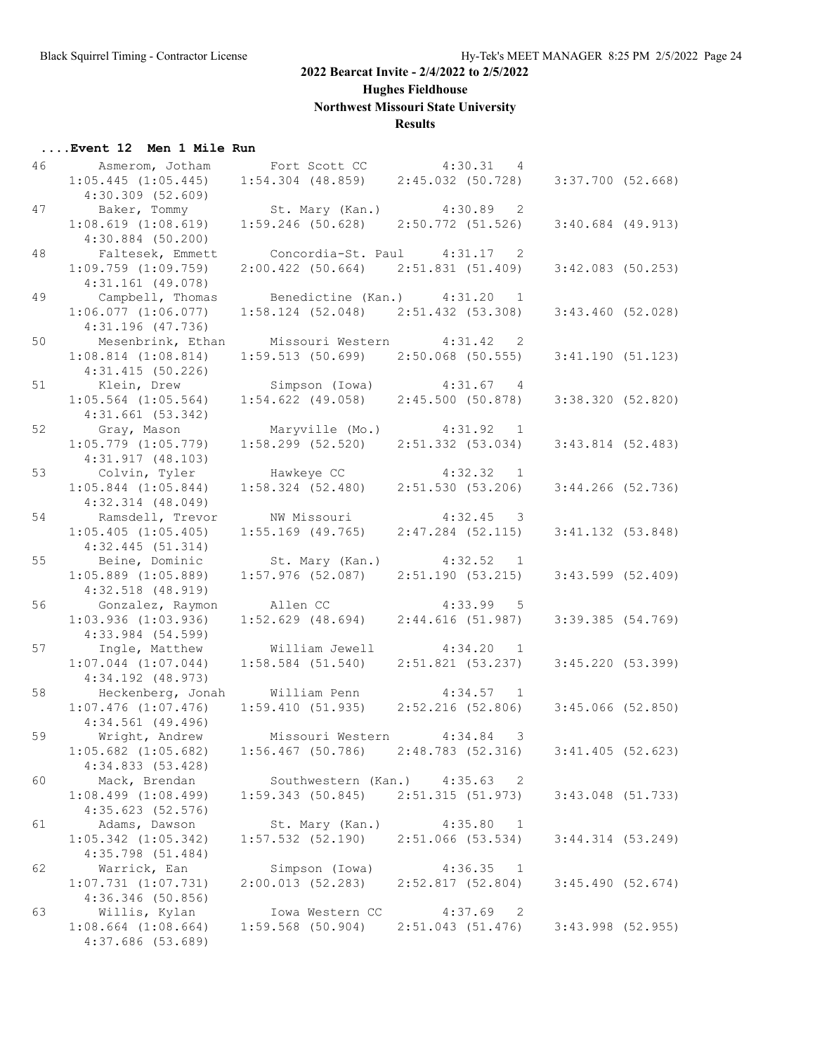**Hughes Fieldhouse**

**Northwest Missouri State University**

## **Results**

## **....Event 12 Men 1 Mile Run**

| 46 | Asmerom, Jotham                              | Fort Scott CC 4:30.31 4                               |                           |                       |  |
|----|----------------------------------------------|-------------------------------------------------------|---------------------------|-----------------------|--|
|    | $1:05.445$ $(1:05.445)$                      | 1:54.304 (48.859) 2:45.032 (50.728) 3:37.700 (52.668) |                           |                       |  |
|    | $4:30.309$ $(52.609)$                        |                                                       |                           |                       |  |
| 47 | Baker, Tommy                                 | St. Mary (Kan.) 4:30.89 2                             |                           |                       |  |
|    | 1:08.619(1:08.619)                           | $1:59.246$ (50.628) $2:50.772$ (51.526)               |                           | $3:40.684$ (49.913)   |  |
|    |                                              |                                                       |                           |                       |  |
|    | $4:30.884$ (50.200)                          |                                                       |                           |                       |  |
| 48 | Faltesek, Emmett                             | Concordia-St. Paul 4:31.17 2                          |                           |                       |  |
|    | $1:09.759$ $(1:09.759)$                      | $2:00.422$ (50.664) $2:51.831$ (51.409)               |                           | $3:42.083$ (50.253)   |  |
|    | $4:31.161$ (49.078)                          |                                                       |                           |                       |  |
| 49 | Campbell, Thomas                             | Benedictine (Kan.) 4:31.20 1                          |                           |                       |  |
|    | $1:06.077$ $(1:06.077)$                      | $1:58.124$ (52.048) $2:51.432$ (53.308)               |                           | $3:43.460$ (52.028)   |  |
|    | $4:31.196$ (47.736)                          |                                                       |                           |                       |  |
| 50 | Mesenbrink, Ethan Missouri Western 4:31.42 2 |                                                       |                           |                       |  |
|    | $1:08.814$ $(1:08.814)$                      | $1:59.513$ (50.699) 2:50.068 (50.555)                 |                           | 3:41.190(51.123)      |  |
|    | 4:31.415(50.226)                             |                                                       |                           |                       |  |
| 51 | Klein, Drew Simpson (Iowa) 4:31.67 4         |                                                       |                           |                       |  |
|    | $1:05.564$ $(1:05.564)$                      | $1:54.622$ (49.058) $2:45.500$ (50.878)               |                           | 3:38.320 (52.820)     |  |
|    | 4:31.661(53.342)                             |                                                       |                           |                       |  |
| 52 |                                              | Maryville (Mo.) 4:31.92 1                             |                           |                       |  |
|    | Gray, Mason                                  |                                                       |                           |                       |  |
|    | $1:05.779$ $(1:05.779)$                      | $1:58.299$ (52.520) $2:51.332$ (53.034)               |                           | $3:43.814$ (52.483)   |  |
|    | 4:31.917(48.103)                             |                                                       |                           |                       |  |
| 53 | Colvin, Tyler                                | Hawkeye CC 4:32.32 1                                  |                           |                       |  |
|    | $1:05.844$ $(1:05.844)$                      | $1:58.324$ (52.480) 2:51.530 (53.206)                 |                           | $3:44.266$ (52.736)   |  |
|    | $4:32.314$ $(48.049)$                        |                                                       |                           |                       |  |
| 54 | Ramsdell, Trevor                             | NW Missouri                                           | $4:32.45$ 3               |                       |  |
|    | $1:05.405$ $(1:05.405)$                      | $1:55.169$ (49.765)                                   | $2:47.284$ (52.115)       | $3:41.132$ (53.848)   |  |
|    | 4:32.445(51.314)                             |                                                       |                           |                       |  |
| 55 | Beine, Dominic St. Mary (Kan.) 4:32.52 1     |                                                       |                           |                       |  |
|    | $1:05.889$ $(1:05.889)$                      | $1:57.976$ (52.087) $2:51.190$ (53.215)               |                           | $3:43.599$ (52.409)   |  |
|    | $4:32.518$ $(48.919)$                        |                                                       |                           |                       |  |
| 56 | Gonzalez, Raymon                             | Allen CC                                              | $4:33.99$ 5               |                       |  |
|    | $1:03.936$ $(1:03.936)$                      | $1:52.629$ $(48.694)$                                 | 2:44.616(51.987)          | 3:39.385 (54.769)     |  |
|    | $4:33.984$ (54.599)                          |                                                       |                           |                       |  |
|    |                                              |                                                       |                           |                       |  |
| 57 | Ingle, Matthew                               | William Jewell                                        | $4:34.20$ 1               |                       |  |
|    | $1:07.044$ $(1:07.044)$                      | $1:58.584$ (51.540)                                   | 2:51.821 (53.237)         | 3:45.220 (53.399)     |  |
|    | $4:34.192$ (48.973)                          |                                                       |                           |                       |  |
| 58 | Heckenberg, Jonah William Penn 4:34.57 1     |                                                       |                           |                       |  |
|    | $1:07.476$ $(1:07.476)$                      | $1:59.410$ (51.935) $2:52.216$ (52.806)               |                           | $3:45.066$ (52.850)   |  |
|    | 4:34.561 (49.496)                            |                                                       |                           |                       |  |
| 59 | Wright, Andrew                               | Missouri Western 4:34.84 3                            |                           |                       |  |
|    | $1:05.682$ $(1:05.682)$                      | $1:56.467$ (50.786) $2:48.783$ (52.316)               |                           | $3:41.405$ (52.623)   |  |
|    | 4:34.833 (53.428)                            |                                                       |                           |                       |  |
| 60 | Mack, Brendan                                | Southwestern (Kan.) 4:35.63                           | - 2                       |                       |  |
|    | $1:08.499$ $(1:08.499)$                      | $1:59.343$ (50.845) $2:51.315$ (51.973)               |                           | $3:43.048$ (51.733)   |  |
|    | 4:35.623(52.576)                             |                                                       |                           |                       |  |
| 61 | Adams, Dawson                                | St. Mary (Kan.)                                       | 4:35.80<br>$\overline{1}$ |                       |  |
|    | $1:05.342$ $(1:05.342)$                      | $1:57.532$ (52.190)                                   | $2:51.066$ (53.534)       | $3:44.314$ $(53.249)$ |  |
|    |                                              |                                                       |                           |                       |  |
|    | $4:35.798$ (51.484)                          |                                                       |                           |                       |  |
| 62 | Warrick, Ean                                 | Simpson (Iowa)                                        | 4:36.35<br>$\overline{1}$ |                       |  |
|    | $1:07.731$ $(1:07.731)$                      | 2:00.013(52.283)                                      | 2:52.817(52.804)          | 3:45.490(52.674)      |  |
|    | 4:36.346(50.856)                             |                                                       |                           |                       |  |
| 63 | Willis, Kylan                                | Iowa Western CC                                       | 4:37.69<br>-2             |                       |  |
|    | $1:08.664$ $(1:08.664)$                      | $1:59.568$ (50.904)                                   | 2:51.043(51.476)          | $3:43.998$ (52.955)   |  |
|    | 4:37.686 (53.689)                            |                                                       |                           |                       |  |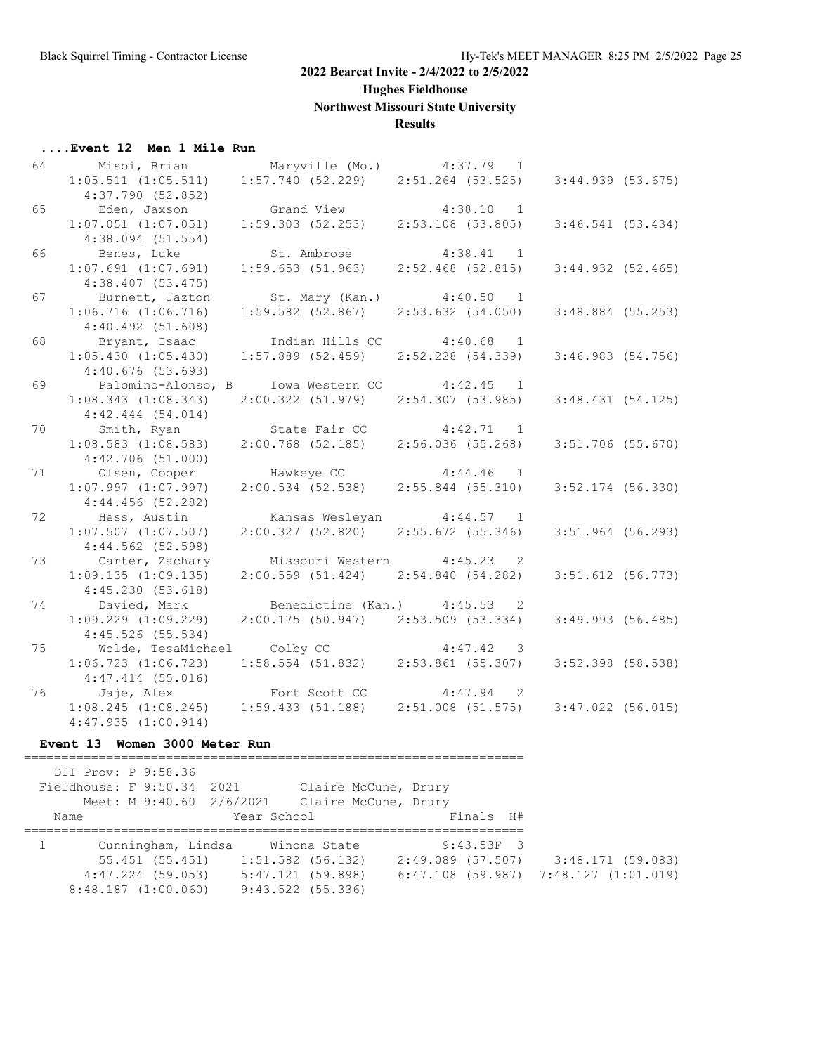**Hughes Fieldhouse**

**Northwest Missouri State University**

#### **Results**

|                | Event 12 Men 1 Mile Run                                                                         |                                                             |                              |                     |  |
|----------------|-------------------------------------------------------------------------------------------------|-------------------------------------------------------------|------------------------------|---------------------|--|
| 64 64 64 64 65 | Misoi, Brian                                                                                    |                                                             | Maryville (Mo.) 4:37.79 1    |                     |  |
|                | $1:05.511$ $(1:05.511)$ $1:57.740$ $(52.229)$ $2:51.264$ $(53.525)$                             |                                                             |                              | $3:44.939$ (53.675) |  |
|                | 4:37.790(52.852)                                                                                |                                                             |                              |                     |  |
| 65             | Eden, Jaxson                                                                                    |                                                             |                              |                     |  |
|                | $1:07.051$ $(1:07.051)$                                                                         | Grand View 4:38.10 1<br>1:59.303 (52.253) 2:53.108 (53.805) |                              | 3:46.541(53.434)    |  |
|                | $4:38.094$ (51.554)                                                                             |                                                             |                              |                     |  |
| 66             | Benes, Luke                                                                                     | St. Ambrose 4:38.41 1                                       |                              |                     |  |
|                | $1:07.691$ $(1:07.691)$                                                                         | $1:59.653$ (51.963) $2:52.468$ (52.815)                     |                              | 3:44.932(52.465)    |  |
|                | $4:38.407$ (53.475)                                                                             |                                                             |                              |                     |  |
| 67             | Burnett, Jazton                                                                                 | St. Mary (Kan.) 4:40.50 1                                   |                              |                     |  |
|                | $1:06.716$ $(1:06.716)$                                                                         | $1:59.582$ (52.867)                                         | 2:53.632(54.050)             | $3:48.884$ (55.253) |  |
|                | 4:40.492(51.608)                                                                                |                                                             |                              |                     |  |
| 68             | Bryant, Isaac                                                                                   | Indian Hills CC 4:40.68 1                                   |                              |                     |  |
|                | 1:05.430(1:05.430)                                                                              | $1:57.889$ (52.459) $2:52.228$ (54.339)                     |                              | 3:46.983(54.756)    |  |
|                | 4:40.676(53.693)                                                                                |                                                             |                              |                     |  |
| 69             | Palomino-Alonso, B Iowa Western CC 4:42.45 1                                                    |                                                             |                              |                     |  |
|                | $1:08.343$ $(1:08.343)$                                                                         | $2:00.322$ (51.979) $2:54.307$ (53.985)                     |                              | 3:48.431(54.125)    |  |
|                | 4:42.444(54.014)                                                                                |                                                             |                              |                     |  |
| 70             | Smith, Ryan                                                                                     | State Fair CC 4:42.71 1                                     |                              |                     |  |
|                | $1:08.583$ $(1:08.583)$                                                                         | $2:00.768$ (52.185) $2:56.036$ (55.268)                     |                              | $3:51.706$ (55.670) |  |
|                | 4:42.706(51.000)                                                                                |                                                             |                              |                     |  |
| 71             | Olsen, Cooper                                                                                   | Hawkeye CC 4:44.46 1                                        |                              |                     |  |
|                | $1:07.997$ $(1:07.997)$                                                                         | $2:00.534$ (52.538) $2:55.844$ (55.310)                     |                              | $3:52.174$ (56.330) |  |
|                | $4:44.456$ (52.282)                                                                             |                                                             |                              |                     |  |
| 72             | Hess, Austin                                                                                    | Kansas Wesleyan $4:44.57$ 1                                 |                              |                     |  |
|                | $1:07.507$ $(1:07.507)$                                                                         | 2:00.327(52.820)                                            | 2:55.672(55.346)             | $3:51.964$ (56.293) |  |
|                | 4:44.562(52.598)                                                                                |                                                             |                              |                     |  |
| 73             | Carter, Zachary                                                                                 | Missouri Western 4:45.23 2                                  |                              |                     |  |
|                | 1:09.135(1:09.135)                                                                              | $2:00.559$ (51.424) $2:54.840$ (54.282)                     |                              | $3:51.612$ (56.773) |  |
|                | 4:45.230(53.618)                                                                                |                                                             |                              |                     |  |
| 74             | Davied, Mark                                                                                    |                                                             | Benedictine (Kan.) 4:45.53 2 |                     |  |
|                | $1:09.229$ $(1:09.229)$                                                                         | $2:00.175$ (50.947) $2:53.509$ (53.334)                     |                              | $3:49.993$ (56.485) |  |
|                | $4:45.526$ (55.534)                                                                             |                                                             |                              |                     |  |
| 75             | Wolde, TesaMichael Colby CC 4:47.42 3<br>:06.723 (1:06.723) 1:58.554 (51.832) 2:53.861 (55.307) |                                                             |                              |                     |  |
|                | $1:06.723$ $(1:06.723)$                                                                         |                                                             |                              | $3:52.398$ (58.538) |  |
|                | $4:47.414$ (55.016)                                                                             |                                                             |                              |                     |  |
| 76             | Jaje, Alex Fort Scott CC 4:47.94 2                                                              |                                                             |                              |                     |  |
|                | 1:08.245(1:08.245)                                                                              | $1:59.433$ (51.188) $2:51.008$ (51.575)                     |                              | $3:47.022$ (56.015) |  |
|                | 4:47.935(1:00.914)                                                                              |                                                             |                              |                     |  |

#### **Event 13 Women 3000 Meter Run**

 DII Prov: P 9:58.36 Fieldhouse: F 9:50.34 2021 Claire McCune, Drury Meet: M 9:40.60 2/6/2021 Claire McCune, Drury Name Year School Finals H# =================================================================== 1 Cunningham, Lindsa Winona State 9:43.53F 3 55.451 (55.451) 1:51.582 (56.132) 2:49.089 (57.507) 3:48.171 (59.083) 4:47.224 (59.053) 5:47.121 (59.898) 6:47.108 (59.987) 7:48.127 (1:01.019) 8:48.187 (1:00.060) 9:43.522 (55.336)

===================================================================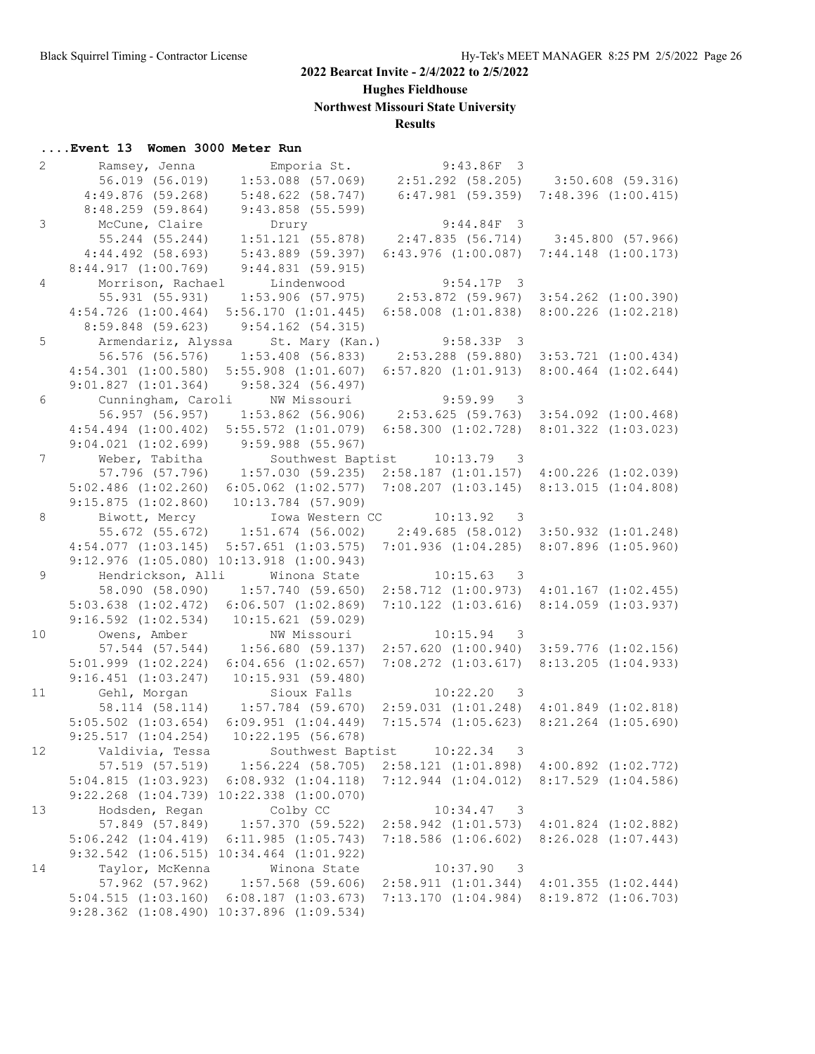**Hughes Fieldhouse**

**Northwest Missouri State University**

## **Results**

| $\overline{2}$  | Ramsey, Jenna           | Emporia St.                                                               | $9:43.86F$ 3                                              |                                       |
|-----------------|-------------------------|---------------------------------------------------------------------------|-----------------------------------------------------------|---------------------------------------|
|                 | 56.019 (56.019)         | $1:53.088$ (57.069)                                                       | 2:51.292 (58.205) 3:50.608 (59.316)                       |                                       |
|                 | $4:49.876$ (59.268)     | 5:48.622(58.747)                                                          | $6:47.981$ (59.359)                                       | $7:48.396$ $(1:00.415)$               |
|                 | $8:48.259$ (59.864)     | $9:43.858$ (55.599)                                                       |                                                           |                                       |
| $\mathfrak{Z}$  | McCune, Claire          | Drury                                                                     | $9:44.84F$ 3                                              |                                       |
|                 | 55.244 (55.244)         | $1:51.121$ (55.878)                                                       |                                                           | $2:47.835$ (56.714) 3:45.800 (57.966) |
|                 | $4:44.492$ (58.693)     | $5:43.889$ (59.397)                                                       | $6:43.976$ $(1:00.087)$                                   | $7:44.148$ $(1:00.173)$               |
|                 | 8:44.917(1:00.769)      | 9:44.831(59.915)                                                          |                                                           |                                       |
| $\overline{4}$  | Morrison, Rachael       | Lindenwood                                                                | $9:54.17P$ 3                                              |                                       |
|                 | 55.931 (55.931)         | $1:53.906$ (57.975)                                                       | 2:53.872 (59.967)                                         | $3:54.262$ $(1:00.390)$               |
|                 | $4:54.726$ $(1:00.464)$ | 5:56.170(1:01.445)                                                        | $6:58.008$ $(1:01.838)$                                   | $8:00.226$ $(1:02.218)$               |
|                 | 8:59.848 (59.623)       | $9:54.162$ (54.315)                                                       |                                                           |                                       |
| 5               |                         | Armendariz, Alyssa St. Mary (Kan.) 9:58.33P 3                             |                                                           |                                       |
|                 | 56.576 (56.576)         | $1:53.408$ (56.833)                                                       | $2:53.288$ (59.880) 3:53.721 (1:00.434)                   |                                       |
|                 | $4:54.301$ $(1:00.580)$ | $5:55.908$ $(1:01.607)$                                                   | 6:57.820(1:01.913)                                        | $8:00.464$ $(1:02.644)$               |
|                 | 9:01.827(1:01.364)      | 9:58.324(56.497)                                                          |                                                           |                                       |
| 6               |                         | Cunningham, Caroli NW Missouri                                            | $9:59.99$ 3                                               |                                       |
|                 | 56.957 (56.957)         |                                                                           | $1:53.862$ (56.906) 2:53.625 (59.763) 3:54.092 (1:00.468) |                                       |
|                 |                         |                                                                           | 6:58.300(1:02.728)                                        |                                       |
|                 | $4:54.494$ $(1:00.402)$ | $5:55.572$ $(1:01.079)$<br>$9:59.988$ (55.967)                            |                                                           | 8:01.322(1:03.023)                    |
|                 | $9:04.021$ $(1:02.699)$ |                                                                           |                                                           |                                       |
| $7\overline{ }$ | Weber, Tabitha          |                                                                           | Southwest Baptist 10:13.79 3                              |                                       |
|                 | 57.796 (57.796)         | 1:57.030(59.235)                                                          | $2:58.187$ $(1:01.157)$                                   | $4:00.226$ $(1:02.039)$               |
|                 | $5:02.486$ $(1:02.260)$ | $6:05.062$ $(1:02.577)$                                                   | $7:08.207$ $(1:03.145)$                                   | 8:13.015(1:04.808)                    |
|                 | 9:15.875(1:02.860)      | $10:13.784$ (57.909)                                                      |                                                           |                                       |
| 8               | Biwott, Mercy           |                                                                           | Iowa Western CC 10:13.92 3                                |                                       |
|                 |                         | 55.672 (55.672) 1:51.674 (56.002)                                         | 2:49.685(58.012)3:50.932(1:01.248)                        |                                       |
|                 | $4:54.077$ $(1:03.145)$ | $5:57.651$ $(1:03.575)$                                                   | 7:01.936(1:04.285)                                        | $8:07.896$ $(1:05.960)$               |
|                 |                         | $9:12.976$ $(1:05.080)$ $10:13.918$ $(1:00.943)$                          |                                                           |                                       |
| 9               |                         | Hendrickson, Alli Minona State                                            | $10:15.63$ 3                                              |                                       |
|                 | 58.090 (58.090)         | 1:57.740(59.650)                                                          | $2:58.712$ $(1:00.973)$ $4:01.167$ $(1:02.455)$           |                                       |
|                 | $5:03.638$ $(1:02.472)$ | 6:06.507(1:02.869)                                                        | $7:10.122$ $(1:03.616)$                                   | 8:14.059 (1:03.937)                   |
|                 | $9:16.592$ $(1:02.534)$ | 10:15.621(59.029)                                                         |                                                           |                                       |
| 10              | Owens, Amber            | NW Missouri                                                               | 10:15.94<br>$\overline{\phantom{a}}$                      |                                       |
|                 | 57.544 (57.544)         |                                                                           | $1:56.680$ (59.137) $2:57.620$ (1:00.940)                 | $3:59.776$ $(1:02.156)$               |
|                 | $5:01.999$ $(1:02.224)$ | $6:04.656$ $(1:02.657)$                                                   | $7:08.272$ $(1:03.617)$                                   | $8:13.205$ $(1:04.933)$               |
|                 | $9:16.451$ $(1:03.247)$ | 10:15.931(59.480)                                                         |                                                           |                                       |
| 11              | Gehl, Morgan            | Sioux Falls                                                               | $10:22.20$ 3                                              |                                       |
|                 |                         | 58.114 (58.114) 1:57.784 (59.670) 2:59.031 (1:01.248) 4:01.849 (1:02.818) |                                                           |                                       |
|                 | $5:05.502$ $(1:03.654)$ | $6:09.951$ $(1:04.449)$                                                   | $7:15.574$ $(1:05.623)$                                   | $8:21.264$ $(1:05.690)$               |
|                 | 9:25.517(1:04.254)      | 10:22.195(56.678)                                                         |                                                           |                                       |
| 12              | Valdivia, Tessa         | Southwest Baptist                                                         | 10:22.34<br>$\overline{\mathbf{3}}$                       |                                       |
|                 | 57.519 (57.519)         | $1:56.224$ (58.705)                                                       | $2:58.121$ $(1:01.898)$                                   | $4:00.892$ $(1:02.772)$               |
|                 | 5:04.815(1:03.923)      | $6:08.932$ $(1:04.118)$                                                   | $7:12.944$ $(1:04.012)$                                   | $8:17.529$ $(1:04.586)$               |
|                 |                         | $9:22.268$ $(1:04.739)$ $10:22.338$ $(1:00.070)$                          |                                                           |                                       |
| 13              | Hodsden, Regan          | Colby CC                                                                  | 10:34.47<br>$\overline{\phantom{a}}$                      |                                       |
|                 | 57.849 (57.849)         | $1:57.370$ (59.522)                                                       | $2:58.942$ $(1:01.573)$                                   | $4:01.824$ $(1:02.882)$               |
|                 | $5:06.242$ $(1:04.419)$ | 6:11.985(1:05.743)                                                        | $7:18.586$ $(1:06.602)$                                   | $8:26.028$ $(1:07.443)$               |
|                 |                         | 9:32.542 (1:06.515) 10:34.464 (1:01.922)                                  |                                                           |                                       |
| 14              | Taylor, McKenna         | Winona State                                                              | 10:37.90<br>$\overline{\mathbf{3}}$                       |                                       |
|                 | 57.962 (57.962)         | $1:57.568$ (59.606)                                                       | 2:58.911(1:01.344)                                        | $4:01.355$ $(1:02.444)$               |
|                 | 5:04.515(1:03.160)      | $6:08.187$ $(1:03.673)$                                                   | 7:13.170(1:04.984)                                        | 8:19.872 (1:06.703)                   |
|                 |                         | 9:28.362 (1:08.490) 10:37.896 (1:09.534)                                  |                                                           |                                       |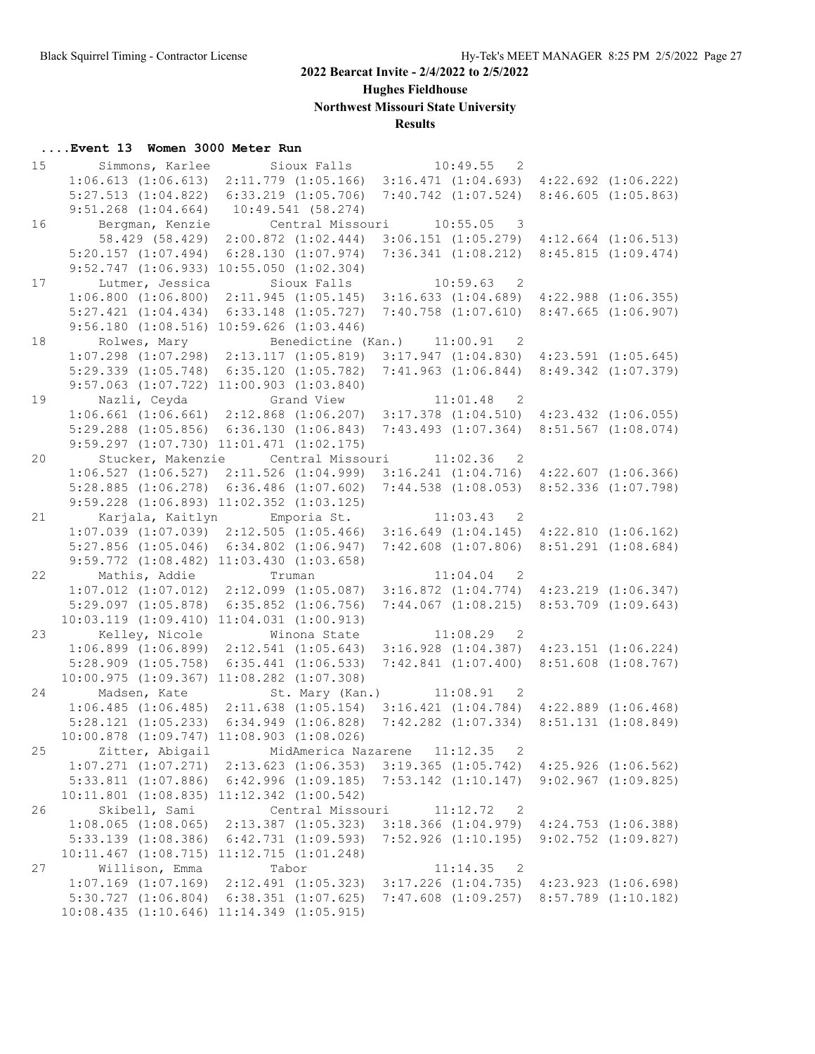**Hughes Fieldhouse**

**Northwest Missouri State University**

## **Results**

| 15 | Simmons, Karlee         | Sioux Falls 10:49.55                                                              | $\overline{2}$                                                          |                                                 |
|----|-------------------------|-----------------------------------------------------------------------------------|-------------------------------------------------------------------------|-------------------------------------------------|
|    | $1:06.613$ $(1:06.613)$ |                                                                                   | $2:11.779$ $(1:05.166)$ $3:16.471$ $(1:04.693)$ $4:22.692$ $(1:06.222)$ |                                                 |
|    | $5:27.513$ $(1:04.822)$ | $6:33.219$ $(1:05.706)$                                                           |                                                                         | $7:40.742$ $(1:07.524)$ $8:46.605$ $(1:05.863)$ |
|    | $9:51.268$ $(1:04.664)$ | 10:49.541(58.274)                                                                 |                                                                         |                                                 |
| 16 | Bergman, Kenzie         | Central Missouri 10:55.05 3                                                       |                                                                         |                                                 |
|    | 58.429 (58.429)         | $2:00.872$ $(1:02.444)$                                                           |                                                                         | $3:06.151$ $(1:05.279)$ $4:12.664$ $(1:06.513)$ |
|    | $5:20.157$ $(1:07.494)$ | 6:28.130(1:07.974)                                                                | 7:36.341(1:08.212)                                                      | 8:45.815(1:09.474)                              |
|    |                         | $9:52.747$ $(1:06.933)$ $10:55.050$ $(1:02.304)$                                  |                                                                         |                                                 |
| 17 | Lutmer, Jessica         | Sioux Falls                                                                       | 10:59.63<br>$\overline{\phantom{0}}^2$                                  |                                                 |
|    | 1:06.800(1:06.800)      |                                                                                   | $2:11.945$ (1:05.145) 3:16.633 (1:04.689) 4:22.988 (1:06.355)           |                                                 |
|    | $5:27.421$ $(1:04.434)$ | $6:33.148$ $(1:05.727)$                                                           | 7:40.758 (1:07.610)                                                     | $8:47.665$ $(1:06.907)$                         |
|    |                         | $9:56.180$ $(1:08.516)$ $10:59.626$ $(1:03.446)$                                  |                                                                         |                                                 |
|    |                         |                                                                                   |                                                                         |                                                 |
| 18 | Rolwes, Mary            |                                                                                   | Benedictine (Kan.) 11:00.91 2                                           |                                                 |
|    |                         | $1:07.298$ $(1:07.298)$ $2:13.117$ $(1:05.819)$                                   |                                                                         | $3:17.947$ $(1:04.830)$ $4:23.591$ $(1:05.645)$ |
|    |                         | $5:29.339$ $(1:05.748)$ $6:35.120$ $(1:05.782)$                                   |                                                                         | 7:41.963 (1:06.844) 8:49.342 (1:07.379)         |
|    |                         | $9:57.063$ $(1:07.722)$ $11:00.903$ $(1:03.840)$                                  |                                                                         |                                                 |
| 19 |                         | Nazli, Ceyda               Grand View               11:01.48                      | $\overline{2}$                                                          |                                                 |
|    |                         | 1:06.661 (1:06.661) 2:12.868 (1:06.207) 3:17.378 (1:04.510) 4:23.432 (1:06.055)   |                                                                         |                                                 |
|    |                         | $5:29.288$ $(1:05.856)$ $6:36.130$ $(1:06.843)$                                   |                                                                         | $7:43.493$ $(1:07.364)$ $8:51.567$ $(1:08.074)$ |
|    |                         | $9:59.297$ $(1:07.730)$ $11:01.471$ $(1:02.175)$                                  |                                                                         |                                                 |
| 20 | Stucker, Makenzie       | Central Missouri 11:02.36                                                         | $\overline{2}$                                                          |                                                 |
|    | 1:06.527(1:06.527)      | $2:11.526$ $(1:04.999)$                                                           |                                                                         | $3:16.241$ $(1:04.716)$ $4:22.607$ $(1:06.366)$ |
|    | $5:28.885$ $(1:06.278)$ | $6:36.486$ $(1:07.602)$                                                           |                                                                         | 7:44.538 (1:08.053) 8:52.336 (1:07.798)         |
|    |                         | $9:59.228$ $(1:06.893)$ $11:02.352$ $(1:03.125)$                                  |                                                                         |                                                 |
| 21 |                         | Karjala, Kaitlyn Emporia St. 11:03.43 2                                           |                                                                         |                                                 |
|    |                         | $1:07.039$ $(1:07.039)$ $2:12.505$ $(1:05.466)$                                   |                                                                         | $3:16.649$ $(1:04.145)$ $4:22.810$ $(1:06.162)$ |
|    | $5:27.856$ $(1:05.046)$ | $6:34.802$ $(1:06.947)$                                                           |                                                                         | $7:42.608$ $(1:07.806)$ $8:51.291$ $(1:08.684)$ |
|    |                         | $9:59.772$ $(1:08.482)$ $11:03.430$ $(1:03.658)$                                  |                                                                         |                                                 |
| 22 | Mathis, Addie           | Truman                                                                            | $11:04.04$ 2                                                            |                                                 |
|    |                         | 1:07.012 (1:07.012) 2:12.099 (1:05.087) 3:16.872 (1:04.774) 4:23.219 (1:06.347)   |                                                                         |                                                 |
|    | $5:29.097$ $(1:05.878)$ | $6:35.852$ $(1:06.756)$                                                           |                                                                         | $7:44.067$ $(1:08.215)$ $8:53.709$ $(1:09.643)$ |
|    |                         | $10:03.119$ $(1:09.410)$ $11:04.031$ $(1:00.913)$                                 |                                                                         |                                                 |
| 23 | Kelley, Nicole          | Winona State                                                                      | 11:08.29<br>$\overline{\phantom{0}}^2$                                  |                                                 |
|    |                         | $1:06.899$ $(1:06.899)$ $2:12.541$ $(1:05.643)$                                   | $3:16.928$ $(1:04.387)$ $4:23.151$ $(1:06.224)$                         |                                                 |
|    |                         |                                                                                   | $7:42.841$ $(1:07.400)$ $8:51.608$ $(1:08.767)$                         |                                                 |
|    | $5:28.909$ $(1:05.758)$ | $6:35.441$ $(1:06.533)$                                                           |                                                                         |                                                 |
|    |                         | $10:00.975$ $(1:09.367)$ $11:08.282$ $(1:07.308)$                                 |                                                                         |                                                 |
| 24 | Madsen, Kate            |                                                                                   | St. Mary (Kan.) 11:08.91<br>$\overline{2}$                              |                                                 |
|    |                         | $1:06.485$ (1:06.485) 2:11.638 (1:05.154) 3:16.421 (1:04.784) 4:22.889 (1:06.468) |                                                                         |                                                 |
|    | $5:28.121$ $(1:05.233)$ |                                                                                   | 6:34.949 (1:06.828) 7:42.282 (1:07.334) 8:51.131 (1:08.849)             |                                                 |
|    |                         | $10:00.878$ $(1:09.747)$ $11:08.903$ $(1:08.026)$                                 |                                                                         |                                                 |
| 25 | Zitter, Abigail         | MidAmerica Nazarene 11:12.35                                                      | 2                                                                       |                                                 |
|    |                         | $1:07.271$ $(1:07.271)$ $2:13.623$ $(1:06.353)$                                   | $3:19.365$ $(1:05.742)$                                                 | $4:25.926$ $(1:06.562)$                         |
|    | $5:33.811$ $(1:07.886)$ | $6:42.996$ $(1:09.185)$                                                           | $7:53.142$ $(1:10.147)$                                                 | $9:02.967$ $(1:09.825)$                         |
|    |                         | 10:11.801 (1:08.835) 11:12.342 (1:00.542)                                         |                                                                         |                                                 |
| 26 | Skibell, Sami           | Central Missouri                                                                  | 11:12.72<br>$\overline{\phantom{0}}^2$                                  |                                                 |
|    | $1:08.065$ $(1:08.065)$ | $2:13.387$ $(1:05.323)$                                                           | $3:18.366$ $(1:04.979)$                                                 | $4:24.753$ $(1:06.388)$                         |
|    | $5:33.139$ $(1:08.386)$ | $6:42.731$ $(1:09.593)$                                                           | $7:52.926$ $(1:10.195)$                                                 | $9:02.752$ $(1:09.827)$                         |
|    |                         | $10:11.467$ $(1:08.715)$ $11:12.715$ $(1:01.248)$                                 |                                                                         |                                                 |
| 27 | Willison, Emma          | Tabor                                                                             | 11:14.35<br>$\overline{2}$                                              |                                                 |
|    | $1:07.169$ $(1:07.169)$ | $2:12.491$ $(1:05.323)$                                                           | $3:17.226$ $(1:04.735)$                                                 | $4:23.923$ $(1:06.698)$                         |
|    | $5:30.727$ $(1:06.804)$ | $6:38.351$ $(1:07.625)$                                                           |                                                                         | $7:47.608$ $(1:09.257)$ $8:57.789$ $(1:10.182)$ |
|    |                         | $10:08.435$ $(1:10.646)$ $11:14.349$ $(1:05.915)$                                 |                                                                         |                                                 |
|    |                         |                                                                                   |                                                                         |                                                 |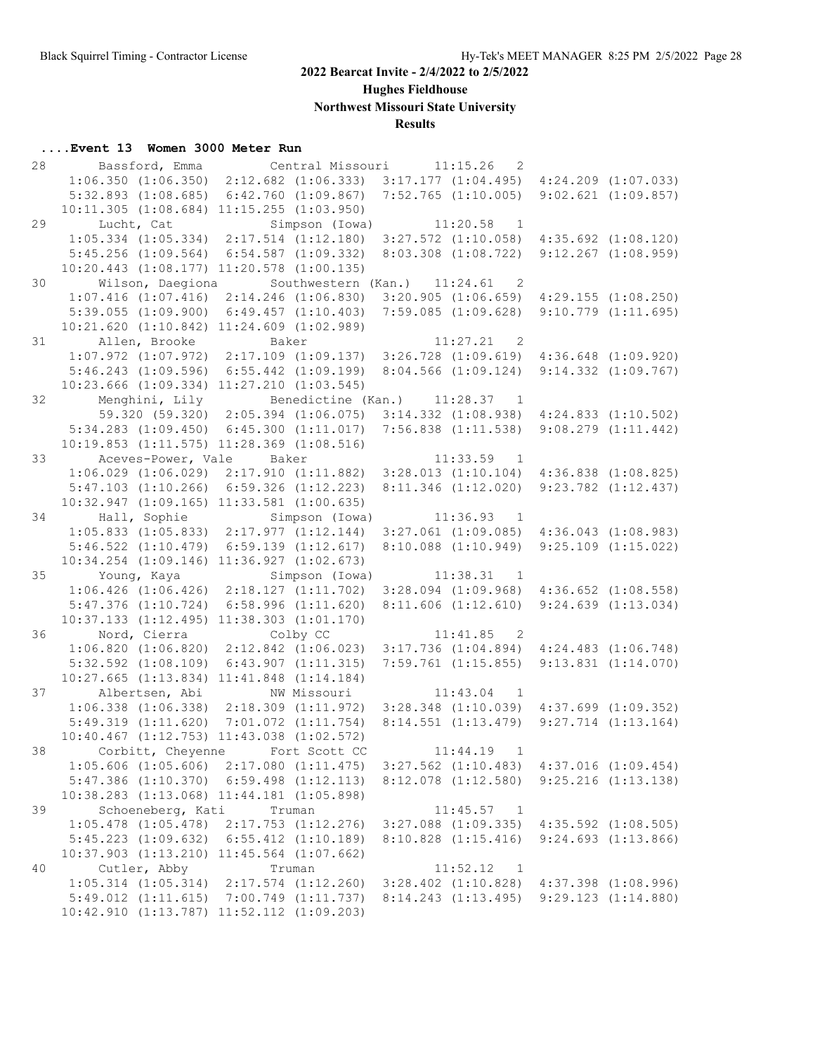**Hughes Fieldhouse**

**Northwest Missouri State University**

## **Results**

| 28 | Bassford, Emma                                                                                  |                                                                             | Central Missouri                                            |          | 11:15.26<br>2                                         |                                                    |
|----|-------------------------------------------------------------------------------------------------|-----------------------------------------------------------------------------|-------------------------------------------------------------|----------|-------------------------------------------------------|----------------------------------------------------|
|    | $1:06.350$ $(1:06.350)$                                                                         |                                                                             | $2:12.682$ $(1:06.333)$                                     |          | $3:17.177$ $(1:04.495)$ $4:24.209$ $(1:07.033)$       |                                                    |
|    | $5:32.893$ $(1:08.685)$                                                                         |                                                                             | $6:42.760$ $(1:09.867)$                                     |          | $7:52.765$ $(1:10.005)$                               | $9:02.621$ $(1:09.857)$                            |
|    | $10:11.305$ $(1:08.684)$ $11:15.255$ $(1:03.950)$                                               |                                                                             |                                                             |          |                                                       |                                                    |
| 29 | Lucht, Cat                                                                                      |                                                                             | Simpson (Iowa)                                              | 11:20.58 | $\overline{1}$                                        |                                                    |
|    | $1:05.334$ $(1:05.334)$ $2:17.514$ $(1:12.180)$ $3:27.572$ $(1:10.058)$ $4:35.692$ $(1:08.120)$ |                                                                             |                                                             |          |                                                       |                                                    |
|    | $5:45.256$ $(1:09.564)$                                                                         |                                                                             | $6:54.587$ $(1:09.332)$                                     |          | $8:03.308$ $(1:08.722)$                               | $9:12.267$ $(1:08.959)$                            |
|    | $10:20.443$ $(1:08.177)$ $11:20.578$ $(1:00.135)$                                               |                                                                             |                                                             |          |                                                       |                                                    |
| 30 | Wilson, Daegiona                                                                                |                                                                             | Southwestern (Kan.) 11:24.61                                |          | $\overline{\phantom{0}}^2$                            |                                                    |
|    | $1:07.416$ $(1:07.416)$                                                                         |                                                                             | $2:14.246$ $(1:06.830)$                                     |          | $3:20.905$ $(1:06.659)$                               | $4:29.155$ $(1:08.250)$                            |
|    | $5:39.055$ $(1:09.900)$                                                                         |                                                                             | 6:49.457(1:10.403)                                          |          | 7:59.085(1:09.628)                                    | $9:10.779$ $(1:11.695)$                            |
|    | $10:21.620$ $(1:10.842)$ $11:24.609$ $(1:02.989)$                                               |                                                                             |                                                             |          |                                                       |                                                    |
| 31 | Allen, Brooke                                                                                   |                                                                             | Baker                                                       |          | $11:27.21$ 2                                          |                                                    |
|    | $1:07.972$ $(1:07.972)$ $2:17.109$ $(1:09.137)$ $3:26.728$ $(1:09.619)$ $4:36.648$ $(1:09.920)$ |                                                                             |                                                             |          |                                                       |                                                    |
|    | $5:46.243$ $(1:09.596)$                                                                         |                                                                             | $6:55.442$ $(1:09.199)$                                     |          | $8:04.566$ $(1:09.124)$ $9:14.332$ $(1:09.767)$       |                                                    |
|    | 10:23.666 (1:09.334) 11:27.210 (1:03.545)                                                       |                                                                             |                                                             |          |                                                       |                                                    |
| 32 |                                                                                                 | Menghini, Lily Benedictine (Kan.) 11:28.37 1                                |                                                             |          |                                                       |                                                    |
|    |                                                                                                 | 59.320 (59.320) 2:05.394 (1:06.075) 3:14.332 (1:08.938) 4:24.833 (1:10.502) |                                                             |          |                                                       |                                                    |
|    | $5:34.283$ $(1:09.450)$                                                                         |                                                                             | $6:45.300$ $(1:11.017)$                                     |          | $7:56.838$ $(1:11.538)$                               | $9:08.279$ $(1:11.442)$                            |
|    |                                                                                                 |                                                                             |                                                             |          |                                                       |                                                    |
|    | $10:19.853$ $(1:11.575)$ $11:28.369$ $(1:08.516)$                                               |                                                                             | Baker                                                       |          |                                                       |                                                    |
| 33 | Aceves-Power, Vale                                                                              |                                                                             |                                                             |          | 11:33.59<br>$\overline{1}$<br>$3:28.013$ $(1:10.104)$ |                                                    |
|    | $1:06.029$ $(1:06.029)$                                                                         |                                                                             | 2:17.910(1:11.882)                                          |          |                                                       | $4:36.838$ $(1:08.825)$<br>$9:23.782$ $(1:12.437)$ |
|    | $5:47.103$ $(1:10.266)$                                                                         |                                                                             | $6:59.326$ $(1:12.223)$                                     |          | $8:11.346$ $(1:12.020)$                               |                                                    |
|    | $10:32.947$ $(1:09.165)$ $11:33.581$ $(1:00.635)$                                               |                                                                             |                                                             |          |                                                       |                                                    |
| 34 | Hall, Sophie                                                                                    |                                                                             | Simpson (Iowa) 11:36.93                                     |          | $\overline{1}$                                        |                                                    |
|    | $1:05.833$ $(1:05.833)$ $2:17.977$ $(1:12.144)$                                                 |                                                                             |                                                             |          | $3:27.061$ $(1:09.085)$ $4:36.043$ $(1:08.983)$       |                                                    |
|    | $5:46.522$ $(1:10.479)$ $6:59.139$ $(1:12.617)$                                                 |                                                                             |                                                             |          | $8:10.088$ $(1:10.949)$                               | $9:25.109$ $(1:15.022)$                            |
|    | 10:34.254 (1:09.146) 11:36.927 (1:02.673)                                                       |                                                                             |                                                             |          |                                                       |                                                    |
| 35 | Young, Kaya     Simpson (Iowa)                                                                  |                                                                             |                                                             | 11:38.31 | $\overline{1}$                                        |                                                    |
|    | $1:06.426$ $(1:06.426)$ $2:18.127$ $(1:11.702)$                                                 |                                                                             |                                                             |          | $3:28.094$ $(1:09.968)$ $4:36.652$ $(1:08.558)$       |                                                    |
|    | 5:47.376(1:10.724)                                                                              |                                                                             | $6:58.996$ $(1:11.620)$                                     |          | $8:11.606$ $(1:12.610)$ $9:24.639$ $(1:13.034)$       |                                                    |
|    | $10:37.133$ $(1:12.495)$ $11:38.303$ $(1:01.170)$                                               |                                                                             |                                                             |          |                                                       |                                                    |
| 36 | Nord, Cierra                                                                                    |                                                                             | Colby CC                                                    |          | 11:41.85<br>$\overline{\phantom{0}}^2$                |                                                    |
|    | $1:06.820$ $(1:06.820)$ $2:12.842$ $(1:06.023)$                                                 |                                                                             |                                                             |          | $3:17.736$ $(1:04.894)$ $4:24.483$ $(1:06.748)$       |                                                    |
|    | $5:32.592$ $(1:08.109)$                                                                         |                                                                             | 6:43.907(1:11.315)                                          |          | $7:59.761$ $(1:15.855)$ $9:13.831$ $(1:14.070)$       |                                                    |
|    | $10:27.665$ $(1:13.834)$ $11:41.848$ $(1:14.184)$                                               |                                                                             |                                                             |          |                                                       |                                                    |
| 37 | Albertsen, Abi                                                                                  |                                                                             | NW Missouri                                                 |          | 11:43.04<br>$\overline{1}$                            |                                                    |
|    | $1:06.338$ $(1:06.338)$                                                                         |                                                                             | 2:18.309 (1:11.972) 3:28.348 (1:10.039) 4:37.699 (1:09.352) |          |                                                       |                                                    |
|    | 5:49.319(1:11.620)                                                                              |                                                                             | $7:01.072$ $(1:11.754)$                                     |          | 8:14.551(1:13.479)                                    | $9:27.714$ $(1:13.164)$                            |
|    | $10:40.467$ $(1:12.753)$ $11:43.038$ $(1:02.572)$                                               |                                                                             |                                                             |          |                                                       |                                                    |
|    | 38 Corbitt, Cheyenne Fort Scott CC                                                              |                                                                             |                                                             |          | 11:44.19<br>1                                         |                                                    |
|    | $1:05.606$ $(1:05.606)$ $2:17.080$ $(1:11.475)$                                                 |                                                                             |                                                             |          | $3:27.562$ $(1:10.483)$                               | $4:37.016$ $(1:09.454)$                            |
|    | $5:47.386$ $(1:10.370)$                                                                         |                                                                             | $6:59.498$ $(1:12.113)$                                     |          | $8:12.078$ $(1:12.580)$                               | $9:25.216$ $(1:13.138)$                            |
|    | 10:38.283 (1:13.068) 11:44.181 (1:05.898)                                                       |                                                                             |                                                             |          |                                                       |                                                    |
| 39 | Schoeneberg, Kati                                                                               |                                                                             | Truman                                                      |          | 11:45.57<br>$\overline{1}$                            |                                                    |
|    | $1:05.478$ $(1:05.478)$                                                                         |                                                                             | $2:17.753$ $(1:12.276)$                                     |          | $3:27.088$ $(1:09.335)$                               | $4:35.592$ $(1:08.505)$                            |
|    | $5:45.223$ $(1:09.632)$                                                                         |                                                                             | $6:55.412$ $(1:10.189)$                                     |          | $8:10.828$ $(1:15.416)$                               | $9:24.693$ $(1:13.866)$                            |
|    | 10:37.903 (1:13.210) 11:45.564 (1:07.662)                                                       |                                                                             |                                                             |          |                                                       |                                                    |
| 40 | Cutler, Abby                                                                                    |                                                                             | Truman                                                      |          | 11:52.12<br>1                                         |                                                    |
|    | $1:05.314$ $(1:05.314)$                                                                         |                                                                             | $2:17.574$ $(1:12.260)$                                     |          | $3:28.402$ $(1:10.828)$                               | $4:37.398$ $(1:08.996)$                            |
|    | $5:49.012$ $(1:11.615)$                                                                         |                                                                             | 7:00.749 (1:11.737)                                         |          | $8:14.243$ $(1:13.495)$ $9:29.123$ $(1:14.880)$       |                                                    |
|    | 10:42.910 (1:13.787) 11:52.112 (1:09.203)                                                       |                                                                             |                                                             |          |                                                       |                                                    |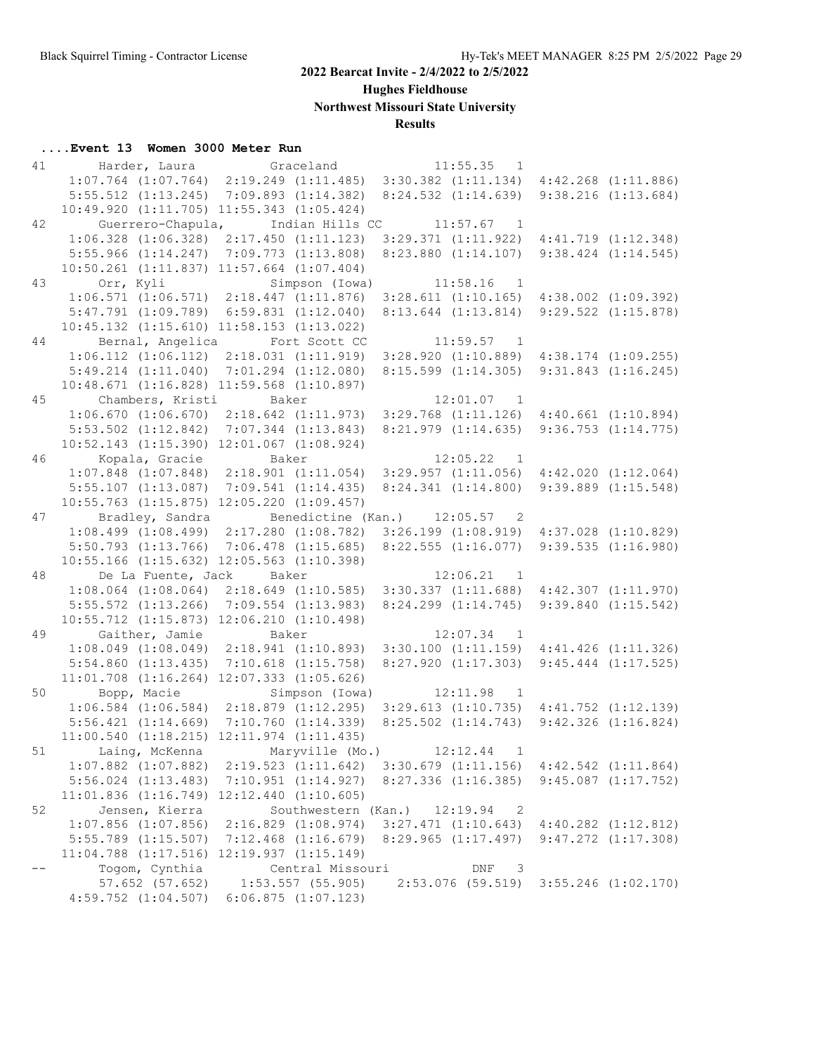**Hughes Fieldhouse**

**Northwest Missouri State University**

## **Results**

| 41 |                         | Harder, Laura Graceland                           | 11:55.35<br>1                                   |                                                 |
|----|-------------------------|---------------------------------------------------|-------------------------------------------------|-------------------------------------------------|
|    |                         | $1:07.764$ $(1:07.764)$ $2:19.249$ $(1:11.485)$   | $3:30.382$ $(1:11.134)$ $4:42.268$ $(1:11.886)$ |                                                 |
|    | $5:55.512$ $(1:13.245)$ | 7:09.893(1:14.382)                                | $8:24.532$ $(1:14.639)$                         | 9:38.216(1:13.684)                              |
|    |                         | 10:49.920 (1:11.705) 11:55.343 (1:05.424)         |                                                 |                                                 |
| 42 | Guerrero-Chapula,       | Indian Hills CC                                   | $11:57.67$ 1                                    |                                                 |
|    |                         | $1:06.328$ $(1:06.328)$ $2:17.450$ $(1:11.123)$   |                                                 | $3:29.371$ $(1:11.922)$ $4:41.719$ $(1:12.348)$ |
|    | $5:55.966$ $(1:14.247)$ | $7:09.773$ $(1:13.808)$                           | $8:23.880$ $(1:14.107)$                         | $9:38.424$ $(1:14.545)$                         |
|    |                         | $10:50.261$ $(1:11.837)$ $11:57.664$ $(1:07.404)$ |                                                 |                                                 |
| 43 | Orr, Kyli               | Simpson (Iowa)                                    | 11:58.16<br>$\overline{1}$                      |                                                 |
|    |                         | $1:06.571$ $(1:06.571)$ $2:18.447$ $(1:11.876)$   | $3:28.611$ $(1:10.165)$                         | $4:38.002$ $(1:09.392)$                         |
|    | $5:47.791$ $(1:09.789)$ | $6:59.831$ $(1:12.040)$                           | $8:13.644$ $(1:13.814)$                         | $9:29.522$ $(1:15.878)$                         |
|    |                         | $10:45.132$ $(1:15.610)$ $11:58.153$ $(1:13.022)$ |                                                 |                                                 |
| 44 | Bernal, Angelica        | Fort Scott CC                                     | 11:59.57<br>$\overline{1}$                      |                                                 |
|    | $1:06.112$ $(1:06.112)$ | 2:18.031(1:11.919)                                |                                                 | $3:28.920$ $(1:10.889)$ $4:38.174$ $(1:09.255)$ |
|    | $5:49.214$ $(1:11.040)$ | $7:01.294$ $(1:12.080)$                           | $8:15.599$ $(1:14.305)$                         | 9:31.843(1:16.245)                              |
|    |                         | $10:48.671$ $(1:16.828)$ $11:59.568$ $(1:10.897)$ |                                                 |                                                 |
| 45 | Chambers, Kristi        | Baker                                             | 12:01.07 1                                      |                                                 |
|    |                         | $1:06.670$ $(1:06.670)$ $2:18.642$ $(1:11.973)$   |                                                 | $3:29.768$ $(1:11.126)$ $4:40.661$ $(1:10.894)$ |
|    | $5:53.502$ $(1:12.842)$ | $7:07.344$ $(1:13.843)$                           | 8:21.979(1:14.635)                              | $9:36.753$ $(1:14.775)$                         |
|    |                         | 10:52.143 (1:15.390) 12:01.067 (1:08.924)         |                                                 |                                                 |
| 46 | Kopala, Gracie          | Baker                                             | 12:05.22<br>$\overline{1}$                      |                                                 |
|    |                         | $1:07.848$ $(1:07.848)$ $2:18.901$ $(1:11.054)$   | $3:29.957$ $(1:11.056)$                         | 4:42.020(1:12.064)                              |
|    | $5:55.107$ $(1:13.087)$ | 7:09.541(1:14.435)                                | 8:24.341(1:14.800)                              | $9:39.889$ $(1:15.548)$                         |
|    |                         | $10:55.763$ $(1:15.875)$ $12:05.220$ $(1:09.457)$ |                                                 |                                                 |
| 47 | Bradley, Sandra         |                                                   | Benedictine (Kan.) 12:05.57 2                   |                                                 |
|    |                         | $1:08.499$ $(1:08.499)$ $2:17.280$ $(1:08.782)$   |                                                 | $3:26.199$ $(1:08.919)$ $4:37.028$ $(1:10.829)$ |
|    | $5:50.793$ $(1:13.766)$ | 7:06.478(1:15.685)                                | $8:22.555$ $(1:16.077)$                         | 9:39.535(1:16.980)                              |
|    |                         | 10:55.166 (1:15.632) 12:05.563 (1:10.398)         |                                                 |                                                 |
| 48 | De La Fuente, Jack      | Baker                                             | 12:06.21<br>$\overline{1}$                      |                                                 |
|    | $1:08.064$ $(1:08.064)$ | $2:18.649$ $(1:10.585)$                           |                                                 | $3:30.337$ $(1:11.688)$ $4:42.307$ $(1:11.970)$ |
|    | $5:55.572$ $(1:13.266)$ | $7:09.554$ $(1:13.983)$                           | $8:24.299$ $(1:14.745)$                         | $9:39.840$ $(1:15.542)$                         |
|    |                         | $10:55.712$ $(1:15.873)$ $12:06.210$ $(1:10.498)$ |                                                 |                                                 |
| 49 | Gaither, Jamie          | Baker                                             | 12:07.34<br>$\overline{1}$                      |                                                 |
|    | $1:08.049$ $(1:08.049)$ | 2:18.941(1:10.893)                                |                                                 | $3:30.100$ $(1:11.159)$ $4:41.426$ $(1:11.326)$ |
|    | $5:54.860$ $(1:13.435)$ | 7:10.618(1:15.758)                                | 8:27.920(1:17.303)                              | $9:45.444$ $(1:17.525)$                         |
|    |                         | $11:01.708$ $(1:16.264)$ $12:07.333$ $(1:05.626)$ |                                                 |                                                 |
| 50 |                         | Simpson (Iowa)                                    | 12:11.98                                        |                                                 |
|    | Bopp, Macie             | $1:06.584$ $(1:06.584)$ $2:18.879$ $(1:12.295)$   | $\overline{1}$                                  | $3:29.613$ $(1:10.735)$ $4:41.752$ $(1:12.139)$ |
|    |                         |                                                   |                                                 | $9:42.326$ $(1:16.824)$                         |
|    | 5:56.421(1:14.669)      | 7:10.760(1:14.339)                                | $8:25.502$ $(1:14.743)$                         |                                                 |
|    |                         | $11:00.540$ $(1:18.215)$ $12:11.974$ $(1:11.435)$ |                                                 |                                                 |
|    | 51 Laing, McKenna       | Maryville (Mo.)                                   | 12:12.44<br>$\mathbf{1}$                        |                                                 |
|    | $1:07.882$ $(1:07.882)$ | $2:19.523$ $(1:11.642)$                           | $3:30.679$ $(1:11.156)$                         | $4:42.542$ $(1:11.864)$                         |
|    | $5:56.024$ $(1:13.483)$ | $7:10.951$ $(1:14.927)$                           | $8:27.336$ $(1:16.385)$                         | $9:45.087$ $(1:17.752)$                         |
|    |                         | $11:01.836$ $(1:16.749)$ $12:12.440$ $(1:10.605)$ |                                                 |                                                 |
| 52 | Jensen, Kierra          | Southwestern (Kan.)                               | 12:19.94<br>$\overline{\phantom{0}}^2$          |                                                 |
|    | $1:07.856$ $(1:07.856)$ | $2:16.829$ $(1:08.974)$                           | $3:27.471$ $(1:10.643)$                         | $4:40.282$ $(1:12.812)$                         |
|    | $5:55.789$ $(1:15.507)$ | 7:12.468 (1:16.679)                               | 8:29.965(1:17.497)                              | $9:47.272$ $(1:17.308)$                         |
|    |                         | 11:04.788 (1:17.516) 12:19.937 (1:15.149)         |                                                 |                                                 |
|    | Togom, Cynthia          | Central Missouri                                  | DNF<br>$\overline{\phantom{a}}$                 |                                                 |
|    | 57.652 (57.652)         | $1:53.557$ (55.905)                               | $2:53.076$ (59.519)                             | $3:55.246$ $(1:02.170)$                         |
|    | $4:59.752$ $(1:04.507)$ | 6:06.875(1:07.123)                                |                                                 |                                                 |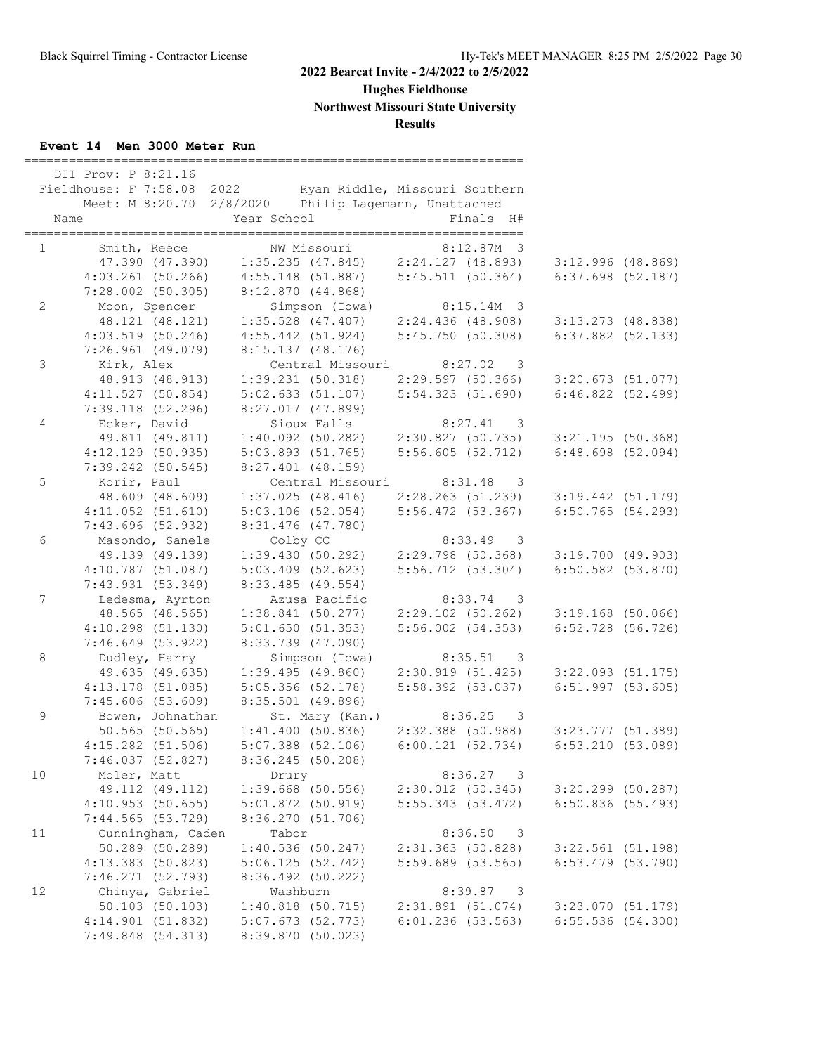# **Hughes Fieldhouse**

**Northwest Missouri State University**

## **Results**

## **Event 14 Men 3000 Meter Run**

|                | DII Prov: P 8:21.16<br>Fieldhouse: F 7:58.08 2022<br>Name | Meet: M 8:20.70 2/8/2020 Philip Lagemann, Unattached<br>Year School                                          | Ryan Riddle, Missouri Southern<br>Finals H#                     |                                            |  |
|----------------|-----------------------------------------------------------|--------------------------------------------------------------------------------------------------------------|-----------------------------------------------------------------|--------------------------------------------|--|
|                | $1 \qquad \qquad$<br>Smith, Reece                         | NW Missouri                                                                                                  | 8:12.87M 3                                                      |                                            |  |
|                |                                                           | 47.390 (47.390) 1:35.235 (47.845) 2:24.127 (48.893)                                                          |                                                                 | $3:12.996$ (48.869)                        |  |
|                |                                                           | $4:03.261$ (50.266) $4:55.148$ (51.887) $5:45.511$ (50.364)                                                  |                                                                 | $6:37.698$ $(52.187)$                      |  |
|                | $7:28.002$ (50.305)                                       | 8:12.870 (44.868)                                                                                            |                                                                 |                                            |  |
| $\mathbf{2}$   | Moon, Spencer                                             | Simpson (Iowa)                                                                                               | 8:15.14M 3                                                      |                                            |  |
|                |                                                           | 48.121 (48.121) 1:35.528 (47.407) 2:24.436 (48.908)<br>4:03.519 (50.246) 4:55.442 (51.924) 5:45.750 (50.308) |                                                                 | $3:13.273$ (48.838)                        |  |
|                |                                                           |                                                                                                              |                                                                 | $6:37.882$ (52.133)                        |  |
| $\mathsf 3$    | $7:26.961$ (49.079)                                       | 8:15.137 (48.176)                                                                                            |                                                                 |                                            |  |
|                | Kirk, Alex<br>48.913 (48.913)                             | Central Missouri 8:27.02<br>1:39.231(50.318)                                                                 | $\overline{\phantom{a}}$<br>2:29.597 (50.366) 3:20.673 (51.077) |                                            |  |
|                | 4:11.527(50.854)                                          | 5:02.633(51.107)                                                                                             | 5:54.323(51.690)                                                | 6:46.822(52.499)                           |  |
|                | $7:39.118$ (52.296)                                       | $8:27.017$ (47.899)                                                                                          |                                                                 |                                            |  |
| $\overline{4}$ | Ecker, David                                              | Sioux Falls                                                                                                  | $8:27.41$ 3                                                     |                                            |  |
|                | 49.811 (49.811)                                           |                                                                                                              | $1:40.092$ (50.282) $2:30.827$ (50.735)                         | $3:21.195$ (50.368)                        |  |
|                | $4:12.129$ (50.935)                                       | $5:03.893$ (51.765)                                                                                          | 5:56.605(52.712)                                                | $6:48.698$ (52.094)                        |  |
|                | $7:39.242$ (50.545)                                       | 8:27.401 (48.159)                                                                                            |                                                                 |                                            |  |
| 5              | Korir, Paul                                               |                                                                                                              | Central Missouri 8:31.48 3                                      |                                            |  |
|                | 48.609 (48.609)                                           | $1:37.025$ (48.416)                                                                                          | 2:28.263(51.239)                                                | $3:19.442$ (51.179)                        |  |
|                | $4:11.052$ $(51.610)$                                     | $5:03.106$ (52.054)                                                                                          | $5:56.472$ (53.367)                                             | $6:50.765$ (54.293)                        |  |
|                | $7:43.696$ (52.932)                                       | 8:31.476 (47.780)                                                                                            |                                                                 |                                            |  |
| 6              | Masondo, Sanele                                           | Colby CC                                                                                                     | $8:33.49$ 3                                                     |                                            |  |
|                | 49.139 (49.139)                                           |                                                                                                              | $1:39.430$ (50.292) $2:29.798$ (50.368) $3:19.700$ (49.903)     |                                            |  |
|                | $4:10.787$ (51.087)                                       | $5:03.409$ $(52.623)$                                                                                        | 5:56.712(53.304)                                                | $6:50.582$ (53.870)                        |  |
|                | 7:43.931(53.349)                                          | $8:33.485$ (49.554)                                                                                          |                                                                 |                                            |  |
| $\overline{7}$ | Ledesma, Ayrton                                           | Azusa Pacific                                                                                                | $8:33.74$ 3                                                     |                                            |  |
|                | 48.565 (48.565)                                           | $1:38.841$ (50.277)                                                                                          | $2:29.102$ (50.262)                                             | $3:19.168$ (50.066)                        |  |
|                | $4:10.298$ $(51.130)$                                     | 5:01.650(51.353)                                                                                             | $5:56.002$ $(54.353)$                                           | $6:52.728$ (56.726)                        |  |
|                | $7:46.649$ (53.922)                                       | 8:33.739 (47.090)                                                                                            |                                                                 |                                            |  |
| 8              | Dudley, Harry                                             | Simpson (Iowa)                                                                                               | $8:35.51$ 3                                                     |                                            |  |
|                | 49.635 (49.635)<br>$4:13.178$ (51.085)                    | 1:39.495(49.860)<br>5:05.356(52.178)                                                                         | 2:30.919(51.425)<br>5:58.392 (53.037)                           | $3:22.093$ (51.175)<br>$6:51.997$ (53.605) |  |
|                | 7:45.606(53.609)                                          | 8:35.501 (49.896)                                                                                            |                                                                 |                                            |  |
| $\mathsf 9$    | Bowen, Johnathan                                          | St. Mary (Kan.) 8:36.25                                                                                      | $\overline{\phantom{a}}$                                        |                                            |  |
|                | $50.565$ (50.565)                                         | 1:41.400(50.836)                                                                                             | 2:32.388 (50.988) 3:23.777 (51.389)                             |                                            |  |
|                | 4:15.282 (51.506)                                         | 5:07.388 (52.106)                                                                                            | 6:00.121(52.734)                                                | 6:53.210(53.089)                           |  |
|                | 7:46.037 (52.827)                                         | 8:36.245 (50.208)                                                                                            |                                                                 |                                            |  |
| 10             | Moler, Matt                                               | Drury                                                                                                        | $8:36.27$ 3                                                     |                                            |  |
|                | 49.112 (49.112)                                           | 1:39.668 (50.556)                                                                                            | $2:30.012$ (50.345)                                             | 3:20.299 (50.287)                          |  |
|                | 4:10.953(50.655)                                          | 5:01.872(50.919)                                                                                             | 5:55.343(53.472)                                                | 6:50.836(55.493)                           |  |
|                | 7:44.565(53.729)                                          | 8:36.270 (51.706)                                                                                            |                                                                 |                                            |  |
| 11             | Cunningham, Caden                                         | Tabor                                                                                                        | 8:36.50<br>$\overline{\phantom{a}}$                             |                                            |  |
|                | 50.289 (50.289)                                           | 1:40.536(50.247)                                                                                             | $2:31.363$ (50.828)                                             | $3:22.561$ (51.198)                        |  |
|                | 4:13.383 (50.823)                                         | 5:06.125(52.742)                                                                                             | $5:59.689$ $(53.565)$                                           | $6:53.479$ $(53.790)$                      |  |
|                | 7:46.271 (52.793)                                         | 8:36.492 (50.222)                                                                                            |                                                                 |                                            |  |
| 12             | Chinya, Gabriel                                           | Washburn                                                                                                     | 8:39.87<br>$\overline{\phantom{a}}$                             |                                            |  |
|                | 50.103 (50.103)                                           | $1:40.818$ (50.715)                                                                                          | 2:31.891(51.074)                                                | 3:23.070 (51.179)                          |  |
|                | 4:14.901(51.832)                                          | 5:07.673(52.773)                                                                                             | $6:01.236$ (53.563)                                             | $6:55.536$ (54.300)                        |  |
|                | 7:49.848 (54.313)                                         | 8:39.870 (50.023)                                                                                            |                                                                 |                                            |  |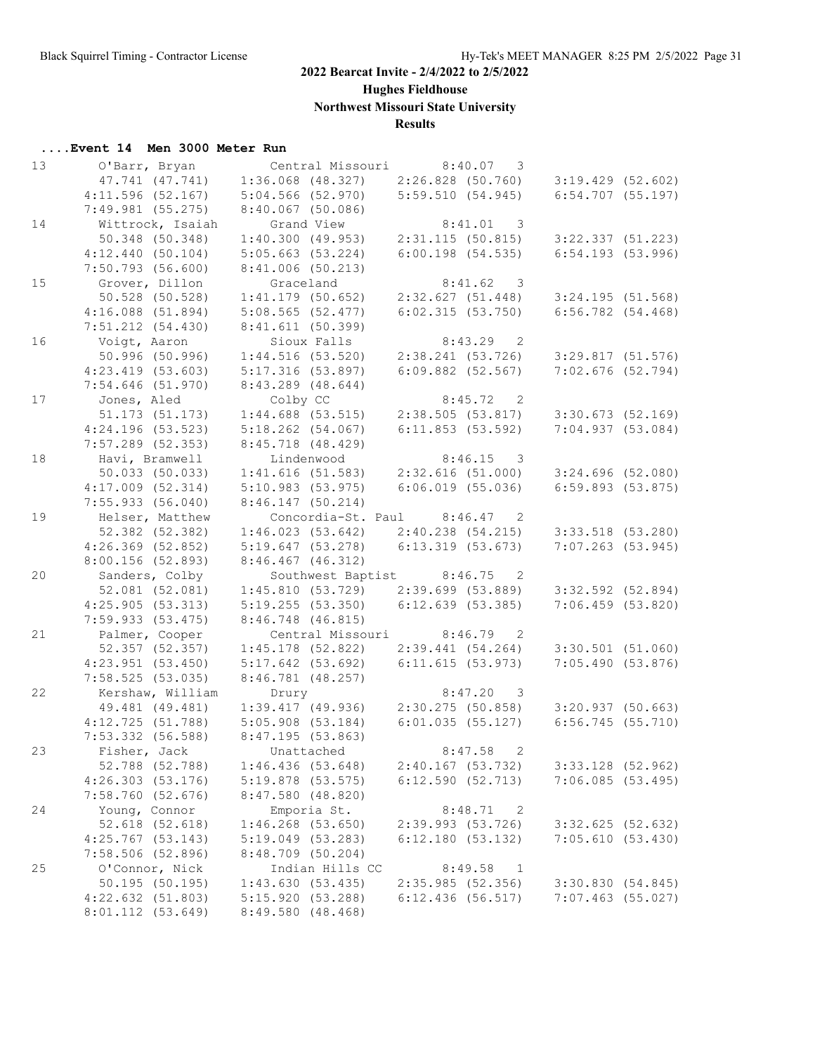**Hughes Fieldhouse**

**Northwest Missouri State University**

## **Results**

| 13 | O'Barr, Bryan         | Central Missouri      | 8:40.07<br>3                          |                       |
|----|-----------------------|-----------------------|---------------------------------------|-----------------------|
|    | 47.741 (47.741)       | $1:36.068$ $(48.327)$ | $2:26.828$ (50.760) 3:19.429 (52.602) |                       |
|    | 4:11.596(52.167)      | 5:04.566(52.970)      | 5:59.510(54.945)                      | $6:54.707$ (55.197)   |
|    | $7:49.981$ (55.275)   | $8:40.067$ (50.086)   |                                       |                       |
| 14 | Wittrock, Isaiah      | Grand View            | 8:41.01 3                             |                       |
|    | 50.348 (50.348)       | 1:40.300(49.953)      | 2:31.115(50.815)                      | $3:22.337$ $(51.223)$ |
|    | 4:12.440(50.104)      | 5:05.663(53.224)      | $6:00.198$ (54.535)                   | $6:54.193$ $(53.996)$ |
|    | $7:50.793$ (56.600)   | $8:41.006$ (50.213)   |                                       |                       |
| 15 | Grover, Dillon        | Graceland             | 8:41.62<br>$\overline{\phantom{a}}$   |                       |
|    | 50.528 (50.528)       | $1:41.179$ (50.652)   | 2:32.627(51.448)                      | 3:24.195(51.568)      |
|    | $4:16.088$ $(51.894)$ | $5:08.565$ (52.477)   | 6:02.315(53.750)                      | 6:56.782(54.468)      |
|    | $7:51.212$ $(54.430)$ | 8:41.611(50.399)      |                                       |                       |
| 16 | Voigt, Aaron          | Sioux Falls           | $8:43.29$ 2                           |                       |
|    | 50.996 (50.996)       | 1:44.516(53.520)      | 2:38.241(53.726)                      | 3:29.817(51.576)      |
|    |                       |                       | $6:09.882$ (52.567)                   | $7:02.676$ (52.794)   |
|    | 4:23.419(53.603)      | 5:17.316(53.897)      |                                       |                       |
|    | $7:54.646$ (51.970)   | $8:43.289$ (48.644)   |                                       |                       |
| 17 | Jones, Aled           | Colby CC              | 8:45.72<br>$\overline{\phantom{0}}^2$ |                       |
|    | 51.173 (51.173)       | $1:44.688$ (53.515)   | 2:38.505(53.817)                      | $3:30.673$ (52.169)   |
|    | $4:24.196$ (53.523)   | $5:18.262$ (54.067)   | 6:11.853(53.592)                      | 7:04.937(53.084)      |
|    | $7:57.289$ (52.353)   | 8:45.718 (48.429)     |                                       |                       |
| 18 | Havi, Bramwell        | Lindenwood            | 8:46.15<br>$\overline{\phantom{a}}$   |                       |
|    | 50.033 (50.033)       | 1:41.616(51.583)      | 2:32.616(51.000)                      | $3:24.696$ (52.080)   |
|    | $4:17.009$ $(52.314)$ | 5:10.983(53.975)      | $6:06.019$ $(55.036)$                 | $6:59.893$ $(53.875)$ |
|    | 7:55.933(56.040)      | $8:46.147$ (50.214)   |                                       |                       |
| 19 | Helser, Matthew       |                       | Concordia-St. Paul 8:46.47 2          |                       |
|    | 52.382 (52.382)       | 1:46.023(53.642)      | 2:40.238 (54.215)                     | $3:33.518$ (53.280)   |
|    | $4:26.369$ (52.852)   | 5:19.647(53.278)      | $6:13.319$ $(53.673)$                 | $7:07.263$ (53.945)   |
|    | 8:00.156 (52.893)     | $8:46.467$ $(46.312)$ |                                       |                       |
| 20 | Sanders, Colby        |                       | Southwest Baptist 8:46.75 2           |                       |
|    | $52.081$ $(52.081)$   | 1:45.810(53.729)      | 2:39.699 (53.889)                     | $3:32.592$ (52.894)   |
|    | 4:25.905(53.313)      | 5:19.255(53.350)      | 6:12.639(53.385)                      | $7:06.459$ (53.820)   |
|    | 7:59.933(53.475)      | 8:46.748 (46.815)     |                                       |                       |
| 21 | Palmer, Cooper        | Central Missouri      | 8:46.79<br>$\overline{\phantom{0}}^2$ |                       |
|    | 52.357 (52.357)       | $1:45.178$ (52.822)   | 2:39.441(54.264)                      | $3:30.501$ (51.060)   |
|    | $4:23.951$ (53.450)   | $5:17.642$ (53.692)   | 6:11.615(53.973)                      | 7:05.490(53.876)      |
|    | 7:58.525(53.035)      | $8:46.781$ (48.257)   |                                       |                       |
| 22 | Kershaw, William      | Drury                 | 8:47.20 3                             |                       |
|    | 49.481 (49.481)       | 1:39.417(49.936)      | 2:30.275(50.858)                      | 3:20.937(50.663)      |
|    | 4:12.725(51.788)      | 5:05.908(53.184)      | 6:01.035(55.127)                      | $6:56.745$ (55.710)   |
|    | $7:53.332$ (56.588)   | 8:47.195(53.863)      |                                       |                       |
| 23 | Fisher, Jack          | Unattached            | 8:47.58<br>2                          |                       |
|    | 52.788 (52.788)       | 1:46.436(53.648)      | $2:40.167$ (53.732)                   | 3:33.128 (52.962)     |
|    | 4:26.303(53.176)      | $5:19.878$ (53.575)   | 6:12.590(52.713)                      | 7:06.085(53.495)      |
|    | 7:58.760(52.676)      | $8:47.580$ (48.820)   |                                       |                       |
| 24 | Young, Connor         | Emporia St.           | 8:48.71<br>$\overline{\phantom{0}}^2$ |                       |
|    | 52.618 (52.618)       | $1:46.268$ (53.650)   | 2:39.993 (53.726)                     | 3:32.625(52.632)      |
|    | $4:25.767$ (53.143)   | 5:19.049(53.283)      | 6:12.180(53.132)                      | 7:05.610(53.430)      |
|    | $7:58.506$ (52.896)   | 8:48.709 (50.204)     |                                       |                       |
| 25 | O'Connor, Nick        | Indian Hills CC       | 8:49.58<br><sup>1</sup>               |                       |
|    | $50.195$ (50.195)     | 1:43.630(53.435)      | 2:35.985(52.356)                      | 3:30.830(54.845)      |
|    |                       | 5:15.920(53.288)      |                                       |                       |
|    | 4:22.632(51.803)      |                       | 6:12.436(56.517)                      | $7:07.463$ (55.027)   |
|    | 8:01.112 (53.649)     | 8:49.580 (48.468)     |                                       |                       |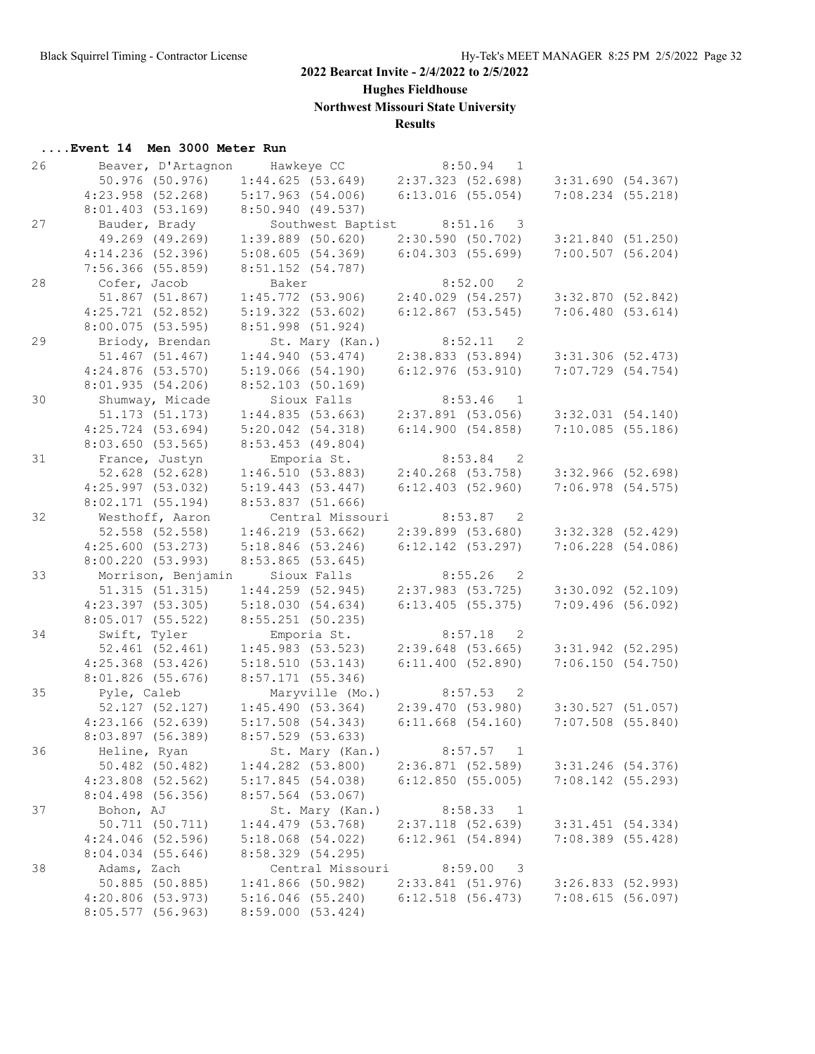**Hughes Fieldhouse**

**Northwest Missouri State University**

## **Results**

| 26 | Beaver, D'Artagnon Hawkeye CC |                          | 8:50.94<br>1                          |                       |
|----|-------------------------------|--------------------------|---------------------------------------|-----------------------|
|    | 50.976 (50.976)               | 1:44.625(53.649)         | 2:37.323(52.698)                      | 3:31.690(54.367)      |
|    | $4:23.958$ (52.268)           | 5:17.963(54.006)         | $6:13.016$ (55.054)                   | $7:08.234$ (55.218)   |
|    | 8:01.403(53.169)              | 8:50.940 (49.537)        |                                       |                       |
| 27 | Bauder, Brady                 |                          | Southwest Baptist 8:51.16 3           |                       |
|    | 49.269 (49.269)               | $1:39.889$ (50.620)      | 2:30.590(50.702)                      | 3:21.840(51.250)      |
|    | $4:14.236$ (52.396)           | 5:08.605(54.369)         | 6:04.303(55.699)                      | $7:00.507$ (56.204)   |
|    | $7:56.366$ (55.859)           | 8:51.152 (54.787)        |                                       |                       |
| 28 | Cofer, Jacob                  | Baker                    | 8:52.00<br>$\overline{\phantom{0}}^2$ |                       |
|    | 51.867 (51.867)               | 1:45.772(53.906)         | 2:40.029(54.257)                      | 3:32.870(52.842)      |
|    | 4:25.721(52.852)              | 5:19.322(53.602)         | $6:12.867$ (53.545)                   | 7:06.480(53.614)      |
|    | $8:00.075$ (53.595)           | 8:51.998 (51.924)        |                                       |                       |
|    |                               |                          | 8:52.11                               |                       |
| 29 | Briody, Brendan               | St. Mary (Kan.)          | $\overline{\phantom{0}}^2$            |                       |
|    | 51.467 (51.467)               | 1:44.940(53.474)         | 2:38.833(53.894)                      | $3:31.306$ (52.473)   |
|    | $4:24.876$ (53.570)           | 5:19.066(54.190)         | $6:12.976$ (53.910)                   | $7:07.729$ $(54.754)$ |
|    | 8:01.935(54.206)              | $8:52.103$ (50.169)      |                                       |                       |
| 30 | Shumway, Micade               | Sioux Falls              | 8:53.46<br>$\overline{1}$             |                       |
|    | 51.173 (51.173)               | 1:44.835(53.663)         | $2:37.891$ (53.056)                   | $3:32.031$ $(54.140)$ |
|    | $4:25.724$ (53.694)           | $5:20.042$ $(54.318)$    | 6:14.900(54.858)                      | 7:10.085(55.186)      |
|    | 8:03.650(53.565)              | $8:53.453$ (49.804)      |                                       |                       |
| 31 | France, Justyn                | Emporia St.              | 8:53.84<br>$\overline{\phantom{0}}^2$ |                       |
|    | 52.628 (52.628)               | 1:46.510(53.883)         | $2:40.268$ (53.758)                   | $3:32.966$ (52.698)   |
|    | 4:25.997(53.032)              | 5:19.443(53.447)         | $6:12.403$ $(52.960)$                 | $7:06.978$ (54.575)   |
|    | 8:02.171(55.194)              | $8:53.837$ (51.666)      |                                       |                       |
| 32 | Westhoff, Aaron               | Central Missouri 8:53.87 | $\overline{2}$                        |                       |
|    | 52.558 (52.558)               | 1:46.219(53.662)         | $2:39.899$ $(53.680)$                 | $3:32.328$ $(52.429)$ |
|    | 4:25.600(53.273)              | $5:18.846$ (53.246)      | $6:12.142$ (53.297)                   | $7:06.228$ (54.086)   |
|    | 8:00.220(53.993)              | $8:53.865$ (53.645)      |                                       |                       |
| 33 | Morrison, Benjamin            | Sioux Falls              | 8:55.26<br>$\overline{2}$             |                       |
|    | 51.315(51.315)                | $1:44.259$ (52.945)      | 2:37.983(53.725)                      | $3:30.092$ $(52.109)$ |
|    | $4:23.397$ (53.305)           | 5:18.030(54.634)         | $6:13.405$ (55.375)                   | 7:09.496(56.092)      |
|    | 8:05.017(55.522)              | 8:55.251 (50.235)        |                                       |                       |
| 34 | Swift, Tyler                  | Emporia St.              | 8:57.18<br>$\overline{\phantom{0}}^2$ |                       |
|    | 52.461 (52.461)               | 1:45.983(53.523)         | $2:39.648$ (53.665)                   | $3:31.942$ (52.295)   |
|    | $4:25.368$ $(53.426)$         | 5:18.510(53.143)         | 6:11.400(52.890)                      | 7:06.150(54.750)      |
|    | $8:01.826$ (55.676)           | 8:57.171(55.346)         |                                       |                       |
| 35 | Pyle, Caleb                   | Maryville (Mo.)          | 8:57.53<br>$\overline{2}$             |                       |
|    | 52.127 (52.127)               | 1:45.490(53.364)         | 2:39.470 (53.980)                     | 3:30.527(51.057)      |
|    | $4:23.166$ (52.639)           | 5:17.508(54.343)         | $6:11.668$ $(54.160)$                 | $7:07.508$ (55.840)   |
|    | 8:03.897 (56.389)             | $8:57.529$ (53.633)      |                                       |                       |
| 36 | Heline, Ryan                  | St. Mary (Kan.)          | 8:57.57<br>1                          |                       |
|    | 50.482 (50.482)               | $1:44.282$ (53.800)      | 2:36.871(52.589)                      | 3:31.246 (54.376)     |
|    | $4:23.808$ (52.562)           | 5:17.845(54.038)         | 6:12.850(55.005)                      | 7:08.142 (55.293)     |
|    | 8:04.498 (56.356)             | 8:57.564 (53.067)        |                                       |                       |
|    |                               |                          |                                       |                       |
| 37 | Bohon, AJ                     | St. Mary (Kan.)          | 8:58.33<br>$\overline{1}$             | $3:31.451$ (54.334)   |
|    | 50.711 (50.711)               | $1:44.479$ (53.768)      | $2:37.118$ (52.639)                   |                       |
|    | $4:24.046$ (52.596)           | $5:18.068$ $(54.022)$    | 6:12.961(54.894)                      | $7:08.389$ (55.428)   |
|    | $8:04.034$ (55.646)           | 8:58.329 (54.295)        |                                       |                       |
| 38 | Adams, Zach                   | Central Missouri         | 8:59.00<br>3                          |                       |
|    | 50.885 (50.885)               | $1:41.866$ (50.982)      | 2:33.841(51.976)                      | 3:26.833 (52.993)     |
|    | $4:20.806$ (53.973)           | $5:16.046$ (55.240)      | $6:12.518$ $(56.473)$                 | 7:08.615(56.097)      |
|    | $8:05.577$ (56.963)           | 8:59.000 (53.424)        |                                       |                       |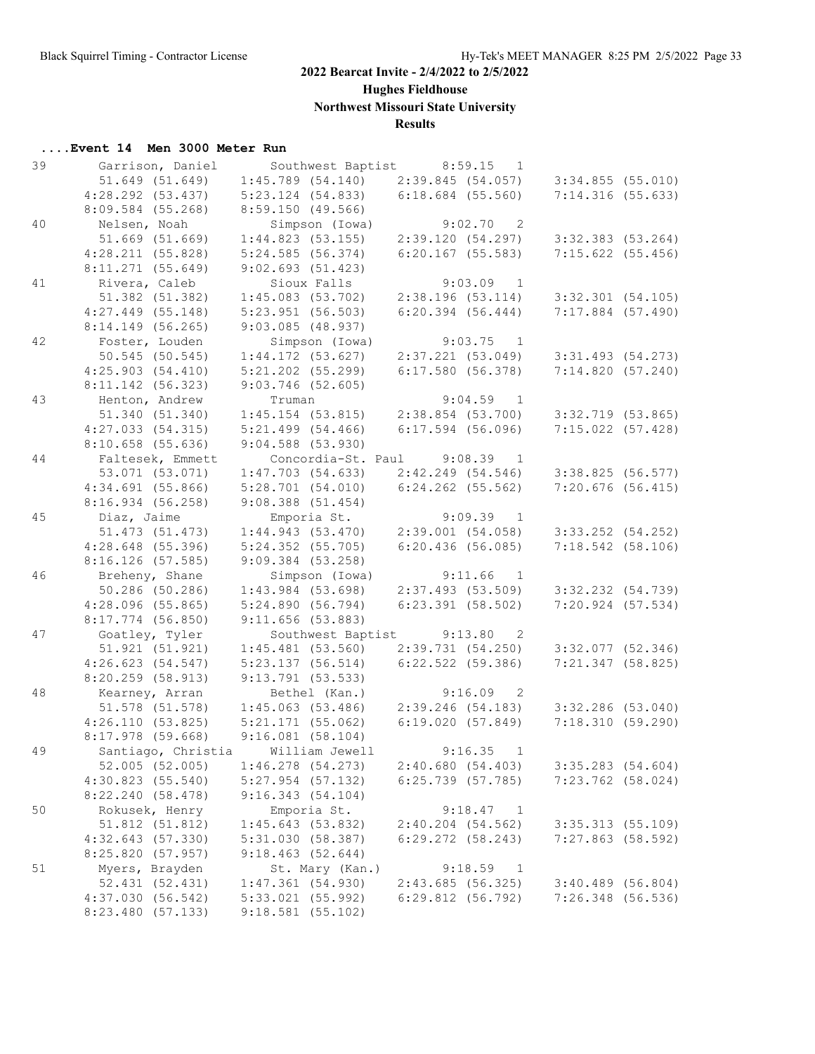**Hughes Fieldhouse**

**Northwest Missouri State University**

## **Results**

| 39 | Garrison, Daniel    |                       | Southwest Baptist          |                       | 8:59.15<br>1                          |                       |  |
|----|---------------------|-----------------------|----------------------------|-----------------------|---------------------------------------|-----------------------|--|
|    | 51.649 (51.649)     | $1:45.789$ (54.140)   |                            | 2:39.845(54.057)      |                                       | 3:34.855(55.010)      |  |
|    | $4:28.292$ (53.437) | $5:23.124$ $(54.833)$ |                            | $6:18.684$ (55.560)   |                                       | 7:14.316(55.633)      |  |
|    | $8:09.584$ (55.268) | 8:59.150(49.566)      |                            |                       |                                       |                       |  |
| 40 | Nelsen, Noah        | Simpson (Iowa)        |                            |                       | 9:02.70<br>$\overline{\phantom{0}}^2$ |                       |  |
|    | $51.669$ $(51.669)$ | 1:44.823(53.155)      |                            | 2:39.120(54.297)      |                                       | $3:32.383$ (53.264)   |  |
|    | 4:28.211(55.828)    | 5:24.585(56.374)      |                            | $6:20.167$ (55.583)   |                                       | $7:15.622$ (55.456)   |  |
|    | $8:11.271$ (55.649) | 9:02.693(51.423)      |                            |                       |                                       |                       |  |
| 41 | Rivera, Caleb       | Sioux Falls           |                            |                       | $9:03.09$ 1                           |                       |  |
|    | 51.382 (51.382)     | 1:45.083(53.702)      |                            | 2:38.196(53.114)      |                                       | $3:32.301$ $(54.105)$ |  |
|    |                     | $5:23.951$ (56.503)   |                            |                       |                                       |                       |  |
|    | $4:27.449$ (55.148) |                       |                            | $6:20.394$ $(56.444)$ |                                       | $7:17.884$ (57.490)   |  |
|    | $8:14.149$ (56.265) | $9:03.085$ (48.937)   |                            |                       |                                       |                       |  |
| 42 | Foster, Louden      | Simpson (Iowa)        |                            |                       | 9:03.75 1                             |                       |  |
|    | 50.545 (50.545)     | 1:44.172(53.627)      |                            | $2:37.221$ (53.049)   |                                       | $3:31.493$ $(54.273)$ |  |
|    | 4:25.903(54.410)    | $5:21.202$ $(55.299)$ |                            | 6:17.580(56.378)      |                                       | 7:14.820(57.240)      |  |
|    | 8:11.142 (56.323)   | $9:03.746$ (52.605)   |                            |                       |                                       |                       |  |
| 43 | Henton, Andrew      | Truman                |                            |                       | $9:04.59$ 1                           |                       |  |
|    | 51.340 (51.340)     | $1:45.154$ (53.815)   |                            | $2:38.854$ (53.700)   |                                       | 3:32.719 (53.865)     |  |
|    | 4:27.033(54.315)    | $5:21.499$ $(54.466)$ |                            | $6:17.594$ (56.096)   |                                       | $7:15.022$ (57.428)   |  |
|    | 8:10.658(55.636)    | $9:04.588$ $(53.930)$ |                            |                       |                                       |                       |  |
| 44 | Faltesek, Emmett    |                       | Concordia-St. Paul 9:08.39 |                       | $\overline{1}$                        |                       |  |
|    | 53.071 (53.071)     | 1:47.703(54.633)      |                            | 2:42.249(54.546)      |                                       | 3:38.825(56.577)      |  |
|    | 4:34.691(55.866)    | 5:28.701(54.010)      |                            | $6:24.262$ (55.562)   |                                       | $7:20.676$ (56.415)   |  |
|    | 8:16.934(56.258)    | $9:08.388$ $(51.454)$ |                            |                       |                                       |                       |  |
| 45 | Diaz, Jaime         | Emporia St.           |                            |                       | 9:09.39<br>$\overline{1}$             |                       |  |
|    | 51.473 (51.473)     | 1:44.943(53.470)      |                            | 2:39.001(54.058)      |                                       | $3:33.252$ $(54.252)$ |  |
|    | $4:28.648$ (55.396) | $5:24.352$ (55.705)   |                            | $6:20.436$ (56.085)   |                                       | $7:18.542$ (58.106)   |  |
|    | $8:16.126$ (57.585) | $9:09.384$ (53.258)   |                            |                       |                                       |                       |  |
| 46 | Breheny, Shane      | Simpson (Iowa)        |                            |                       | 9:11.66<br>$\overline{1}$             |                       |  |
|    | 50.286 (50.286)     | $1:43.984$ (53.698)   |                            | 2:37.493(53.509)      |                                       |                       |  |
|    |                     |                       |                            |                       |                                       | $3:32.232$ $(54.739)$ |  |
|    | $4:28.096$ (55.865) | 5:24.890(56.794)      |                            | $6:23.391$ $(58.502)$ |                                       | $7:20.924$ (57.534)   |  |
|    | $8:17.774$ (56.850) | 9:11.656(53.883)      |                            |                       |                                       |                       |  |
| 47 | Goatley, Tyler      |                       | Southwest Baptist          | 9:13.80               | $\overline{\phantom{0}}^2$            |                       |  |
|    | 51.921 (51.921)     | $1:45.481$ (53.560)   |                            | 2:39.731(54.250)      |                                       | $3:32.077$ (52.346)   |  |
|    | 4:26.623(54.547)    | 5:23.137(56.514)      |                            | $6:22.522$ (59.386)   |                                       | 7:21.347 (58.825)     |  |
|    | $8:20.259$ (58.913) | $9:13.791$ (53.533)   |                            |                       |                                       |                       |  |
| 48 | Kearney, Arran      | Bethel (Kan.)         |                            |                       | 9:16.09<br>$\overline{2}$             |                       |  |
|    | 51.578 (51.578)     | $1:45.063$ (53.486)   |                            | 2:39.246 (54.183)     |                                       | $3:32.286$ (53.040)   |  |
|    | 4:26.110(53.825)    | $5:21.171$ (55.062)   |                            | 6:19.020(57.849)      |                                       | 7:18.310(59.290)      |  |
|    | $8:17.978$ (59.668) | 9:16.081(58.104)      |                            |                       |                                       |                       |  |
| 49 | Santiago, Christia  | William Jewell        |                            |                       | 9:16.35<br>$\mathbf{1}$               |                       |  |
|    | $52.005$ (52.005)   | $1:46.278$ (54.273)   |                            | 2:40.680(54.403)      |                                       | $3:35.283$ (54.604)   |  |
|    | 4:30.823(55.540)    | $5:27.954$ (57.132)   |                            | $6:25.739$ (57.785)   |                                       | $7:23.762$ (58.024)   |  |
|    | 8:22.240 (58.478)   | 9:16.343(54.104)      |                            |                       |                                       |                       |  |
| 50 | Rokusek, Henry      | Emporia St.           |                            |                       | 9:18.47<br>$\overline{1}$             |                       |  |
|    | 51.812 (51.812)     | 1:45.643(53.832)      |                            | $2:40.204$ $(54.562)$ |                                       | $3:35.313$ (55.109)   |  |
|    | 4:32.643(57.330)    | 5:31.030 (58.387)     |                            | $6:29.272$ $(58.243)$ |                                       | $7:27.863$ (58.592)   |  |
|    | 8:25.820 (57.957)   | 9:18.463(52.644)      |                            |                       |                                       |                       |  |
| 51 | Myers, Brayden      | St. Mary (Kan.)       |                            |                       | 9:18.59<br>1                          |                       |  |
|    | 52.431 (52.431)     | 1:47.361(54.930)      |                            | 2:43.685(56.325)      |                                       | $3:40.489$ (56.804)   |  |
|    | 4:37.030(56.542)    | 5:33.021 (55.992)     |                            | 6:29.812(56.792)      |                                       | 7:26.348 (56.536)     |  |
|    |                     |                       |                            |                       |                                       |                       |  |
|    | 8:23.480 (57.133)   | $9:18.581$ (55.102)   |                            |                       |                                       |                       |  |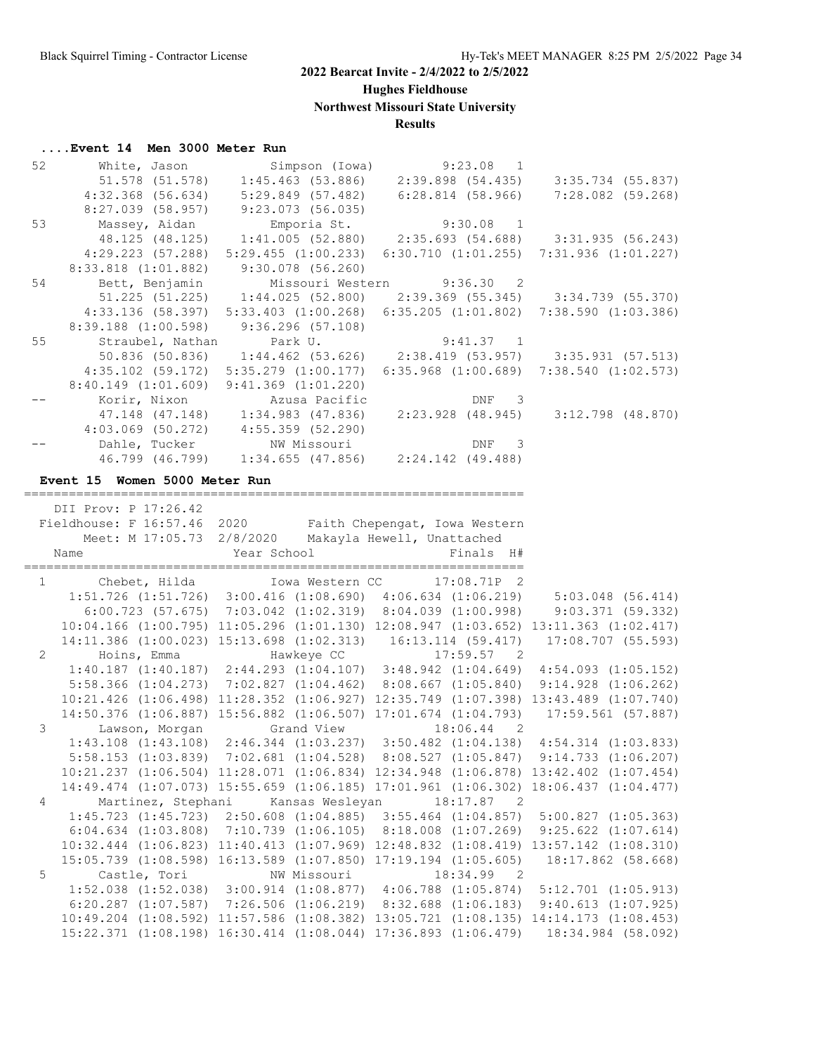**Hughes Fieldhouse**

**Northwest Missouri State University**

## **Results**

# **....Event 14 Men 3000 Meter Run**<br>52 White Jason Sin

| 52             | White, Jason                                              | Simpson (Iowa)                                                                                  | $9:23.08$ 1                                                             |                                                                                                                                                                          |
|----------------|-----------------------------------------------------------|-------------------------------------------------------------------------------------------------|-------------------------------------------------------------------------|--------------------------------------------------------------------------------------------------------------------------------------------------------------------------|
|                | 51.578 (51.578)                                           |                                                                                                 | $1:45.463$ (53.886) $2:39.898$ (54.435)                                 | 3:35.734 (55.837)                                                                                                                                                        |
|                | $4:32.368$ (56.634)                                       | 5:29.849 (57.482)                                                                               | $6:28.814$ (58.966)                                                     | 7:28.082 (59.268)                                                                                                                                                        |
|                | 8:27.039 (58.957)                                         | 9:23.073(56.035)                                                                                |                                                                         |                                                                                                                                                                          |
| 53             | Massey, Aidan                                             |                                                                                                 |                                                                         | Emporia St.<br>Emporia St. 9:30.08 1<br>1:41.005 (52.880) 2:35.693 (54.688) 3:31.935 (56.243)                                                                            |
|                | 48.125 (48.125)                                           |                                                                                                 |                                                                         |                                                                                                                                                                          |
|                | $4:29.223$ (57.288)                                       | 5:29.455(1:00.233)                                                                              |                                                                         | $6:30.710$ $(1:01.255)$ $7:31.936$ $(1:01.227)$                                                                                                                          |
|                | 8:33.818 (1:01.882)                                       | $9:30.078$ (56.260)                                                                             |                                                                         |                                                                                                                                                                          |
| 54             | Bett, Benjamin                                            |                                                                                                 | Missouri Western 9:36.30<br>$\overline{2}$                              |                                                                                                                                                                          |
|                | $51.225$ $(51.225)$                                       |                                                                                                 |                                                                         | $1:44.025$ (52.800) $2:39.369$ (55.345) $3:34.739$ (55.370)                                                                                                              |
|                | $4:33.136$ (58.397)                                       |                                                                                                 |                                                                         | 5:33.403 (1:00.268) 6:35.205 (1:01.802) 7:38.590 (1:03.386)                                                                                                              |
|                | $8:39.188$ $(1:00.598)$                                   | 9:36.296(57.108)                                                                                |                                                                         |                                                                                                                                                                          |
| 55             | Straubel, Nathan                                          | Park U.                                                                                         | 9:41.37 1                                                               |                                                                                                                                                                          |
|                | 50.836 (50.836)                                           |                                                                                                 |                                                                         | $1:44.462$ (53.626) $2:38.419$ (53.957) $3:35.931$ (57.513)                                                                                                              |
|                |                                                           | $4:35.102$ (59.172) $5:35.279$ (1:00.177)                                                       |                                                                         | $6:35.968$ $(1:00.689)$ $7:38.540$ $(1:02.573)$                                                                                                                          |
|                |                                                           | 8:40.149 (1:01.609) 9:41.369 (1:01.220)                                                         |                                                                         |                                                                                                                                                                          |
|                |                                                           | Korir, Nixon                           Azusa Pacific<br>47.148 (47.148)       1:34.983 (47.836) | DNF 3                                                                   |                                                                                                                                                                          |
|                |                                                           |                                                                                                 | 2:23.928 (48.945)                                                       | $3:12.798$ (48.870)                                                                                                                                                      |
|                |                                                           | $4:03.069$ (50.272) $4:55.359$ (52.290)                                                         |                                                                         |                                                                                                                                                                          |
|                |                                                           | Dahle, Tucker NW Missouri                                                                       | DNF<br>3                                                                |                                                                                                                                                                          |
|                |                                                           |                                                                                                 | 46.799 (46.799) 1:34.655 (47.856) 2:24.142 (49.488)                     |                                                                                                                                                                          |
|                |                                                           |                                                                                                 |                                                                         |                                                                                                                                                                          |
|                | Event 15 Women 5000 Meter Run                             |                                                                                                 |                                                                         |                                                                                                                                                                          |
|                | _______________________                                   |                                                                                                 |                                                                         |                                                                                                                                                                          |
|                | DII Prov: P 17:26.42                                      |                                                                                                 |                                                                         |                                                                                                                                                                          |
|                | Fieldhouse: F 16:57.46 2020 Faith Chepengat, Iowa Western |                                                                                                 |                                                                         |                                                                                                                                                                          |
|                |                                                           | Meet: M 17:05.73 2/8/2020 Makayla Hewell, Unattached                                            |                                                                         |                                                                                                                                                                          |
|                |                                                           |                                                                                                 |                                                                         |                                                                                                                                                                          |
|                | Name                                                      | Year School                                                                                     | Finals H#                                                               |                                                                                                                                                                          |
|                |                                                           |                                                                                                 |                                                                         |                                                                                                                                                                          |
|                | 1 Chebet, Hilda                                           |                                                                                                 | Iowa Western CC 17:08.71P 2                                             |                                                                                                                                                                          |
|                |                                                           |                                                                                                 |                                                                         | 1:51.726 (1:51.726) 3:00.416 (1:08.690) 4:06.634 (1:06.219) 5:03.048 (56.414)                                                                                            |
|                |                                                           |                                                                                                 | $6:00.723$ (57.675) 7:03.042 (1:02.319) 8:04.039 (1:00.998)             | 9:03.371(59.332)                                                                                                                                                         |
|                |                                                           |                                                                                                 |                                                                         | 10:04.166 (1:00.795) 11:05.296 (1:01.130) 12:08.947 (1:03.652) 13:11.363 (1:02.417)                                                                                      |
|                |                                                           |                                                                                                 |                                                                         |                                                                                                                                                                          |
| $\overline{2}$ |                                                           |                                                                                                 |                                                                         | 14:11.386 (1:00.023) 15:13.698 (1:02.313) 16:13.114 (59.417) 17:08.707 (55.593)<br>Hoins, Emma Hawkeye CC 17:59.57 2                                                     |
|                |                                                           |                                                                                                 |                                                                         | $1:40.187$ (1:40.187) 2:44.293 (1:04.107) 3:48.942 (1:04.649) 4:54.093 (1:05.152)                                                                                        |
|                |                                                           |                                                                                                 |                                                                         | 5:58.366 (1:04.273) 7:02.827 (1:04.462) 8:08.667 (1:05.840) 9:14.928 (1:06.262)                                                                                          |
|                |                                                           |                                                                                                 |                                                                         | 10:21.426 (1:06.498) 11:28.352 (1:06.927) 12:35.749 (1:07.398) 13:43.489 (1:07.740)                                                                                      |
|                |                                                           |                                                                                                 |                                                                         | 14:50.376 (1:06.887) 15:56.882 (1:06.507) 17:01.674 (1:04.793) 17:59.561 (57.887)                                                                                        |
| 3              | Lawson, Morgan Grand View                                 |                                                                                                 | $18:06.44$ 2                                                            |                                                                                                                                                                          |
|                |                                                           |                                                                                                 |                                                                         | $1:43.108$ (1:43.108) 2:46.344 (1:03.237) 3:50.482 (1:04.138) 4:54.314 (1:03.833)                                                                                        |
|                |                                                           |                                                                                                 |                                                                         | 5:58.153 (1:03.839) 7:02.681 (1:04.528) 8:08.527 (1:05.847) 9:14.733 (1:06.207)                                                                                          |
|                |                                                           |                                                                                                 |                                                                         | 10:21.237 (1:06.504) 11:28.071 (1:06.834) 12:34.948 (1:06.878) 13:42.402 (1:07.454)                                                                                      |
|                |                                                           |                                                                                                 |                                                                         |                                                                                                                                                                          |
| 4              | Martinez, Stephani                                        |                                                                                                 |                                                                         | 14:49.474 (1:07.073) 15:55.659 (1:06.185) 17:01.961 (1:06.302) 18:06.437 (1:04.477)                                                                                      |
|                |                                                           | Kansas Wesleyan                                                                                 | 18:17.87 2                                                              |                                                                                                                                                                          |
|                |                                                           |                                                                                                 |                                                                         | 1:45.723 (1:45.723) 2:50.608 (1:04.885) 3:55.464 (1:04.857) 5:00.827 (1:05.363)                                                                                          |
|                |                                                           |                                                                                                 |                                                                         | 6:04.634 (1:03.808) 7:10.739 (1:06.105) 8:18.008 (1:07.269) 9:25.622 (1:07.614)                                                                                          |
|                |                                                           |                                                                                                 |                                                                         | 10:32.444 (1:06.823) 11:40.413 (1:07.969) 12:48.832 (1:08.419) 13:57.142 (1:08.310)                                                                                      |
|                |                                                           |                                                                                                 | 15:05.739 (1:08.598) 16:13.589 (1:07.850) 17:19.194 (1:05.605)          | 18:17.862 (58.668)                                                                                                                                                       |
| 5              | Castle, Tori                                              | NW Missouri                                                                                     | 18:34.99<br>$\overline{\phantom{0}}^2$                                  |                                                                                                                                                                          |
|                |                                                           |                                                                                                 | $1:52.038$ $(1:52.038)$ $3:00.914$ $(1:08.877)$ $4:06.788$ $(1:05.874)$ | $5:12.701$ $(1:05.913)$                                                                                                                                                  |
|                |                                                           |                                                                                                 |                                                                         | 6:20.287 (1:07.587) 7:26.506 (1:06.219) 8:32.688 (1:06.183) 9:40.613 (1:07.925)                                                                                          |
|                |                                                           |                                                                                                 |                                                                         | 10:49.204 (1:08.592) 11:57.586 (1:08.382) 13:05.721 (1:08.135) 14:14.173 (1:08.453)<br>15:22.371 (1:08.198) 16:30.414 (1:08.044) 17:36.893 (1:06.479) 18:34.984 (58.092) |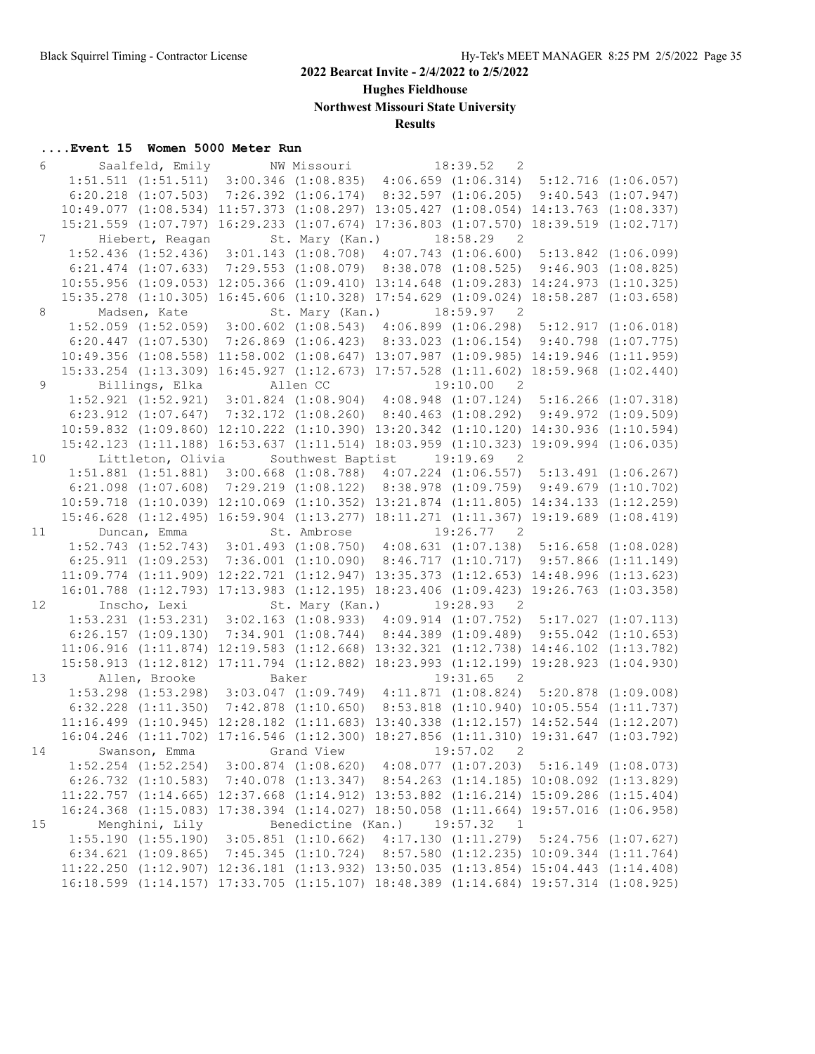**Hughes Fieldhouse**

**Northwest Missouri State University**

## **Results**

| 6               |                                                                                                 | Saalfeld, Emily NW Missouri |                    |                                                                                                                                                                            | 18:39.52<br>$\overline{2}$             |                      |
|-----------------|-------------------------------------------------------------------------------------------------|-----------------------------|--------------------|----------------------------------------------------------------------------------------------------------------------------------------------------------------------------|----------------------------------------|----------------------|
|                 |                                                                                                 |                             |                    | $1:51.511$ $(1:51.511)$ $3:00.346$ $(1:08.835)$ $4:06.659$ $(1:06.314)$ $5:12.716$ $(1:06.057)$                                                                            |                                        |                      |
|                 | $6:20.218$ $(1:07.503)$                                                                         |                             |                    | $7:26.392$ $(1:06.174)$ $8:32.597$ $(1:06.205)$ $9:40.543$ $(1:07.947)$                                                                                                    |                                        |                      |
|                 |                                                                                                 |                             |                    | 10:49.077 (1:08.534) 11:57.373 (1:08.297) 13:05.427 (1:08.054) 14:13.763 (1:08.337)                                                                                        |                                        |                      |
|                 |                                                                                                 |                             |                    | 15:21.559 (1:07.797) 16:29.233 (1:07.674) 17:36.803 (1:07.570) 18:39.519 (1:02.717)                                                                                        |                                        |                      |
| $7\overline{ }$ | Hiebert, Reagan                                                                                 |                             |                    | St. Mary (Kan.) 18:58.29 2                                                                                                                                                 |                                        |                      |
|                 |                                                                                                 |                             |                    | 1:52.436 (1:52.436) 3:01.143 (1:08.708) 4:07.743 (1:06.600) 5:13.842 (1:06.099)                                                                                            |                                        |                      |
|                 | $6:21.474$ $(1:07.633)$                                                                         |                             |                    | 7:29.553 (1:08.079) 8:38.078 (1:08.525) 9:46.903 (1:08.825)                                                                                                                |                                        |                      |
|                 |                                                                                                 |                             |                    | 10:55.956 (1:09.053) 12:05.366 (1:09.410) 13:14.648 (1:09.283) 14:24.973 (1:10.325)                                                                                        |                                        |                      |
|                 |                                                                                                 |                             |                    | 15:35.278 (1:10.305) 16:45.606 (1:10.328) 17:54.629 (1:09.024) 18:58.287 (1:03.658)                                                                                        |                                        |                      |
| 8               | Madsen, Kate                                                                                    |                             |                    | St. Mary (Kan.) 18:59.97 2                                                                                                                                                 |                                        |                      |
|                 |                                                                                                 |                             |                    | 1:52.059 (1:52.059) 3:00.602 (1:08.543) 4:06.899 (1:06.298) 5:12.917 (1:06.018)                                                                                            |                                        |                      |
|                 |                                                                                                 |                             |                    | 6:20.447 (1:07.530) 7:26.869 (1:06.423) 8:33.023 (1:06.154) 9:40.798 (1:07.775)                                                                                            |                                        |                      |
|                 |                                                                                                 |                             |                    | 10:49.356 (1:08.558) 11:58.002 (1:08.647) 13:07.987 (1:09.985) 14:19.946 (1:11.959)                                                                                        |                                        |                      |
|                 |                                                                                                 |                             |                    | 15:33.254 (1:13.309) 16:45.927 (1:12.673) 17:57.528 (1:11.602) 18:59.968 (1:02.440)                                                                                        |                                        |                      |
| 9               | Billings, Elka                                                                                  |                             | Allen CC           |                                                                                                                                                                            | 19:10.00<br>$\overline{2}$             |                      |
|                 |                                                                                                 |                             |                    | 1:52.921 (1:52.921) 3:01.824 (1:08.904) 4:08.948 (1:07.124) 5:16.266 (1:07.318)                                                                                            |                                        |                      |
|                 |                                                                                                 |                             |                    | 6:23.912 (1:07.647) 7:32.172 (1:08.260) 8:40.463 (1:08.292) 9:49.972 (1:09.509)                                                                                            |                                        |                      |
|                 |                                                                                                 |                             |                    | 10:59.832 (1:09.860) 12:10.222 (1:10.390) 13:20.342 (1:10.120) 14:30.936 (1:10.594)                                                                                        |                                        |                      |
|                 |                                                                                                 |                             |                    | 15:42.123 (1:11.188) 16:53.637 (1:11.514) 18:03.959 (1:10.323)                                                                                                             |                                        | 19:09.994 (1:06.035) |
| 10              | Littleton, Olivia                                                                               |                             | Southwest Baptist  |                                                                                                                                                                            | 19:19.69<br>$\overline{\phantom{0}}^2$ |                      |
|                 |                                                                                                 |                             |                    | 1:51.881 (1:51.881) 3:00.668 (1:08.788) 4:07.224 (1:06.557) 5:13.491 (1:06.267)                                                                                            |                                        |                      |
|                 | $6:21.098$ $(1:07.608)$                                                                         |                             |                    | 7:29.219 (1:08.122) 8:38.978 (1:09.759) 9:49.679 (1:10.702)                                                                                                                |                                        |                      |
|                 |                                                                                                 |                             |                    | 10:59.718 (1:10.039) 12:10.069 (1:10.352) 13:21.874 (1:11.805) 14:34.133 (1:12.259)                                                                                        |                                        |                      |
|                 |                                                                                                 |                             |                    | 15:46.628 (1:12.495) 16:59.904 (1:13.277) 18:11.271 (1:11.367) 19:19.689 (1:08.419)                                                                                        |                                        |                      |
| 11              | Duncan, Emma                                                                                    |                             | St. Ambrose        |                                                                                                                                                                            | $19:26.77$ 2                           |                      |
|                 |                                                                                                 |                             |                    | 1:52.743 (1:52.743) 3:01.493 (1:08.750) 4:08.631 (1:07.138) 5:16.658 (1:08.028)                                                                                            |                                        |                      |
|                 |                                                                                                 |                             |                    | 6:25.911 (1:09.253) 7:36.001 (1:10.090) 8:46.717 (1:10.717) 9:57.866 (1:11.149)                                                                                            |                                        |                      |
|                 |                                                                                                 |                             |                    | 11:09.774 (1:11.909) 12:22.721 (1:12.947) 13:35.373 (1:12.653) 14:48.996 (1:13.623)                                                                                        |                                        |                      |
|                 |                                                                                                 |                             |                    | 16:01.788 (1:12.793) 17:13.983 (1:12.195) 18:23.406 (1:09.423) 19:26.763 (1:03.358)                                                                                        |                                        |                      |
| 12              | Inscho, Lexi                                                                                    |                             | St. Mary (Kan.)    |                                                                                                                                                                            | 19:28.93<br>$\overline{2}$             |                      |
|                 | $1:53.231$ $(1:53.231)$ $3:02.163$ $(1:08.933)$ $4:09.914$ $(1:07.752)$ $5:17.027$ $(1:07.113)$ |                             |                    |                                                                                                                                                                            |                                        |                      |
|                 |                                                                                                 |                             |                    |                                                                                                                                                                            |                                        |                      |
|                 | $6:26.157$ $(1:09.130)$                                                                         |                             |                    | 7:34.901 (1:08.744) 8:44.389 (1:09.489) 9:55.042 (1:10.653)                                                                                                                |                                        |                      |
|                 |                                                                                                 |                             |                    | 11:06.916 (1:11.874) 12:19.583 (1:12.668) 13:32.321 (1:12.738) 14:46.102 (1:13.782)                                                                                        |                                        |                      |
|                 |                                                                                                 |                             |                    | 15:58.913 (1:12.812) 17:11.794 (1:12.882) 18:23.993 (1:12.199) 19:28.923 (1:04.930)                                                                                        |                                        |                      |
| 13              | Allen, Brooke                                                                                   | Baker                       |                    |                                                                                                                                                                            | 19:31.65<br>$\overline{2}$             |                      |
|                 |                                                                                                 |                             |                    | 1:53.298 (1:53.298) 3:03.047 (1:09.749) 4:11.871 (1:08.824) 5:20.878 (1:09.008)                                                                                            |                                        |                      |
|                 | $6:32.228$ $(1:11.350)$                                                                         |                             |                    | 7:42.878 (1:10.650) 8:53.818 (1:10.940) 10:05.554 (1:11.737)                                                                                                               |                                        |                      |
|                 |                                                                                                 |                             |                    | 11:16.499 (1:10.945) 12:28.182 (1:11.683) 13:40.338 (1:12.157) 14:52.544 (1:12.207)                                                                                        |                                        |                      |
|                 |                                                                                                 |                             |                    | 16:04.246 (1:11.702) 17:16.546 (1:12.300) 18:27.856 (1:11.310) 19:31.647 (1:03.792)                                                                                        |                                        |                      |
| 14              | Swanson, Emma                                                                                   | Grand View                  |                    |                                                                                                                                                                            | 19:57.02<br>$\overline{\phantom{0}}^2$ |                      |
|                 |                                                                                                 |                             |                    | $1:52.254$ $(1:52.254)$ $3:00.874$ $(1:08.620)$ $4:08.077$ $(1:07.203)$ $5:16.149$ $(1:08.073)$                                                                            |                                        |                      |
|                 |                                                                                                 |                             |                    | $6:26.732$ (1:10.583) 7:40.078 (1:13.347) 8:54.263 (1:14.185) 10:08.092 (1:13.829)                                                                                         |                                        |                      |
|                 |                                                                                                 |                             |                    | 11:22.757 (1:14.665) 12:37.668 (1:14.912) 13:53.882 (1:16.214) 15:09.286 (1:15.404)                                                                                        |                                        |                      |
|                 |                                                                                                 |                             |                    | 16:24.368 (1:15.083) 17:38.394 (1:14.027) 18:50.058 (1:11.664) 19:57.016 (1:06.958)                                                                                        |                                        |                      |
| 15              | Menghini, Lily                                                                                  |                             | Benedictine (Kan.) |                                                                                                                                                                            | 19:57.32<br>$\overline{1}$             |                      |
|                 |                                                                                                 |                             |                    | 1:55.190 (1:55.190) 3:05.851 (1:10.662) 4:17.130 (1:11.279) 5:24.756 (1:07.627)                                                                                            |                                        |                      |
|                 | $6:34.621$ $(1:09.865)$                                                                         |                             |                    | 7:45.345 (1:10.724) 8:57.580 (1:12.235) 10:09.344 (1:11.764)                                                                                                               |                                        |                      |
|                 |                                                                                                 |                             |                    | 11:22.250 (1:12.907) 12:36.181 (1:13.932) 13:50.035 (1:13.854) 15:04.443 (1:14.408)<br>16:18.599 (1:14.157) 17:33.705 (1:15.107) 18:48.389 (1:14.684) 19:57.314 (1:08.925) |                                        |                      |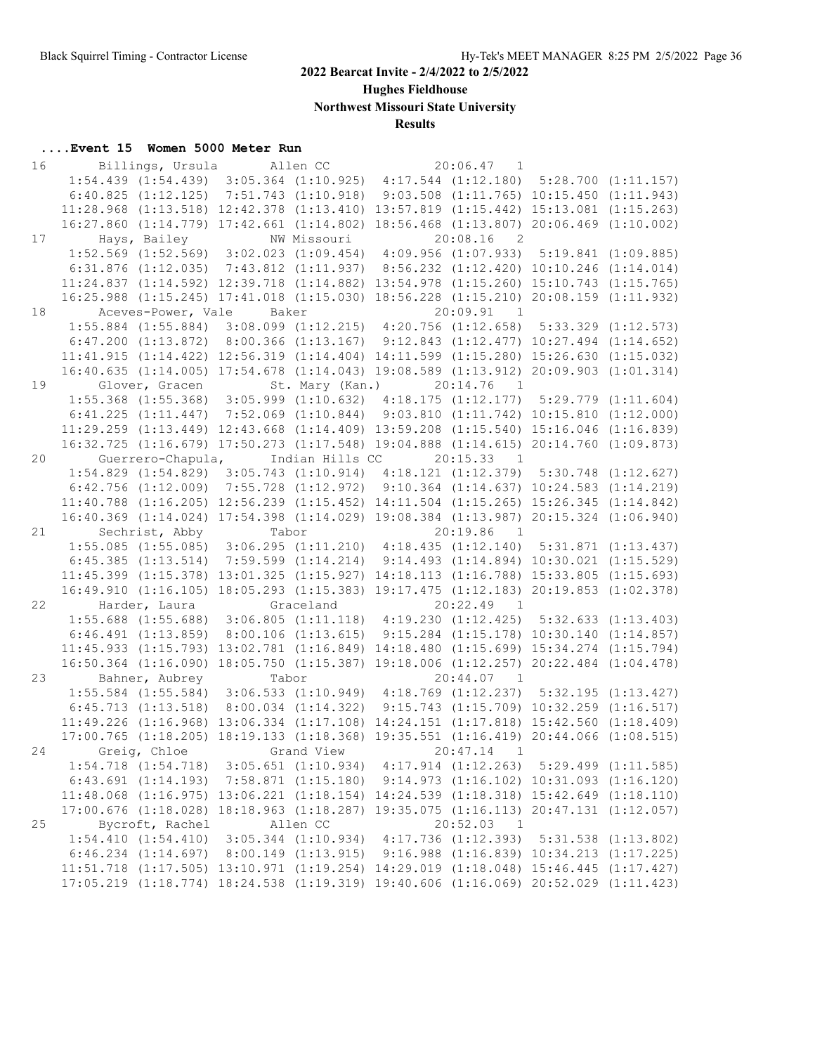**Hughes Fieldhouse**

**Northwest Missouri State University**

## **Results**

| 16 |              |                                                                                                  | Billings, Ursula Allen CC |                                                                                     | $20:06.47$ 1               |                                                  |  |
|----|--------------|--------------------------------------------------------------------------------------------------|---------------------------|-------------------------------------------------------------------------------------|----------------------------|--------------------------------------------------|--|
|    |              | 1:54.439 (1:54.439) 3:05.364 (1:10.925) 4:17.544 (1:12.180) 5:28.700 (1:11.157)                  |                           |                                                                                     |                            |                                                  |  |
|    |              | 6:40.825 (1:12.125) 7:51.743 (1:10.918) 9:03.508 (1:11.765) 10:15.450 (1:11.943)                 |                           |                                                                                     |                            |                                                  |  |
|    |              | 11:28.968 (1:13.518) 12:42.378 (1:13.410) 13:57.819 (1:15.442) 15:13.081 (1:15.263)              |                           |                                                                                     |                            |                                                  |  |
|    |              | 16:27.860 (1:14.779) 17:42.661 (1:14.802) 18:56.468 (1:13.807) 20:06.469 (1:10.002)              |                           |                                                                                     |                            |                                                  |  |
| 17 |              | Hays, Bailey                                                                                     |                           | NW Missouri                                                                         | $20:08.16$ 2               |                                                  |  |
|    |              | 1:52.569 (1:52.569) 3:02.023 (1:09.454) 4:09.956 (1:07.933) 5:19.841 (1:09.885)                  |                           |                                                                                     |                            |                                                  |  |
|    |              | $6:31.876$ $(1:12.035)$                                                                          |                           | 7:43.812 (1:11.937)                                                                 |                            | 8:56.232 (1:12.420) 10:10.246 (1:14.014)         |  |
|    |              | 11:24.837 (1:14.592) 12:39.718 (1:14.882) 13:54.978 (1:15.260) 15:10.743 (1:15.765)              |                           |                                                                                     |                            |                                                  |  |
|    |              | 16:25.988 (1:15.245) 17:41.018 (1:15.030) 18:56.228 (1:15.210) 20:08.159 (1:11.932)              |                           |                                                                                     |                            |                                                  |  |
| 18 |              | Aceves-Power, Vale                                                                               | Baker                     |                                                                                     | 20:09.91 1                 |                                                  |  |
|    |              | 1:55.884 (1:55.884) 3:08.099 (1:12.215) 4:20.756 (1:12.658) 5:33.329 (1:12.573)                  |                           |                                                                                     |                            |                                                  |  |
|    |              | 6:47.200 $(1:13.872)$ 8:00.366 $(1:13.167)$ 9:12.843 $(1:12.477)$ 10:27.494 $(1:14.652)$         |                           |                                                                                     |                            |                                                  |  |
|    |              | 11:41.915 (1:14.422) 12:56.319 (1:14.404) 14:11.599 (1:15.280) 15:26.630 (1:15.032)              |                           |                                                                                     |                            |                                                  |  |
|    |              | 16:40.635 (1:14.005) 17:54.678 (1:14.043) 19:08.589 (1:13.912) 20:09.903 (1:01.314)              |                           |                                                                                     |                            |                                                  |  |
| 19 |              | Glover, Gracen                                                                                   |                           | St. Mary (Kan.)                                                                     | 20:14.76<br>$\overline{1}$ |                                                  |  |
|    |              | 1:55.368 (1:55.368) 3:05.999 (1:10.632) 4:18.175 (1:12.177) 5:29.779 (1:11.604)                  |                           |                                                                                     |                            |                                                  |  |
|    |              | $6:41.225$ $(1:11.447)$ $7:52.069$ $(1:10.844)$ $9:03.810$ $(1:11.742)$ $10:15.810$ $(1:12.000)$ |                           |                                                                                     |                            |                                                  |  |
|    |              | 11:29.259 (1:13.449) 12:43.668 (1:14.409) 13:59.208 (1:15.540) 15:16.046 (1:16.839)              |                           |                                                                                     |                            |                                                  |  |
|    |              | 16:32.725 (1:16.679) 17:50.273 (1:17.548) 19:04.888 (1:14.615) 20:14.760 (1:09.873)              |                           |                                                                                     |                            |                                                  |  |
| 20 |              | Guerrero-Chapula,                                                                                |                           | Indian Hills CC                                                                     | 20:15.33<br>$\overline{1}$ |                                                  |  |
|    |              | 1:54.829 (1:54.829) 3:05.743 (1:10.914) 4:18.121 (1:12.379) 5:30.748 (1:12.627)                  |                           |                                                                                     |                            |                                                  |  |
|    |              | $6:42.756$ $(1:12.009)$                                                                          |                           | 7:55.728 (1:12.972) 9:10.364 (1:14.637) 10:24.583 (1:14.219)                        |                            |                                                  |  |
|    |              | 11:40.788 (1:16.205) 12:56.239 (1:15.452) 14:11.504 (1:15.265) 15:26.345 (1:14.842)              |                           |                                                                                     |                            |                                                  |  |
|    |              | 16:40.369 (1:14.024) 17:54.398 (1:14.029) 19:08.384 (1:13.987) 20:15.324 (1:06.940)              |                           |                                                                                     |                            |                                                  |  |
| 21 |              | Sechrist, Abby                                                                                   | Tabor                     |                                                                                     | 20:19.86<br>$\overline{1}$ |                                                  |  |
|    |              | $1:55.085$ $(1:55.085)$ $3:06.295$ $(1:11.210)$ $4:18.435$ $(1:12.140)$ $5:31.871$ $(1:13.437)$  |                           |                                                                                     |                            |                                                  |  |
|    |              | 6:45.385(1:13.514)                                                                               |                           | 7:59.599 (1:14.214) 9:14.493 (1:14.894) 10:30.021 (1:15.529)                        |                            |                                                  |  |
|    |              |                                                                                                  |                           | 11:45.399 (1:15.378) 13:01.325 (1:15.927) 14:18.113 (1:16.788) 15:33.805 (1:15.693) |                            |                                                  |  |
|    |              |                                                                                                  |                           |                                                                                     |                            |                                                  |  |
|    |              | 16:49.910 (1:16.105) 18:05.293 (1:15.383) 19:17.475 (1:12.183) 20:19.853 (1:02.378)              |                           |                                                                                     |                            |                                                  |  |
| 22 |              | Harder, Laura                                                                                    |                           | Graceland                                                                           | 20:22.49<br>$\overline{1}$ |                                                  |  |
|    |              | 1:55.688 (1:55.688) 3:06.805 (1:11.118) 4:19.230 (1:12.425) 5:32.633 (1:13.403)                  |                           |                                                                                     |                            |                                                  |  |
|    |              | $6:46.491$ $(1:13.859)$                                                                          |                           | $8:00.106$ (1:13.615) $9:15.284$ (1:15.178) 10:30.140 (1:14.857)                    |                            |                                                  |  |
|    |              | 11:45.933 (1:15.793) 13:02.781 (1:16.849) 14:18.480 (1:15.699) 15:34.274 (1:15.794)              |                           |                                                                                     |                            |                                                  |  |
|    |              | 16:50.364 (1:16.090) 18:05.750 (1:15.387) 19:18.006 (1:12.257) 20:22.484 (1:04.478)              |                           |                                                                                     |                            |                                                  |  |
| 23 |              | Bahner, Aubrey                                                                                   | Tabor                     |                                                                                     | $20:44.07$ 1               |                                                  |  |
|    |              | 1:55.584 (1:55.584) 3:06.533 (1:10.949) 4:18.769 (1:12.237) 5:32.195 (1:13.427)                  |                           |                                                                                     |                            |                                                  |  |
|    |              | 6:45.713(1:13.518)                                                                               |                           | 8:00.034 (1:14.322) 9:15.743 (1:15.709) 10:32.259 (1:16.517)                        |                            |                                                  |  |
|    |              | 11:49.226 (1:16.968) 13:06.334 (1:17.108) 14:24.151 (1:17.818) 15:42.560 (1:18.409)              |                           |                                                                                     |                            |                                                  |  |
|    |              | 17:00.765 (1:18.205) 18:19.133 (1:18.368) 19:35.551 (1:16.419) 20:44.066 (1:08.515)              |                           |                                                                                     |                            |                                                  |  |
| 24 | Greig, Chloe |                                                                                                  |                           | Grand View                                                                          | 20:47.14<br>$\overline{1}$ |                                                  |  |
|    |              | $1:54.718$ $(1:54.718)$ $3:05.651$ $(1:10.934)$ $4:17.914$ $(1:12.263)$ $5:29.499$ $(1:11.585)$  |                           |                                                                                     |                            |                                                  |  |
|    |              | $6:43.691$ $(1:14.193)$ $7:58.871$ $(1:15.180)$                                                  |                           |                                                                                     |                            | $9:14.973$ $(1:16.102)$ $10:31.093$ $(1:16.120)$ |  |
|    |              | 11:48.068 (1:16.975) 13:06.221 (1:18.154) 14:24.539 (1:18.318) 15:42.649 (1:18.110)              |                           |                                                                                     |                            |                                                  |  |
|    |              | 17:00.676 (1:18.028) 18:18.963 (1:18.287) 19:35.075 (1:16.113) 20:47.131 (1:12.057)              |                           |                                                                                     |                            |                                                  |  |
| 25 |              | Bycroft, Rachel                                                                                  |                           | Allen CC                                                                            | 20:52.03<br>$\overline{1}$ |                                                  |  |
|    |              | 1:54.410(1:54.410)                                                                               |                           | 3:05.344 (1:10.934) 4:17.736 (1:12.393) 5:31.538 (1:13.802)                         |                            |                                                  |  |
|    |              | $6:46.234$ $(1:14.697)$                                                                          |                           | $8:00.149$ (1:13.915) 9:16.988 (1:16.839) 10:34.213 (1:17.225)                      |                            |                                                  |  |
|    |              | 11:51.718 (1:17.505) 13:10.971 (1:19.254) 14:29.019 (1:18.048) 15:46.445 (1:17.427)              |                           |                                                                                     |                            |                                                  |  |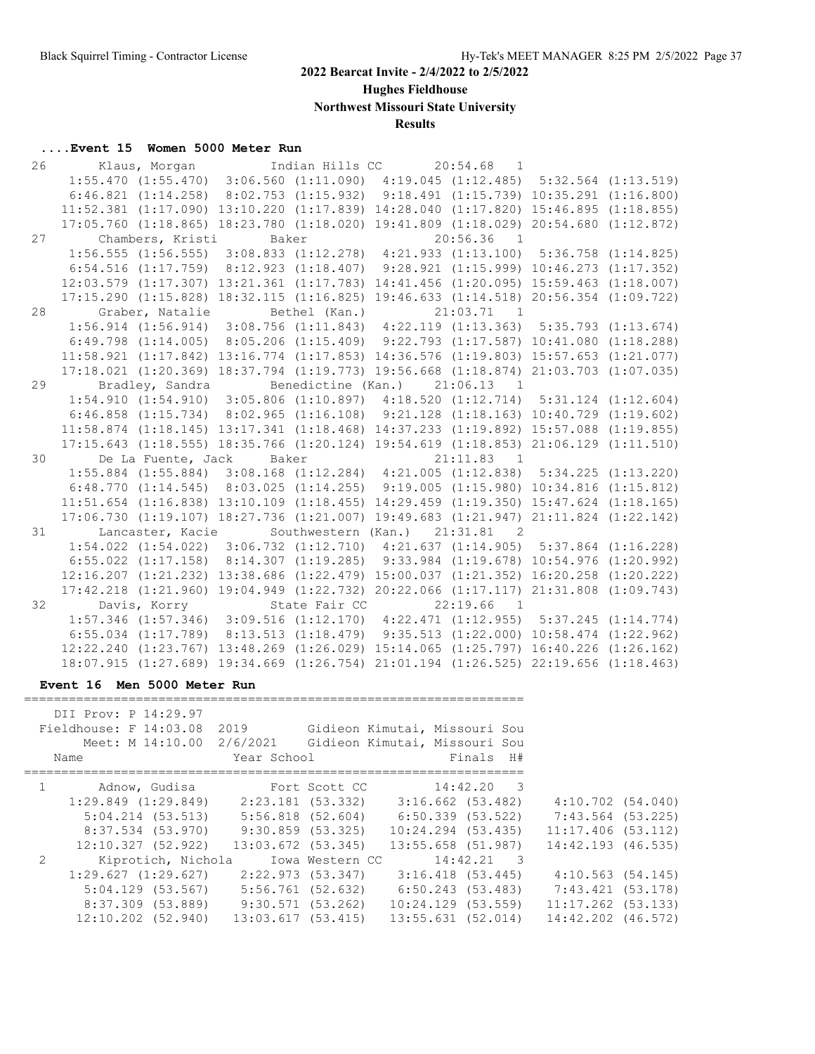**Hughes Fieldhouse**

**Northwest Missouri State University**

# **Results**

# **....Event 15 Women 5000 Meter Run**

| 26 | Klaus, Morgan                                                                                    |       | Indian Hills CC 20:54.68 1     |              |  |
|----|--------------------------------------------------------------------------------------------------|-------|--------------------------------|--------------|--|
|    | 1:55.470 (1:55.470) 3:06.560 (1:11.090) 4:19.045 (1:12.485) 5:32.564 (1:13.519)                  |       |                                |              |  |
|    | $6:46.821$ (1:14.258) $8:02.753$ (1:15.932) $9:18.491$ (1:15.739) 10:35.291 (1:16.800)           |       |                                |              |  |
|    | 11:52.381 (1:17.090) 13:10.220 (1:17.839) 14:28.040 (1:17.820) 15:46.895 (1:18.855)              |       |                                |              |  |
|    | 17:05.760 (1:18.865) 18:23.780 (1:18.020) 19:41.809 (1:18.029) 20:54.680 (1:12.872)              |       |                                |              |  |
| 27 | Chambers, Kristi                                                                                 | Baker |                                | $20:56.36$ 1 |  |
|    | $1:56.555$ (1:56.555) $3:08.833$ (1:12.278) $4:21.933$ (1:13.100) $5:36.758$ (1:14.825)          |       |                                |              |  |
|    | $6:54.516$ (1:17.759) $8:12.923$ (1:18.407) $9:28.921$ (1:15.999) 10:46.273 (1:17.352)           |       |                                |              |  |
|    | 12:03.579 (1:17.307) 13:21.361 (1:17.783) 14:41.456 (1:20.095) 15:59.463 (1:18.007)              |       |                                |              |  |
|    | 17:15.290 (1:15.828) 18:32.115 (1:16.825) 19:46.633 (1:14.518) 20:56.354 (1:09.722)              |       |                                |              |  |
| 28 | Graber, Natalie Bethel (Kan.)                                                                    |       |                                | 21:03.71 1   |  |
|    | $1:56.914$ (1:56.914) 3:08.756 (1:11.843) 4:22.119 (1:13.363) 5:35.793 (1:13.674)                |       |                                |              |  |
|    | $6:49.798$ $(1:14.005)$ $8:05.206$ $(1:15.409)$ $9:22.793$ $(1:17.587)$ $10:41.080$ $(1:18.288)$ |       |                                |              |  |
|    | $11:58.921$ (1:17.842) 13:16.774 (1:17.853) 14:36.576 (1:19.803) 15:57.653 (1:21.077)            |       |                                |              |  |
|    | 17:18.021 (1:20.369) 18:37.794 (1:19.773) 19:56.668 (1:18.874) 21:03.703 (1:07.035)              |       |                                |              |  |
| 29 | Bradley, Sandra                                                                                  |       | Benedictine (Kan.) 21:06.13 1  |              |  |
|    | 1:54.910 (1:54.910) 3:05.806 (1:10.897) 4:18.520 (1:12.714) 5:31.124 (1:12.604)                  |       |                                |              |  |
|    | $6:46.858$ (1:15.734) 8:02.965 (1:16.108) 9:21.128 (1:18.163) 10:40.729 (1:19.602)               |       |                                |              |  |
|    | 11:58.874 (1:18.145) 13:17.341 (1:18.468) 14:37.233 (1:19.892) 15:57.088 (1:19.855)              |       |                                |              |  |
|    | 17:15.643 (1:18.555) 18:35.766 (1:20.124) 19:54.619 (1:18.853) 21:06.129 (1:11.510)              |       |                                |              |  |
| 30 | De La Fuente, Jack Baker                                                                         |       |                                | 21:11.83 1   |  |
|    | 1:55.884 (1:55.884) 3:08.168 (1:12.284) 4:21.005 (1:12.838) 5:34.225 (1:13.220)                  |       |                                |              |  |
|    | $6:48.770$ $(1:14.545)$ $8:03.025$ $(1:14.255)$ $9:19.005$ $(1:15.980)$ $10:34.816$ $(1:15.812)$ |       |                                |              |  |
|    | 11:51.654 (1:16.838) 13:10.109 (1:18.455) 14:29.459 (1:19.350) 15:47.624 (1:18.165)              |       |                                |              |  |
|    | 17:06.730 (1:19.107) 18:27.736 (1:21.007) 19:49.683 (1:21.947) 21:11.824 (1:22.142)              |       |                                |              |  |
| 31 | Lancaster, Kacie                                                                                 |       | Southwestern (Kan.) 21:31.81 2 |              |  |
|    | 1:54.022 (1:54.022) 3:06.732 (1:12.710) 4:21.637 (1:14.905) 5:37.864 (1:16.228)                  |       |                                |              |  |
|    | 6:55.022 (1:17.158) 8:14.307 (1:19.285) 9:33.984 (1:19.678) 10:54.976 (1:20.992)                 |       |                                |              |  |
|    | 12:16.207 (1:21.232) 13:38.686 (1:22.479) 15:00.037 (1:21.352) 16:20.258 (1:20.222)              |       |                                |              |  |
|    | 17:42.218 (1:21.960) 19:04.949 (1:22.732) 20:22.066 (1:17.117) 21:31.808 (1:09.743)              |       |                                |              |  |
| 32 | Davis, Korry                                                                                     |       | State Fair CC                  | $22:19.66$ 1 |  |
|    | 1:57.346 (1:57.346) 3:09.516 (1:12.170) 4:22.471 (1:12.955) 5:37.245 (1:14.774)                  |       |                                |              |  |
|    | $6:55.034$ $(1:17.789)$ $8:13.513$ $(1:18.479)$ $9:35.513$ $(1:22.000)$ $10:58.474$ $(1:22.962)$ |       |                                |              |  |
|    | 12:22.240 (1:23.767) 13:48.269 (1:26.029) 15:14.065 (1:25.797) 16:40.226 (1:26.162)              |       |                                |              |  |
|    | 18:07.915 (1:27.689) 19:34.669 (1:26.754) 21:01.194 (1:26.525) 22:19.656 (1:18.463)              |       |                                |              |  |

#### **Event 16 Men 5000 Meter Run**

|               | DII Prov: P 14:29.97<br>Fieldhouse: F 14:03.08 2019<br>Meet: M 14:10.00 2/6/2021<br>Name | Year School            |                       | Gidieon Kimutai, Missouri Sou<br>Gidieon Kimutai, Missouri Sou<br>Finals H# |                        |  |
|---------------|------------------------------------------------------------------------------------------|------------------------|-----------------------|-----------------------------------------------------------------------------|------------------------|--|
|               | Adnow, Gudisa                                                                            |                        | Fort Scott CC         | 14:42.20 3                                                                  |                        |  |
|               | $1:29.849$ $(1:29.849)$                                                                  | 2:23.181 (53.332)      |                       | $3:16.662$ (53.482)                                                         | $4:10.702$ $(54.040)$  |  |
|               | $5:04.214$ $(53.513)$                                                                    |                        | $5:56.818$ $(52.604)$ | $6:50.339$ $(53.522)$                                                       | 7:43.564 (53.225)      |  |
|               | 8:37.534 (53.970)                                                                        |                        | $9:30.859$ (53.325)   | $10:24.294$ $(53.435)$                                                      | $11:17.406$ (53.112)   |  |
|               | 12:10.327(52.922)                                                                        | $13:03.672$ $(53.345)$ |                       | 13:55.658 (51.987)                                                          | $14:42.193$ $(46.535)$ |  |
| $\mathcal{L}$ | Kiprotich, Nichola                                                                       |                        | Iowa Western CC       | $14:42.21$ 3                                                                |                        |  |
|               | 1:29.627(1:29.627)                                                                       | $2:22.973$ (53.347)    |                       | $3:16.418$ $(53.445)$                                                       | 4:10.563(54.145)       |  |
|               | $5:04.129$ (53.567)                                                                      | $5:56.761$ (52.632)    |                       | 6:50.243 (53.483)                                                           | 7:43.421 (53.178)      |  |
|               | 8:37.309 (53.889)                                                                        |                        | 9:30.571 (53.262)     | $10:24.129$ (53.559)                                                        | $11:17.262$ (53.133)   |  |
|               | $12:10.202$ $(52.940)$                                                                   | 13:03.617(53.415)      |                       | $13:55.631$ $(52.014)$                                                      | 14:42.202 (46.572)     |  |

===================================================================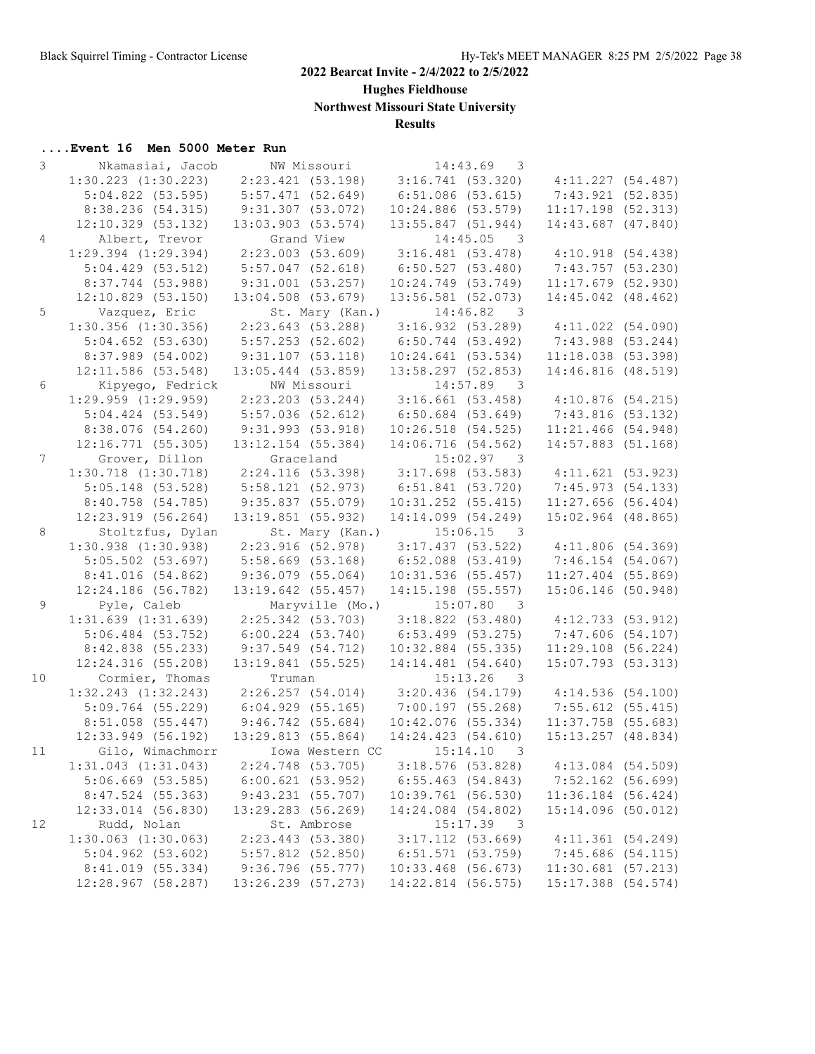**Hughes Fieldhouse**

**Northwest Missouri State University**

# **Results**

| 3               | Nkamasiai, Jacob                          | NW Missouri           | 14:43.69<br>3                           |                       |  |
|-----------------|-------------------------------------------|-----------------------|-----------------------------------------|-----------------------|--|
|                 | $1:30.223$ $(1:30.223)$                   | 2:23.421(53.198)      | 3:16.741(53.320)                        | 4:11.227(54.487)      |  |
|                 | $5:04.822$ (53.595)                       | 5:57.471(52.649)      | 6:51.086(53.615)                        | 7:43.921 (52.835)     |  |
|                 | 8:38.236 (54.315)                         | 9:31.307(53.072)      | $10:24.886$ (53.579)                    | $11:17.198$ (52.313)  |  |
|                 | $12:10.329$ (53.132)                      | $13:03.903$ (53.574)  | $13:55.847$ (51.944)                    | 14:43.687 (47.840)    |  |
| $\overline{4}$  | Albert, Trevor                            | Grand View            | $14:45.05$ 3                            |                       |  |
|                 | $1:29.394$ $(1:29.394)$                   | 2:23.003(53.609)      | 3:16.481(53.478)                        | 4:10.918(54.438)      |  |
|                 | 5:04.429(53.512)                          | $5:57.047$ (52.618)   | 6:50.527(53.480)                        | 7:43.757 (53.230)     |  |
|                 | 8:37.744 (53.988)                         | 9:31.001(53.257)      | $10:24.749$ (53.749)                    | $11:17.679$ (52.930)  |  |
|                 | $12:10.829$ (53.150)                      | $13:04.508$ (53.679)  | $13:56.581$ (52.073)                    | 14:45.042 (48.462)    |  |
| 5               | Vazquez, Eric                             | St. Mary (Kan.)       | $14:46.82$ 3                            |                       |  |
|                 | $1:30.356$ (1:30.356) $2:23.643$ (53.288) |                       | 3:16.932(53.289)                        | $4:11.022$ $(54.090)$ |  |
|                 | $5:04.652$ $(53.630)$                     | $5:57.253$ (52.602)   | $6:50.744$ (53.492)                     | 7:43.988 (53.244)     |  |
|                 | 8:37.989 (54.002)                         | 9:31.107(53.118)      | 10:24.641(53.534)                       | 11:18.038(53.398)     |  |
|                 | 12:11.586 (53.548)                        | 13:05.444 (53.859)    | 13:58.297 (52.853)                      | 14:46.816 (48.519)    |  |
| 6               | Kipyego, Fedrick                          | NW Missouri           | 14:57.89 3                              |                       |  |
|                 | $1:29.959$ $(1:29.959)$                   |                       | $2:23.203$ (53.244) 3:16.661 (53.458)   | 4:10.876(54.215)      |  |
|                 | $5:04.424$ $(53.549)$                     | 5:57.036(52.612)      | $6:50.684$ (53.649)                     | 7:43.816(53.132)      |  |
|                 | 8:38.076(54.260)                          | 9:31.993(53.918)      | $10:26.518$ (54.525)                    | $11:21.466$ (54.948)  |  |
|                 | 12:16.771 (55.305)                        | 13:12.154 (55.384)    | 14:06.716 (54.562)                      | $14:57.883$ (51.168)  |  |
| $7\overline{ }$ | Grover, Dillon                            | Graceland             | 15:02.97 3                              |                       |  |
|                 | $1:30.718$ $(1:30.718)$                   | 2:24.116 (53.398)     | 3:17.698(53.583)                        | 4:11.621(53.923)      |  |
|                 | $5:05.148$ (53.528)                       | 5:58.121(52.973)      | 6:51.841(53.720)                        | 7:45.973(54.133)      |  |
|                 | 8:40.758 (54.785)                         | 9:35.837(55.079)      | $10:31.252$ (55.415)                    | $11:27.656$ (56.404)  |  |
|                 | $12:23.919$ (56.264)                      | 13:19.851 (55.932)    | 14:14.099 (54.249)                      | $15:02.964$ (48.865)  |  |
| 8               | Stoltzfus, Dylan                          | St. Mary (Kan.)       | 15:06.15<br>$\overline{\phantom{a}}$    |                       |  |
|                 | $1:30.938$ $(1:30.938)$                   | 2:23.916 (52.978)     | 3:17.437(53.522)                        | 4:11.806(54.369)      |  |
|                 | $5:05.502$ (53.697)                       | $5:58.669$ $(53.168)$ | $6:52.088$ $(53.419)$                   | 7:46.154(54.067)      |  |
|                 | 8:41.016(54.862)                          | $9:36.079$ (55.064)   | $10:31.536$ (55.457)                    | $11:27.404$ (55.869)  |  |
|                 | 12:24.186 (56.782)                        | 13:19.642 (55.457)    | 14:15.198 (55.557)                      | 15:06.146 (50.948)    |  |
| 9               | Pyle, Caleb                               | Maryville (Mo.)       | 15:07.80 3                              |                       |  |
|                 | $1:31.639$ $(1:31.639)$                   | $2:25.342$ (53.703)   | 3:18.822(53.480)                        | 4:12.733(53.912)      |  |
|                 | $5:06.484$ (53.752)                       | $6:00.224$ $(53.740)$ | $6:53.499$ (53.275)                     | 7:47.606(54.107)      |  |
|                 | 8:42.838 (55.233)                         | 9:37.549(54.712)      | $10:32.884$ (55.335)                    | $11:29.108$ (56.224)  |  |
|                 | 12:24.316(55.208)                         | $13:19.841$ (55.525)  | 14:14.481 (54.640)                      | 15:07.793 (53.313)    |  |
| 10              | Cormier, Thomas                           | Truman                | $15:13.26$ 3                            |                       |  |
|                 | $1:32.243$ $(1:32.243)$                   | 2:26.257(54.014)      | $3:20.436$ (54.179) $4:14.536$ (54.100) |                       |  |
|                 | $5:09.764$ (55.229)                       | 6:04.929(55.165)      | 7:00.197 (55.268)                       | $7:55.612$ (55.415)   |  |
|                 | $8:51.058$ (55.447)                       | 9:46.742(55.684)      | $10:42.076$ (55.334)                    | $11:37.758$ (55.683)  |  |
|                 | $12:33.949$ (56.192)                      | 13:29.813(55.864)     | 14:24.423(54.610)                       | 15:13.257 (48.834)    |  |
| 11              | Gilo, Wimachmorr                          | Iowa Western CC       | 15:14.10<br>$\overline{\phantom{a}}$    |                       |  |
|                 | $1:31.043$ $(1:31.043)$                   | 2:24.748 (53.705)     | $3:18.576$ (53.828)                     | $4:13.084$ (54.509)   |  |
|                 | $5:06.669$ $(53.585)$                     | $6:00.621$ (53.952)   | $6:55.463$ (54.843)                     | $7:52.162$ (56.699)   |  |
|                 | 8:47.524 (55.363)                         | 9:43.231(55.707)      | 10:39.761 (56.530)                      | 11:36.184 (56.424)    |  |
|                 | $12:33.014$ (56.830)                      | 13:29.283 (56.269)    | 14:24.084 (54.802)                      | 15:14.096 (50.012)    |  |
| 12              | Rudd, Nolan                               | St. Ambrose           | 15:17.39<br>- 3                         |                       |  |
|                 | $1:30.063$ $(1:30.063)$                   | 2:23.443 (53.380)     | $3:17.112$ (53.669)                     | 4:11.361(54.249)      |  |
|                 | $5:04.962$ $(53.602)$                     | $5:57.812$ (52.850)   | 6:51.571(53.759)                        | 7:45.686(54.115)      |  |
|                 | 8:41.019 (55.334)                         | 9:36.796(55.777)      | $10:33.468$ (56.673)                    | $11:30.681$ (57.213)  |  |
|                 | 12:28.967 (58.287)                        | 13:26.239 (57.273)    | 14:22.814 (56.575)                      | 15:17.388 (54.574)    |  |
|                 |                                           |                       |                                         |                       |  |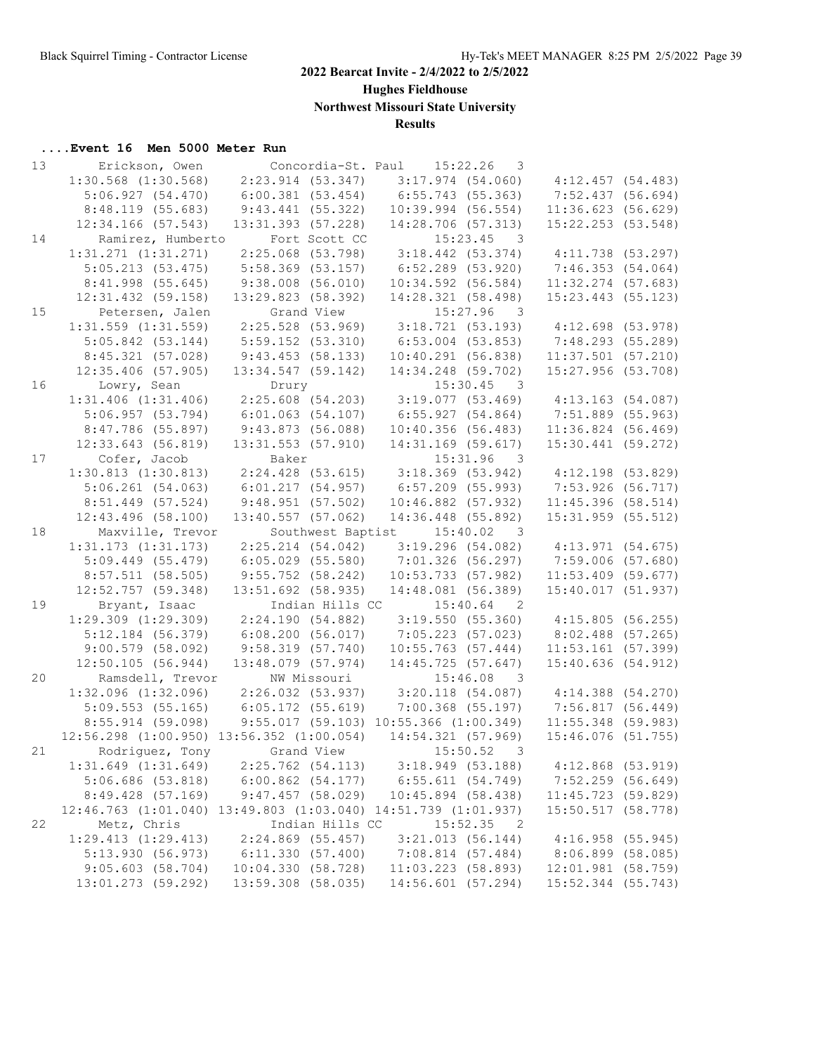**Hughes Fieldhouse**

**Northwest Missouri State University**

# **Results**

# **....Event 16 Men 5000 Meter Run**<br>13 Erickson Owen Con

| 13 | Erickson, Owen                                                 |                                        |                 | Concordia-St. Paul 15:22.26 3              |                                      |                                            |  |
|----|----------------------------------------------------------------|----------------------------------------|-----------------|--------------------------------------------|--------------------------------------|--------------------------------------------|--|
|    | $1:30.568$ $(1:30.568)$                                        | $2:23.914$ (53.347)                    |                 | $3:17.974$ (54.060)                        |                                      | 4:12.457(54.483)                           |  |
|    | 5:06.927(54.470)                                               | $6:00.381$ $(53.454)$                  |                 | 6:55.743(55.363)                           |                                      | 7:52.437(56.694)                           |  |
|    | 8:48.119 (55.683)                                              | $9:43.441$ (55.322)                    |                 | $10:39.994$ (56.554)                       |                                      | 11:36.623(56.629)                          |  |
|    | $12:34.166$ (57.543)                                           | $13:31.393$ (57.228)                   |                 | 14:28.706 (57.313)                         |                                      | 15:22.253 (53.548)                         |  |
| 14 | Ramirez, Humberto                                              |                                        | Fort Scott CC   |                                            | 15:23.45<br>$\overline{\phantom{a}}$ |                                            |  |
|    | $1:31.271$ $(1:31.271)$                                        | $2:25.068$ (53.798)                    |                 | $3:18.442$ (53.374)                        |                                      | $4:11.738$ (53.297)                        |  |
|    | 5:05.213(53.475)                                               | $5:58.369$ (53.157)                    |                 | $6:52.289$ (53.920)                        |                                      | 7:46.353(54.064)                           |  |
|    | 8:41.998 (55.645)                                              | $9:38.008$ (56.010)                    |                 | $10:34.592$ (56.584)                       |                                      | $11:32.274$ (57.683)                       |  |
|    | $12:31.432$ (59.158)                                           | 13:29.823 (58.392)                     |                 | 14:28.321 (58.498)                         |                                      | 15:23.443 (55.123)                         |  |
| 15 | Petersen, Jalen                                                | Grand View                             |                 |                                            | $15:27.96$ 3                         |                                            |  |
|    | $1:31.559$ $(1:31.559)$                                        | 2:25.528 (53.969)                      |                 | 3:18.721(53.193)                           |                                      | $4:12.698$ (53.978)                        |  |
|    | $5:05.842$ $(53.144)$                                          | $5:59.152$ (53.310)                    |                 | $6:53.004$ (53.853)                        |                                      | 7:48.293 (55.289)                          |  |
|    | 8:45.321 (57.028)                                              | 9:43.453(58.133)                       |                 | $10:40.291$ (56.838)                       |                                      | $11:37.501$ (57.210)                       |  |
|    | $12:35.406$ (57.905)                                           | 13:34.547 (59.142)                     |                 | 14:34.248 (59.702)                         |                                      | 15:27.956 (53.708)                         |  |
| 16 | Lowry, Sean                                                    | Drury                                  |                 |                                            | $15:30.45$ 3                         |                                            |  |
|    | $1:31.406$ $(1:31.406)$                                        | 2:25.608(54.203)                       |                 | 3:19.077(53.469)                           |                                      | $4:13.163$ (54.087)                        |  |
|    | 5:06.957(53.794)                                               | $6:01.063$ $(54.107)$                  |                 | 6:55.927(54.864)                           |                                      | $7:51.889$ (55.963)                        |  |
|    | 8:47.786 (55.897)                                              | 9:43.873(56.088)                       |                 | 10:40.356(56.483)                          |                                      | $11:36.824$ (56.469)                       |  |
|    | $12:33.643$ (56.819)                                           | $13:31.553$ (57.910)                   |                 | 14:31.169 (59.617)                         |                                      | 15:30.441 (59.272)                         |  |
| 17 | Cofer, Jacob                                                   | Baker                                  |                 |                                            | $15:31.96$ 3                         |                                            |  |
|    | $1:30.813$ $(1:30.813)$                                        | $2:24.428$ (53.615)                    |                 | $3:18.369$ (53.942)                        |                                      | $4:12.198$ (53.829)                        |  |
|    | $5:06.261$ (54.063)                                            | 6:01.217(54.957)                       |                 | $6:57.209$ (55.993)                        |                                      | 7:53.926 (56.717)                          |  |
|    | $8:51.449$ (57.524)                                            | $9:48.951$ (57.502)                    |                 | 10:46.882 (57.932)                         |                                      | 11:45.396 (58.514)                         |  |
|    | $12:43.496$ (58.100)                                           | 13:40.557 (57.062)                     |                 | 14:36.448 (55.892)                         |                                      | 15:31.959 (55.512)                         |  |
| 18 | Maxville, Trevor                                               |                                        |                 | Southwest Baptist 15:40.02                 |                                      |                                            |  |
|    | $1:31.173$ $(1:31.173)$                                        | $2:25.214$ $(54.042)$                  |                 | 3:19.296(54.082)                           | $\overline{\phantom{a}}$             |                                            |  |
|    | $5:09.449$ (55.479)                                            | $6:05.029$ $(55.580)$                  |                 | $7:01.326$ (56.297)                        |                                      | 4:13.971(54.675)<br>7:59.006 (57.680)      |  |
|    | 8:57.511(58.505)                                               | $9:55.752$ (58.242)                    |                 |                                            |                                      | $11:53.409$ (59.677)                       |  |
|    | 12:52.757(59.348)                                              | 13:51.692 (58.935)                     |                 | $10:53.733$ (57.982)<br>14:48.081 (56.389) |                                      | 15:40.017 (51.937)                         |  |
| 19 |                                                                |                                        | Indian Hills CC | $15:40.64$ 2                               |                                      |                                            |  |
|    | Bryant, Isaac<br>$1:29.309$ $(1:29.309)$                       | 2:24.190 (54.882)                      |                 | 3:19.550(55.360)                           |                                      | 4:15.805(56.255)                           |  |
|    | $5:12.184$ (56.379)                                            | 6:08.200(56.017)                       |                 | 7:05.223(57.023)                           |                                      | $8:02.488$ (57.265)                        |  |
|    |                                                                |                                        |                 |                                            |                                      |                                            |  |
|    | $9:00.579$ (58.092)<br>12:50.105(56.944)                       | 9:58.319(57.740)<br>13:48.079 (57.974) |                 | $10:55.763$ (57.444)<br>14:45.725(57.647)  |                                      | $11:53.161$ (57.399)<br>15:40.636 (54.912) |  |
|    |                                                                |                                        | NW Missouri     |                                            |                                      |                                            |  |
| 20 | Ramsdell, Trevor                                               |                                        |                 |                                            | $15:46.08$ 3                         |                                            |  |
|    | $1:32.096$ (1:32.096) $2:26.032$ (53.937) $3:20.118$ (54.087)  |                                        |                 |                                            |                                      | $4:14.388$ $(54.270)$                      |  |
|    | 5:09.553 (55.165) 6:05.172 (55.619)                            |                                        |                 | $7:00.368$ (55.197)                        |                                      | 7:56.817(56.449)                           |  |
|    | $8:55.914$ (59.098)                                            |                                        |                 | $9:55.017$ (59.103) 10:55.366 (1:00.349)   |                                      | $11:55.348$ (59.983)                       |  |
|    | 12:56.298 (1:00.950) 13:56.352 (1:00.054)                      |                                        |                 | 14:54.321 (57.969)                         |                                      | 15:46.076 (51.755)                         |  |
|    | 21 Rodriguez, Tony Grand View 15:50.52 3                       |                                        |                 |                                            |                                      |                                            |  |
|    | $1:31.649$ (1:31.649) $2:25.762$ (54.113) $3:18.949$ (53.188)  |                                        |                 |                                            |                                      | $4:12.868$ (53.919)                        |  |
|    | 5:06.686(53.818)                                               |                                        |                 | $6:00.862$ (54.177) $6:55.611$ (54.749)    |                                      | $7:52.259$ (56.649)                        |  |
|    | 8:49.428 (57.169)                                              | 9:47.457(58.029)                       |                 | $10:45.894$ (58.438)                       |                                      | 11:45.723 (59.829)                         |  |
|    | 12:46.763 (1:01.040) 13:49.803 (1:03.040) 14:51.739 (1:01.937) |                                        |                 |                                            |                                      | 15:50.517 (58.778)                         |  |
| 22 | Metz, Chris                                                    |                                        | Indian Hills CC | $15:52.35$ 2                               |                                      |                                            |  |
|    | $1:29.413$ $(1:29.413)$                                        | 2:24.869 (55.457)                      |                 | 3:21.013(56.144)                           |                                      | 4:16.958 (55.945)                          |  |
|    | 5:13.930(56.973)                                               | 6:11.330(57.400)                       |                 | 7:08.814 (57.484)                          |                                      | 8:06.899 (58.085)                          |  |
|    | 9:05.603(58.704)                                               | 10:04.330(58.728)                      |                 | $11:03.223$ (58.893)                       |                                      | $12:01.981$ (58.759)                       |  |
|    | 13:01.273 (59.292)                                             | 13:59.308 (58.035)                     |                 | 14:56.601 (57.294)                         |                                      | 15:52.344 (55.743)                         |  |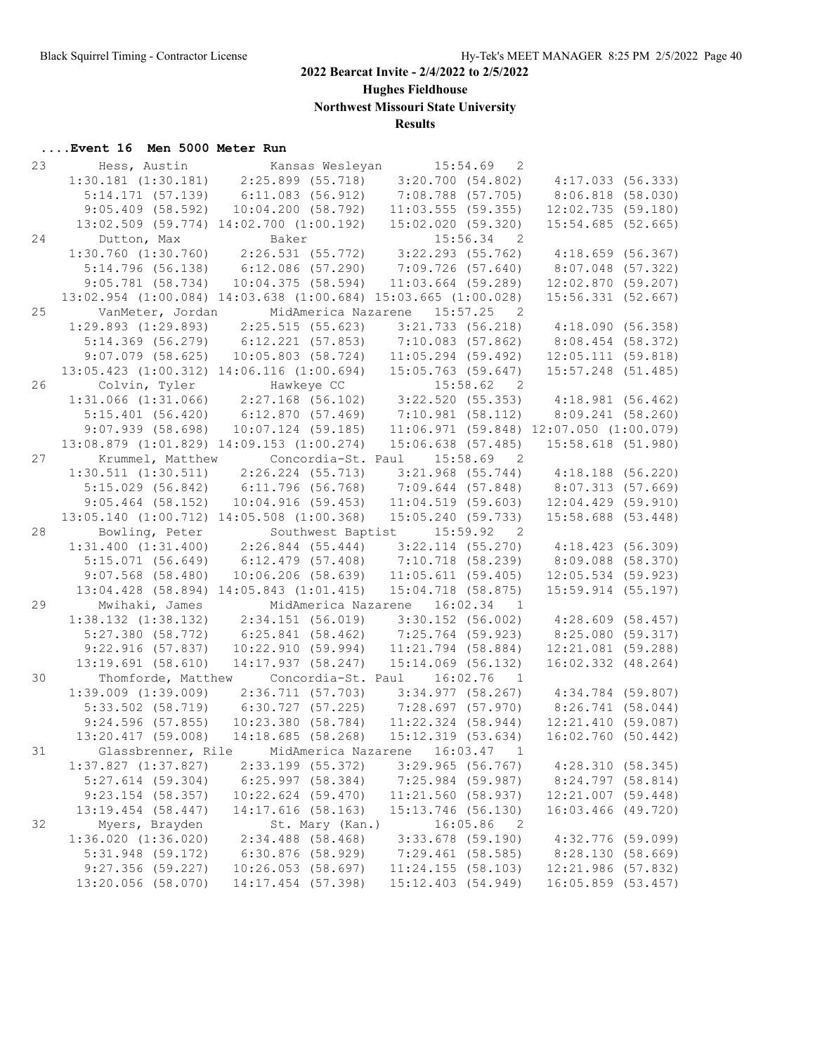**Hughes Fieldhouse**

**Northwest Missouri State University**

# **Results**

| 23 | Hess, Austin            | Kansas Wesleyan                                                                                                            | 15:54.69<br>$\overline{2}$                                                                                                                                                                  |                                             |
|----|-------------------------|----------------------------------------------------------------------------------------------------------------------------|---------------------------------------------------------------------------------------------------------------------------------------------------------------------------------------------|---------------------------------------------|
|    |                         | $1:30.181$ $(1:30.181)$ $2:25.899$ $(55.718)$                                                                              | 3:20.700(54.802)                                                                                                                                                                            | 4:17.033(56.333)                            |
|    |                         | $5:14.171$ (57.139) $6:11.083$ (56.912)                                                                                    | 7:08.788 (57.705)                                                                                                                                                                           | 8:06.818 (58.030)                           |
|    | 9:05.409(58.592)        | 10:04.200(58.792)                                                                                                          | $11:03.555$ (59.355)                                                                                                                                                                        | 12:02.735(59.180)                           |
|    |                         | 13:02.509 (59.774) 14:02.700 (1:00.192)                                                                                    | 15:02.020(59.320)                                                                                                                                                                           | $15:54.685$ (52.665)                        |
| 24 | Dutton, Max             | Baker                                                                                                                      | $15:56.34$ 2                                                                                                                                                                                |                                             |
|    |                         |                                                                                                                            | $1:30.760$ $(1:30.760)$ $2:26.531$ $(55.772)$ $3:22.293$ $(55.762)$                                                                                                                         | 4:18.659(56.367)                            |
|    | 5:14.796(56.138)        | $6:12.086$ (57.290)                                                                                                        | 7:09.726(57.640)                                                                                                                                                                            | $8:07.048$ (57.322)                         |
|    | $9:05.781$ (58.734)     | 10:04.375(58.594)                                                                                                          | $11:03.664$ (59.289)                                                                                                                                                                        | 12:02.870(59.207)                           |
|    |                         |                                                                                                                            | 13:02.954 (1:00.084) 14:03.638 (1:00.684) 15:03.665 (1:00.028)                                                                                                                              | 15:56.331 (52.667)                          |
| 25 | VanMeter, Jordan        |                                                                                                                            | MidAmerica Nazarene 15:57.25<br>2                                                                                                                                                           |                                             |
|    |                         |                                                                                                                            | $1:29.893$ $(1:29.893)$ $2:25.515$ $(55.623)$ $3:21.733$ $(56.218)$                                                                                                                         | 4:18.090(56.358)                            |
|    |                         |                                                                                                                            | $5:14.369$ (56.279) 6:12.221 (57.853) 7:10.083 (57.862)                                                                                                                                     | 8:08.454 (58.372)                           |
|    | $9:07.079$ (58.625)     | $10:05.803$ (58.724)                                                                                                       | $11:05.294$ (59.492)                                                                                                                                                                        | 12:05.111(59.818)                           |
|    |                         | 13:05.423 (1:00.312) 14:06.116 (1:00.694)                                                                                  | $15:05.763$ (59.647)                                                                                                                                                                        | 15:57.248 (51.485)                          |
| 26 |                         |                                                                                                                            |                                                                                                                                                                                             |                                             |
|    |                         |                                                                                                                            | Colvin, Tyler Hawkeye CC 15:58.62 2<br>1:31.066 (1:31.066) 2:27.168 (56.102) 3:22.520 (55.353) 4:18.981 (56.462)<br>5:15.401 (56.420) 6:12.870 (57.469) 7:10.981 (58.112) 8:09.241 (58.260) |                                             |
|    |                         |                                                                                                                            |                                                                                                                                                                                             |                                             |
|    | 9:07.939(58.698)        | $10:07.124$ (59.185)                                                                                                       |                                                                                                                                                                                             | $11:06.971$ (59.848) $12:07.050$ (1:00.079) |
|    |                         | 13:08.879 (1:01.829) 14:09.153 (1:00.274)                                                                                  | $15:06.638$ (57.485)                                                                                                                                                                        | 15:58.618 (51.980)                          |
| 27 | Krummel, Matthew        |                                                                                                                            | Concordia-St. Paul 15:58.69<br>$\overline{2}$                                                                                                                                               |                                             |
|    |                         |                                                                                                                            | $3:21.968$ (55.744)                                                                                                                                                                         | $4:18.188$ (56.220)                         |
|    |                         | $\begin{array}{cccc} 1:30.511 & (1:30.511) & 2:26.224 & (55.713) \\ 5:15.029 & (56.842) & 6:11.796 & (56.768) \end{array}$ | $7:09.644$ (57.848)                                                                                                                                                                         | 8:07.313 (57.669)                           |
|    | $9:05.464$ (58.152)     | 10:04.916(59.453)                                                                                                          | 11:04.519(59.603)                                                                                                                                                                           | $12:04.429$ (59.910)                        |
|    |                         | 13:05.140 (1:00.712) 14:05.508 (1:00.368)                                                                                  | 15:05.240 (59.733)                                                                                                                                                                          | $15:58.688$ (53.448)                        |
| 28 | Bowling, Peter          | Southwest Baptist                                                                                                          | 15:59.92<br>$\overline{\phantom{0}}^2$                                                                                                                                                      |                                             |
|    |                         |                                                                                                                            | $1:31.400$ $(1:31.400)$ $2:26.844$ $(55.444)$ $3:22.114$ $(55.270)$                                                                                                                         | 4:18.423(56.309)                            |
|    | 5:15.071(56.649)        |                                                                                                                            | 6:12.479 (57.408) 7:10.718 (58.239)                                                                                                                                                         | 8:09.088 (58.370)                           |
|    | $9:07.568$ (58.480)     | $10:06.206$ (58.639)                                                                                                       | 11:05.611(59.405)                                                                                                                                                                           | $12:05.534$ (59.923)                        |
|    |                         | 13:04.428 (58.894) 14:05.843 (1:01.415)                                                                                    | $15:04.718$ (58.875)                                                                                                                                                                        | $15:59.914$ (55.197)                        |
| 29 | Mwihaki, James          | MidAmerica Nazarene                                                                                                        | $16:02.34$ 1                                                                                                                                                                                |                                             |
|    | $1:38.132$ $(1:38.132)$ | 2:34.151 (56.019)                                                                                                          | $3:30.152$ (56.002)                                                                                                                                                                         | 4:28.609(58.457)                            |
|    | 5:27.380(58.772)        | 6:25.841(58.462)                                                                                                           | 7:25.764 (59.923)                                                                                                                                                                           | 8:25.080 (59.317)                           |
|    | 9:22.916(57.837)        | 10:22.910(59.994)                                                                                                          | 11:21.794 (58.884)                                                                                                                                                                          | 12:21.081 (59.288)                          |
|    | $13:19.691$ (58.610)    | 14:17.937 (58.247)                                                                                                         | 15:14.069 (56.132)                                                                                                                                                                          | 16:02.332 (48.264)                          |
| 30 |                         | Thomforde, Matthew Concordia-St. Paul 16:02.76                                                                             | $\overline{1}$                                                                                                                                                                              |                                             |
|    | $1:39.009$ $(1:39.009)$ | 2:36.711(57.703)                                                                                                           | 3:34.977(58.267)                                                                                                                                                                            | 4:34.784 (59.807)                           |
|    |                         |                                                                                                                            | 5:33.502 (58.719) 6:30.727 (57.225) 7:28.697 (57.970)                                                                                                                                       | 8:26.741(58.044)                            |
|    | 9:24.596(57.855)        |                                                                                                                            | 10:23.380 (58.784) 11:22.324 (58.944)                                                                                                                                                       | 12:21.410(59.087)                           |
|    |                         |                                                                                                                            | 13:20.417 (59.008) 14:18.685 (58.268) 15:12.319 (53.634)                                                                                                                                    | 16:02.760(50.442)                           |
| 31 |                         |                                                                                                                            | Glassbrenner, Rile MidAmerica Nazarene 16:03.47 1                                                                                                                                           |                                             |
|    | $1:37.827$ $(1:37.827)$ | 2:33.199 (55.372)                                                                                                          | $3:29.965$ (56.767)                                                                                                                                                                         | 4:28.310(58.345)                            |
|    | $5:27.614$ (59.304)     | 6:25.997(58.384)                                                                                                           | 7:25.984 (59.987)                                                                                                                                                                           | $8:24.797$ (58.814)                         |
|    | $9:23.154$ (58.357)     | 10:22.624 (59.470)                                                                                                         | 11:21.560 (58.937)                                                                                                                                                                          | 12:21.007 (59.448)                          |
|    | 13:19.454 (58.447)      | 14:17.616 (58.163)                                                                                                         | 15:13.746 (56.130)                                                                                                                                                                          | 16:03.466 (49.720)                          |
| 32 | Myers, Brayden          | St. Mary (Kan.)                                                                                                            | 16:05.86<br>$\overline{\phantom{0}}^2$                                                                                                                                                      |                                             |
|    | $1:36.020$ $(1:36.020)$ | $2:34.488$ (58.468)                                                                                                        | $3:33.678$ (59.190)                                                                                                                                                                         | 4:32.776 (59.099)                           |
|    | 5:31.948 (59.172)       | $6:30.876$ (58.929)                                                                                                        | $7:29.461$ (58.585)                                                                                                                                                                         | 8:28.130 (58.669)                           |
|    | 9:27.356(59.227)        | $10:26.053$ (58.697)                                                                                                       | 11:24.155(58.103)                                                                                                                                                                           | 12:21.986 (57.832)                          |
|    | 13:20.056 (58.070)      | 14:17.454 (57.398)                                                                                                         | 15:12.403 (54.949)                                                                                                                                                                          | 16:05.859 (53.457)                          |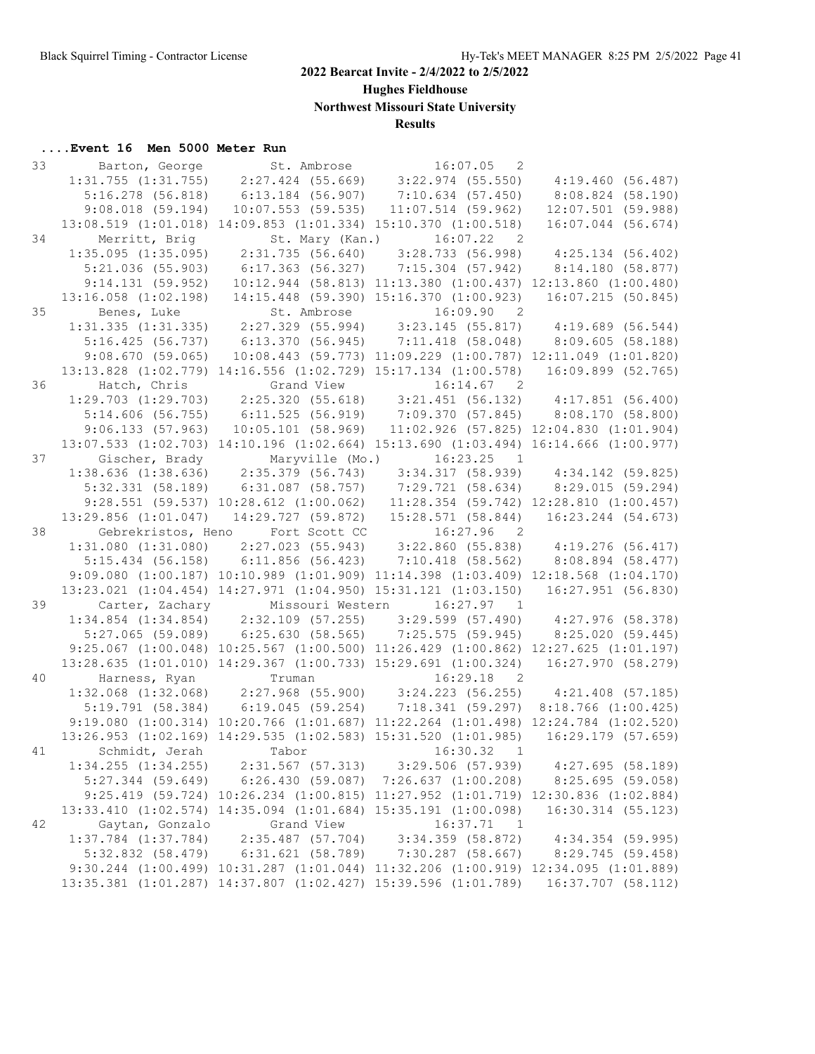**Hughes Fieldhouse**

**Northwest Missouri State University**

# **Results**

| 33 |                                                                                                                                                                                            | Barton, George St. Ambrose 516:07.05 2                                                                                                                                                            |                                                              |                      |
|----|--------------------------------------------------------------------------------------------------------------------------------------------------------------------------------------------|---------------------------------------------------------------------------------------------------------------------------------------------------------------------------------------------------|--------------------------------------------------------------|----------------------|
|    |                                                                                                                                                                                            | $1:31.755$ $(1:31.755)$ $2:27.424$ $(55.669)$ $3:22.974$ $(55.550)$ $4:19.460$ $(56.487)$                                                                                                         |                                                              |                      |
|    |                                                                                                                                                                                            | 5:16.278 (56.818) 6:13.184 (56.907) 7:10.634 (57.450)                                                                                                                                             |                                                              | 8:08.824 (58.190)    |
|    | $9:08.018$ (59.194)                                                                                                                                                                        |                                                                                                                                                                                                   | $10:07.553$ (59.535) $11:07.514$ (59.962)                    | $12:07.501$ (59.988) |
|    |                                                                                                                                                                                            | 13:08.519 (1:01.018) 14:09.853 (1:01.334) 15:10.370 (1:00.518)                                                                                                                                    |                                                              | 16:07.044 (56.674)   |
| 34 | Merritt, Brig                                                                                                                                                                              | St. Mary (Kan.) 16:07.22 2                                                                                                                                                                        |                                                              |                      |
|    |                                                                                                                                                                                            | 1:35.095 (1:35.095) 2:31.735 (56.640) 3:28.733 (56.998) 4:25.134 (56.402)                                                                                                                         |                                                              |                      |
|    | 5:21.036(55.903)                                                                                                                                                                           | 6:17.363 (56.327) 7:15.304 (57.942) 8:14.180 (58.877)                                                                                                                                             |                                                              |                      |
|    | 9:14.131(59.952)                                                                                                                                                                           |                                                                                                                                                                                                   | 10:12.944 (58.813) 11:13.380 (1:00.437) 12:13.860 (1:00.480) |                      |
|    | $13:16.058$ $(1:02.198)$                                                                                                                                                                   |                                                                                                                                                                                                   | 14:15.448 (59.390) 15:16.370 (1:00.923)                      | 16:07.215(50.845)    |
| 35 | Benes, Luke                                                                                                                                                                                |                                                                                                                                                                                                   |                                                              |                      |
|    |                                                                                                                                                                                            | Benes, Luke 5t. Ambrose 16:09.90 2<br>1:31.335 (1:31.335) 2:27.329 (55.994) 3:23.145 (55.817) 4:19.689 (56.544)                                                                                   |                                                              |                      |
|    |                                                                                                                                                                                            | 5:16.425 (56.737) 6:13.370 (56.945) 7:11.418 (58.048) 8:09.605 (58.188)                                                                                                                           |                                                              |                      |
|    | 9:08.670(59.065)                                                                                                                                                                           |                                                                                                                                                                                                   | 10:08.443 (59.773) 11:09.229 (1:00.787) 12:11.049 (1:01.820) |                      |
|    |                                                                                                                                                                                            | 13:13.828 (1:02.779) 14:16.556 (1:02.729) 15:17.134 (1:00.578) 16:09.899 (52.765)                                                                                                                 |                                                              |                      |
| 36 |                                                                                                                                                                                            |                                                                                                                                                                                                   |                                                              |                      |
|    | Hatch, Chris Grand View 16:14.67 2<br>1:29.703 (1:29.703) 2:25.320 (55.618) 3:21.451 (56.132) 4:17.851 (56.400)<br>5:14.606 (56.755) 6:11.525 (56.919) 7:09.370 (57.845) 8:08.170 (58.800) |                                                                                                                                                                                                   |                                                              |                      |
|    |                                                                                                                                                                                            |                                                                                                                                                                                                   |                                                              |                      |
|    | 9:06.133(57.963)                                                                                                                                                                           |                                                                                                                                                                                                   | 10:05.101 (58.969) 11:02.926 (57.825) 12:04.830 (1:01.904)   |                      |
|    |                                                                                                                                                                                            | 13:07.533 (1:02.703) 14:10.196 (1:02.664) 15:13.690 (1:03.494) 16:14.666 (1:00.977)                                                                                                               |                                                              |                      |
| 37 |                                                                                                                                                                                            | Gischer, Brady Maryville (Mo.) 16:23.25 1<br>1:38.636 (1:38.636) 2:35.379 (56.743) 3:34.317 (58.939) 4:34.142 (59.825)<br>5:32.331 (58.189) 6:31.087 (58.757) 7:29.721 (58.634) 8:29.015 (59.294) |                                                              |                      |
|    |                                                                                                                                                                                            |                                                                                                                                                                                                   |                                                              |                      |
|    |                                                                                                                                                                                            |                                                                                                                                                                                                   |                                                              |                      |
|    |                                                                                                                                                                                            | 9:28.551 (59.537) 10:28.612 (1:00.062) 11:28.354 (59.742) 12:28.810 (1:00.457)                                                                                                                    |                                                              |                      |
|    | 13:29.856 (1:01.047)                                                                                                                                                                       |                                                                                                                                                                                                   | 14:29.727 (59.872) 15:28.571 (58.844) 16:23.244 (54.673)     |                      |
| 38 |                                                                                                                                                                                            | Gebrekristos, Heno Fort Scott CC 16:27.96 2                                                                                                                                                       |                                                              |                      |
|    |                                                                                                                                                                                            | $1:31.080\;\; (1:31.080)\qquad \  \  2:27.023\;\; (55.943)\qquad \  \  3:22.860\;\; (55.838)\qquad \  \  4:19.276\;\; (56.417)$                                                                   |                                                              |                      |
|    |                                                                                                                                                                                            | 5:15.434 (56.158) 6:11.856 (56.423) 7:10.418 (58.562) 8:08.894 (58.477)                                                                                                                           |                                                              |                      |
|    |                                                                                                                                                                                            | 9:09.080 (1:00.187) 10:10.989 (1:01.909) 11:14.398 (1:03.409) 12:18.568 (1:04.170)                                                                                                                |                                                              |                      |
|    |                                                                                                                                                                                            | 13:23.021 (1:04.454) 14:27.971 (1:04.950) 15:31.121 (1:03.150) 16:27.951 (56.830)                                                                                                                 |                                                              |                      |
| 39 |                                                                                                                                                                                            | Carter, Zachary Missouri Western 16:27.97 1                                                                                                                                                       |                                                              |                      |
|    |                                                                                                                                                                                            | $1:34.854$ (1:34.854) $2:32.109$ (57.255) $3:29.599$ (57.490) $4:27.976$ (58.378)                                                                                                                 |                                                              |                      |
|    |                                                                                                                                                                                            | 5:27.065 (59.089) 6:25.630 (58.565) 7:25.575 (59.945) 8:25.020 (59.445)                                                                                                                           |                                                              |                      |
|    |                                                                                                                                                                                            | 9:25.067 (1:00.048) 10:25.567 (1:00.500) 11:26.429 (1:00.862) 12:27.625 (1:01.197)                                                                                                                |                                                              |                      |
|    |                                                                                                                                                                                            | 13:28.635 (1:01.010) 14:29.367 (1:00.733) 15:29.691 (1:00.324) 16:27.970 (58.279)                                                                                                                 |                                                              |                      |
| 40 | Harness, Ryan                                                                                                                                                                              | Truman                                                                                                                                                                                            | 16:29.18<br>$\overline{2}$                                   |                      |
|    |                                                                                                                                                                                            | $1:32.068$ $(1:32.068)$ $2:27.968$ $(55.900)$ $3:24.223$ $(56.255)$ $4:21.408$ $(57.185)$                                                                                                         |                                                              |                      |
|    |                                                                                                                                                                                            | 5:19.791 (58.384) 6:19.045 (59.254) 7:18.341 (59.297) 8:18.766 (1:00.425)                                                                                                                         |                                                              |                      |
|    |                                                                                                                                                                                            | 9:19.080 (1:00.314) 10:20.766 (1:01.687) 11:22.264 (1:01.498) 12:24.784 (1:02.520)                                                                                                                |                                                              |                      |
|    |                                                                                                                                                                                            | 13:26.953 (1:02.169) 14:29.535 (1:02.583) 15:31.520 (1:01.985) 16:29.179 (57.659)                                                                                                                 |                                                              |                      |
|    | 41 Schmidt, Jerah                                                                                                                                                                          | Tabor                                                                                                                                                                                             | 16:30.32 1                                                   |                      |
|    | $1:34.255$ $(1:34.255)$                                                                                                                                                                    |                                                                                                                                                                                                   | 2:31.567 (57.313) 3:29.506 (57.939)                          | 4:27.695(58.189)     |
|    | $5:27.344$ (59.649)                                                                                                                                                                        | $6:26.430$ (59.087) 7:26.637 (1:00.208)                                                                                                                                                           |                                                              | 8:25.695(59.058)     |
|    |                                                                                                                                                                                            | 9:25.419 (59.724) 10:26.234 (1:00.815) 11:27.952 (1:01.719) 12:30.836 (1:02.884)                                                                                                                  |                                                              |                      |
|    |                                                                                                                                                                                            | 13:33.410 (1:02.574) 14:35.094 (1:01.684) 15:35.191 (1:00.098)                                                                                                                                    |                                                              | 16:30.314 (55.123)   |
| 42 | Gaytan, Gonzalo                                                                                                                                                                            | Grand View                                                                                                                                                                                        | 16:37.71<br>$\overline{1}$                                   |                      |
|    |                                                                                                                                                                                            | $1:37.784$ $(1:37.784)$ $2:35.487$ $(57.704)$ $3:34.359$ $(58.872)$                                                                                                                               |                                                              | 4:34.354 (59.995)    |
|    | $5:32.832$ $(58.479)$                                                                                                                                                                      | 6:31.621(58.789)                                                                                                                                                                                  | 7:30.287 (58.667)                                            | 8:29.745 (59.458)    |
|    |                                                                                                                                                                                            | 9:30.244 (1:00.499) 10:31.287 (1:01.044) 11:32.206 (1:00.919) 12:34.095 (1:01.889)                                                                                                                |                                                              |                      |
|    |                                                                                                                                                                                            | 13:35.381 (1:01.287) 14:37.807 (1:02.427) 15:39.596 (1:01.789)                                                                                                                                    |                                                              | 16:37.707 (58.112)   |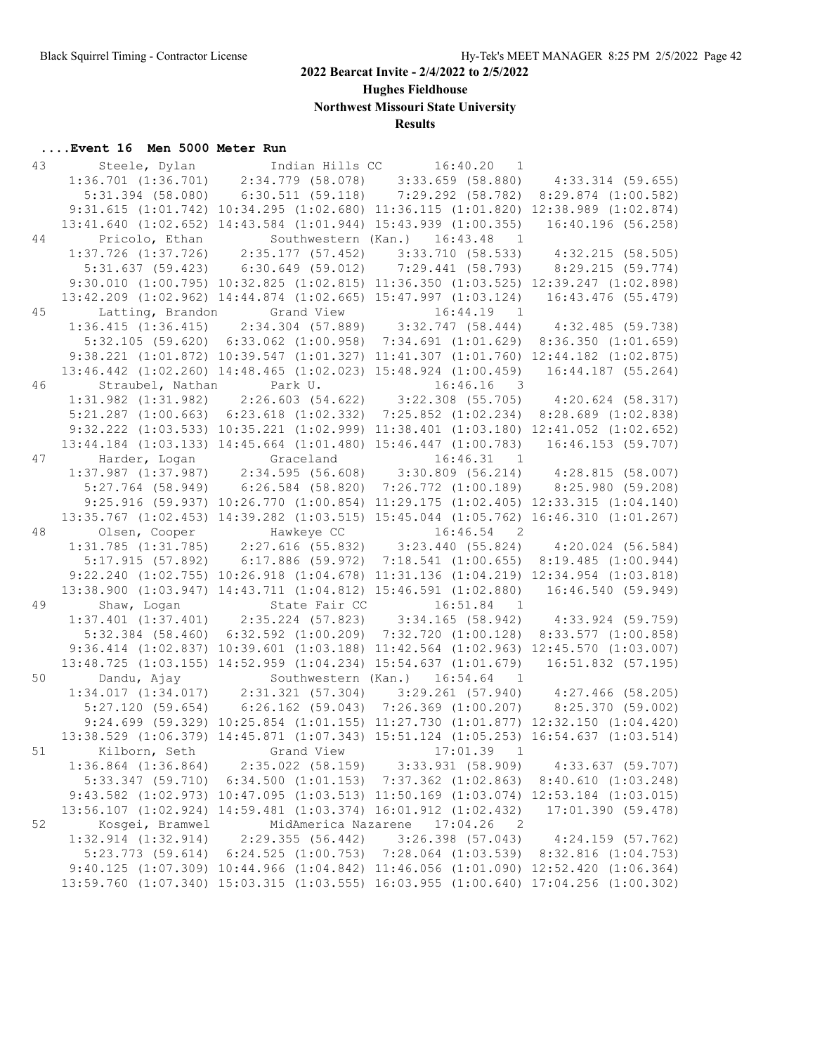**Hughes Fieldhouse**

**Northwest Missouri State University**

# **Results**

| 43 |                                        | Steele, Dylan             Indian Hills CC         16:40.20   1                                                                                                                               |                   |
|----|----------------------------------------|----------------------------------------------------------------------------------------------------------------------------------------------------------------------------------------------|-------------------|
|    |                                        | 1:36.701 (1:36.701) 2:34.779 (58.078) 3:33.659 (58.880) 4:33.314 (59.655)                                                                                                                    |                   |
|    |                                        | 5:31.394 (58.080) 6:30.511 (59.118) 7:29.292 (58.782) 8:29.874 (1:00.582)                                                                                                                    |                   |
|    |                                        | 9:31.615 (1:01.742) 10:34.295 (1:02.680) 11:36.115 (1:01.820) 12:38.989 (1:02.874)                                                                                                           |                   |
|    |                                        | 13:41.640 (1:02.652) 14:43.584 (1:01.944) 15:43.939 (1:00.355) 16:40.196 (56.258)                                                                                                            |                   |
| 44 | Pricolo, Ethan                         | Southwestern (Kan.) 16:43.48 1                                                                                                                                                               |                   |
|    |                                        | $1:37.726$ (1:37.726) $2:35.177$ (57.452) $3:33.710$ (58.533) $4:32.215$ (58.505)                                                                                                            |                   |
|    |                                        | 5:31.637 (59.423) 6:30.649 (59.012) 7:29.441 (58.793) 8:29.215 (59.774)                                                                                                                      |                   |
|    |                                        | 9:30.010 (1:00.795) 10:32.825 (1:02.815) 11:36.350 (1:03.525) 12:39.247 (1:02.898)                                                                                                           |                   |
|    |                                        | 13:42.209 (1:02.962) 14:44.874 (1:02.665) 15:47.997 (1:03.124) 16:43.476 (55.479)                                                                                                            |                   |
| 45 |                                        | Latting, Brandon Grand View 16:44.19 1<br>1:36.415 (1:36.415) 2:34.304 (57.889) 3:32.747 (58.444) 4:32.485 (59.738)                                                                          |                   |
|    |                                        |                                                                                                                                                                                              |                   |
|    |                                        | 5:32.105 (59.620) 6:33.062 (1:00.958) 7:34.691 (1:01.629) 8:36.350 (1:01.659)                                                                                                                |                   |
|    |                                        | 9:38.221 (1:01.872) 10:39.547 (1:01.327) 11:41.307 (1:01.760) 12:44.182 (1:02.875)                                                                                                           |                   |
|    |                                        | 13:46.442 (1:02.260) 14:48.465 (1:02.023) 15:48.924 (1:00.459) 16:44.187 (55.264)                                                                                                            |                   |
| 46 |                                        |                                                                                                                                                                                              |                   |
|    |                                        | Straubel, Nathan Park U. 16:46.16 3<br>1:31.982 (1:31.982) 2:26.603 (54.622) 3:22.308 (55.705) 4:20.624 (58.317)                                                                             |                   |
|    |                                        | 5:21.287 (1:00.663) 6:23.618 (1:02.332) 7:25.852 (1:02.234) 8:28.689 (1:02.838)                                                                                                              |                   |
|    |                                        | 9:32.222 (1:03.533) 10:35.221 (1:02.999) 11:38.401 (1:03.180) 12:41.052 (1:02.652)                                                                                                           |                   |
|    |                                        | 13:44.184 (1:03.133) 14:45.664 (1:01.480) 15:46.447 (1:00.783) 16:46.153 (59.707)                                                                                                            |                   |
| 47 |                                        |                                                                                                                                                                                              |                   |
|    |                                        | Harder, Logan Graceland 16:46.31 1<br>1:37.987 (1:37.987) 2:34.595 (56.608) 3:30.809 (56.214) 4:28.815 (58.007)<br>5:27.764 (58.949) 6:26.584 (58.820) 7:26.772 (1:00.189) 8:25.980 (59.208) |                   |
|    |                                        |                                                                                                                                                                                              |                   |
|    |                                        | 9:25.916 (59.937) 10:26.770 (1:00.854) 11:29.175 (1:02.405) 12:33.315 (1:04.140)                                                                                                             |                   |
|    |                                        | 13:35.767 (1:02.453) 14:39.282 (1:03.515) 15:45.044 (1:05.762) 16:46.310 (1:01.267)                                                                                                          |                   |
| 48 |                                        | Olsen, Cooper Hawkeye CC 16:46.54 2                                                                                                                                                          |                   |
|    |                                        | $1:31.785 \hspace{0.2cm} (1:31.785) \hspace{0.2cm} 2:27.616 \hspace{0.2cm} (55.832) \hspace{0.2cm} 3:23.440 \hspace{0.2cm} (55.824) \hspace{0.2cm} 4:20.024 \hspace{0.2cm} (56.584)$         |                   |
|    |                                        | 5:17.915 (57.892) 6:17.886 (59.972) 7:18.541 (1:00.655) 8:19.485 (1:00.944)                                                                                                                  |                   |
|    |                                        | 9:22.240 (1:02.755) 10:26.918 (1:04.678) 11:31.136 (1:04.219) 12:34.954 (1:03.818)                                                                                                           |                   |
|    |                                        | 13:38.900 (1:03.947) 14:43.711 (1:04.812) 15:46.591 (1:02.880) 16:46.540 (59.949)                                                                                                            |                   |
| 49 |                                        |                                                                                                                                                                                              |                   |
|    |                                        | 1:37.401 (1:37.401) 2:35.224 (57.823) 3:34.165 (58.942) 4:33.924 (59.759)                                                                                                                    |                   |
|    |                                        | 5:32.384 (58.460) 6:32.592 (1:00.209) 7:32.720 (1:00.128) 8:33.577 (1:00.858)                                                                                                                |                   |
|    |                                        | 9:36.414 (1:02.837) 10:39.601 (1:03.188) 11:42.564 (1:02.963) 12:45.570 (1:03.007)                                                                                                           |                   |
|    |                                        | 13:48.725 (1:03.155) 14:52.959 (1:04.234) 15:54.637 (1:01.679) 16:51.832 (57.195)                                                                                                            |                   |
| 50 | Dandu, Ajay                            | Southwestern (Kan.) 16:54.64 1                                                                                                                                                               |                   |
|    |                                        | $1:34.017$ $(1:34.017)$ $2:31.321$ $(57.304)$ $3:29.261$ $(57.940)$ $4:27.466$ $(58.205)$                                                                                                    |                   |
|    |                                        | 5:27.120 (59.654) 6:26.162 (59.043) 7:26.369 (1:00.207) 8:25.370 (59.002)                                                                                                                    |                   |
|    |                                        | 9:24.699 (59.329) 10:25.854 (1:01.155) 11:27.730 (1:01.877) 12:32.150 (1:04.420)                                                                                                             |                   |
|    |                                        | 13:38.529 (1:06.379) 14:45.871 (1:07.343) 15:51.124 (1:05.253) 16:54.637 (1:03.514)                                                                                                          |                   |
|    | 51 Kilborn, Seth Grand View 17:01.39 1 |                                                                                                                                                                                              |                   |
|    | $1:36.864$ $(1:36.864)$                | 2:35.022 (58.159) 3:33.931 (58.909)                                                                                                                                                          | 4:33.637 (59.707) |
|    | 5:33.347(59.710)                       | $6:34.500$ (1:01.153) 7:37.362 (1:02.863) 8:40.610 (1:03.248)                                                                                                                                |                   |
|    |                                        | 9:43.582 (1:02.973) 10:47.095 (1:03.513) 11:50.169 (1:03.074) 12:53.184 (1:03.015)                                                                                                           |                   |
|    |                                        | 13:56.107 (1:02.924) 14:59.481 (1:03.374) 16:01.912 (1:02.432)                                                                                                                               | 17:01.390(59.478) |
| 52 | Kosgei, Bramwel                        | MidAmerica Nazarene 17:04.26<br>2                                                                                                                                                            |                   |
|    | $1:32.914$ $(1:32.914)$                | 2:29.355 (56.442) 3:26.398 (57.043) 4:24.159 (57.762)                                                                                                                                        |                   |
|    | $5:23.773$ (59.614)                    | $6:24.525$ (1:00.753) 7:28.064 (1:03.539) 8:32.816 (1:04.753)                                                                                                                                |                   |
|    |                                        | 9:40.125 (1:07.309) 10:44.966 (1:04.842) 11:46.056 (1:01.090) 12:52.420 (1:06.364)                                                                                                           |                   |
|    |                                        | 13:59.760 (1:07.340) 15:03.315 (1:03.555) 16:03.955 (1:00.640) 17:04.256 (1:00.302)                                                                                                          |                   |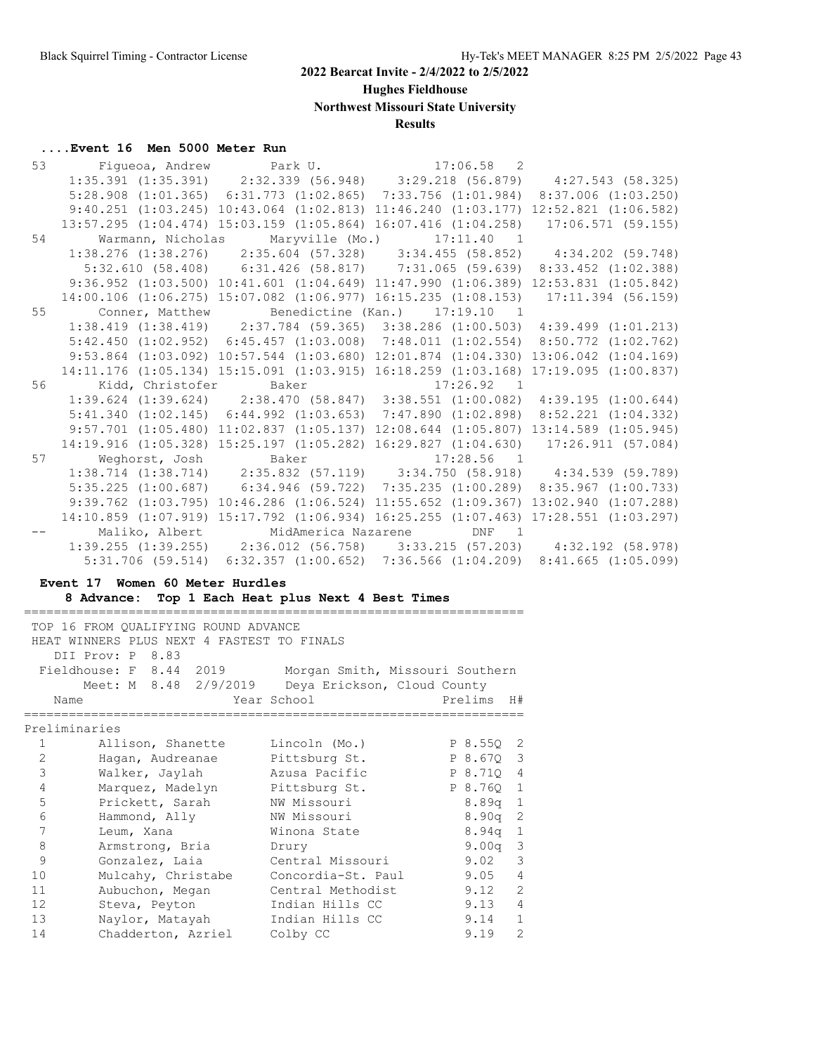**Hughes Fieldhouse**

**Northwest Missouri State University**

#### **Results**

#### **....Event 16 Men 5000 Meter Run**

|    | 53 Figueoa, Andrew Park U. 17:06.58 2                                                 |  |  |  |
|----|---------------------------------------------------------------------------------------|--|--|--|
|    | $1:35.391$ (1:35.391) $2:32.339$ (56.948) $3:29.218$ (56.879) $4:27.543$ (58.325)     |  |  |  |
|    | 5:28.908 (1:01.365) 6:31.773 (1:02.865) 7:33.756 (1:01.984) 8:37.006 (1:03.250)       |  |  |  |
|    | $9:40.251$ (1:03.245) 10:43.064 (1:02.813) 11:46.240 (1:03.177) 12:52.821 (1:06.582)  |  |  |  |
|    | 13:57.295 (1:04.474) 15:03.159 (1:05.864) 16:07.416 (1:04.258) 17:06.571 (59.155)     |  |  |  |
|    | 54 Warmann, Nicholas Maryville (Mo.) 17:11.40 1                                       |  |  |  |
|    | 1:38.276 (1:38.276) 2:35.604 (57.328) 3:34.455 (58.852) 4:34.202 (59.748)             |  |  |  |
|    | 5:32.610 (58.408) 6:31.426 (58.817) 7:31.065 (59.639) 8:33.452 (1:02.388)             |  |  |  |
|    | $9:36.952$ (1:03.500) 10:41.601 (1:04.649) 11:47.990 (1:06.389) 12:53.831 (1:05.842)  |  |  |  |
|    | 14:00.106 (1:06.275) 15:07.082 (1:06.977) 16:15.235 (1:08.153) 17:11.394 (56.159)     |  |  |  |
|    | 55 Conner, Matthew Benedictine (Kan.) 17:19.10 1                                      |  |  |  |
|    | 1:38.419 (1:38.419) 2:37.784 (59.365) 3:38.286 (1:00.503) 4:39.499 (1:01.213)         |  |  |  |
|    | 5:42.450 (1:02.952) 6:45.457 (1:03.008) 7:48.011 (1:02.554) 8:50.772 (1:02.762)       |  |  |  |
|    | 9:53.864 (1:03.092) 10:57.544 (1:03.680) 12:01.874 (1:04.330) 13:06.042 (1:04.169)    |  |  |  |
|    | 14:11.176 (1:05.134) 15:15.091 (1:03.915) 16:18.259 (1:03.168) 17:19.095 (1:00.837)   |  |  |  |
|    | 56 Kidd, Christofer Baker 17:26.92 1                                                  |  |  |  |
|    | $1:39.624$ (1:39.624) $2:38.470$ (58.847) $3:38.551$ (1:00.082) $4:39.195$ (1:00.644) |  |  |  |
|    | 5:41.340 (1:02.145) 6:44.992 (1:03.653) 7:47.890 (1:02.898) 8:52.221 (1:04.332)       |  |  |  |
|    | 9:57.701 (1:05.480) 11:02.837 (1:05.137) 12:08.644 (1:05.807) 13:14.589 (1:05.945)    |  |  |  |
|    | 14:19.916 (1:05.328) 15:25.197 (1:05.282) 16:29.827 (1:04.630) 17:26.911 (57.084)     |  |  |  |
| 57 | Weghorst, Josh Baker 17:28.56 1                                                       |  |  |  |
|    | 1:38.714 (1:38.714) 2:35.832 (57.119) 3:34.750 (58.918) 4:34.539 (59.789)             |  |  |  |
|    | 5:35.225 (1:00.687) 6:34.946 (59.722) 7:35.235 (1:00.289) 8:35.967 (1:00.733)         |  |  |  |
|    | 9:39.762 (1:03.795) 10:46.286 (1:06.524) 11:55.652 (1:09.367) 13:02.940 (1:07.288)    |  |  |  |
|    | 14:10.859 (1:07.919) 15:17.792 (1:06.934) 16:25.255 (1:07.463) 17:28.551 (1:03.297)   |  |  |  |
|    | Maliko, Albert MidAmerica Nazarene DNF 1                                              |  |  |  |
|    | $1:39.255$ (1:39.255) $2:36.012$ (56.758) $3:33.215$ (57.203) $4:32.192$ (58.978)     |  |  |  |
|    | $5:31.706$ (59.514) $6:32.357$ (1:00.652) 7:36.566 (1:04.209) 8:41.665 (1:05.099)     |  |  |  |

#### **Event 17 Women 60 Meter Hurdles**

**8 Advance: Top 1 Each Heat plus Next 4 Best Times**

=================================================================== TOP 16 FROM QUALIFYING ROUND ADVANCE HEAT WINNERS PLUS NEXT 4 FASTEST TO FINALS DII Prov: P 8.83 Fieldhouse: F 8.44 2019 Morgan Smith, Missouri Southern Meet: M 8.48 2/9/2019 Deya Erickson, Cloud County Name The Year School Prelims H# =================================================================== Preliminaries 1 Allison, Shanette Lincoln (Mo.) P 8.55Q 2 2 Hagan, Audreanae Pittsburg St. P 8.67Q 3 3 Walker, Jaylah Azusa Pacific P 8.71Q 4 4 Marquez, Madelyn Pittsburg St. P 8.76Q 1 5 Prickett, Sarah NW Missouri 8.89q 1 6 Hammond, Ally NW Missouri 8.90q 2 7 Leum, Xana Winona State 8.94q 1 8 Armstrong, Bria Drury 9.00q 3 9 Gonzalez, Laia Central Missouri 9.02 3 10 Mulcahy, Christabe Concordia-St. Paul 9.05 4 11 Aubuchon, Megan Central Methodist 9.12 2 12 Steva, Peyton Indian Hills CC 9.13 4 13 Naylor, Matayah Indian Hills CC 9.14 1 14 Chadderton, Azriel Colby CC 9.19 2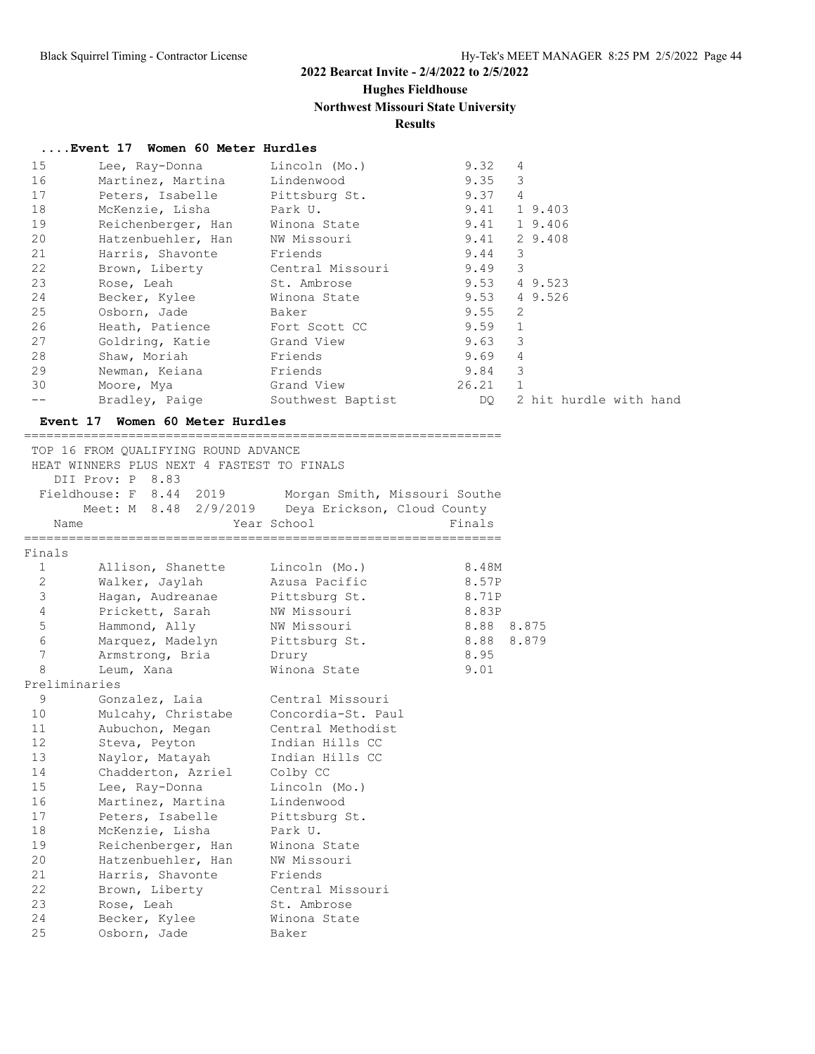# **Hughes Fieldhouse**

# **Northwest Missouri State University**

# **Results**

 11 Aubuchon, Megan Central Methodist 12 Steva, Peyton Indian Hills CC 13 Naylor, Matayah Indian Hills CC

 22 Brown, Liberty Central Missouri 23 Rose, Leah St. Ambrose 24 Becker, Kylee Winona State

 14 Chadderton, Azriel Colby CC 15 Lee, Ray-Donna Lincoln (Mo.) 16 Martinez, Martina Lindenwood 17 Peters, Isabelle Pittsburg St.

 18 McKenzie, Lisha Park U. 19 Reichenberger, Han Winona State 20 Hatzenbuehler, Han NW Missouri 21 Harris, Shavonte Friends

25 Osborn, Jade Baker

| 15             | Lee, Ray-Donna                                                                                                                    | Lincoln (Mo.)                                                                      | 9.32       | 4                      |
|----------------|-----------------------------------------------------------------------------------------------------------------------------------|------------------------------------------------------------------------------------|------------|------------------------|
| 16             | Martinez, Martina                                                                                                                 | Lindenwood                                                                         | 9.35       | 3                      |
| 17             | Peters, Isabelle                                                                                                                  | Pittsburg St.                                                                      | 9.37       | 4                      |
| 18             | McKenzie, Lisha                                                                                                                   | Park U.                                                                            |            | 9.41 19.403            |
| 19             | Reichenberger, Han                                                                                                                | Winona State                                                                       |            | 9.41 19.406            |
| 20             | Hatzenbuehler, Han                                                                                                                | NW Missouri                                                                        | 9.41       | 2 9.408                |
| 21             | Harris, Shavonte                                                                                                                  | Friends                                                                            | 9.44       | 3                      |
| 22             | Brown, Liberty                                                                                                                    | Central Missouri                                                                   | 9.49       | 3                      |
| 23             | Rose, Leah                                                                                                                        | St. Ambrose                                                                        |            | 9.53 4 9.523           |
| 24             | Becker, Kylee                                                                                                                     | Winona State                                                                       | 9.53       | 4 9.526                |
| 25             | Osborn, Jade                                                                                                                      | Baker                                                                              | 9.55       | 2                      |
| 26             | Heath, Patience                                                                                                                   | Fort Scott CC                                                                      | 9.59       | $\mathbf{1}$           |
| 27             | Goldring, Katie Grand View                                                                                                        |                                                                                    | 9.63       | 3                      |
| 28             | Shaw, Moriah                                                                                                                      | Friends                                                                            | 9.69       | 4                      |
| 29             | Newman, Keiana                                                                                                                    | Friends                                                                            | 9.84       | 3                      |
| 30             | Moore, Mya                                                                                                                        | Grand View                                                                         | 26.21      | $\mathbf{1}$           |
| $- -$          |                                                                                                                                   | Bradley, Paige Southwest Baptist                                                   | DO         | 2 hit hurdle with hand |
|                | Event 17 Women 60 Meter Hurdles                                                                                                   |                                                                                    |            |                        |
|                | TOP 16 FROM QUALIFYING ROUND ADVANCE<br>HEAT WINNERS PLUS NEXT 4 FASTEST TO FINALS<br>DII Prov: P 8.83<br>Fieldhouse: F 8.44 2019 | Morgan Smith, Missouri Southe<br>Meet: M 8.48 2/9/2019 Deya Erickson, Cloud County |            |                        |
| Name           |                                                                                                                                   | Year School                                                                        | Finals     |                        |
| Finals         |                                                                                                                                   |                                                                                    |            |                        |
| $\mathbf{1}$   | Allison, Shanette                                                                                                                 | Lincoln (Mo.)                                                                      | 8.48M      |                        |
| $\mathbf{2}$   | Walker, Jaylah                                                                                                                    | Azusa Pacific                                                                      | 8.57P      |                        |
| $\mathfrak{Z}$ | Hagan, Audreanae Pittsburg St.                                                                                                    |                                                                                    | 8.71P      |                        |
| $\overline{4}$ | Prickett, Sarah                                                                                                                   | NW Missouri                                                                        | 8.83P      |                        |
| 5              | Hammond, Ally                                                                                                                     | NW Missouri                                                                        | 8.88 8.875 |                        |
| 6              | Marquez, Madelyn                                                                                                                  | Pittsburg St.                                                                      | 8.88 8.879 |                        |
| 7              | Armstrong, Bria                                                                                                                   | Drury                                                                              | 8.95       |                        |
| 8              | Leum, Xana                                                                                                                        | Winona State                                                                       | 9.01       |                        |
| Preliminaries  |                                                                                                                                   |                                                                                    |            |                        |
| 9              | Gonzalez, Laia                                                                                                                    | Central Missouri                                                                   |            |                        |
| 10             | Mulcahy, Christabe                                                                                                                | Concordia-St. Paul                                                                 |            |                        |
|                |                                                                                                                                   |                                                                                    |            |                        |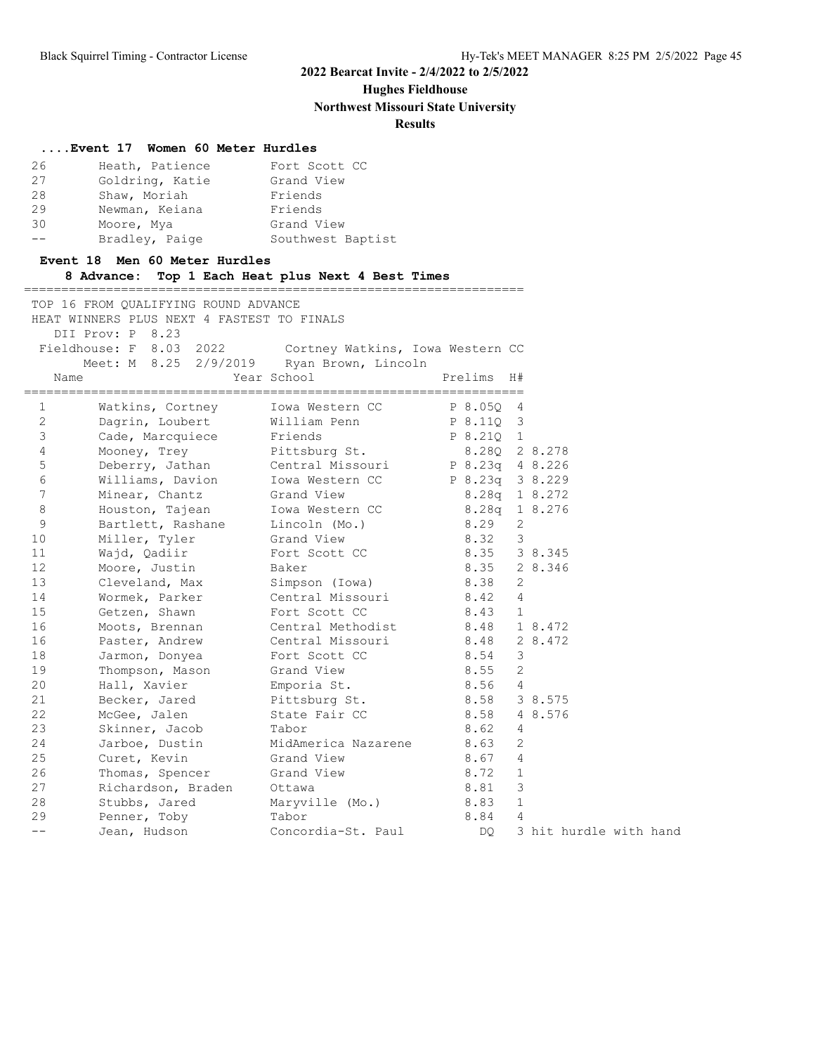**Hughes Fieldhouse**

**Northwest Missouri State University**

#### **Results**

#### **....Event 17 Women 60 Meter Hurdles**

| 26                | Heath, Patience | Fort Scott CC     |
|-------------------|-----------------|-------------------|
| 27                | Goldring, Katie | Grand View        |
| 28                | Shaw, Moriah    | Friends           |
| 29                | Newman, Keiana  | Friends           |
| 30                | Moore, Mya      | Grand View        |
| $\qquad \qquad -$ | Bradley, Paige  | Southwest Baptist |

| --           | Bradley, Paige                                                                     | Southwest Baptist                                        |                                 |                                |         |
|--------------|------------------------------------------------------------------------------------|----------------------------------------------------------|---------------------------------|--------------------------------|---------|
|              | Event 18 Men 60 Meter Hurdles                                                      | 8 Advance: Top 1 Each Heat plus Next 4 Best Times        |                                 |                                |         |
|              | TOP 16 FROM OUALIFYING ROUND ADVANCE<br>HEAT WINNERS PLUS NEXT 4 FASTEST TO FINALS |                                                          |                                 |                                |         |
|              | DII Prov: P 8.23<br>Meet: M 8.25 2/9/2019 Ryan Brown, Lincoln                      | Fieldhouse: F 8.03 2022 Cortney Watkins, Iowa Western CC |                                 |                                |         |
| Name         |                                                                                    | Year School                                              | Prelims H#                      |                                |         |
| $\mathbf{1}$ |                                                                                    | Watkins, Cortney Iowa Western CC P 8.050 4               |                                 |                                |         |
| 2<br>3       | Cade, Marcquiece Friends                                                           | Dagrin, Loubert Milliam Penn P 8.11Q 3                   | P 8.210 1                       |                                |         |
| 4            | Mooney, Trey Pittsburg St.                                                         |                                                          | 8.280 2 8.278                   |                                |         |
| 5            |                                                                                    | Deberry, Jathan Central Missouri P 8.23q 4 8.226         |                                 |                                |         |
| 6<br>7       | Minear, Chantz Grand View                                                          | Williams, Davion Iowa Western CC                         | P 8.23q 3 8.229<br>8.28q 18.272 |                                |         |
| 8            | Houston, Tajean Iowa Western CC                                                    |                                                          | 8.28q 1 8.276                   |                                |         |
| 9            | Bartlett, Rashane Lincoln (Mo.)                                                    |                                                          | 8.29                            | 2                              |         |
| 10           | Miller, Tyler Grand View                                                           |                                                          | 8.32                            | $\mathcal{S}$                  |         |
| 11           | Wajd, Qadiir Fort Scott CC                                                         |                                                          | 8.35 38.345                     |                                |         |
| 12           | Moore, Justin Baker                                                                |                                                          | 8.35                            |                                | 2 8.346 |
| 13           | Cleveland, Max Simpson (Iowa)                                                      |                                                          | 8.38                            | 2                              |         |
| 14<br>15     | Wormek, Parker Central Missouri                                                    |                                                          | 8.42<br>8.43                    | $\overline{4}$<br>$\mathbf{1}$ |         |
| 16           | Getzen, Shawn Fort Scott CC                                                        | Moots, Brennan Central Methodist 8.48 18.472             |                                 |                                |         |
| 16           |                                                                                    | Paster, Andrew Central Missouri 8.48                     |                                 |                                | 2 8.472 |
| 18           | Jarmon, Donyea                                                                     | Fort Scott CC                                            | 8.54                            | 3                              |         |
|              |                                                                                    |                                                          |                                 |                                |         |

 19 Thompson, Mason Grand View 8.55 2 20 Hall, Xavier Emporia St. 8.56 4

 23 Skinner, Jacob Tabor 8.62 4 24 Jarboe, Dustin MidAmerica Nazarene 8.63 2 25 Curet, Kevin Grand View 8.67 4 26 Thomas, Spencer Grand View 8.72 1 27 Richardson, Braden Ottawa 8.81 3 28 Stubbs, Jared Maryville (Mo.) 8.83 1 29 Penner, Toby Tabor 8.84 4

21 Becker, Jared Pittsburg St. 8.58 3 8.575 22 McGee, Jalen State Fair CC 8.58 4 8.576

-- Jean, Hudson Concordia-St. Paul DQ 3 hit hurdle with hand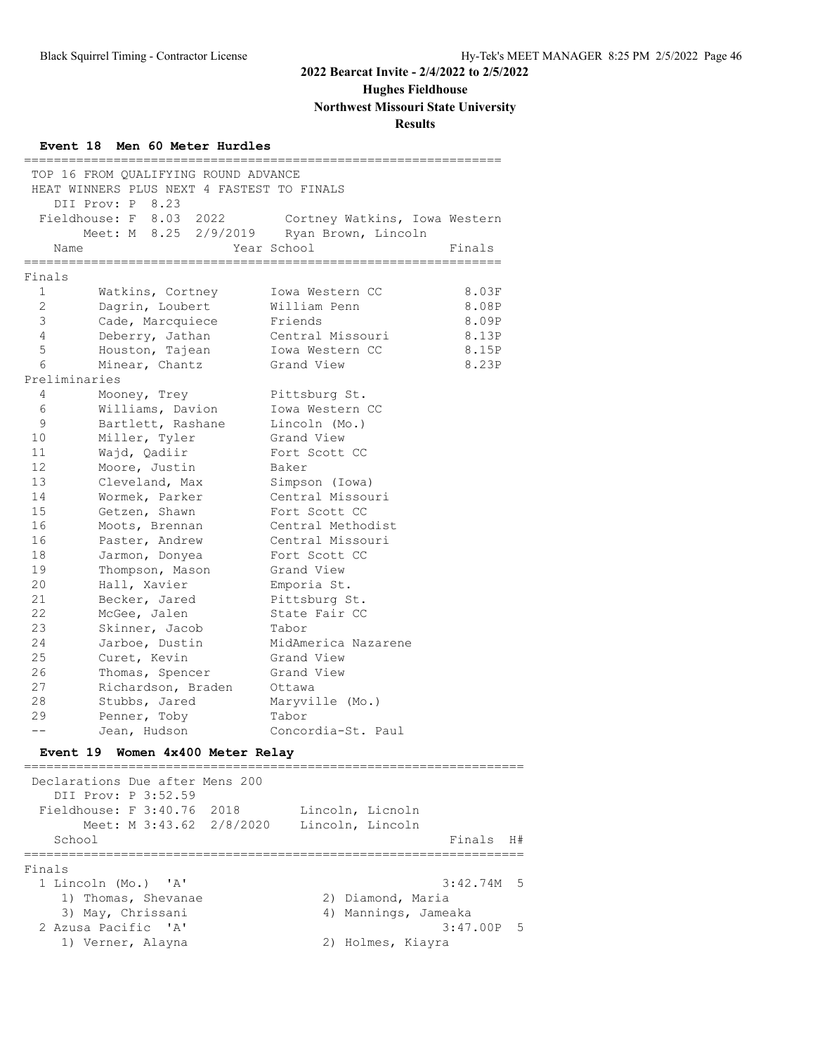**Hughes Fieldhouse**

#### **Northwest Missouri State University**

#### **Results**

#### **Event 18 Men 60 Meter Hurdles**

 TOP 16 FROM QUALIFYING ROUND ADVANCE HEAT WINNERS PLUS NEXT 4 FASTEST TO FINALS DII Prov: P 8.23<br>Fieldhouse: F 8.03 2022 Fieldhouse: F 8.03 2022 Cortney Watkins, Iowa Western Meet: M 8.25 2/9/2019 Ryan Brown, Lincoln Name Year School Finals ================================================================ Finals 1 Watkins, Cortney Iowa Western CC 8.03F 2 Dagrin, Loubert William Penn 8.08P 3 Cade, Marcquiece Friends 8.09P 4 Deberry, Jathan Central Missouri 8.13P 5 Houston, Tajean Iowa Western CC 8.15P 6 Minear, Chantz Grand View 8.23P Preliminaries 4 Mooney, Trey Pittsburg St. 6 Williams, Davion Iowa Western CC 9 Bartlett, Rashane Lincoln (Mo.) 10 Miller, Tyler Grand View 11 Wajd, Qadiir **Fort Scott CC**  12 Moore, Justin Baker 13 Cleveland, Max Simpson (Iowa) 14 Wormek, Parker Central Missouri 15 Getzen, Shawn Fort Scott CC 16 Moots, Brennan Central Methodist 16 Paster, Andrew Central Missouri 18 Jarmon, Donyea Fort Scott CC 19 Thompson, Mason Grand View 20 Hall, Xavier Emporia St. 21 Becker, Jared Pittsburg St. 22 McGee, Jalen Martista State Fair CC 23 Skinner, Jacob Tabor 24 Jarboe, Dustin MidAmerica Nazarene 25 Curet, Kevin Grand View 26 Thomas, Spencer Grand View 27 Richardson, Braden Ottawa 28 Stubbs, Jared Maryville (Mo.) 29 Penner, Toby Tabor -- Jean, Hudson Concordia-St. Paul **Event 19 Women 4x400 Meter Relay** =================================================================== Declarations Due after Mens 200 DII Prov: P 3:52.59 Fieldhouse: F 3:40.76 2018 Lincoln, Licnoln Meet: M 3:43.62 2/8/2020 Lincoln, Lincoln School Finals H# =================================================================== Finals 1 Lincoln (Mo.) 'A' 3:42.74M 5 1) Thomas, Shevanae 2) Diamond, Maria 3) May, Chrissani 4) Mannings, Jameaka 2 Azusa Pacific 'A' 3:47.00P 5 1) Verner, Alayna 2) Holmes, Kiayra

================================================================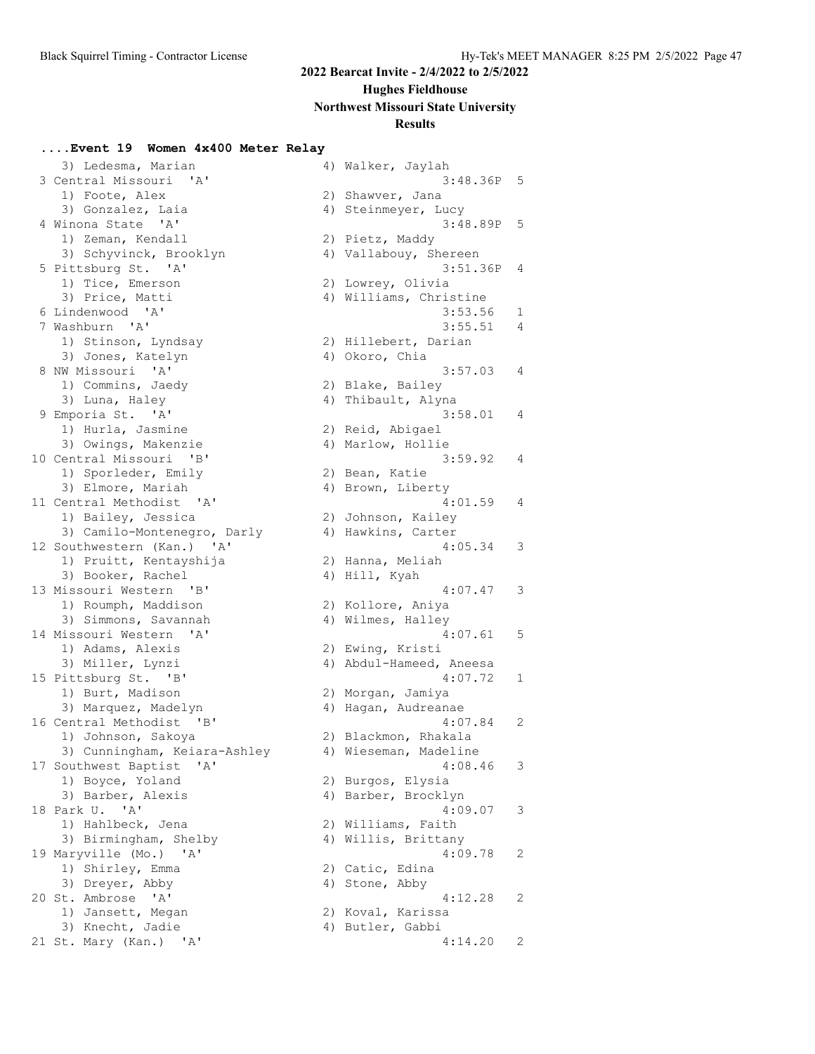#### **Hughes Fieldhouse**

**Northwest Missouri State University**

#### **Results**

#### **....Event 19 Women 4x400 Meter Relay**

3) Ledesma, Marian 4) Walke 3 Central Missouri 'A' 1) Foote, Alex 3) Gonzalez, Laia 4 Winona State 'A' 1) Zeman, Kendall 3) Schyvinck, Brooklyn 5 Pittsburg St. 'A' 1) Tice, Emerson 3) Price, Matti 6 Lindenwood 'A' 7 Washburn 'A' 1) Stinson, Lyndsay 3) Jones, Katelyn 8 NW Missouri 'A' 1) Commins, Jaedy 3) Luna, Haley 9 Emporia St. 'A' 1) Hurla, Jasmine 3) Owings, Makenzie 10 Central Missouri 'B' 1) Sporleder, Emily 3) Elmore, Mariah 11 Central Methodist 'A' 1) Bailey, Jessica 3) Camilo-Montenegro, Darly 12 Southwestern (Kan.) 'A' 1) Pruitt, Kentayshija 3) Booker, Rachel 13 Missouri Western 'B' 1) Roumph, Maddison 3) Simmons, Savannah 14 Missouri Western 'A' 1) Adams, Alexis 3) Miller, Lynzi 15 Pittsburg St. 'B' 1) Burt, Madison 3) Marquez, Madelyn 16 Central Methodist 'B' 1) Johnson, Sakoya 3) Cunningham, Keiara-Ashley 17 Southwest Baptist 'A' 1) Boyce, Yoland 3) Barber, Alexis 18 Park U. 'A' 1) Hahlbeck, Jena 3) Birmingham, Shelby 19 Maryville (Mo.) 'A' 1) Shirley, Emma 3) Dreyer, Abby 20 St. Ambrose 'A' 1) Jansett, Megan 3) Knecht, Jadie 21 St. Mary (Kan.) 'A'

|    | 4) Walker, Jaylah<br>3:48.36P               | 5 |
|----|---------------------------------------------|---|
|    | 2) Shawver, Jana                            |   |
|    | 4) Steinmeyer, Lucy                         |   |
|    | 3:48.89P                                    | 5 |
|    | 2) Pietz, Maddy                             |   |
|    | 4) Vallabouy, Shereen                       |   |
|    | 3:51.36P                                    | 4 |
|    | 2) Lowrey, Olivia<br>4) Williams, Christine |   |
|    | 3:53.56                                     | 1 |
|    | 3:55.51                                     | 4 |
|    | 2) Hillebert, Darian                        |   |
|    | 4) Okoro, Chia                              |   |
|    | 3:57.03                                     | 4 |
|    | 2) Blake, Bailey                            |   |
|    | 4) Thibault, Alyna                          |   |
|    | 3:58.01                                     | 4 |
|    | 2) Reid, Abigael<br>4) Marlow, Hollie       |   |
|    | 3:59.92                                     | 4 |
|    | 2) Bean, Katie                              |   |
|    | 4) Brown, Liberty                           |   |
|    | 4:01.59                                     | 4 |
|    | 2) Johnson, Kailey                          |   |
|    | 4) Hawkins, Carter                          |   |
|    | 4:05.34                                     | 3 |
|    | 2) Hanna, Meliah                            |   |
|    | 4) Hill, Kyah<br>4:07.47                    | 3 |
|    | 2) Kollore, Aniya                           |   |
|    | 4) Wilmes, Halley                           |   |
|    | 4:07.61                                     | 5 |
|    | 2) Ewing, Kristi                            |   |
|    | 4) Abdul-Hameed, Aneesa                     |   |
|    | 4:07.72                                     | 1 |
|    | 2) Morgan, Jamiya                           |   |
| 4) | Hagan, Audreanae<br>4:07.84                 | 2 |
|    | 2) Blackmon, Rhakala                        |   |
|    | 4) Wieseman, Madeline                       |   |
|    | 4:08.46                                     | 3 |
|    | 2) Burgos, Elysia                           |   |
| 4) | Barber, Brocklyn                            |   |
|    | 4:09.07                                     | 3 |
| 2) | Williams, Faith                             |   |
|    | 4) Willis, Brittany                         |   |
| 2) | 4:09.78<br>Catic, Edina                     | 2 |
| 4) | Stone, Abby                                 |   |
|    | 4:12.28                                     | 2 |
| 2) | Koval, Karissa                              |   |
|    | 4) Butler, Gabbi                            |   |
|    | 4:14.20                                     | 2 |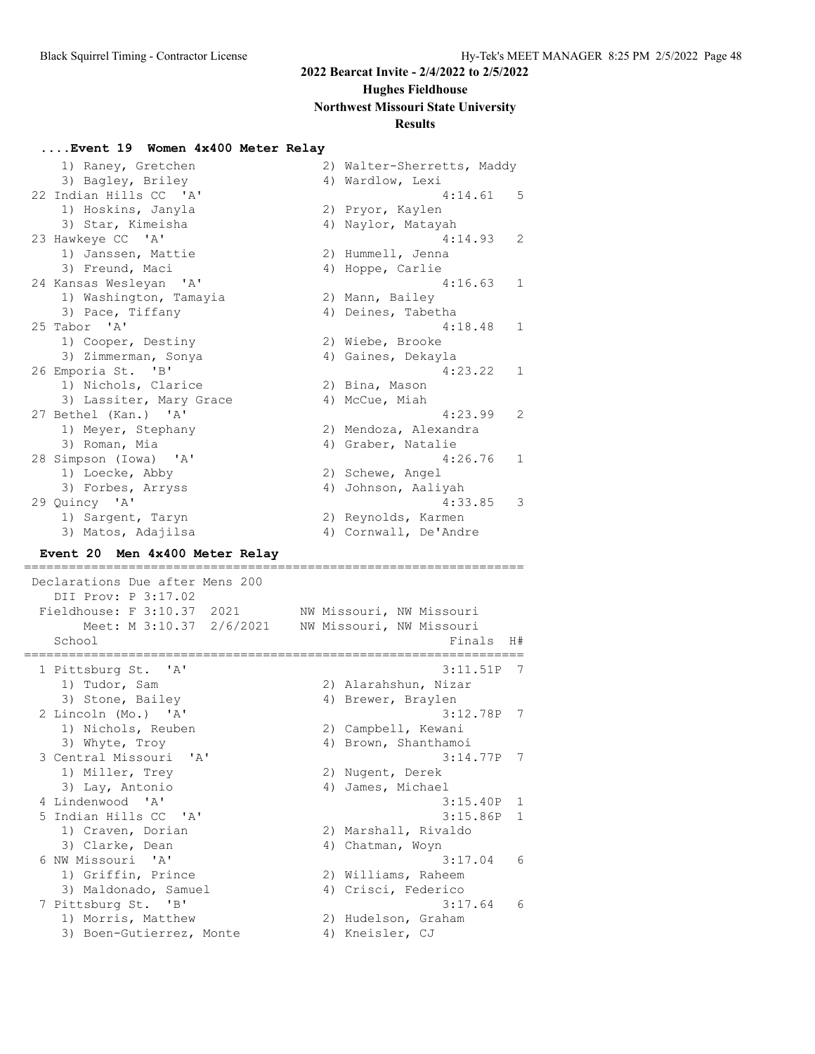#### **Hughes Fieldhouse**

#### **Northwest Missouri State University**

#### **Results**

#### **....Event 19 Women 4x400 Meter Relay**

| 1) Raney, Gretchen      | 2) Walter-Sherretts, Maddy |
|-------------------------|----------------------------|
| 3) Bagley, Briley       | 4) Wardlow, Lexi           |
| 22 Indian Hills CC 'A'  | 5<br>4:14.61               |
| 1) Hoskins, Janyla      | 2) Pryor, Kaylen           |
| 3) Star, Kimeisha       | 4) Naylor, Matayah         |
| 23 Hawkeye CC 'A'       | 4:14.93<br>2               |
| 1) Janssen, Mattie      | 2) Hummell, Jenna          |
| 3) Freund, Maci         | 4) Hoppe, Carlie           |
| 24 Kansas Wesleyan 'A'  | $\mathbf{1}$<br>4:16.63    |
| 1) Washington, Tamayia  | 2) Mann, Bailey            |
| 3) Pace, Tiffany        | 4) Deines, Tabetha         |
| 25 Tabor 'A'            | 4:18.48<br>$\mathbf{1}$    |
| 1) Cooper, Destiny      | 2) Wiebe, Brooke           |
| 3) Zimmerman, Sonya     | 4) Gaines, Dekayla         |
| 26 Emporia St. 'B'      | $\mathbf{1}$<br>4:23.22    |
| 1) Nichols, Clarice     | 2) Bina, Mason             |
| 3) Lassiter, Mary Grace | 4) McCue, Miah             |
| 27 Bethel (Kan.) 'A'    | $\mathcal{L}$<br>4:23.99   |
| 1) Meyer, Stephany      | 2) Mendoza, Alexandra      |
| 3) Roman, Mia           | 4) Graber, Natalie         |
| 28 Simpson (Iowa) 'A'   | 4:26.76<br>$\mathbf{1}$    |
| 1) Loecke, Abby         | 2) Schewe, Angel           |
| 3) Forbes, Arryss       | Johnson, Aaliyah<br>4)     |
| 29 Quincy 'A'           | 3<br>4:33.85               |
| 1) Sargent, Taryn       | 2) Reynolds, Karmen        |
| 3) Matos, Adajilsa      | 4) Cornwall, De'Andre      |

#### **Event 20 Men 4x400 Meter Relay**

 Declarations Due after Mens 200 DII Prov: P 3:17.02 Fieldhouse: F 3:10.37 2021 NW Missouri, NW Missouri Meet: M 3:10.37 2/6/2021 NW Missouri, NW Missouri School Finals H# =================================================================== 1 Pittsburg St. 'A' 3:11.51P 7 1) Tudor, Sam 2) Alarahshun, Nizar 3) Stone, Bailey (4) Brewer, Braylen 2 Lincoln (Mo.) 'A' 3:12.78P 7 1) Nichols, Reuben 2) Campbell, Kewani 3) Whyte, Troy and Marketter Manusian Andrews 4) Brown, Shanthamoi 3 Central Missouri 'A' 3:14.77P 7 1) Miller, Trey and Mugent, Derek 3) Lay, Antonio 4) James, Michael 4 Lindenwood 'A' 3:15.40P 1 5 Indian Hills CC 'A' 3:15.86P 1 1) Craven, Dorian 1988 (2011) Marshall, Rivaldo 3) Clarke, Dean 1988 (2011) 4 Chatman, Woyn 6 NW Missouri 'A' 3:17.04 6 1) Griffin, Prince 2) Williams, Raheem 3) Maldonado, Samuel (4) Crisci, Federico 7 Pittsburg St. 'B' 3:17.64 6 1) Morris, Matthew 2) Hudelson, Graham 3) Boen-Gutierrez, Monte (4) Kneisler, CJ

===================================================================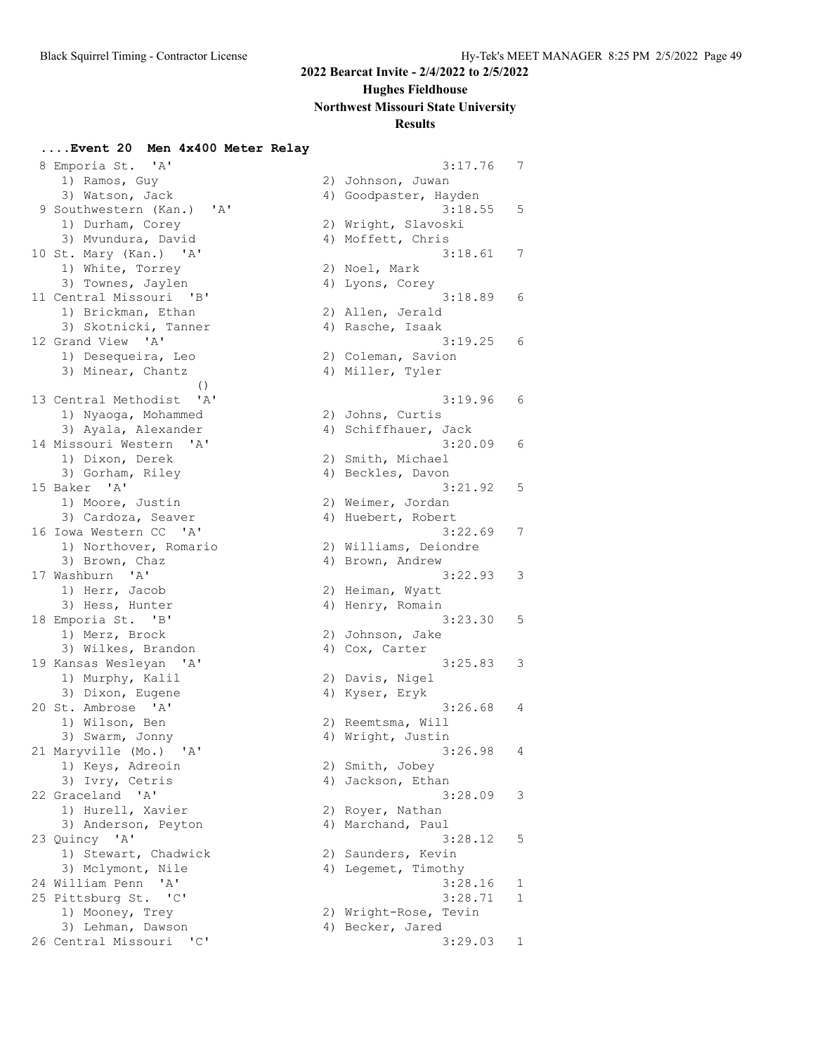## **Hughes Fieldhouse**

#### **Northwest Missouri State University**

### **Results**

#### **....Event 20 Men 4x400 Meter Relay**

| 8 Emporia St. 'A'                                 | 3:17.76               | $\prime$     |
|---------------------------------------------------|-----------------------|--------------|
| 1) Ramos, Guy                                     | 2) Johnson, Juwan     |              |
| 3) Watson, Jack                                   | 4) Goodpaster, Hayden |              |
| 9 Southwestern (Kan.) 'A'                         | 3:18.55               | 5            |
| 1) Durham, Corey                                  | 2) Wright, Slavoski   |              |
| 3) Mvundura, David                                | 4) Moffett, Chris     |              |
| 10 St. Mary (Kan.) 'A'                            | 3:18.61               | 7            |
| 1) White, Torrey                                  | 2) Noel, Mark         |              |
|                                                   |                       |              |
| 3) Townes, Jaylen                                 | 4) Lyons, Corey       |              |
| 11 Central Missouri 'B'                           | 3:18.89               | 6            |
| 1) Brickman, Ethan                                | 2) Allen, Jerald      |              |
| 3) Skotnicki, Tanner                              | 4) Rasche, Isaak      |              |
| 12 Grand View 'A'                                 | 3:19.25               | 6            |
| 1) Desequeira, Leo                                | 2) Coleman, Savion    |              |
| 3) Minear, Chantz                                 | 4) Miller, Tyler      |              |
| $\left( \right)$                                  |                       |              |
| $^{\prime}$ A $^{\prime}$<br>13 Central Methodist | 3:19.96               | 6            |
| 1) Nyaoga, Mohammed                               | 2) Johns, Curtis      |              |
| 3) Ayala, Alexander                               | 4) Schiffhauer, Jack  |              |
| 14 Missouri Western 'A'                           | 3:20.09               | 6            |
| 1) Dixon, Derek                                   | 2) Smith, Michael     |              |
| 3) Gorham, Riley                                  | 4) Beckles, Davon     |              |
| 15 Baker<br>'A'                                   | 3:21.92               | 5            |
| 1) Moore, Justin                                  | 2) Weimer, Jordan     |              |
| 3) Cardoza, Seaver                                | 4) Huebert, Robert    |              |
| 16 Iowa Western CC 'A'                            | 3:22.69               | 7            |
| 1) Northover, Romario                             | 2) Williams, Deiondre |              |
| 3) Brown, Chaz                                    | 4) Brown, Andrew      |              |
| 17 Washburn 'A'                                   | 3:22.93               | 3            |
| 1) Herr, Jacob                                    | 2) Heiman, Wyatt      |              |
| 3) Hess, Hunter                                   | 4) Henry, Romain      |              |
| 18 Emporia St. 'B'                                | 3:23.30               | 5            |
| 1) Merz, Brock                                    | 2) Johnson, Jake      |              |
| 3) Wilkes, Brandon                                | 4) Cox, Carter        |              |
| 19 Kansas Wesleyan 'A'                            | 3:25.83               | 3            |
| 1) Murphy, Kalil                                  | 2) Davis, Nigel       |              |
| 3) Dixon, Eugene                                  | 4) Kyser, Eryk        |              |
| 20 St. Ambrose 'A'                                | 3:26.68               | 4            |
| 1) Wilson, Ben                                    | 2) Reemtsma, Will     |              |
| 3) Swarm, Jonny                                   | 4) Wright, Justin     |              |
| 21 Maryville (Mo.) 'A'                            | 3:26.98               | 4            |
| 1) Keys, Adreoin                                  | 2) Smith, Jobey       |              |
| 3) Ivry, Cetris                                   | 4) Jackson, Ethan     |              |
| 22 Graceland 'A'                                  | 3:28.09               | 3            |
| 1) Hurell, Xavier                                 |                       |              |
|                                                   | 2) Royer, Nathan      |              |
| 3) Anderson, Peyton                               | 4) Marchand, Paul     |              |
| 23 Quincy 'A'                                     | 3:28.12               | 5            |
| 1) Stewart, Chadwick                              | 2) Saunders, Kevin    |              |
| 3) Mclymont, Nile                                 | 4) Legemet, Timothy   |              |
| 24 William Penn<br>' A'                           | 3:28.16               | 1            |
| 25 Pittsburg St.<br>$\cdot$ $\circ$ $\cdot$       | 3:28.71               | $\mathbf{1}$ |
| 1) Mooney, Trey                                   | 2) Wright-Rose, Tevin |              |
| 3) Lehman, Dawson                                 | 4) Becker, Jared      |              |
| 26 Central Missouri<br>"C"                        | 3:29.03               | 1            |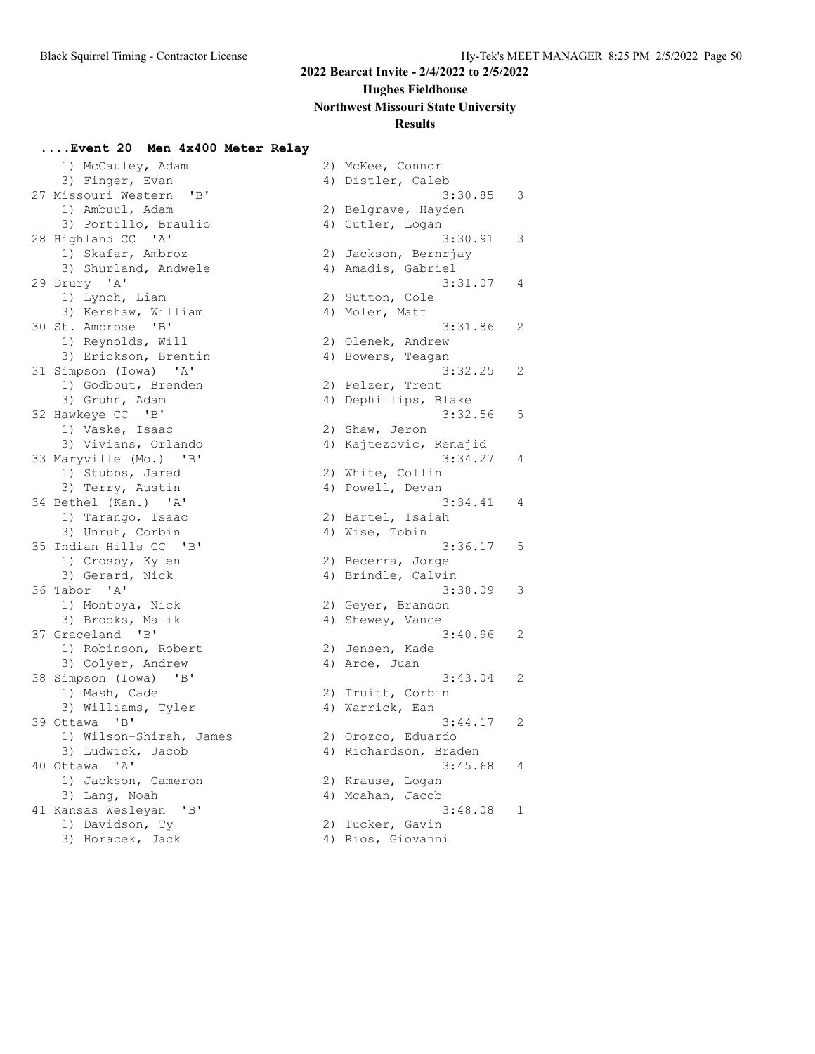# **Hughes Fieldhouse**

# **Northwest Missouri State University**

# **Results**

### **....Event 20 Men 4x400 Meter Relay**

| 1) McCauley, Adam                  | 2) McKee, Connor       |
|------------------------------------|------------------------|
| 3) Finger, Evan                    | 4) Distler, Caleb      |
| 27 Missouri Western 'B'            | 3:30.8                 |
| 1) Ambuul, Adam                    | 2) Belgrave, Hayden    |
| 3) Portillo, Braulio               | 4) Cutler, Logan       |
| 28 Highland CC 'A'                 | 3:30.9                 |
| 1) Skafar, Ambroz                  | 2) Jackson, Bernrjay   |
| 3) Shurland, Andwele               | 4) Amadis, Gabriel     |
| 29 Drury 'A'                       | 3:31.0                 |
| 1) Lynch, Liam                     | 2) Sutton, Cole        |
| 3) Kershaw, William                | 4) Moler, Matt         |
| 30 St. Ambrose 'B'                 | 3:31.8                 |
| 1) Reynolds, Will                  | 2) Olenek, Andrew      |
| 3) Erickson, Brentin               | 4) Bowers, Teagan      |
| 31 Simpson (Iowa) 'A'              | 3:32.2                 |
| 1) Godbout, Brenden                | 2) Pelzer, Trent       |
| 3) Gruhn, Adam                     | 4) Dephillips, Blake   |
| 32 Hawkeye CC 'B'                  | 3:32.5                 |
| 1) Vaske, Isaac                    | 2) Shaw, Jeron         |
| 3) Vivians, Orlando                | 4) Kajtezovic, Renajid |
| $\mathbf{B}$<br>33 Maryville (Mo.) | 3:34.2                 |
| 1) Stubbs, Jared                   | 2) White, Collin       |
| 3) Terry, Austin                   | 4) Powell, Devan       |
| 34 Bethel (Kan.) 'A'               | 3:34.4                 |
| 1) Tarango, Isaac                  | 2) Bartel, Isaiah      |
| 3) Unruh, Corbin                   | 4) Wise, Tobin         |
| 35 Indian Hills CC 'B'             | 3:36.1                 |
| 1) Crosby, Kylen                   | 2) Becerra, Jorge      |
| 3) Gerard, Nick                    | 4) Brindle, Calvin     |
| 36 Tabor 'A'                       | 3:38.0                 |
| 1) Montoya, Nick                   | 2) Geyer, Brandon      |
| 3) Brooks, Malik                   | 4) Shewey, Vance       |
| 37 Graceland 'B'                   | 3:40.9                 |
| 1) Robinson, Robert                | 2) Jensen, Kade        |
| 3) Colyer, Andrew                  | 4) Arce, Juan          |
| 38 Simpson (Iowa) 'B'              | 3:43.0                 |
| 1) Mash, Cade                      | 2) Truitt, Corbin      |
| 3) Williams, Tyler                 | 4) Warrick, Ean        |
| 39 Ottawa 'B'                      | 3:44.1                 |
| 1) Wilson-Shirah, James            | 2) Orozco, Eduardo     |
| 3) Ludwick, Jacob                  | 4) Richardson, Braden  |
| 40 Ottawa 'A'                      | 3:45.6                 |
| 1) Jackson, Cameron                | 2) Krause, Logan       |
| 3) Lang, Noah                      | 4) Mcahan, Jacob       |
| 41 Kansas Wesleyan 'B'             | 3:48.0                 |
| 1) Davidson, Ty                    | 2) Tucker, Gavin       |

3) Horacek, Jack (4) Rios, Giovanni

| 27 Missouri Western 'B'   | 3:30.85                | 3           |
|---------------------------|------------------------|-------------|
| 1) Ambuul, Adam           | 2) Belgrave, Hayden    |             |
| 3) Portillo, Braulio      | 4) Cutler, Logan       |             |
| 28 Highland CC 'A'        | 3:30.91                | 3           |
| 1) Skafar, Ambroz         | 2) Jackson, Bernrjay   |             |
| 3) Shurland, Andwele      | 4) Amadis, Gabriel     |             |
| 29 Drury 'A'              | 3:31.07                | 4           |
| 1) Lynch, Liam            | 2) Sutton, Cole        |             |
| 3) Kershaw, William       | 4) Moler, Matt         |             |
| 30 St. Ambrose 'B'        | 3:31.86                | 2           |
| 1) Reynolds, Will         | 2) Olenek, Andrew      |             |
| 3) Erickson, Brentin      | 4) Bowers, Teagan      |             |
| 31 Simpson (Iowa) 'A'     | 3:32.25                | 2           |
| 1) Godbout, Brenden       | 2) Pelzer, Trent       |             |
| 3) Gruhn, Adam            | 4) Dephillips, Blake   |             |
| 32 Hawkeye CC 'B'         | 3:32.56                | $\mathsf S$ |
| 1) Vaske, Isaac           | 2) Shaw, Jeron         |             |
| 3) Vivians, Orlando       | 4) Kajtezovic, Renajid |             |
| 33 Maryville (Mo.) 'B'    | 3:34.27                | 4           |
| 1) Stubbs, Jared          | 2) White, Collin       |             |
| 3) Terry, Austin          | 4) Powell, Devan       |             |
| 34 Bethel (Kan.) 'A'      | 3:34.41                | 4           |
| 1) Tarango, Isaac         | 2) Bartel, Isaiah      |             |
| 3) Unruh, Corbin          | 4) Wise, Tobin         |             |
| 35 Indian Hills CC 'B'    | 3:36.17                | 5           |
| 1) Crosby, Kylen          | 2) Becerra, Jorge      |             |
| 3) Gerard, Nick           | 4) Brindle, Calvin     |             |
| 36 Tabor 'A'              | 3:38.09                | 3           |
| 1) Montoya, Nick          | 2) Geyer, Brandon      |             |
| 3) Brooks, Malik          | 4) Shewey, Vance       |             |
| 37 Graceland 'B'          | 3:40.96                | 2           |
| 1) Robinson, Robert       | 2) Jensen, Kade        |             |
| 3) Colyer, Andrew         | 4) Arce, Juan          |             |
| 38 Simpson (Iowa) 'B'     | 3:43.04                | 2           |
| 1) Mash, Cade             | 2) Truitt, Corbin      |             |
| 3) Williams, Tyler        | 4) Warrick, Ean        |             |
| 39 Ottawa 'B'             | 3:44.17                | 2           |
| 1) Wilson-Shirah, James   | 2) Orozco, Eduardo     |             |
| 3) Ludwick, Jacob         | 4) Richardson, Braden  |             |
| 40 Ottawa<br>$\mathsf{A}$ | 3:45.68                | 4           |
| 1) Jackson, Cameron       | 2) Krause, Logan       |             |
| 3) Lang, Noah             | 4) Mcahan, Jacob       |             |

2) Tucker, Gavin

 $3:48.08$  1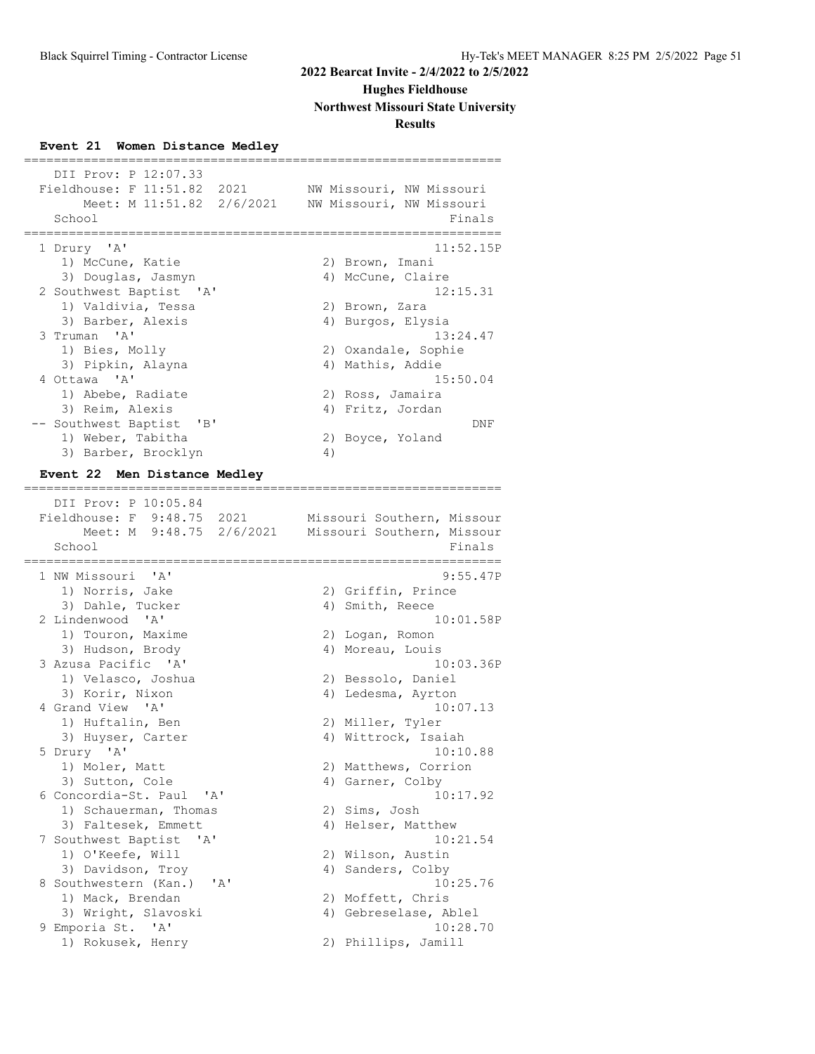# **Hughes Fieldhouse**

**Northwest Missouri State University**

# **Results**

# **Event 21 Women Distance Medley**

| DII Prov: P 12:07.33<br>Fieldhouse: F 11:51.82 2021 | NW Missouri, NW Missouri           |
|-----------------------------------------------------|------------------------------------|
| Meet: M 11:51.82 2/6/2021<br>School                 | NW Missouri, NW Missouri<br>Finals |
| 1 Drury 'A'                                         | 11:52.15P                          |
| 1) McCune, Katie                                    | 2) Brown, Imani                    |
| 3) Douglas, Jasmyn                                  | 4) McCune, Claire                  |
| 2 Southwest Baptist 'A'                             | 12:15.31                           |
| 1) Valdivia, Tessa                                  | 2) Brown, Zara                     |
| 3) Barber, Alexis                                   | 4) Burgos, Elysia                  |
| 3 Truman 'A'                                        | 13:24.47                           |
| 1) Bies, Molly                                      | 2) Oxandale, Sophie                |
| 3) Pipkin, Alayna                                   | 4) Mathis, Addie                   |
| 4 Ottawa 'A'                                        | 15:50.04                           |
| 1) Abebe, Radiate                                   | 2) Ross, Jamaira                   |
| 3) Reim, Alexis                                     | 4) Fritz, Jordan                   |
| -- Southwest Baptist 'B'                            | <b>DNF</b>                         |
| 1) Weber, Tabitha                                   | 2) Boyce, Yoland                   |
| 3) Barber, Brocklyn                                 | 4)                                 |
| Men Distance Medley<br><b>Event 22</b>              |                                    |
| DII Prov: P 10:05.84                                |                                    |
| Fieldhouse: F 9:48.75 2021                          | Missouri Southern, Missour         |

| Fieldhouse: F 9:48.75 2021<br>Meet: M 9:48.75 2/6/2021<br>School<br>======== | Missouri Southern, Missour<br>Missouri Southern, Missour<br>Finals |
|------------------------------------------------------------------------------|--------------------------------------------------------------------|
| 1 NW Missouri 'A'                                                            | ========<br>9:55.47P                                               |
| 1) Norris, Jake                                                              | 2) Griffin, Prince                                                 |
| 3) Dahle, Tucker                                                             | 4) Smith, Reece                                                    |
| 2 Lindenwood 'A'                                                             | 10:01.58P                                                          |
| 1) Touron, Maxime                                                            | 2) Logan, Romon                                                    |
| 3) Hudson, Brody                                                             | 4) Moreau, Louis                                                   |
| 3 Azusa Pacific 'A'                                                          | 10:03.36P                                                          |
| 1) Velasco, Joshua                                                           | 2) Bessolo, Daniel                                                 |
| 3) Korir, Nixon                                                              | 4) Ledesma, Ayrton                                                 |
| 4 Grand View 'A'                                                             | 10:07.13                                                           |
| 1) Huftalin, Ben                                                             | 2) Miller, Tyler                                                   |
| 3) Huyser, Carter                                                            | 4) Wittrock, Isaiah                                                |
| 5 Drury 'A'                                                                  | 10:10.88                                                           |
| 1) Moler, Matt                                                               | 2) Matthews, Corrion                                               |
| 3) Sutton, Cole                                                              | 4) Garner, Colby                                                   |
| 6 Concordia-St. Paul 'A'                                                     | 10:17.92                                                           |
| 1) Schauerman, Thomas                                                        | 2) Sims, Josh                                                      |
| 3) Faltesek, Emmett                                                          | 4) Helser, Matthew                                                 |
| 7 Southwest Baptist 'A'                                                      | 10:21.54                                                           |
| 1) O'Keefe, Will                                                             | 2) Wilson, Austin                                                  |
| 3) Davidson, Troy                                                            | 4) Sanders, Colby                                                  |
| 8 Southwestern (Kan.)<br>$^{\prime}$ A $^{\prime}$                           | 10:25.76                                                           |
| 1) Mack, Brendan                                                             | 2) Moffett, Chris                                                  |
| 3) Wright, Slavoski                                                          | 4) Gebreselase, Ablel                                              |
| 9 Emporia St. 'A'                                                            | 10:28.70                                                           |
| 1) Rokusek, Henry                                                            | 2) Phillips, Jamill                                                |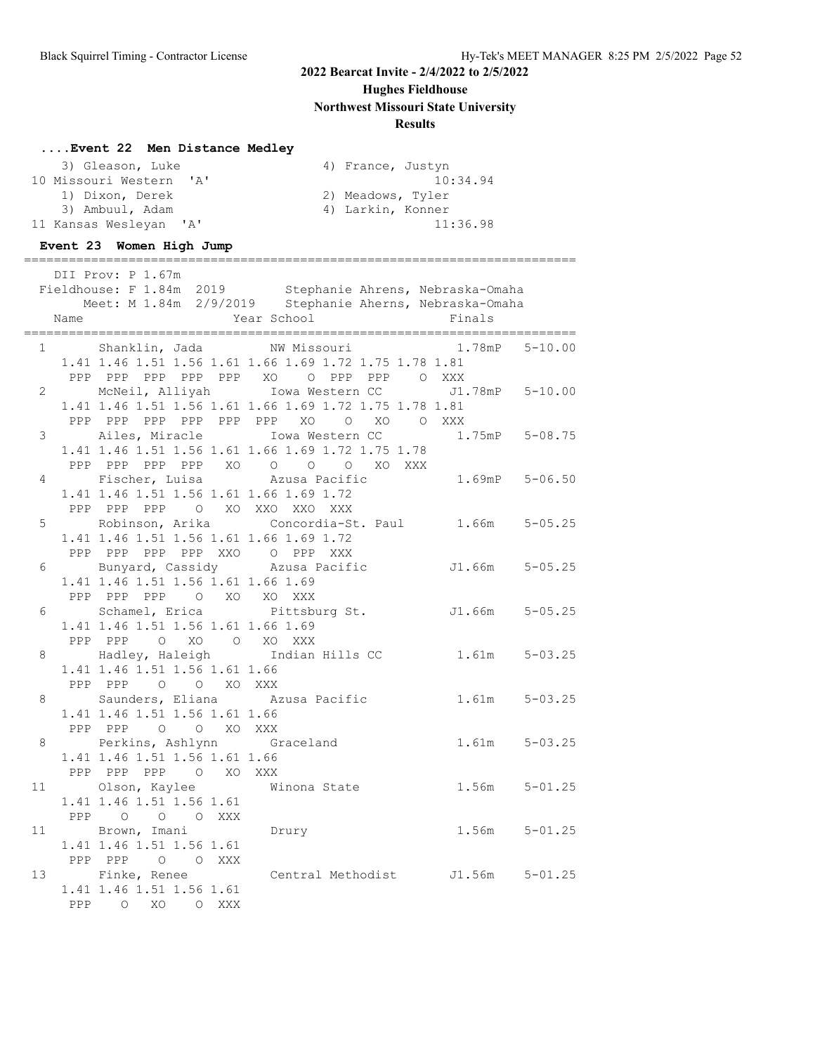# **Hughes Fieldhouse**

**Northwest Missouri State University**

# **Results**

# **....Event 22 Men Distance Medley**

| 3) Gleason, Luke        | 4) France, Justyn |
|-------------------------|-------------------|
| 10 Missouri Western 'A' | 10:34.94          |
| 1) Dixon, Derek         | 2) Meadows, Tyler |
| 3) Ambuul, Adam         | 4) Larkin, Konner |
| 11 Kansas Wesleyan 'A'  | 11:36.98          |

#### **Event 23 Women High Jump**

|    |      | DII Prov: P 1.67m                                     |                                                                                                                                                                                                                               |                   |
|----|------|-------------------------------------------------------|-------------------------------------------------------------------------------------------------------------------------------------------------------------------------------------------------------------------------------|-------------------|
|    |      |                                                       | Fieldhouse: F 1.84m 2019 Stephanie Ahrens, Nebraska-Omaha<br>Meet: M 1.84m 2/9/2019 Stephanie Aherns, Nebraska-Omaha                                                                                                          |                   |
|    | Name |                                                       | Year School                                                                                                                                                                                                                   | Finals            |
|    |      |                                                       |                                                                                                                                                                                                                               |                   |
|    |      |                                                       | 1 Shanklin, Jada MW Missouri 1.78mP 5-10.00<br>1.41 1.46 1.51 1.56 1.61 1.66 1.69 1.72 1.75 1.78 1.81                                                                                                                         |                   |
|    |      |                                                       | PPP PPP PPP PPP PPP XO O PPP PPP O XXX                                                                                                                                                                                        |                   |
|    |      |                                                       | 2 McNeil, Alliyah Iowa Western CC J1.78mP 5-10.00                                                                                                                                                                             |                   |
|    |      |                                                       | 1.41 1.46 1.51 1.56 1.61 1.66 1.69 1.72 1.75 1.78 1.81                                                                                                                                                                        |                   |
|    |      |                                                       | PPP PPP PPP PPP PPP PPP XO O XO O XXX                                                                                                                                                                                         |                   |
|    |      |                                                       | 3 Ailes, Miracle Iowa Western CC 1.75mP 5-08.75                                                                                                                                                                               |                   |
|    |      |                                                       | 1.41 1.46 1.51 1.56 1.61 1.66 1.69 1.72 1.75 1.78                                                                                                                                                                             |                   |
|    |      | 4 Fischer, Luisa Mazusa Pacific                       | 1.41 1.40 1.01 1.00 1.01 1.00 1.01 1.00<br>PPP PPP PPP XO 0 0 0 XO XXX<br>Eigeber Luisa Azusa Pacific 1.69mP 5-06.50                                                                                                          |                   |
|    |      | 1.41 1.46 1.51 1.56 1.61 1.66 1.69 1.72               |                                                                                                                                                                                                                               |                   |
|    |      | PPP PPP PPP 0 XO XXO XXO XXX                          |                                                                                                                                                                                                                               |                   |
|    |      |                                                       | 5 Robinson, Arika Concordia-St. Paul 1.66m 5-05.25                                                                                                                                                                            |                   |
|    |      | 1.41 1.46 1.51 1.56 1.61 1.66 1.69 1.72               |                                                                                                                                                                                                                               |                   |
|    |      | PPP PPP PPP PPP XXO O PPP XXX                         |                                                                                                                                                                                                                               |                   |
|    |      |                                                       |                                                                                                                                                                                                                               |                   |
|    |      | 1.41 1.46 1.51 1.56 1.61 1.66 1.69                    |                                                                                                                                                                                                                               |                   |
|    |      | PPP PPP PPP 0 XO XO XXX                               |                                                                                                                                                                                                                               |                   |
|    |      | 1.41 1.46 1.51 1.56 1.61 1.66 1.69                    | 6 Schamel, Erica Pittsburg St. J1.66m 5-05.25                                                                                                                                                                                 |                   |
|    |      | PPP PPP 0 XO 0 XO XXX                                 |                                                                                                                                                                                                                               |                   |
| 8  |      |                                                       | Here is the contract of the contract of the contract of the state of the state of the state of the state of the state of the state of the state of the state of the state of the state of the state of the state of the state |                   |
|    |      | 1.41 1.46 1.51 1.56 1.61 1.66                         |                                                                                                                                                                                                                               |                   |
|    |      | PPP PPP 0 0 XO XXX                                    |                                                                                                                                                                                                                               |                   |
|    |      |                                                       | 8 Saunders, Eliana Mzusa Pacific                                                                                                                                                                                              | $1.61m$ $5-03.25$ |
|    |      | 1.41 1.46 1.51 1.56 1.61 1.66                         |                                                                                                                                                                                                                               |                   |
|    |      | PPP PPP 0 0 XO XXX                                    |                                                                                                                                                                                                                               |                   |
| 8  |      | Perkins, Ashlynn Graceland                            |                                                                                                                                                                                                                               | $1.61m$ $5-03.25$ |
|    |      | 1.41 1.46 1.51 1.56 1.61 1.66<br>PPP PPP PPP 0 XO XXX |                                                                                                                                                                                                                               |                   |
| 11 |      | Olson, Kaylee                                         | Winona State                                                                                                                                                                                                                  | $1.56m$ $5-01.25$ |
|    |      | 1.41 1.46 1.51 1.56 1.61                              |                                                                                                                                                                                                                               |                   |
|    |      | PPP 0 0 0 XXX                                         |                                                                                                                                                                                                                               |                   |
|    |      | 11 Brown, Imani Drury                                 |                                                                                                                                                                                                                               | $1.56m$ $5-01.25$ |
|    |      | 1.41 1.46 1.51 1.56 1.61                              |                                                                                                                                                                                                                               |                   |
|    |      | PPP PPP 0 0 XXX                                       |                                                                                                                                                                                                                               |                   |
| 13 |      | Finke, Renee                                          | Central Methodist J1.56m 5-01.25                                                                                                                                                                                              |                   |
|    |      | 1.41 1.46 1.51 1.56 1.61<br>PPP O XO<br>O XXX         |                                                                                                                                                                                                                               |                   |
|    |      |                                                       |                                                                                                                                                                                                                               |                   |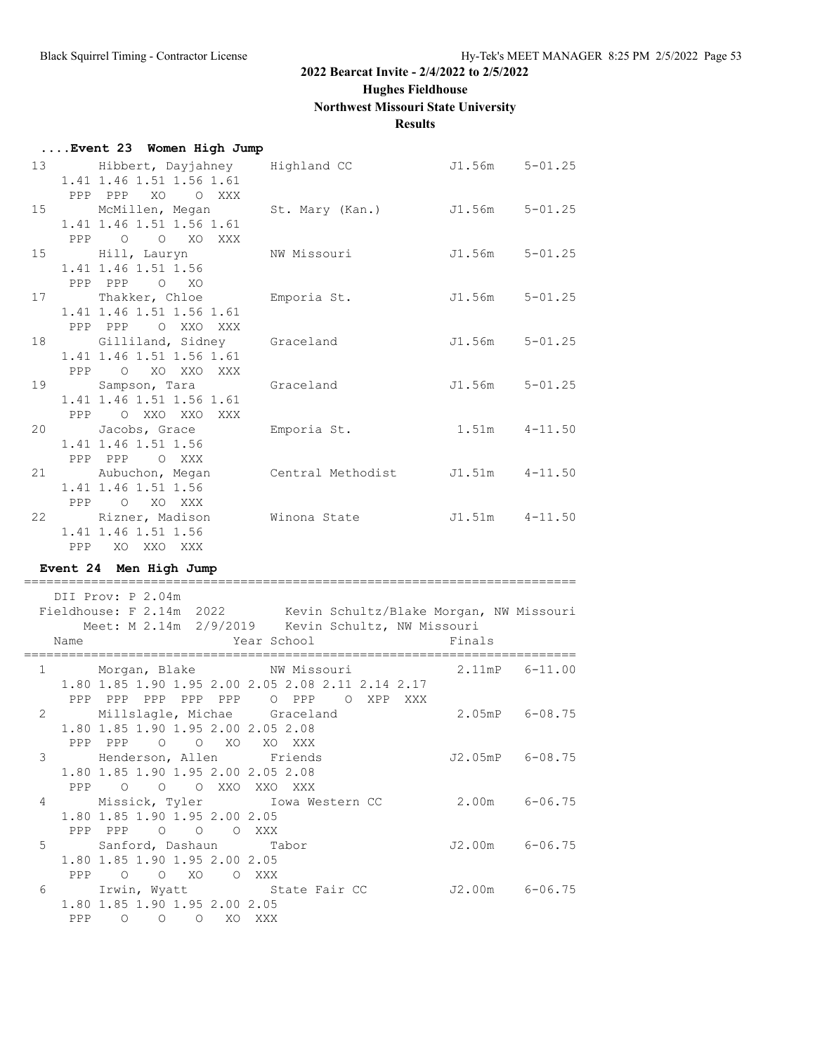**Hughes Fieldhouse**

# **Northwest Missouri State University**

# **Results**

|                | Event 23 Women High Jump                                                                                                                                          |           |                    |                 |
|----------------|-------------------------------------------------------------------------------------------------------------------------------------------------------------------|-----------|--------------------|-----------------|
|                | 13 Hibbert, Dayjahney Highland CC 5-01.25<br>1.41 1.46 1.51 1.56 1.61<br>PPP PPP XO OXXX                                                                          |           |                    |                 |
|                | 15 McMillen, Megan St. Mary (Kan.) J1.56m 5-01.25<br>1.41 1.46 1.51 1.56 1.61<br>PPP 0 0 XO XXX                                                                   |           |                    |                 |
|                | 15 Hill, Lauryn NW Missouri<br>1.41 1.46 1.51 1.56<br>PPP PPP 0 XO                                                                                                |           | $J1.56m$ $5-01.25$ |                 |
|                | 17 Thakker, Chloe Emporia St.<br>1.41 1.46 1.51 1.56 1.61<br>PPP PPP O XXO XXX                                                                                    |           | J1.56m 5-01.25     |                 |
|                | 18 Gilliland, Sidney<br>1.41 1.46 1.51 1.56 1.61<br>PPP O XO XXO XXX                                                                                              | Graceland | $J1.56m$ $5-01.25$ |                 |
|                | 19 Sampson, Tara<br>1.41 1.46 1.51 1.56 1.61<br>PPP O XXO XXO XXX                                                                                                 | Graceland | $J1.56m$ $5-01.25$ |                 |
|                | 20 Jacobs, Grace 5 Emporia St.<br>1.41 1.46 1.51 1.56<br>PPP PPP O XXX                                                                                            |           | $1.51m$ $4-11.50$  |                 |
|                | 21 Aubuchon, Megan Central Methodist J1.51m 4-11.50<br>1.41 1.46 1.51 1.56<br>PPP O XO XXX                                                                        |           |                    |                 |
|                | 22 Rizner, Madison Winona State J1.51m 4-11.50<br>1.41 1.46 1.51 1.56                                                                                             |           |                    |                 |
|                | PPP XO XXO XXX                                                                                                                                                    |           |                    |                 |
|                | Event 24 Men High Jump                                                                                                                                            |           |                    |                 |
|                | DII Prov: P 2.04m<br>Fieldhouse: F 2.14m 2022 Kevin Schultz/Blake Morgan, NW Missouri<br>Meet: M 2.14m 2/9/2019 Kevin Schultz, NW Missouri<br>Year School<br>Name |           | Finals             |                 |
|                | 1 Morgan, Blake MW Missouri 2.11mP 6-11.00<br>1.80 1.85 1.90 1.95 2.00 2.05 2.08 2.11 2.14 2.17<br>PPP PPP PPP PPP PPP O PPP O XPP XXX                            |           |                    |                 |
| $\mathbf{2}$   | Millslagle, Michae Graceland<br>1.80 1.85 1.90 1.95 2.00 2.05 2.08<br>PPP PPP 0 0 XO XO XXX                                                                       |           | 2.05mP 6-08.75     |                 |
|                | 3 Henderson, Allen Friends<br>1.80 1.85 1.90 1.95 2.00 2.05 2.08<br>PPP 0 0 0 XXO XXO XXX                                                                         |           |                    | J2.05mP 6-08.75 |
| $\overline{4}$ | Missick, Tyler Iowa Western CC 2.00m 6-06.75<br>1.80 1.85 1.90 1.95 2.00 2.05<br>PPP PPP 0 0 0 XXX                                                                |           |                    |                 |
|                | 5 Sanford, Dashaun Tabor<br>1.80 1.85 1.90 1.95 2.00 2.05<br>PPP 0 0 XO 0 XXX                                                                                     |           |                    | J2.00m 6-06.75  |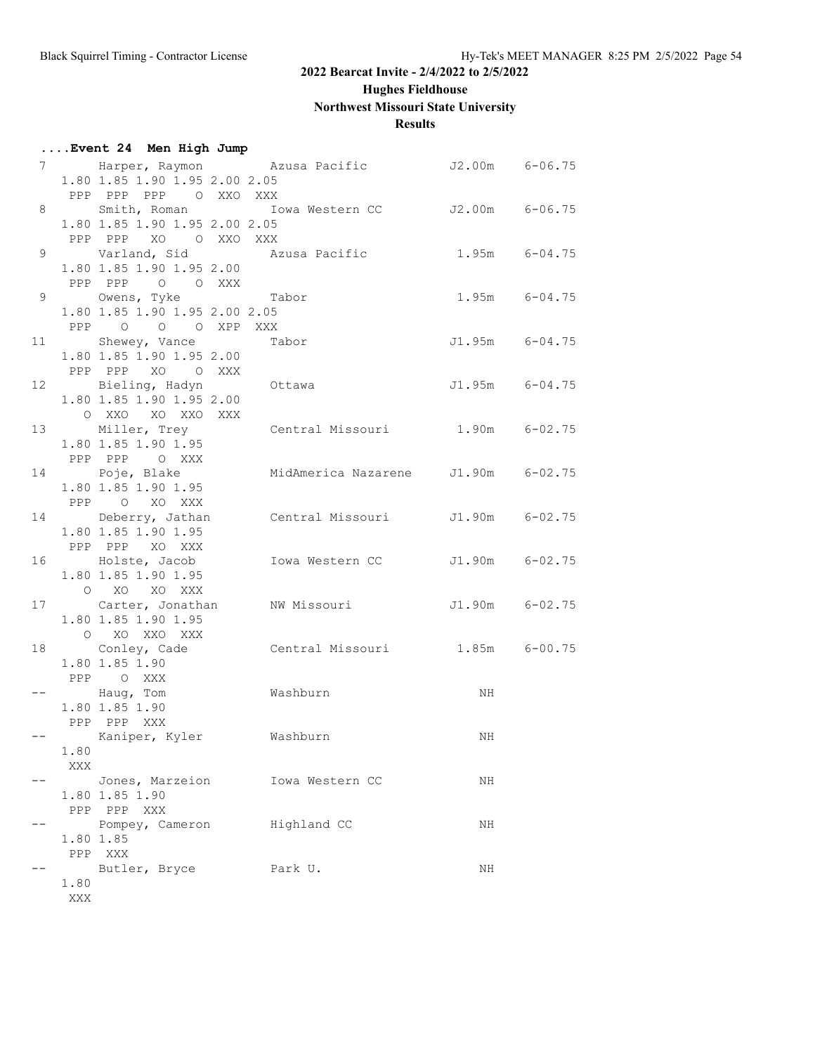**Hughes Fieldhouse**

**Northwest Missouri State University**

# **Results**

|    |      | Event 24 Men High Jump        |                                                    |                   |                |
|----|------|-------------------------------|----------------------------------------------------|-------------------|----------------|
|    |      |                               | 7 Marper, Raymon Mzusa Pacific 52.00m 6-06.75      |                   |                |
|    |      | 1.80 1.85 1.90 1.95 2.00 2.05 |                                                    |                   |                |
|    |      | PPP PPP PPP 0 XXO XXX         |                                                    |                   |                |
| 8  |      |                               | Smith, Roman Mowa Western CC J2.00m 6-06.75        |                   |                |
|    |      | 1.80 1.85 1.90 1.95 2.00 2.05 |                                                    |                   |                |
|    |      | PPP PPP XO OXXOXXX            |                                                    |                   |                |
|    |      |                               | 9 Varland, Sid Mazusa Pacific 1.95m 6-04.75        |                   |                |
|    |      | 1.80 1.85 1.90 1.95 2.00      |                                                    |                   |                |
|    |      | PPP PPP 0 0 XXX               |                                                    |                   |                |
| 9  |      | Owens, Tyke Tabor             |                                                    | $1.95m$ $6-04.75$ |                |
|    |      | 1.80 1.85 1.90 1.95 2.00 2.05 |                                                    |                   |                |
|    |      | PPP 0 0 0 XPP XXX             |                                                    |                   |                |
|    |      | 11 Shewey, Vance Tabor        |                                                    |                   | J1.95m 6-04.75 |
|    |      | 1.80 1.85 1.90 1.95 2.00      |                                                    |                   |                |
|    |      | PPP PPP XO O XXX              |                                                    |                   |                |
|    |      |                               | 12 Bieling, Hadyn Ottawa                           |                   | J1.95m 6-04.75 |
|    |      | 1.80 1.85 1.90 1.95 2.00      |                                                    |                   |                |
|    |      | O XXO XO XXO XXX              |                                                    |                   |                |
|    |      |                               | 13 Miller, Trey Central Missouri 1.90m 6-02.75     |                   |                |
|    |      | 1.80 1.85 1.90 1.95           |                                                    |                   |                |
|    |      | PPP PPP O XXX                 |                                                    |                   |                |
|    |      | 14 Poje, Blake                | MidAmerica Nazarene J1.90m 6-02.75                 |                   |                |
|    |      | 1.80 1.85 1.90 1.95           |                                                    |                   |                |
|    |      | PPP O XO XXX                  |                                                    |                   |                |
|    |      |                               | 14 Deberry, Jathan Central Missouri J1.90m 6-02.75 |                   |                |
|    |      | 1.80 1.85 1.90 1.95           |                                                    |                   |                |
|    |      | PPP PPP XO XXX                |                                                    |                   |                |
| 16 |      | Holste, Jacob                 | Iowa Western CC J1.90m 6-02.75                     |                   |                |
|    |      | 1.80 1.85 1.90 1.95           |                                                    |                   |                |
|    |      | O XO XO XXX                   |                                                    |                   |                |
|    |      |                               | 17 Carter, Jonathan MW Missouri 51.90m 6-02.75     |                   |                |
|    |      | 1.80 1.85 1.90 1.95           |                                                    |                   |                |
|    |      | O XO XXO XXX                  |                                                    |                   |                |
|    |      |                               | 18 Conley, Cade Central Missouri 1.85m 6-00.75     |                   |                |
|    |      | 1.80 1.85 1.90                |                                                    |                   |                |
|    |      | PPP OXXX                      |                                                    |                   |                |
|    |      | -- Haug, Tom Washburn         |                                                    | NH                |                |
|    |      | 1.80 1.85 1.90                |                                                    |                   |                |
|    |      | PPP PPP XXX                   |                                                    |                   |                |
|    |      | Kaniper, Kyler                | Washburn                                           | ΝH                |                |
|    | 1.80 |                               |                                                    |                   |                |
|    | XXX  |                               |                                                    |                   |                |
|    |      |                               | Jones, Marzeion Iowa Western CC                    | ΝH                |                |
|    |      | 1.80 1.85 1.90                |                                                    |                   |                |
|    |      | PPP PPP XXX                   |                                                    |                   |                |
|    |      | Pompey, Cameron Highland CC   |                                                    | NH                |                |
|    |      | 1.80 1.85                     |                                                    |                   |                |
|    |      | PPP XXX                       |                                                    |                   |                |
|    |      | Butler, Bryce Park U.         |                                                    | NH                |                |
|    | 1.80 |                               |                                                    |                   |                |
|    | XXX  |                               |                                                    |                   |                |
|    |      |                               |                                                    |                   |                |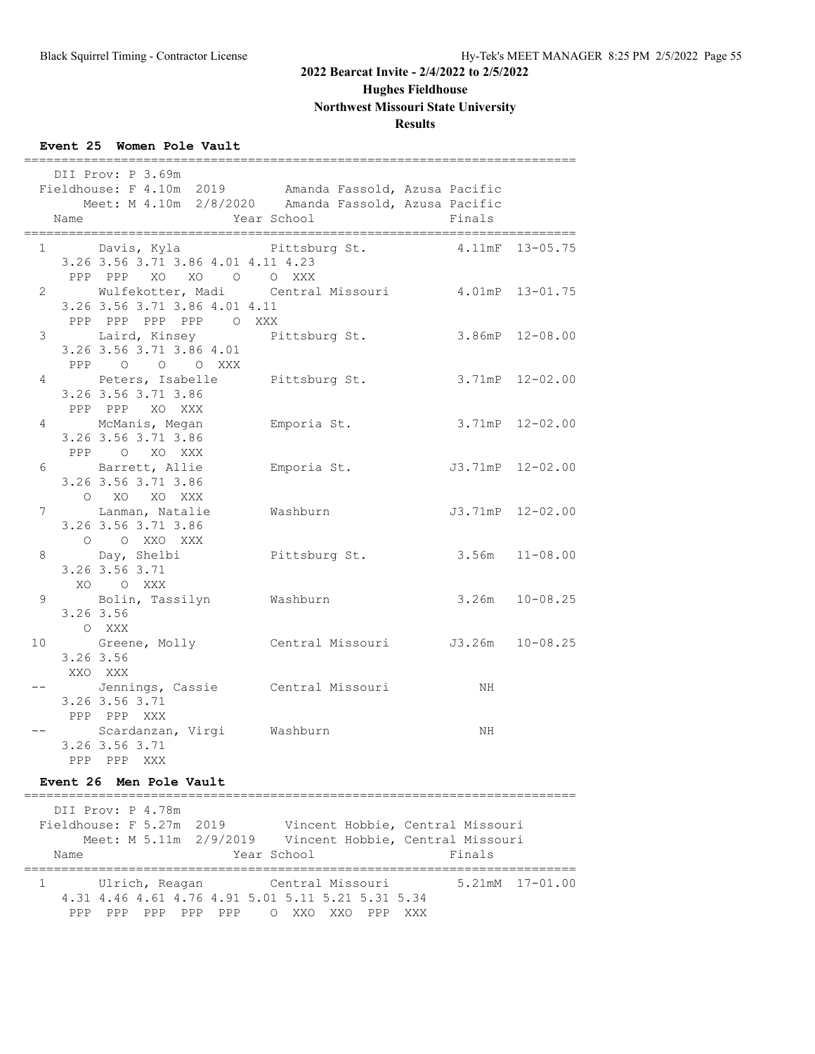**Hughes Fieldhouse**

**Northwest Missouri State University**

#### **Results**

#### **Event 25 Women Pole Vault**

|                 |      | =======<br>DII Prov: P 3.69m                              |                              |                         |  |
|-----------------|------|-----------------------------------------------------------|------------------------------|-------------------------|--|
|                 |      | Fieldhouse: F 4.10m 2019 Amanda Fassold, Azusa Pacific    |                              |                         |  |
|                 |      | Meet: M 4.10m 2/8/2020 Amanda Fassold, Azusa Pacific      |                              |                         |  |
|                 | Name | Year School                                               |                              | Finals                  |  |
|                 |      | 1 Davis, Kyla Pittsburg St.                               |                              | 4.11mF 13-05.75         |  |
|                 |      | 3.26 3.56 3.71 3.86 4.01 4.11 4.23                        |                              |                         |  |
|                 |      | PPP PPP XO XO O O XXX                                     |                              |                         |  |
|                 |      | 2 Wulfekotter, Madi Central Missouri 4.01mP 13-01.75      |                              |                         |  |
|                 |      | 3.26 3.56 3.71 3.86 4.01 4.11                             |                              |                         |  |
|                 |      | PPP PPP PPP PPP 0 XXX                                     |                              |                         |  |
|                 |      | 3 Laird, Kinsey Pittsburg St.<br>3.26 3.56 3.71 3.86 4.01 |                              | $3.86$ m $P$ $12-08.00$ |  |
|                 |      | PPP 0 0 0 XXX                                             |                              |                         |  |
|                 |      | 4 Peters, Isabelle Pittsburg St. 3.71mP 12-02.00          |                              |                         |  |
|                 |      | 3.26 3.56 3.71 3.86                                       |                              |                         |  |
|                 |      | PPP PPP XO XXX                                            |                              |                         |  |
| 4               |      | McManis, Megan Manuschi Emporia St. 3.71mP 12-02.00       |                              |                         |  |
|                 |      | 3.26 3.56 3.71 3.86                                       |                              |                         |  |
|                 |      | PPP O XO XXX                                              |                              |                         |  |
|                 |      | 6 Barrett, Allie Bmporia St. 53.71mP 12-02.00             |                              |                         |  |
|                 |      | 3.26 3.56 3.71 3.86                                       |                              |                         |  |
|                 |      | O XO XO XXX                                               |                              |                         |  |
|                 |      | 7 Lanman, Natalie Mashburn                                |                              | J3.71mP 12-02.00        |  |
|                 |      | 3.26 3.56 3.71 3.86<br>O O XXO XXX                        |                              |                         |  |
| 8               |      |                                                           | Pittsburg St. 3.56m 11-08.00 |                         |  |
|                 |      | Day, Shelbi<br>3.26 3.56 3.71                             |                              |                         |  |
|                 |      | XO OXXX                                                   |                              |                         |  |
|                 |      | 9 Bolin, Tassilyn Washburn                                |                              | $3.26m$ $10-08.25$      |  |
|                 |      | 3.26 3.56                                                 |                              |                         |  |
|                 |      | O XXX                                                     |                              |                         |  |
| 10 <sup>1</sup> |      | Greene, Molly Central Missouri J3.26m 10-08.25            |                              |                         |  |
|                 |      | 3.26 3.56                                                 |                              |                         |  |
|                 |      | XXO XXX                                                   |                              |                         |  |
|                 |      | Jennings, Cassie Central Missouri NH                      |                              |                         |  |
|                 |      | 3.26 3.56 3.71                                            |                              |                         |  |
|                 |      | PPP PPP XXX<br>Scardanzan, Virgi Washburn                 |                              | ΝH                      |  |
|                 |      | 3.26 3.56 3.71                                            |                              |                         |  |
|                 |      | PPP PPP XXX                                               |                              |                         |  |

#### **Event 26 Men Pole Vault**

========================================================================== DII Prov: P 4.78m Fieldhouse: F 5.27m 2019 Vincent Hobbie, Central Missouri Meet: M 5.11m 2/9/2019 Vincent Hobbie, Central Missouri Name **Year School** Finals ========================================================================== 1 Ulrich, Reagan Central Missouri 5.21mM 17-01.00 4.31 4.46 4.61 4.76 4.91 5.01 5.11 5.21 5.31 5.34 PPP PPP PPP PPP PPP O XXO XXO PPP XXX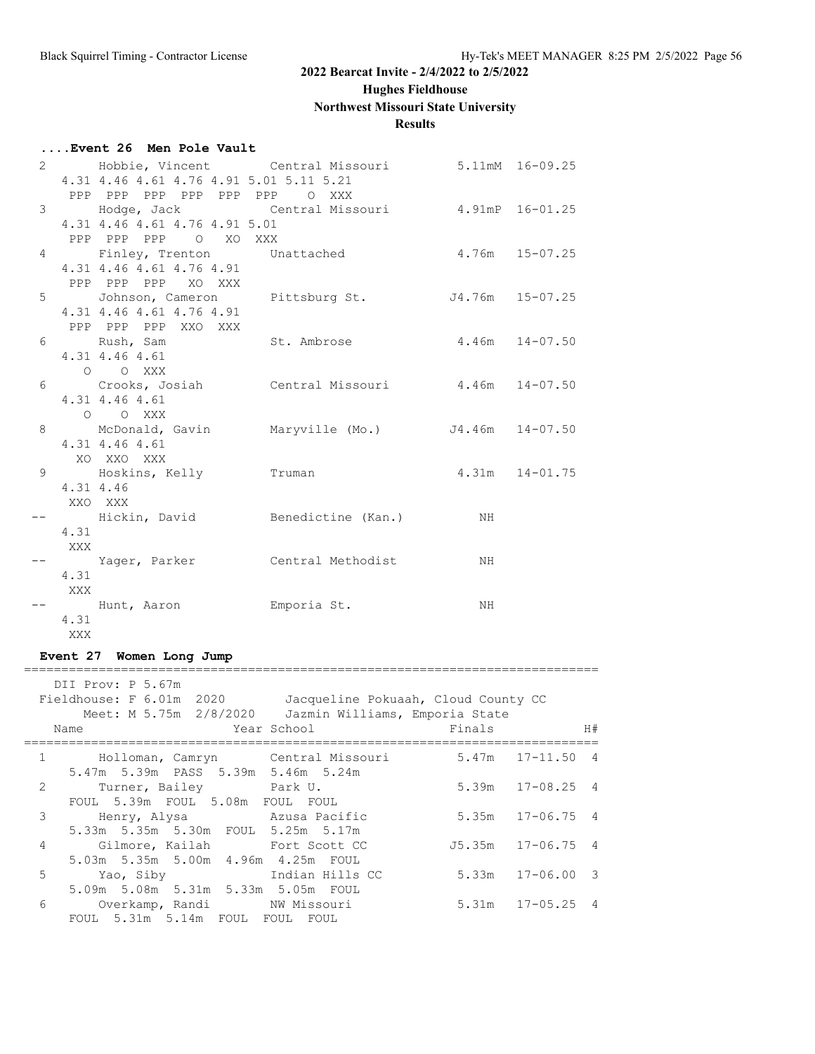**Hughes Fieldhouse**

# **Northwest Missouri State University**

# **Results**

# **....Event 26 Men Pole Vault**

|   |           |                                         | 2 5.11mM 16-09.25                               |                    |                 |
|---|-----------|-----------------------------------------|-------------------------------------------------|--------------------|-----------------|
|   |           | 4.31 4.46 4.61 4.76 4.91 5.01 5.11 5.21 |                                                 |                    |                 |
|   |           | PPP PPP PPP PPP PPP PPP O XXX           |                                                 |                    |                 |
|   |           |                                         | 3 Hodge, Jack Central Missouri 4.91mP 16-01.25  |                    |                 |
|   |           | 4.31 4.46 4.61 4.76 4.91 5.01           |                                                 |                    |                 |
|   |           | PPP PPP PPP 0 XO XXX                    |                                                 |                    |                 |
|   |           |                                         | 4 Finley, Trenton Unattached                    | $4.76m$ $15-07.25$ |                 |
|   |           | 4.31 4.46 4.61 4.76 4.91                |                                                 |                    |                 |
|   |           | PPP PPP PPP XO XXX                      |                                                 |                    |                 |
|   |           |                                         | 5 Johnson, Cameron Pittsburg St.                |                    | J4.76m 15-07.25 |
|   |           | 4.31 4.46 4.61 4.76 4.91                |                                                 |                    |                 |
|   |           | PPP PPP PPP XXO XXX                     |                                                 |                    |                 |
|   |           | 6 Rush, Sam St. Ambrose                 |                                                 | $4.46m$ $14-07.50$ |                 |
|   |           | 4.31 4.46 4.61                          |                                                 |                    |                 |
|   |           | O O XXX                                 |                                                 |                    |                 |
| 6 |           |                                         | Crooks, Josiah Central Missouri 4.46m 14-07.50  |                    |                 |
|   |           | 4.31 4.46 4.61                          |                                                 |                    |                 |
|   |           | O O XXX                                 |                                                 |                    |                 |
| 8 |           | 4.31 4.46 4.61                          | McDonald, Gavin Maryville (Mo.) J4.46m 14-07.50 |                    |                 |
|   |           | XO XXO XXX                              |                                                 |                    |                 |
| 9 |           | Hoskins, Kelly Truman                   |                                                 | $4.31m$ $14-01.75$ |                 |
|   | 4.31 4.46 |                                         |                                                 |                    |                 |
|   |           | XXO XXX                                 |                                                 |                    |                 |
|   |           |                                         | Hickin, David Benedictine (Kan.) NH             |                    |                 |
|   | 4.31      |                                         |                                                 |                    |                 |
|   | XXX       |                                         |                                                 |                    |                 |
|   |           |                                         | -- Yager, Parker Central Methodist NH           |                    |                 |
|   | 4.31      |                                         |                                                 |                    |                 |
|   | XXX       |                                         |                                                 |                    |                 |
|   |           | -- Hunt, Aaron Hunter Emporia St.       |                                                 | ΝH                 |                 |
|   | 4.31      |                                         |                                                 |                    |                 |
|   | XXX       |                                         |                                                 |                    |                 |
|   |           |                                         |                                                 |                    |                 |

# **Event 27 Women Long Jump**

|               | DII Prov: P 5.67m<br>Fieldhouse: F 6.01m 2020<br>Meet: M 5.75m 2/8/2020<br>Name | Jacqueline Pokuaah, Cloud County CC<br>Jazmin Williams, Emporia State<br>Year School | Finals |                       | H#  |
|---------------|---------------------------------------------------------------------------------|--------------------------------------------------------------------------------------|--------|-----------------------|-----|
| $\mathbf{1}$  | Holloman, Camryn Central Missouri                                               |                                                                                      |        | 5.47m 17-11.50        | - 4 |
|               | 5.47m 5.39m PASS 5.39m 5.46m 5.24m                                              |                                                                                      |        |                       |     |
| $\mathcal{L}$ | Turner, Bailey Park U.                                                          |                                                                                      |        | 5.39m 17-08.25 4      |     |
|               | FOUL 5.39m FOUL 5.08m FOUL FOUL                                                 |                                                                                      |        |                       |     |
| 3             | Henry, Alysa Mazusa Pacific                                                     |                                                                                      |        | $5.35m$ $17-06.75$ 4  |     |
|               | 5.33m 5.35m 5.30m FOUL 5.25m 5.17m                                              |                                                                                      |        |                       |     |
| 4             | Gilmore, Kailah Fort Scott CC                                                   |                                                                                      |        | $J5.35m$ $17-06.75$ 4 |     |
|               | 5.03m 5.35m 5.00m 4.96m 4.25m FOUL                                              |                                                                                      |        |                       |     |
| 5             | Yao, Siby                                                                       | Indian Hills CC                                                                      |        | $5.33m$ $17-06.00$ 3  |     |
|               | 5.09m 5.08m 5.31m 5.33m 5.05m FOUL                                              |                                                                                      |        |                       |     |
| 6             | Overkamp, Randi NW Missouri                                                     |                                                                                      |        | $5.31m$ $17-05.25$ 4  |     |
|               | FOUL 5.31m 5.14m FOUL FOUL                                                      | FOUL                                                                                 |        |                       |     |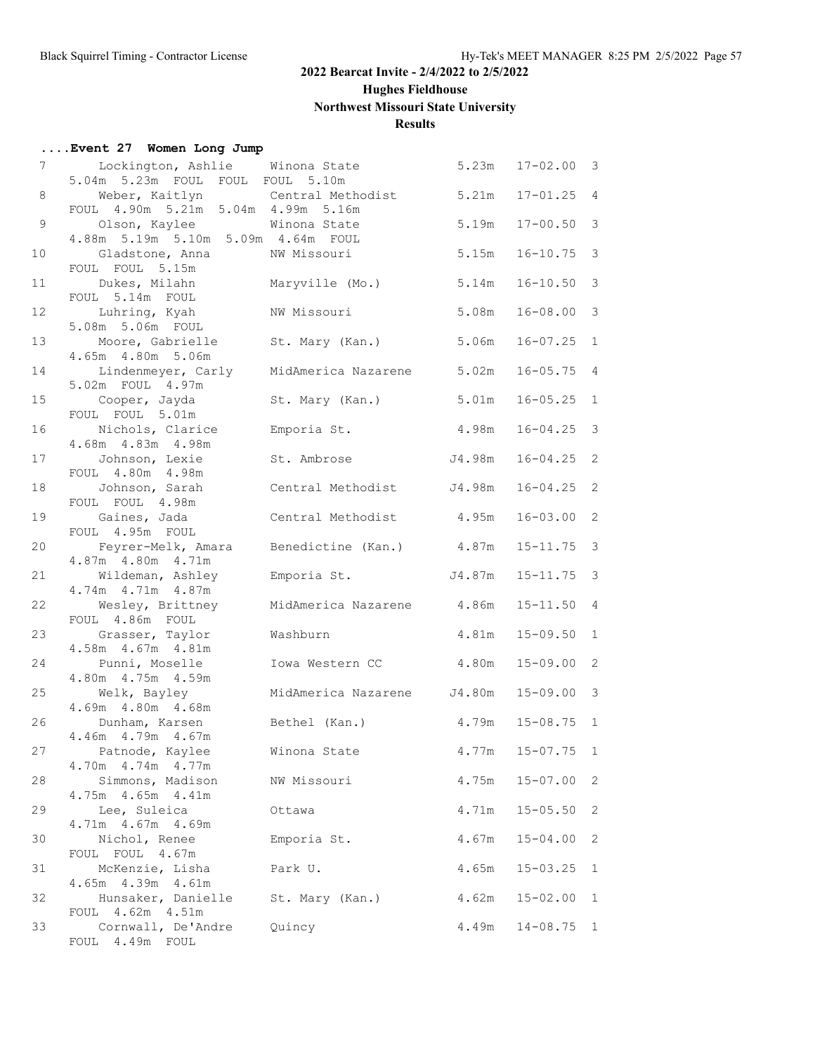**Hughes Fieldhouse**

# **Northwest Missouri State University**

# **Results**

# **....Event 27 Women Long Jump**

| 7  | Lockington, Ashlie Winona State                      |                            | 5.23m  | $17 - 02.00$ 3 |                |
|----|------------------------------------------------------|----------------------------|--------|----------------|----------------|
| 8  | 5.04m 5.23m FOUL FOUL FOUL 5.10m                     |                            |        | $17 - 01.25$ 4 |                |
|    | Weber, Kaitlyn<br>FOUL 4.90m 5.21m 5.04m 4.99m 5.16m | Central Methodist          | 5.21m  |                |                |
| 9  | Olson, Kaylee                                        | Winona State               | 5.19m  | $17 - 00.50$   | $\mathcal{E}$  |
|    | 4.88m 5.19m 5.10m 5.09m 4.64m FOUL                   |                            |        |                |                |
| 10 | Gladstone, Anna                                      | NW Missouri                | 5.15m  | $16 - 10.75$   | $\mathbf{3}$   |
|    | FOUL FOUL 5.15m                                      |                            |        |                |                |
| 11 | Dukes, Milahn                                        | Maryville (Mo.)            | 5.14m  | $16 - 10.50$   | $\mathcal{S}$  |
|    | FOUL 5.14m FOUL                                      |                            |        |                |                |
| 12 | Luhring, Kyah                                        | NW Missouri                | 5.08m  | $16 - 08.00$   | 3              |
| 13 | 5.08m 5.06m FOUL<br>Moore, Gabrielle                 | St. Mary (Kan.)            | 5.06m  | $16 - 07.25$   | $\mathbf{1}$   |
|    | 4.65m  4.80m  5.06m                                  |                            |        |                |                |
| 14 | Lindenmeyer, Carly                                   | MidAmerica Nazarene        | 5.02m  | $16 - 05.75$   | $\overline{4}$ |
|    | 5.02m FOUL 4.97m                                     |                            |        |                |                |
| 15 | Cooper, Jayda                                        | St. Mary (Kan.)            | 5.01m  | $16 - 05.25$   | $\mathbf{1}$   |
|    | FOUL FOUL 5.01m                                      |                            |        |                |                |
| 16 | Nichols, Clarice                                     | Emporia St.                | 4.98m  | $16 - 04.25$   | $\mathbf{3}$   |
|    | 4.68m  4.83m  4.98m                                  |                            |        | $16 - 04.25$   | 2              |
| 17 | Johnson, Lexie<br>FOUL 4.80m 4.98m                   | St. Ambrose                | J4.98m |                |                |
| 18 | Johnson, Sarah                                       | Central Methodist          | J4.98m | $16 - 04.25$   | 2              |
|    | FOUL FOUL 4.98m                                      |                            |        |                |                |
| 19 | Gaines, Jada                                         | Central Methodist          | 4.95m  | $16 - 03.00$   | 2              |
|    | FOUL 4.95m FOUL                                      |                            |        |                |                |
| 20 | Feyrer-Melk, Amara                                   | Benedictine (Kan.)         | 4.87m  | $15 - 11.75$   | 3              |
|    | 4.87m 4.80m 4.71m                                    |                            |        |                |                |
| 21 | Wildeman, Ashley<br>4.74m  4.71m  4.87m              | Emporia St.                | J4.87m | $15 - 11.75$   | $\mathcal{S}$  |
| 22 | Wesley, Brittney                                     | MidAmerica Nazarene        | 4.86m  | $15 - 11.50$   | $\overline{4}$ |
|    | FOUL 4.86m FOUL                                      |                            |        |                |                |
| 23 | Grasser, Taylor                                      | Washburn                   | 4.81m  | $15 - 09.50$   | $\mathbf{1}$   |
|    | 4.58m  4.67m  4.81m                                  |                            |        |                |                |
| 24 | Punni, Moselle                                       | Iowa Western CC            | 4.80m  | $15 - 09.00$   | 2              |
|    | 4.80m  4.75m  4.59m                                  |                            |        |                |                |
| 25 | Welk, Bayley<br>4.69m  4.80m  4.68m                  | MidAmerica Nazarene J4.80m |        | $15 - 09.00$   | $\mathbf{3}$   |
| 26 | Dunham, Karsen                                       | Bethel (Kan.)              | 4.79m  | $15 - 08.75$   | $\mathbf{1}$   |
|    | 4.46m  4.79m  4.67m                                  |                            |        |                |                |
| 27 | Patnode, Kaylee                                      | Winona State               | 4.77m  | $15 - 07.75$   | 1              |
|    | 4.70m  4.74m  4.77m                                  |                            |        |                |                |
| 28 | Simmons, Madison                                     | NW Missouri                | 4.75m  | $15 - 07.00$   | 2              |
|    | 4.75m  4.65m  4.41m                                  |                            |        |                |                |
| 29 | Lee, Suleica                                         | Ottawa                     | 4.71m  | $15 - 05.50$   | 2              |
| 30 | 4.71m  4.67m  4.69m<br>Nichol, Renee                 | Emporia St.                | 4.67m  | $15 - 04.00$   | 2              |
|    | FOUL FOUL 4.67m                                      |                            |        |                |                |
| 31 | McKenzie, Lisha                                      | Park U.                    | 4.65m  | $15 - 03.25$   | 1              |
|    | 4.65m  4.39m  4.61m                                  |                            |        |                |                |
| 32 | Hunsaker, Danielle                                   | St. Mary (Kan.)            | 4.62m  | $15 - 02.00$   | 1              |
|    | FOUL 4.62m 4.51m                                     |                            |        |                |                |
| 33 | Cornwall, De'Andre                                   | Quincy                     | 4.49m  | $14 - 08.75$   | 1              |
|    | FOUL 4.49m FOUL                                      |                            |        |                |                |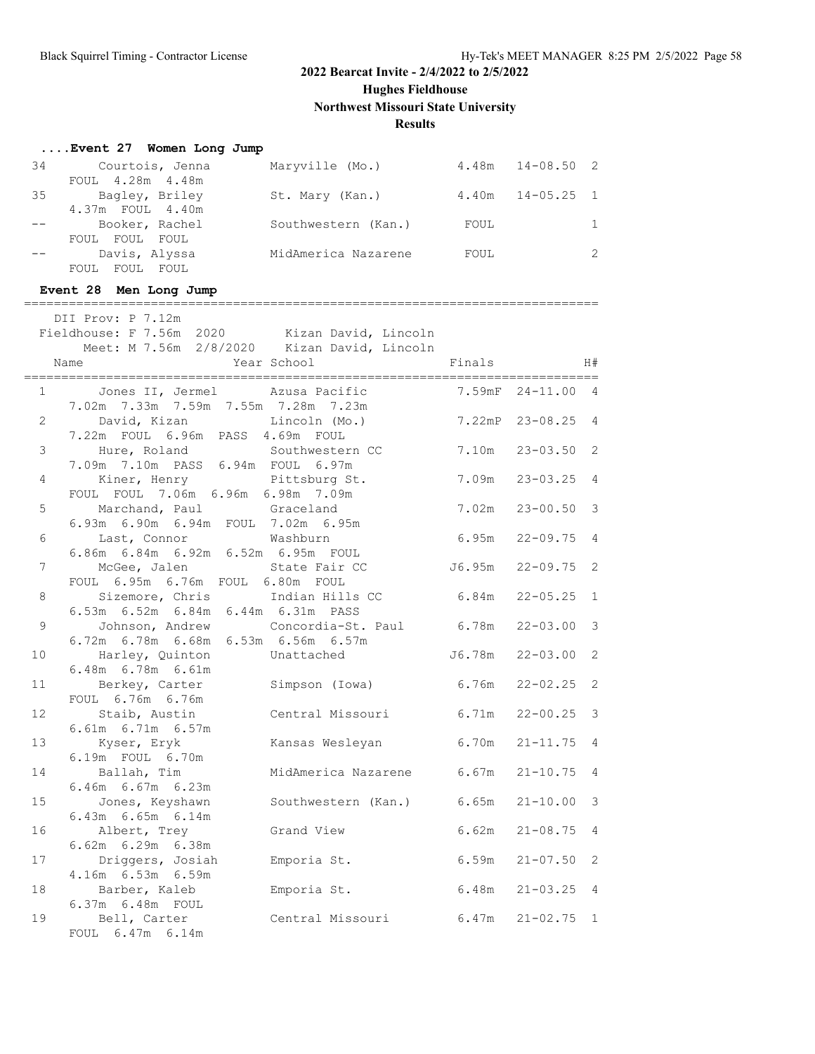**Hughes Fieldhouse**

**Northwest Missouri State University**

# **Results**

|                 | Event 27 Women Long Jump                                                                   |                                                     |        |                      |              |
|-----------------|--------------------------------------------------------------------------------------------|-----------------------------------------------------|--------|----------------------|--------------|
|                 | FOUL 4.28m 4.48m                                                                           | 34 Courtois, Jenna Maryville (Mo.) 4.48m 14-08.50 2 |        |                      |              |
|                 | 4.37m    FOUL    4.40m                                                                     | 35 Bagley, Briley St. Mary (Kan.) 4.40m 14-05.25 1  |        |                      |              |
|                 | Booker, Rachel<br>FOUL FOUL FOUL                                                           | Southwestern (Kan.) FOUL                            |        |                      | $\mathbf{1}$ |
|                 | Davis, Alyssa<br>FOUL FOUL FOUL                                                            | MidAmerica Nazarene FOUL                            |        |                      | 2            |
|                 | Event 28 Men Long Jump                                                                     |                                                     |        |                      |              |
|                 | DII Prov: P 7.12m                                                                          |                                                     |        |                      |              |
|                 | Fieldhouse: F 7.56m 2020 Kizan David, Lincoln                                              |                                                     |        |                      |              |
|                 |                                                                                            | Meet: M 7.56m 2/8/2020 Kizan David, Lincoln         |        |                      |              |
|                 | Name                                                                                       | Year School                                         | Finals | H#                   |              |
|                 | Jones II, Jermel Azusa Pacific<br>$1 \qquad \qquad$<br>7.02m 7.33m 7.59m 7.55m 7.28m 7.23m |                                                     |        | 7.59mF 24-11.00 4    |              |
| $\overline{a}$  | David, Kizan (Mo.)<br>7.22m FOUL 6.96m PASS 4.69m FOUL                                     |                                                     |        | 7.22mP 23-08.25 4    |              |
|                 | 3 Hure, Roland Southwestern CC<br>7.09m 7.10m PASS 6.94m FOUL 6.97m                        |                                                     |        | 7.10m 23-03.50 2     |              |
| 4               | Kiner, Henry Pittsburg St.<br>FOUL FOUL 7.06m 6.96m 6.98m 7.09m                            |                                                     |        | $7.09m$ $23-03.25$ 4 |              |
| 5               | Marchand, Paul Graceland<br>6.93m 6.90m 6.94m FOUL 7.02m 6.95m                             |                                                     |        | 7.02m  23-00.50  3   |              |
| 6               | Last, Connor Washburn<br>6.86m  6.84m  6.92m  6.52m  6.95m  FOUL                           |                                                     |        | $6.95m$ $22-09.75$ 4 |              |
| 7               | McGee, Jalen<br>FOUL 6.95m 6.76m FOUL 6.80m FOUL                                           | State Fair CC 56.95m 22-09.75 2                     |        |                      |              |
| 8               | Sizemore, Chris Indian Hills CC<br>6.53m 6.52m 6.84m 6.44m 6.31m PASS                      |                                                     |        | $6.84m$ $22-05.25$ 1 |              |
| 9               | 6.72m 6.78m 6.68m 6.53m 6.56m 6.57m                                                        | Johnson, Andrew Concordia-St. Paul 6.78m 22-03.00 3 |        |                      |              |
| 10              | Harley, Quinton Unattached<br>$6.48m$ $6.78m$ $6.61m$                                      |                                                     |        | J6.78m  22-03.00  2  |              |
| 11              |                                                                                            | Berkey, Carter Simpson (Iowa) 6.76m 22-02.25 2      |        |                      |              |
| 12 <sup>2</sup> | FOUL 6.76m 6.76m                                                                           | Staib, Austin Central Missouri 6.71m 22-00.25 3     |        |                      |              |
| 13 <sup>7</sup> | 6.61m 6.71m 6.57m<br>Kyser, Eryk                                                           | Kansas Wesleyan                                     |        | $6.70m$ $21-11.75$ 4 |              |
| 14              | 6.19m FOUL 6.70m<br>Ballah, Tim                                                            | MidAmerica Nazarene                                 | 6.67m  | $21 - 10.75$ 4       |              |
| 15              | 6.46m 6.67m 6.23m<br>Jones, Keyshawn                                                       | Southwestern (Kan.)                                 | 6.65m  | $21 - 10.00$         | 3            |
| 16              | 6.43m 6.65m 6.14m<br>Albert, Trey                                                          | Grand View                                          | 6.62m  | $21 - 08.75$         | 4            |
| 17              | 6.62m 6.29m 6.38m<br>Driggers, Josiah                                                      | Emporia St.                                         | 6.59m  | $21 - 07.50$         | 2            |
| 18              | 4.16m 6.53m 6.59m<br>Barber, Kaleb                                                         | Emporia St.                                         | 6.48m  | $21 - 03.25$         | 4            |
| 19              | 6.37m 6.48m FOUL<br>Bell, Carter                                                           | Central Missouri                                    | 6.47m  | $21 - 02.75$         | 1            |
|                 | FOUL 6.47m 6.14m                                                                           |                                                     |        |                      |              |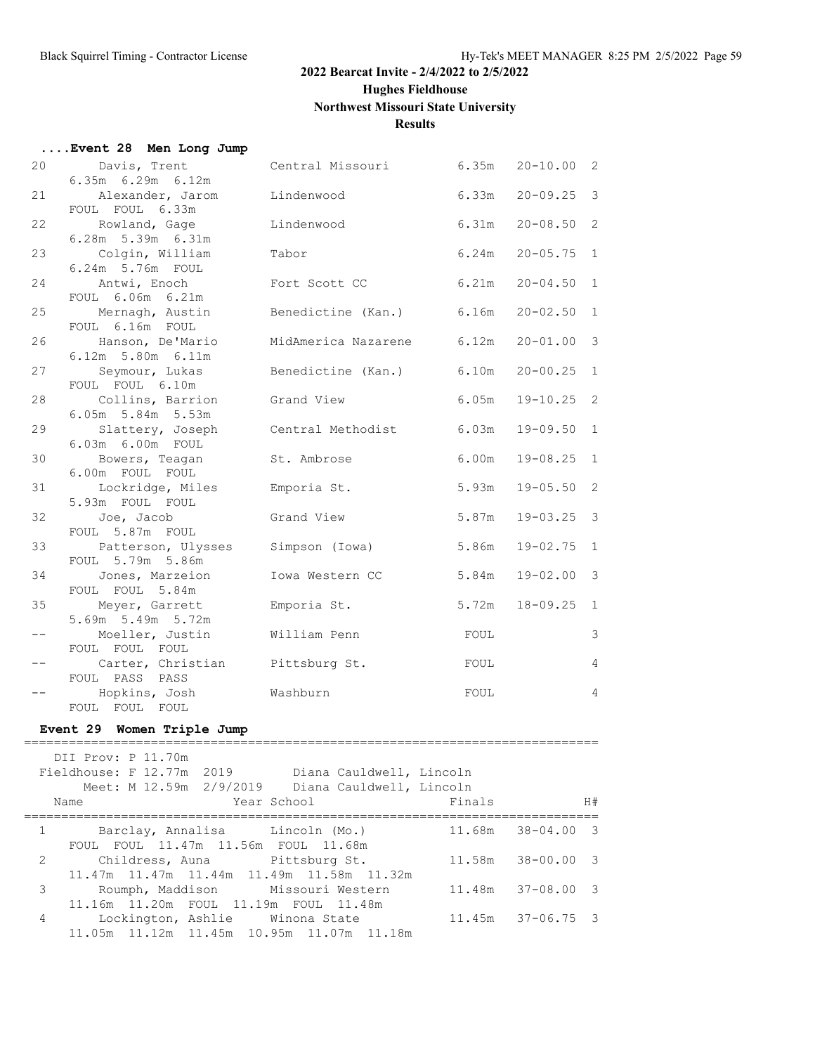**....Event 28 Men Long Jump**

#### **2022 Bearcat Invite - 2/4/2022 to 2/5/2022**

**Hughes Fieldhouse**

#### **Northwest Missouri State University**

**Results**

| 20   | Davis, Trent                           | Central Missouri         | 6.35m | $20 - 10.00$ 2 |                         |
|------|----------------------------------------|--------------------------|-------|----------------|-------------------------|
| 21   | 6.35m 6.29m 6.12m<br>Alexander, Jarom  | Lindenwood               | 6.33m | $20 - 09.25$ 3 |                         |
|      | FOUL FOUL 6.33m                        |                          |       |                |                         |
| 22   | Rowland, Gage                          | Lindenwood               | 6.31m | $20 - 08.50$ 2 |                         |
|      | 6.28m 5.39m 6.31m                      |                          |       |                |                         |
| 23   | Colgin, William                        | Tabor                    | 6.24m | $20 - 05.75$   | $\overline{1}$          |
| 24   | 6.24m 5.76m FOUL<br>Antwi, Enoch       | Fort Scott CC            | 6.21m | $20 - 04.50$   | 1                       |
|      | FOUL 6.06m 6.21m                       |                          |       |                |                         |
| 25   | Mernagh, Austin                        | Benedictine (Kan.) 6.16m |       | $20 - 02.50$   | 1                       |
|      | FOUL 6.16m FOUL                        |                          |       |                |                         |
| 26   | Hanson, De'Mario                       | MidAmerica Nazarene      | 6.12m | $20 - 01.00$   | $\overline{3}$          |
|      | 6.12m 5.80m 6.11m                      |                          |       |                |                         |
| 27   | Seymour, Lukas                         | Benedictine (Kan.) 6.10m |       | $20 - 00.25$   | $\mathbf{1}$            |
|      | FOUL FOUL 6.10m                        |                          |       |                |                         |
| 28   | Collins, Barrion<br>6.05m 5.84m 5.53m  | Grand View               | 6.05m | $19 - 10.25$   | $\overline{2}$          |
| 29   | Slattery, Joseph                       | Central Methodist        | 6.03m | $19 - 09.50$   | $\mathbf{1}$            |
|      | 6.03m 6.00m FOUL                       |                          |       |                |                         |
| 30   | Bowers, Teagan                         | St. Ambrose              | 6.00m | $19 - 08.25$   | 1                       |
|      | 6.00m FOUL FOUL                        |                          |       |                |                         |
| 31   | Lockridge, Miles                       | Emporia St.              | 5.93m | $19 - 05.50$   | 2                       |
|      | 5.93m FOUL FOUL                        |                          |       |                |                         |
| 32   | Joe, Jacob                             | Grand View               | 5.87m | $19 - 03.25$   | $\overline{\mathbf{3}}$ |
|      | FOUL 5.87m FOUL                        |                          |       |                | $\mathbf{1}$            |
| 33   | Patterson, Ulysses<br>FOUL 5.79m 5.86m | Simpson (Iowa)           | 5.86m | $19 - 02.75$   |                         |
| 34   | Jones, Marzeion                        | Iowa Western CC          | 5.84m | $19 - 02.00$   | $\overline{\mathbf{3}}$ |
|      | FOUL FOUL 5.84m                        |                          |       |                |                         |
| 35   | Meyer, Garrett                         | Emporia St.              | 5.72m | $18 - 09.25$   | $\overline{1}$          |
|      | 5.69m 5.49m 5.72m                      |                          |       |                |                         |
| $--$ | Moeller, Justin                        | William Penn             | FOUL  |                | $\mathcal{E}$           |
|      | FOUL FOUL FOUL                         |                          |       |                |                         |
| $ -$ | Carter, Christian                      | Pittsburg St.            | FOUL  |                | $\overline{4}$          |
|      | FOUL PASS PASS                         | Washburn                 |       |                | $\overline{4}$          |
|      | Hopkins, Josh<br>FOUL FOUL FOUL        |                          | FOUL  |                |                         |
|      |                                        |                          |       |                |                         |

#### **Event 29 Women Triple Jump** =============================================================================

 DII Prov: P 11.70m Fieldhouse: F 12.77m 2019 Diana Cauldwell, Lincoln Meet: M 12.59m 2/9/2019 Diana Cauldwell, Lincoln Name Year School Finals H# ============================================================================= 1 Barclay, Annalisa Lincoln (Mo.) 11.68m 38-04.00 3 FOUL FOUL 11.47m 11.56m FOUL 11.68m 2 Childress, Auna Pittsburg St. 11.58m 38-00.00 3 11.47m 11.47m 11.44m 11.49m 11.58m 11.32m 3 Roumph, Maddison Missouri Western 11.48m 37-08.00 3 11.16m 11.20m FOUL 11.19m FOUL 11.48m 4 Lockington, Ashlie Winona State 11.45m 37-06.75 3 11.05m 11.12m 11.45m 10.95m 11.07m 11.18m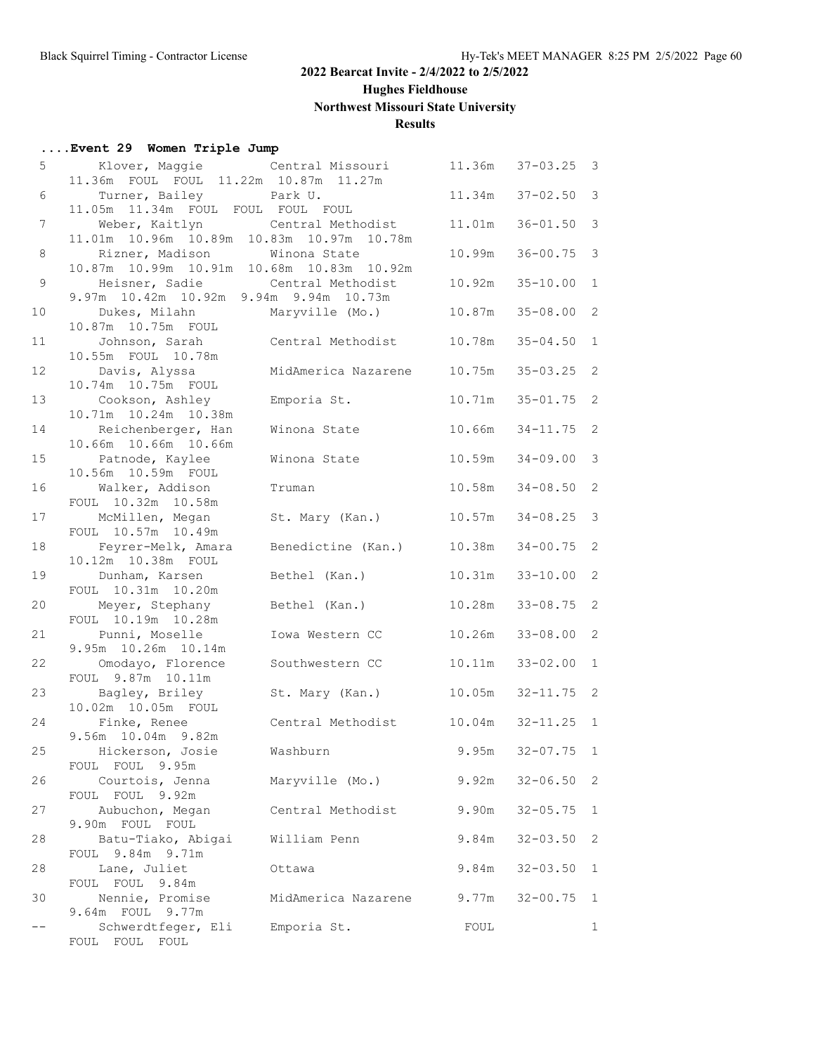**Hughes Fieldhouse**

# **Northwest Missouri State University**

# **Results**

# **....Event 29 Women Triple Jump**

| 5              | Klover, Maggie and Central Missouri                                                |                     | 11.36m | $37 - 03.25$       | 3              |
|----------------|------------------------------------------------------------------------------------|---------------------|--------|--------------------|----------------|
| 6              | 11.36m FOUL FOUL 11.22m 10.87m 11.27m                                              |                     | 11.34m | $37 - 02.50$       | 3              |
|                | Turner, Bailey Park U.<br>11.05m 11.34m FOUL FOUL FOUL FOUL                        |                     |        |                    |                |
| $\overline{7}$ | Weber, Kaitlyn Central Methodist<br>11.01m  10.96m  10.89m  10.83m  10.97m  10.78m |                     | 11.01m | $36 - 01.50$       | 3              |
| 8              | Rizner, Madison                                                                    | Winona State        | 10.99m | $36 - 00.75$       | 3              |
| 9              | 10.87m 10.99m 10.91m 10.68m 10.83m 10.92m<br>Heisner, Sadie                        | Central Methodist   | 10.92m | $35 - 10.00$       | $\mathbf{1}$   |
| 10             | 9.97m 10.42m 10.92m 9.94m 9.94m 10.73m<br>Dukes, Milahn                            | Maryville (Mo.)     | 10.87m | $35 - 08.00$ 2     |                |
| 11             | 10.87m  10.75m  FOUL<br>Johnson, Sarah<br>10.55m FOUL 10.78m                       | Central Methodist   | 10.78m | $35 - 04.50$       | $\mathbf{1}$   |
| 12             | Davis, Alyssa<br>10.74m  10.75m  FOUL                                              | MidAmerica Nazarene | 10.75m | $35 - 03.25$       | 2              |
| 13             | Cookson, Ashley                                                                    | Emporia St.         | 10.71m | $35 - 01.75$       | 2              |
| 14             | 10.71m  10.24m  10.38m<br>Reichenberger, Han<br>10.66m 10.66m 10.66m               | Winona State        | 10.66m | $34 - 11.75$       | 2              |
| 15             | Patnode, Kaylee<br>10.56m  10.59m  FOUL                                            | Winona State        | 10.59m | $34 - 09.00$       | 3              |
| 16             | Walker, Addison<br>FOUL 10.32m 10.58m                                              | Truman              | 10.58m | $34 - 08.50$ 2     |                |
| 17             | McMillen, Megan<br>FOUL 10.57m 10.49m                                              | St. Mary (Kan.)     | 10.57m | $34 - 08.25$       | 3              |
| 18             | Feyrer-Melk, Amara<br>10.12m  10.38m  FOUL                                         | Benedictine (Kan.)  | 10.38m | $34 - 00.75$       | 2              |
| 19             | Dunham, Karsen                                                                     | Bethel (Kan.)       | 10.31m | $33 - 10.00$       | 2              |
| 20             | FOUL 10.31m 10.20m<br>Meyer, Stephany<br>FOUL 10.19m 10.28m                        | Bethel (Kan.)       | 10.28m | $33 - 08.75$       | 2              |
| 21             | Punni, Moselle<br>9.95m 10.26m 10.14m                                              | Iowa Western CC     | 10.26m | $33 - 08.00$ 2     |                |
| 22             | Omodayo, Florence<br>FOUL 9.87m 10.11m                                             | Southwestern CC     | 10.11m | $33 - 02.00$       | $\mathbf{1}$   |
| 23             | Bagley, Briley<br>10.02m  10.05m  FOUL                                             | St. Mary (Kan.)     | 10.05m | $32 - 11.75$       | 2              |
| 24             | Finke, Renee<br>9.56m 10.04m 9.82m                                                 | Central Methodist   | 10.04m | $32 - 11.25$       | 1              |
| 25             | Hickerson, Josie<br>FOUL FOUL 9.95m                                                | Washburn            |        | $9.95m$ $32-07.75$ | $\overline{1}$ |
| 26             | Courtois, Jenna<br>FOUL FOUL 9.92m                                                 | Maryville (Mo.)     | 9.92m  | $32 - 06.50$       | 2              |
| 27             | Aubuchon, Megan<br>9.90m FOUL FOUL                                                 | Central Methodist   | 9.90m  | $32 - 05.75$       | 1              |
| 28             | Batu-Tiako, Abigai                                                                 | William Penn        | 9.84m  | $32 - 03.50$       | 2              |
| 28             | FOUL 9.84m 9.71m<br>Lane, Juliet                                                   | Ottawa              | 9.84m  | $32 - 03.50$       | $\mathbf{1}$   |
| 30             | FOUL FOUL 9.84m<br>Nennie, Promise                                                 | MidAmerica Nazarene | 9.77m  | $32 - 00.75$       | $\mathbf{1}$   |
| $- -$          | 9.64m FOUL 9.77m<br>Schwerdtfeger, Eli<br>FOUL FOUL FOUL                           | Emporia St.         | FOUL   |                    | $\mathbf{1}$   |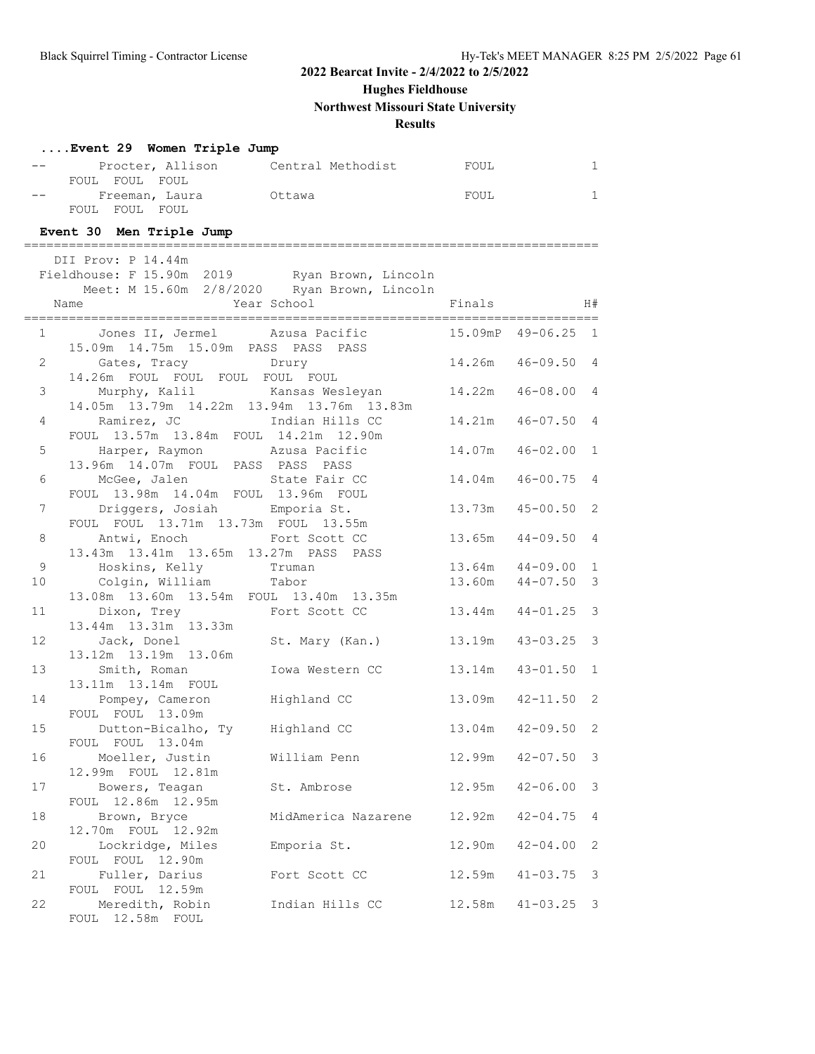**Hughes Fieldhouse**

**Northwest Missouri State University**

**Results**

|                | Event 29 Women Triple Jump                                                                   |                                         |        |                       |              |
|----------------|----------------------------------------------------------------------------------------------|-----------------------------------------|--------|-----------------------|--------------|
|                |                                                                                              | Procter, Allison Central Methodist FOUL |        |                       | $\mathbf{1}$ |
|                | FOUL FOUL FOUL                                                                               |                                         |        |                       |              |
|                | Freeman, Laura butawa<br>FOUL FOUL FOUL                                                      |                                         | FOUL   |                       | $\mathbf{1}$ |
|                |                                                                                              |                                         |        |                       |              |
|                | Event 30 Men Triple Jump                                                                     |                                         |        |                       |              |
|                | DII Prov: P 14.44m                                                                           |                                         |        |                       |              |
|                | Fieldhouse: F 15.90m 2019 Ryan Brown, Lincoln<br>Meet: M 15.60m 2/8/2020 Ryan Brown, Lincoln |                                         |        |                       |              |
|                |                                                                                              |                                         |        |                       |              |
|                | Name                                                                                         | Year School Finals H#                   |        |                       |              |
|                | 1 Jones II, Jermel Azusa Pacific 15.09mP 49-06.25 1                                          |                                         |        |                       |              |
|                | 15.09m  14.75m  15.09m  PASS  PASS  PASS                                                     |                                         |        |                       |              |
|                | 2 Gates, Tracy Drury<br>14.26m FOUL FOUL FOUL FOUL FOUL                                      |                                         |        | 14.26m  46-09.50  4   |              |
| 3 <sup>7</sup> | Murphy, Kalil     Kansas Wesleyan       14.22m   46-08.00  4                                 |                                         |        |                       |              |
|                | 14.05m  13.79m  14.22m  13.94m  13.76m  13.83m                                               |                                         |        |                       |              |
| $4\degree$     | Ramirez, JC Manus Indian Hills CC                                                            |                                         |        | 14.21m  46-07.50  4   |              |
|                | FOUL 13.57m 13.84m FOUL 14.21m 12.90m                                                        |                                         |        |                       |              |
| 5              | Harper, Raymon Mzusa Pacific                                                                 |                                         |        | 14.07m  46-02.00  1   |              |
| 6              | 13.96m 14.07m FOUL PASS PASS PASS<br>McGee, Jalen State Fair CC 14.04m 46-00.75 4            |                                         |        |                       |              |
|                | FOUL 13.98m 14.04m FOUL 13.96m FOUL                                                          |                                         |        |                       |              |
| 7              | Driggers, Josiah Bmporia St.                                                                 |                                         |        | 13.73m  45-00.50  2   |              |
|                | FOUL FOUL 13.71m 13.73m FOUL 13.55m                                                          |                                         |        |                       |              |
| 8              | Antwi, Enoch Fort Scott CC<br>13.43m 13.41m 13.65m 13.27m PASS PASS                          |                                         |        | 13.65m  44-09.50  4   |              |
| 9              | Hoskins, Kelly Truman                                                                        |                                         |        | 13.64m  44-09.00  1   |              |
| 10             | Colgin, William Tabor                                                                        |                                         |        | 13.60m  44-07.50  3   |              |
|                | 13.08m  13.60m  13.54m  FOUL  13.40m  13.35m                                                 |                                         |        |                       |              |
| 11             | Dixon, Trey Fort Scott CC                                                                    |                                         |        | 13.44m  44-01.25  3   |              |
| 12             | 13.44m 13.31m 13.33m<br>Tack. Donel St. Mary (Kan.) 13.19m 43-03.25 3                        |                                         |        |                       |              |
|                | 13.12m  13.19m  13.06m                                                                       |                                         |        |                       |              |
| 13             | Smith, Roman                                                                                 | Iowa Western CC                         |        | $13.14m$ $43-01.50$ 1 |              |
|                | 13.11m 13.14m FOUL                                                                           |                                         |        |                       |              |
|                | 14 Pompey, Cameron Highland CC                                                               |                                         |        | 13.09m  42-11.50  2   |              |
| 15             | FOUL FOUL 13.09m<br>Dutton-Bicalho, Ty Highland CC                                           |                                         |        | 13.04m  42-09.50  2   |              |
|                | FOUL FOUL 13.04m                                                                             |                                         |        |                       |              |
| 16             | Moeller, Justin                                                                              | William Penn                            | 12.99m | $42 - 07.50$ 3        |              |
|                | 12.99m FOUL 12.81m                                                                           |                                         |        |                       |              |
| 17             | Bowers, Teagan<br>FOUL 12.86m 12.95m                                                         | St. Ambrose                             | 12.95m | $42 - 06.00$          | 3            |
| 18             | Brown, Bryce                                                                                 | MidAmerica Nazarene                     | 12.92m | $42 - 04.75$          | 4            |
|                | 12.70m FOUL 12.92m                                                                           |                                         |        |                       |              |
| 20             | Lockridge, Miles                                                                             | Emporia St.                             | 12.90m | $42 - 04.00$          | 2            |
|                | FOUL FOUL 12.90m                                                                             | Fort Scott CC                           |        |                       |              |
| 21             | Fuller, Darius<br>FOUL FOUL 12.59m                                                           |                                         | 12.59m | $41 - 03.75$ 3        |              |
| 22             | Meredith, Robin                                                                              | Indian Hills CC                         | 12.58m | $41 - 03.25$ 3        |              |
|                | FOUL 12.58m FOUL                                                                             |                                         |        |                       |              |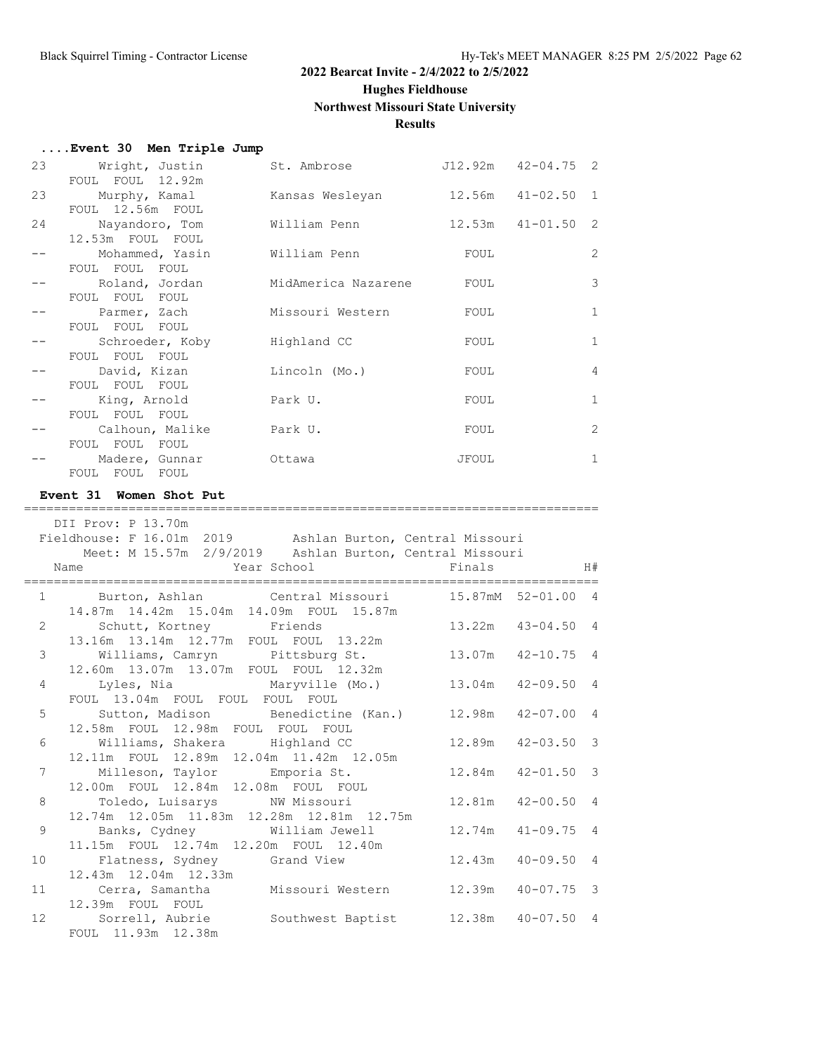**Hughes Fieldhouse**

**Northwest Missouri State University**

# **Results**

| Event 30 Men Triple Jump |  |  |  |  |
|--------------------------|--|--|--|--|
|--------------------------|--|--|--|--|

| 23 | Wright, Justin   | St. Ambrose         | J12.92m | $42 - 04.75$ 2        |                |
|----|------------------|---------------------|---------|-----------------------|----------------|
|    | FOUL FOUL 12.92m |                     |         |                       |                |
| 23 | Murphy, Kamal    | Kansas Wesleyan     |         | $12.56m$ $41-02.50$ 1 |                |
|    | FOUL 12.56m FOUL |                     |         |                       |                |
| 24 | Nayandoro, Tom   | William Penn        |         | $12.53m$ $41-01.50$ 2 |                |
|    | 12.53m FOUL FOUL |                     |         |                       |                |
|    | Mohammed, Yasin  | William Penn        | FOUL    |                       | 2              |
|    | FOUL FOUL FOUL   |                     |         |                       |                |
|    | Roland, Jordan   | MidAmerica Nazarene | FOUL    |                       | 3              |
|    | FOUL FOUL FOUL   |                     |         |                       |                |
|    | Parmer, Zach     | Missouri Western    | FOUL    |                       | 1              |
|    | FOUL FOUL FOUL   |                     |         |                       |                |
|    | Schroeder, Koby  | Highland CC         | FOUL    |                       | 1              |
|    | FOUL FOUL FOUL   |                     |         |                       |                |
|    | David, Kizan     | Lincoln (Mo.)       | FOUL    |                       | $\overline{4}$ |
|    | FOUL FOUL FOUL   |                     |         |                       |                |
|    | King, Arnold     | Park U.             | FOUL    |                       | 1              |
|    |                  |                     |         |                       |                |
|    | FOUL FOUL FOUL   |                     |         |                       |                |
|    | Calhoun, Malike  | Park U.             | FOUL    |                       | 2              |
|    | FOUL FOUL FOUL   |                     |         |                       |                |
|    | Madere, Gunnar   | Ottawa              | JFOUL   |                       | $\mathbf{1}$   |
|    | FOUL FOUL FOUL   |                     |         |                       |                |

#### **Event 31 Women Shot Put**

|                | DII Prov: P 13.70m                                                           |                       |                       |    |
|----------------|------------------------------------------------------------------------------|-----------------------|-----------------------|----|
|                | Fieldhouse: F 16.01m 2019 Ashlan Burton, Central Missouri                    |                       |                       |    |
|                | Meet: M 15.57m 2/9/2019 Ashlan Burton, Central Missouri                      |                       |                       |    |
|                | <b>Example 2</b> Year School <b>School</b> Finals<br>Name                    |                       |                       | H# |
|                | 1 Burton, Ashlan Central Missouri 15.87mM 52-01.00 4                         |                       |                       |    |
|                | 14.87m  14.42m  15.04m  14.09m  FOUL  15.87m<br>2 Schutt, Kortney Friends    | $13.22m$ $43-04.50$ 4 |                       |    |
|                | 13.16m  13.14m  12.77m  FOUL  FOUL  13.22m                                   |                       |                       |    |
|                | 3 Williams, Camryn Pittsburg St.                                             |                       | 13.07m  42-10.75  4   |    |
|                | 12.60m  13.07m  13.07m  FOUL  FOUL  12.32m                                   |                       |                       |    |
| $4\degree$     | Lyles, Nia             Maryville (Mo.)         13.04m   42-09.50  4          |                       |                       |    |
|                | FOUL 13.04m FOUL FOUL FOUL FOUL                                              |                       |                       |    |
| 5              | Sutton, Madison Benedictine (Kan.) 12.98m 42-07.00 4                         |                       |                       |    |
|                | 12.58m FOUL 12.98m FOUL FOUL FOUL                                            |                       |                       |    |
| 6              | Williams, Shakera Highland CC                                                |                       | 12.89m  42-03.50  3   |    |
|                | 12.11m FOUL 12.89m 12.04m 11.42m 12.05m                                      |                       |                       |    |
| $\overline{7}$ | Milleson, Taylor b Emporia St.                                               |                       | $12.84m$ $42-01.50$ 3 |    |
|                | 12.00m FOUL 12.84m 12.08m FOUL FOUL                                          |                       |                       |    |
| 8              | Toledo, Luisarys NW Missouri                                                 |                       | $12.81m$ $42-00.50$ 4 |    |
|                | 12.74m 12.05m 11.83m 12.28m 12.81m 12.75m                                    |                       |                       |    |
| 9              | Banks, Cydney Milliam Jewell                                                 |                       | $12.74m$ $41-09.75$ 4 |    |
|                | 11.15m FOUL 12.74m 12.20m FOUL 12.40m                                        |                       |                       |    |
| 10             | Flatness, Sydney Grand View                                                  |                       | $12.43m$ $40-09.50$ 4 |    |
|                | 12.43m 12.04m 12.33m                                                         |                       |                       |    |
| 11             | Cerra, Samantha Missouri Western 12.39m 40-07.75 3                           |                       |                       |    |
|                | 12.39m FOUL FOUL                                                             |                       |                       |    |
|                | 12 Sorrell, Aubrie Southwest Baptist 12.38m 40-07.50 4<br>FOUL 11.93m 12.38m |                       |                       |    |
|                |                                                                              |                       |                       |    |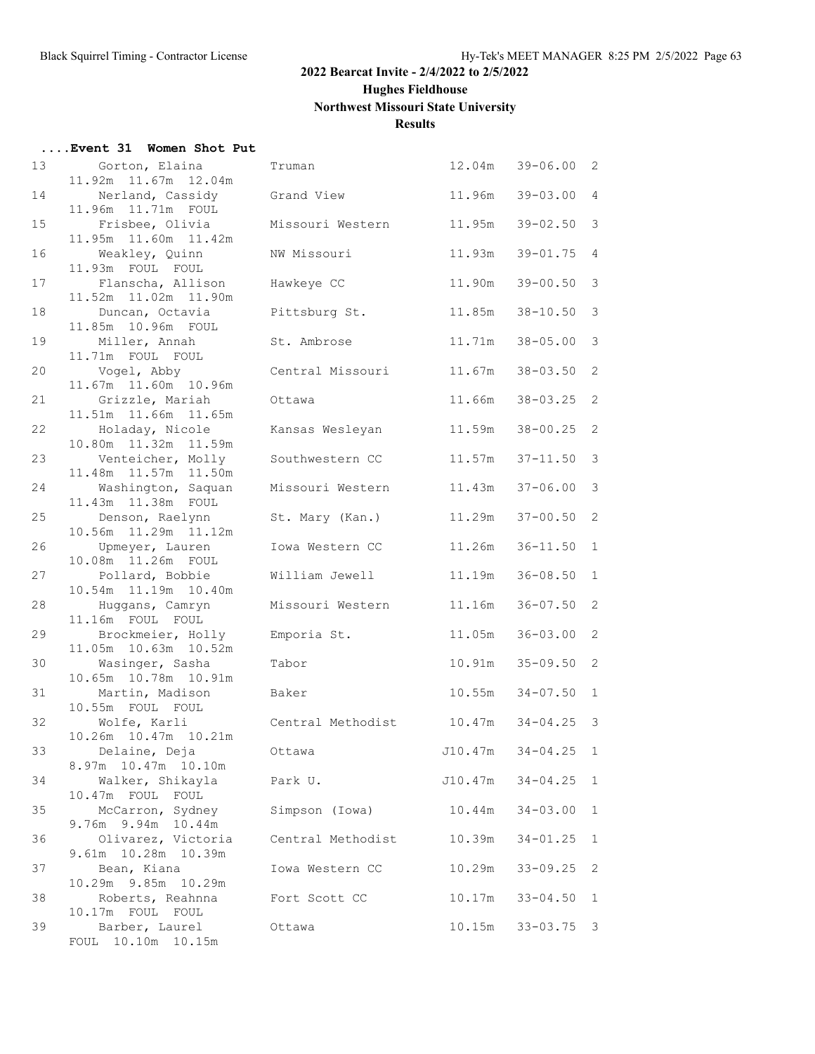**Hughes Fieldhouse**

# **Northwest Missouri State University**

# **Results**

| Event 31 Women Shot Put |  |
|-------------------------|--|
|-------------------------|--|

| 13 | Gorton, Elaina                            | Truman            | 12.04m  | $39 - 06.00$ 2 |                         |
|----|-------------------------------------------|-------------------|---------|----------------|-------------------------|
|    | 11.92m 11.67m 12.04m                      |                   |         |                |                         |
| 14 | Nerland, Cassidy                          | Grand View        | 11.96m  | $39 - 03.00$   | $\overline{4}$          |
| 15 | 11.96m  11.71m  FOUL<br>Frisbee, Olivia   | Missouri Western  | 11.95m  | $39 - 02.50$   | $\mathcal{S}$           |
|    | 11.95m  11.60m  11.42m                    |                   |         |                |                         |
| 16 | Weakley, Quinn                            | NW Missouri       | 11.93m  | $39 - 01.75$   | $\overline{4}$          |
|    | 11.93m FOUL FOUL                          |                   |         |                |                         |
| 17 | Flanscha, Allison                         | Hawkeye CC        | 11.90m  | $39 - 00.50$ 3 |                         |
|    | 11.52m  11.02m  11.90m                    |                   |         |                |                         |
| 18 | Duncan, Octavia                           | Pittsburg St.     | 11.85m  | $38 - 10.50$   | $\overline{\mathbf{3}}$ |
|    | 11.85m  10.96m  FOUL                      |                   |         |                |                         |
| 19 | Miller, Annah                             | St. Ambrose       | 11.71m  | $38 - 05.00$   | $\overline{\mathbf{3}}$ |
|    | 11.71m FOUL FOUL                          |                   |         |                |                         |
| 20 | Vogel, Abby                               | Central Missouri  | 11.67m  | $38 - 03.50$   | 2                       |
| 21 | 11.67m  11.60m  10.96m                    |                   | 11.66m  | $38 - 03.25$   | 2                       |
|    | Grizzle, Mariah<br>11.51m  11.66m  11.65m | Ottawa            |         |                |                         |
| 22 | Holaday, Nicole                           | Kansas Wesleyan   | 11.59m  | $38 - 00.25$   | $\overline{2}$          |
|    | 10.80m  11.32m  11.59m                    |                   |         |                |                         |
| 23 | Venteicher, Molly                         | Southwestern CC   | 11.57m  | $37 - 11.50$ 3 |                         |
|    | 11.48m  11.57m  11.50m                    |                   |         |                |                         |
| 24 | Washington, Saquan                        | Missouri Western  | 11.43m  | $37 - 06.00$ 3 |                         |
|    | 11.43m  11.38m  FOUL                      |                   |         |                |                         |
| 25 | Denson, Raelynn                           | St. Mary (Kan.)   | 11.29m  | $37 - 00.50$   | 2                       |
|    | 10.56m  11.29m  11.12m                    |                   |         |                |                         |
| 26 | Upmeyer, Lauren                           | Iowa Western CC   | 11.26m  | $36 - 11.50$   | 1                       |
| 27 | 10.08m  11.26m  FOUL<br>Pollard, Bobbie   | William Jewell    | 11.19m  | $36 - 08.50$   | 1                       |
|    | 10.54m  11.19m  10.40m                    |                   |         |                |                         |
| 28 | Huggans, Camryn                           | Missouri Western  | 11.16m  | $36 - 07.50$   | 2                       |
|    | 11.16m FOUL FOUL                          |                   |         |                |                         |
| 29 | Brockmeier, Holly                         | Emporia St.       | 11.05m  | $36 - 03.00$ 2 |                         |
|    | 11.05m  10.63m  10.52m                    |                   |         |                |                         |
| 30 | Wasinger, Sasha                           | Tabor             | 10.91m  | $35 - 09.50$ 2 |                         |
|    | 10.65m  10.78m  10.91m                    |                   |         |                |                         |
| 31 | Martin, Madison                           | Baker             | 10.55m  | $34 - 07.50$   | 1                       |
| 32 | 10.55m FOUL FOUL                          | Central Methodist |         | $34 - 04.25$ 3 |                         |
|    | Wolfe, Karli<br>10.26m  10.47m  10.21m    |                   | 10.47m  |                |                         |
| 33 | Delaine, Deja                             | Ottawa            | J10.47m | $34 - 04.25$   | $\mathbf{1}$            |
|    | 8.97m 10.47m 10.10m                       |                   |         |                |                         |
| 34 | Walker, Shikayla                          | Park U.           | J10.47m | $34 - 04.25$   | 1                       |
|    | 10.47m FOUL FOUL                          |                   |         |                |                         |
| 35 | McCarron, Sydney                          | Simpson (Iowa)    | 10.44m  | $34 - 03.00$   | $\mathbf{1}$            |
|    | 9.76m 9.94m 10.44m                        |                   |         |                |                         |
| 36 | Olivarez, Victoria                        | Central Methodist | 10.39m  | $34 - 01.25$   | $\mathbf{1}$            |
| 37 | 9.61m 10.28m 10.39m                       |                   |         |                | 2                       |
|    | Bean, Kiana<br>10.29m 9.85m 10.29m        | Iowa Western CC   | 10.29m  | $33 - 09.25$   |                         |
| 38 | Roberts, Reahnna                          | Fort Scott CC     | 10.17m  | $33 - 04.50$   | $\mathbf{1}$            |
|    | 10.17m FOUL FOUL                          |                   |         |                |                         |
| 39 | Barber, Laurel                            | Ottawa            | 10.15m  | $33 - 03.75$ 3 |                         |
|    | FOUL 10.10m 10.15m                        |                   |         |                |                         |
|    |                                           |                   |         |                |                         |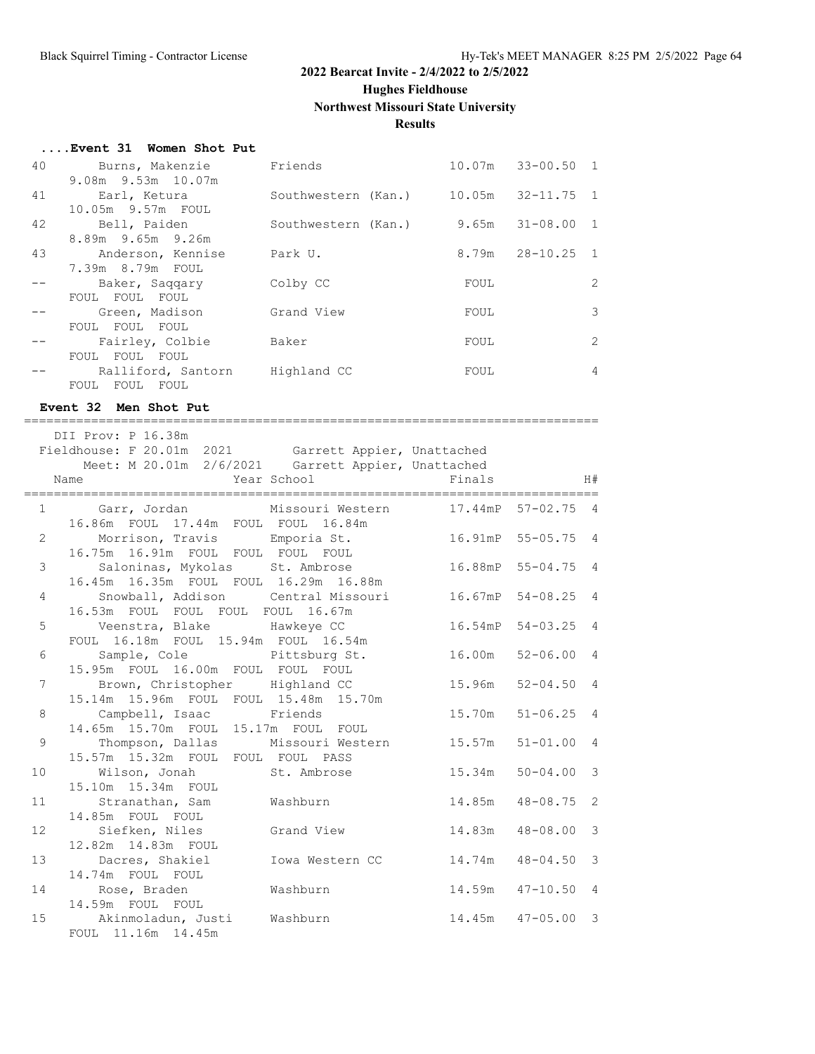**Hughes Fieldhouse**

# **Northwest Missouri State University**

# **Results**

| Event 31 Women Shot Put |  |  |  |
|-------------------------|--|--|--|
|-------------------------|--|--|--|

| 40 | Burns, Makenzie      | Friends             |       | 10.07m 33-00.50 1     |                |
|----|----------------------|---------------------|-------|-----------------------|----------------|
|    | 9.08m 9.53m 10.07m   |                     |       |                       |                |
| 41 | Earl, Ketura         | Southwestern (Kan.) |       | $10.05m$ $32-11.75$ 1 |                |
|    | 10.05m 9.57m FOUL    |                     |       |                       |                |
| 42 | Bell, Paiden         | Southwestern (Kan.) | 9.65m | $31 - 08.00$ 1        |                |
|    | 8.89m 9.65m 9.26m    |                     |       |                       |                |
| 43 | Anderson, Kennise    | Park U.             |       | $8.79m$ $28-10.25$ 1  |                |
|    | 7.39m 8.79m FOUL     |                     |       |                       |                |
|    | Baker, Saqqary       | Colby CC            | FOUL  |                       | 2              |
|    | FOUL FOUL FOUL       |                     |       |                       |                |
|    | Green, Madison       | Grand View          | FOUL  |                       | 3              |
|    | FOUL FOUL FOUL       |                     |       |                       |                |
|    | Fairley, Colbie      | Baker               | FOUL  |                       | 2              |
|    | FOUL FOUL FOUL       |                     |       |                       |                |
|    | Ralliford, Santorn   | Highland CC         | FOUL  |                       | $\overline{4}$ |
|    | FOUL<br>FOUL<br>FOUL |                     |       |                       |                |
|    |                      |                     |       |                       |                |

# **Event 32 Men Shot Put**

|                 | --------------------------                                                                                                       |                    |        |                     |  |
|-----------------|----------------------------------------------------------------------------------------------------------------------------------|--------------------|--------|---------------------|--|
| Name            | DII Prov: P 16.38m<br>Fieldhouse: F 20.01m 2021 Garrett Appier, Unattached<br>Meet: M 20.01m 2/6/2021 Garrett Appier, Unattached | Year School Finals |        | H#                  |  |
|                 | 1 Garr, Jordan Missouri Western 17.44mP 57-02.75 4                                                                               |                    |        |                     |  |
|                 | 16.86m FOUL 17.44m FOUL FOUL 16.84m                                                                                              |                    |        |                     |  |
|                 | Morrison, Travis Emporia St. 16.91mP 55-05.75 4<br>$2 \left( \frac{1}{2} \right)$                                                |                    |        |                     |  |
|                 | 16.75m 16.91m FOUL FOUL FOUL FOUL                                                                                                |                    |        |                     |  |
| 3 <sup>7</sup>  | Saloninas, Mykolas St. Ambrose 16.88mP 55-04.75 4                                                                                |                    |        |                     |  |
|                 | 16.45m  16.35m  FOUL  FOUL  16.29m  16.88m<br>Snowball, Addison Central Missouri 16.67mP 54-08.25 4                              |                    |        |                     |  |
| $4\overline{ }$ | 16.53m FOUL FOUL FOUL FOUL 16.67m                                                                                                |                    |        |                     |  |
|                 | 5 Veenstra, Blake Mawkeye CC 16.54mP 54-03.25 4                                                                                  |                    |        |                     |  |
|                 | FOUL 16.18m FOUL 15.94m FOUL 16.54m                                                                                              |                    |        |                     |  |
|                 | 6 Sample, Cole Pittsburg St.                                                                                                     |                    |        | 16.00m 52-06.00 4   |  |
|                 | 15.95m FOUL 16.00m FOUL FOUL FOUL                                                                                                |                    |        |                     |  |
|                 | 7 Brown, Christopher Highland CC                                                                                                 |                    | 15.96m | $52 - 04.50$ 4      |  |
|                 | 15.14m  15.96m  FOUL  FOUL  15.48m  15.70m                                                                                       |                    |        |                     |  |
| 8               | Campbell, Isaac Friends                                                                                                          |                    | 15.70m | $51 - 06.25$ 4      |  |
| 9               | 14.65m 15.70m FOUL 15.17m FOUL FOUL<br>Thompson, Dallas Missouri Western 15.57m                                                  |                    |        | $51 - 01.00$ 4      |  |
|                 | 15.57m 15.32m FOUL FOUL FOUL PASS                                                                                                |                    |        |                     |  |
| 10              | Wilson, Jonah St. Ambrose 15.34m                                                                                                 |                    |        | $50 - 04.00$ 3      |  |
|                 | 15.10m  15.34m  FOUL                                                                                                             |                    |        |                     |  |
| 11              | Stranathan, Sam Washburn                                                                                                         |                    |        | 14.85m  48-08.75  2 |  |
|                 | 14.85m FOUL FOUL                                                                                                                 |                    |        |                     |  |
| 12 <sup>°</sup> | Siefken, Niles Grand View 14.83m                                                                                                 |                    |        | $48 - 08.00$ 3      |  |
|                 | 12.82m  14.83m  FOUL                                                                                                             |                    |        |                     |  |
| 13              | Dacres, Shakiel Mowa Western CC 14.74m<br>14.74m FOUL FOUL                                                                       |                    |        | $48 - 04.50$ 3      |  |
|                 | 14 Rose, Braden Mashburn                                                                                                         |                    |        | 14.59m  47-10.50  4 |  |
|                 | 14.59m FOUL FOUL                                                                                                                 |                    |        |                     |  |
| 15              | Akinmoladun, Justi Washburn                                                                                                      |                    |        | 14.45m  47-05.00 3  |  |
|                 | FOUL 11.16m 14.45m                                                                                                               |                    |        |                     |  |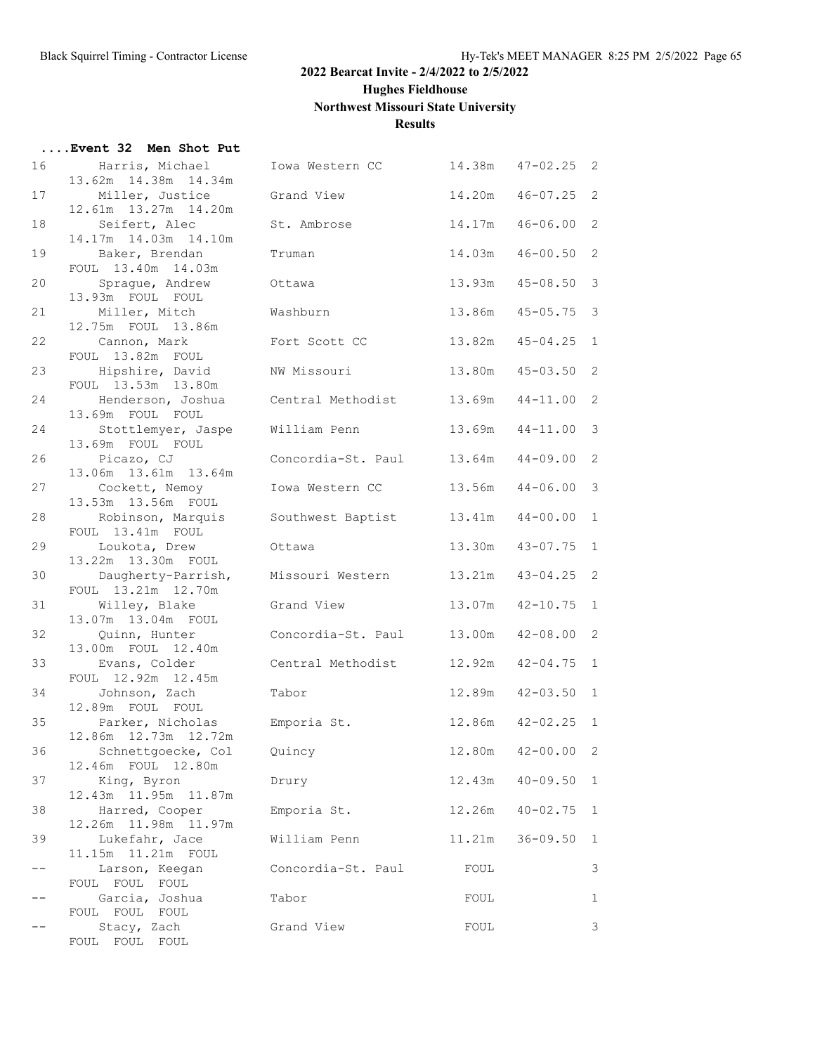**Hughes Fieldhouse**

**Northwest Missouri State University**

# **Results**

|    | Event 32 Men Shot Put                      |                          |        |                       |              |
|----|--------------------------------------------|--------------------------|--------|-----------------------|--------------|
| 16 | Harris, Michael<br>13.62m 14.38m 14.34m    | Iowa Western CC          |        | $14.38m$ $47-02.25$ 2 |              |
| 17 | Miller, Justice<br>12.61m  13.27m  14.20m  | Grand View               | 14.20m | $46 - 07.25$ 2        |              |
| 18 | Seifert, Alec<br>14.17m  14.03m  14.10m    | St. Ambrose              | 14.17m | $46 - 06.00$          | 2            |
| 19 | Baker, Brendan<br>FOUL 13.40m 14.03m       | Truman                   | 14.03m | $46 - 00.50$          | 2            |
| 20 | Sprague, Andrew<br>13.93m FOUL FOUL        | Ottawa                   | 13.93m | $45 - 08.50$          | 3            |
| 21 | Miller, Mitch<br>12.75m FOUL 13.86m        | Washburn                 | 13.86m | $45 - 05.75$          | 3            |
| 22 | Cannon, Mark<br>FOUL 13.82m FOUL           | Fort Scott CC            | 13.82m | $45 - 04.25$          | $\mathbf{1}$ |
| 23 | Hipshire, David<br>FOUL 13.53m 13.80m      | NW Missouri              | 13.80m | $45 - 03.50$ 2        |              |
| 24 | Henderson, Joshua<br>13.69m FOUL FOUL      | Central Methodist        | 13.69m | $44 - 11.00$          | 2            |
| 24 | Stottlemyer, Jaspe<br>13.69m FOUL FOUL     | William Penn             | 13.69m | $44 - 11.00$          | 3            |
| 26 | Picazo, CJ<br>13.06m  13.61m  13.64m       | Concordia-St. Paul       | 13.64m | $44 - 09.00$          | 2            |
| 27 | Cockett, Nemoy<br>13.53m 13.56m FOUL       | Iowa Western CC          | 13.56m | $44 - 06.00$          | 3            |
| 28 | Robinson, Marquis<br>FOUL 13.41m FOUL      | Southwest Baptist 13.41m |        | $44 - 00.00$          | $\mathbf{1}$ |
| 29 | Loukota, Drew<br>13.22m 13.30m FOUL        | Ottawa                   | 13.30m | $43 - 07.75$ 1        |              |
| 30 | Daugherty-Parrish,<br>FOUL 13.21m 12.70m   | Missouri Western         | 13.21m | $43 - 04.25$          | 2            |
| 31 | Willey, Blake<br>13.07m 13.04m FOUL        | Grand View               | 13.07m | $42 - 10.75$          | $\mathbf{1}$ |
| 32 | Quinn, Hunter<br>13.00m FOUL 12.40m        | Concordia-St. Paul       | 13.00m | $42 - 08.00$          | 2            |
| 33 | Evans, Colder<br>FOUL 12.92m 12.45m        | Central Methodist        |        | 12.92m  42-04.75      | 1            |
| 34 | Johnson, Zach<br>12.89m FOUL FOUL          | Tabor                    | 12.89m | $42 - 03.50$ 1        |              |
| 35 | Parker, Nicholas<br>12.86m  12.73m  12.72m | Emporia St.              |        | 12.86m  42-02.25  1   |              |
| 36 | Schnettgoecke, Col<br>12.46m FOUL 12.80m   | Quincy                   | 12.80m | $42 - 00.00$          | 2            |
| 37 | King, Byron<br>12.43m  11.95m  11.87m      | Drury                    | 12.43m | $40 - 09.50$          | $\mathbf{1}$ |
| 38 | Harred, Cooper<br>12.26m  11.98m  11.97m   | Emporia St.              | 12.26m | $40 - 02.75$          | 1            |
| 39 | Lukefahr, Jace<br>11.15m  11.21m  FOUL     | William Penn             | 11.21m | $36 - 09.50$          | 1            |
| -- | Larson, Keegan<br>FOUL FOUL FOUL           | Concordia-St. Paul       | FOUL   |                       | 3            |
|    | Garcia, Joshua<br>FOUL FOUL FOUL           | Tabor                    | FOUL   |                       | 1            |
|    | Stacy, Zach<br>FOUL FOUL FOUL              | Grand View               | FOUL   |                       | 3            |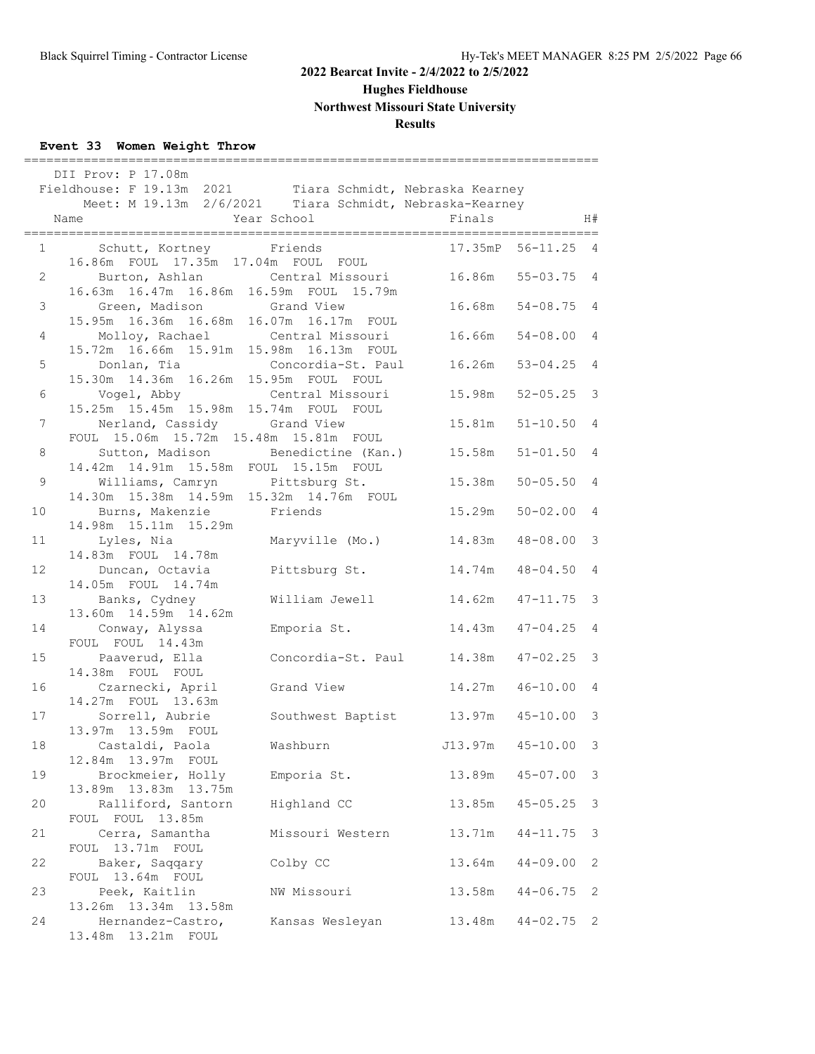**Hughes Fieldhouse**

**Northwest Missouri State University**

# **Results**

# **Event 33 Women Weight Throw**

| DII Prov: P 17.08m<br>Fieldhouse: F 19.13m 2021 Tiara Schmidt, Nebraska Kearney<br>Meet: M 19.13m 2/6/2021 Tiara Schmidt, Nebraska-Kearney<br>Year School<br>Finals<br>H#<br>Name |                                                                                     |                                           |                                   |                |  |  |
|-----------------------------------------------------------------------------------------------------------------------------------------------------------------------------------|-------------------------------------------------------------------------------------|-------------------------------------------|-----------------------------------|----------------|--|--|
|                                                                                                                                                                                   | Schutt, Kortney Friends<br>$1 \qquad \qquad$<br>16.86m FOUL 17.35m 17.04m FOUL FOUL |                                           | 17.35mP 56-11.25 4                |                |  |  |
| $\mathbf{2}$                                                                                                                                                                      | 16.63m  16.47m  16.86m  16.59m  FOUL  15.79m                                        | Burton, Ashlan Central Missouri           | 16.86m 55-03.75 4                 |                |  |  |
| 3                                                                                                                                                                                 | Green, Madison Grand View<br>15.95m  16.36m  16.68m  16.07m  16.17m  FOUL           |                                           | 16.68m 54-08.75 4                 |                |  |  |
| 4                                                                                                                                                                                 | Molloy, Rachael Central Missouri<br>15.72m 16.66m 15.91m 15.98m 16.13m FOUL         |                                           | 16.66m 54-08.00 4                 |                |  |  |
| 5 <sub>5</sub>                                                                                                                                                                    | Donlan, Tia and Concordia-St. Paul<br>15.30m  14.36m  16.26m  15.95m  FOUL  FOUL    |                                           | $16.26m$ $53-04.25$               | 4              |  |  |
| 6                                                                                                                                                                                 | Vogel, Abby Central Missouri<br>15.25m 15.45m 15.98m 15.74m FOUL FOUL               |                                           | 15.98m 52-05.25 3                 |                |  |  |
| $7\phantom{.0}$                                                                                                                                                                   | Nerland, Cassidy Grand View<br>FOUL 15.06m 15.72m 15.48m 15.81m FOUL                |                                           | 15.81m<br>$51 - 10.50$            | 4              |  |  |
| 8                                                                                                                                                                                 | 14.42m  14.91m  15.58m  FOUL  15.15m  FOUL                                          | Sutton, Madison Benedictine (Kan.) 15.58m | $51 - 01.50$ 4                    |                |  |  |
| 9                                                                                                                                                                                 | 14.30m  15.38m  14.59m  15.32m  14.76m  FOUL                                        | Williams, Camryn Pittsburg St.            | 15.38m<br>$50 - 05.50$ 4          |                |  |  |
| 10                                                                                                                                                                                | Burns, Makenzie Friends<br>14.98m  15.11m  15.29m                                   |                                           | 15.29m<br>$50 - 02.00$            | $\overline{4}$ |  |  |
| 11                                                                                                                                                                                | Lyles, Nia Maryville (Mo.)                                                          |                                           | 14.83m  48-08.00                  | 3              |  |  |
| 12                                                                                                                                                                                | 14.83m FOUL 14.78m<br>Duncan, Octavia                                               | Pittsburg St.                             | $14.74m$ $48-04.50$               | $\overline{4}$ |  |  |
| 13                                                                                                                                                                                | 14.05m FOUL 14.74m<br>Banks, Cydney                                                 | William Jewell                            | 14.62m<br>$47 - 11.75$ 3          |                |  |  |
| 14                                                                                                                                                                                | 13.60m  14.59m  14.62m<br>Conway, Alyssa                                            | Emporia St.                               | 14.43m<br>$47 - 04.25$ 4          |                |  |  |
| 15                                                                                                                                                                                | FOUL FOUL 14.43m<br>Paaverud, Ella                                                  | Concordia-St. Paul                        | 14.38m  47-02.25  3               |                |  |  |
| 16                                                                                                                                                                                | 14.38m FOUL FOUL<br>Czarnecki, April                                                | Grand View                                | 14.27m<br>$46 - 10.00$            | 4              |  |  |
| 17                                                                                                                                                                                | 14.27m FOUL 13.63m<br>Sorrell, Aubrie                                               |                                           | Southwest Baptist 13.97m 45-10.00 | 3              |  |  |
| 18                                                                                                                                                                                | 13.97m 13.59m FOUL<br>Castaldi, Paola                                               | Washburn                                  | J13.97m 45-10.00 3                |                |  |  |
| 19                                                                                                                                                                                | 12.84m 13.97m FOUL<br>Brockmeier, Holly                                             | Emporia St.                               | 13.89m<br>$45 - 07.00$            | 3              |  |  |
| 20                                                                                                                                                                                | 13.89m  13.83m  13.75m<br>Ralliford, Santorn                                        | Highland CC                               | 13.85m<br>$45 - 05.25$            | 3              |  |  |
| 21                                                                                                                                                                                | FOUL FOUL 13.85m<br>Cerra, Samantha                                                 | Missouri Western                          | 13.71m<br>$44 - 11.75$            | 3              |  |  |
| 22                                                                                                                                                                                | FOUL 13.71m FOUL<br>Baker, Saqqary                                                  | Colby CC                                  | 13.64m<br>$44 - 09.00$            | 2              |  |  |
| 23                                                                                                                                                                                | FOUL 13.64m FOUL<br>Peek, Kaitlin                                                   | NW Missouri                               | 13.58m<br>$44 - 06.75$            | 2              |  |  |
| 24                                                                                                                                                                                | 13.26m  13.34m  13.58m<br>Hernandez-Castro,<br>13.48m  13.21m  FOUL                 | Kansas Wesleyan                           | 13.48m<br>$44 - 02.75$            | 2              |  |  |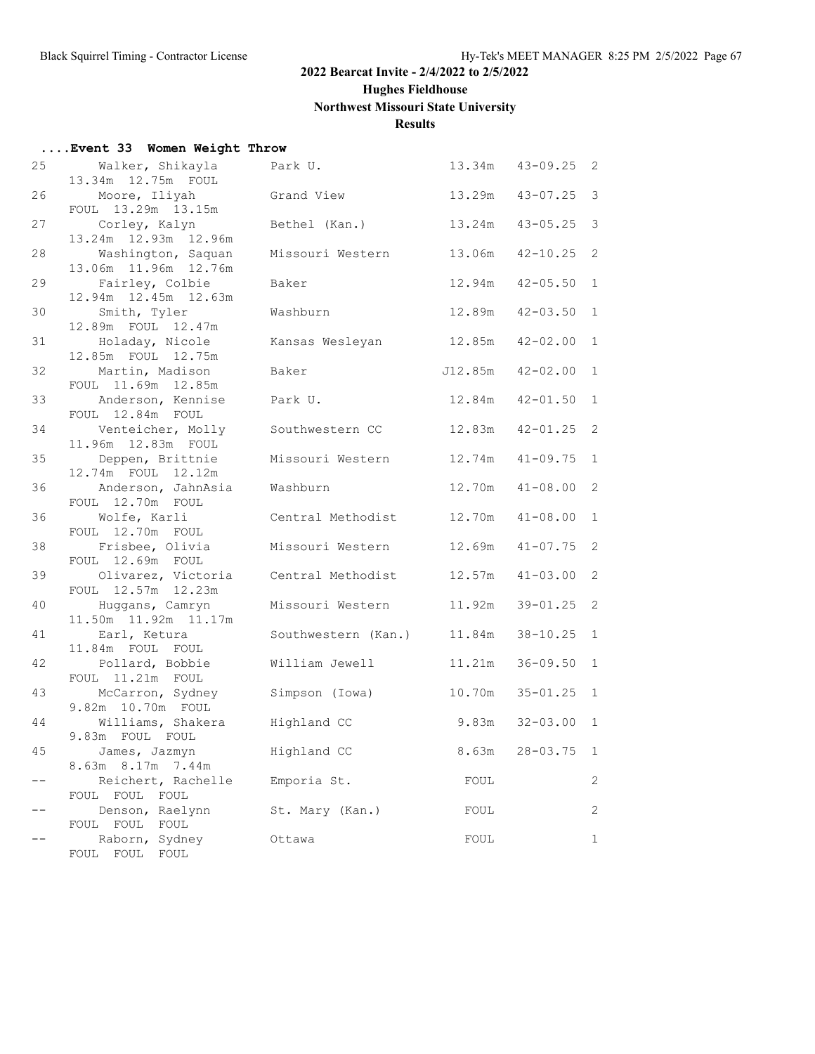**Hughes Fieldhouse**

# **Northwest Missouri State University**

# **Results**

| Event 33 Women Weight Throw |  |  |  |
|-----------------------------|--|--|--|
|-----------------------------|--|--|--|

| 25    | Walker, Shikayla<br>13.34m 12.75m FOUL     | Park U.             | 13.34m  | $43 - 09.25$ | 2              |
|-------|--------------------------------------------|---------------------|---------|--------------|----------------|
| 26    | Moore, Iliyah                              | Grand View          | 13.29m  | $43 - 07.25$ | $\mathcal{S}$  |
| 27    | FOUL 13.29m 13.15m<br>Corley, Kalyn        | Bethel (Kan.)       | 13.24m  | $43 - 05.25$ | 3              |
| 28    | 13.24m 12.93m 12.96m<br>Washington, Saquan | Missouri Western    | 13.06m  | $42 - 10.25$ | 2              |
| 29    | 13.06m  11.96m  12.76m<br>Fairley, Colbie  | Baker               | 12.94m  | $42 - 05.50$ | $\mathbf{1}$   |
|       | 12.94m  12.45m  12.63m                     |                     |         |              |                |
| 30    | Smith, Tyler<br>12.89m FOUL 12.47m         | Washburn            | 12.89m  | $42 - 03.50$ | $\mathbf{1}$   |
| 31    | Holaday, Nicole<br>12.85m FOUL 12.75m      | Kansas Wesleyan     | 12.85m  | $42 - 02.00$ | $\mathbf{1}$   |
| 32    | Martin, Madison<br>FOUL 11.69m 12.85m      | Baker               | J12.85m | $42 - 02.00$ | $\mathbf{1}$   |
| 33    | Anderson, Kennise<br>FOUL 12.84m FOUL      | Park U.             | 12.84m  | $42 - 01.50$ | $\mathbf{1}$   |
| 34    | Venteicher, Molly<br>11.96m  12.83m  FOUL  | Southwestern CC     | 12.83m  | $42 - 01.25$ | 2              |
| 35    | Deppen, Brittnie<br>12.74m FOUL 12.12m     | Missouri Western    | 12.74m  | $41 - 09.75$ | $\mathbf{1}$   |
| 36    | Anderson, JahnAsia<br>FOUL 12.70m FOUL     | Washburn            | 12.70m  | $41 - 08.00$ | 2              |
| 36    | Wolfe, Karli                               | Central Methodist   | 12.70m  | $41 - 08.00$ | $\mathbf{1}$   |
| 38    | FOUL 12.70m FOUL<br>Frisbee, Olivia        | Missouri Western    | 12.69m  | $41 - 07.75$ | 2              |
| 39    | FOUL 12.69m FOUL<br>Olivarez, Victoria     | Central Methodist   | 12.57m  | $41 - 03.00$ | $\mathbf{2}$   |
| 40    | FOUL 12.57m 12.23m<br>Huggans, Camryn      | Missouri Western    | 11.92m  | $39 - 01.25$ | 2              |
| 41    | 11.50m  11.92m  11.17m<br>Earl, Ketura     | Southwestern (Kan.) | 11.84m  | $38 - 10.25$ | $\mathbf{1}$   |
| 42    | 11.84m FOUL FOUL<br>Pollard, Bobbie        | William Jewell      | 11.21m  | $36 - 09.50$ | $\mathbf{1}$   |
| 43    | FOUL 11.21m FOUL<br>McCarron, Sydney       | Simpson (Iowa)      | 10.70m  | $35 - 01.25$ | $\mathbf{1}$   |
| 44    | 9.82m 10.70m FOUL<br>Williams, Shakera     | Highland CC         | 9.83m   | $32 - 03.00$ | $\mathbf{1}$   |
|       | 9.83m FOUL FOUL                            |                     |         |              |                |
| 45    | James, Jazmyn<br>8.63m 8.17m 7.44m         | Highland CC         | 8.63m   | $28 - 03.75$ | $\mathbf{1}$   |
| $- -$ | Reichert, Rachelle<br>FOUL FOUL FOUL       | Emporia St.         | FOUL    |              | $\overline{2}$ |
| $- -$ | Denson, Raelynn<br>FOUL FOUL FOUL          | St. Mary (Kan.)     | FOUL    |              | $\mathbf{2}$   |
| $- -$ | Raborn, Sydney<br>FOUL FOUL FOUL           | Ottawa              | FOUL    |              | $\mathbf{1}$   |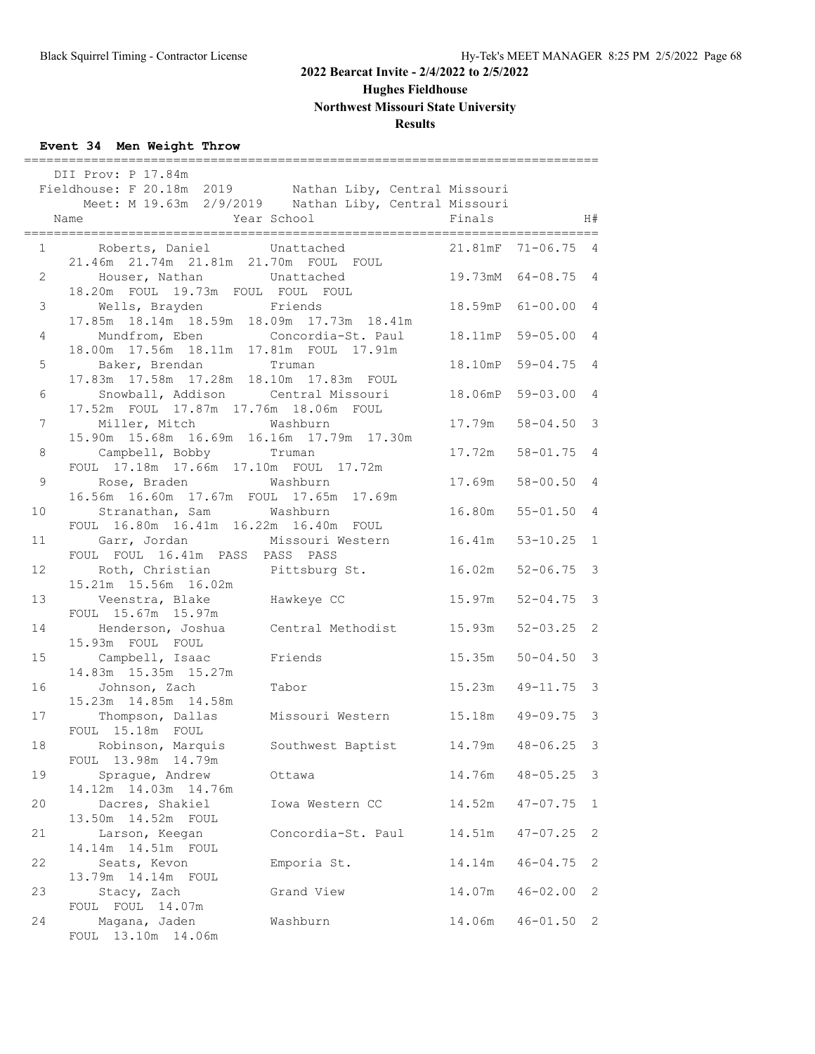**Hughes Fieldhouse**

**Northwest Missouri State University**

# **Results**

# **Event 34 Men Weight Throw**

|                | DII Prov: P 17.84m<br>Fieldhouse: F 20.18m 2019 Nathan Liby, Central Missouri<br>Meet: M 19.63m 2/9/2019 Nathan Liby, Central Missouri<br>Year School<br>Name | Finals              |                | H#           |
|----------------|---------------------------------------------------------------------------------------------------------------------------------------------------------------|---------------------|----------------|--------------|
|                | 1 Roberts, Daniel Unattached<br>21.46m  21.74m  21.81m  21.70m  FOUL  FOUL                                                                                    | 21.81mF 71-06.75 4  |                |              |
| $2^{\circ}$    | Houser, Nathan Unattached<br>HOUSEL, Nathan<br>18.20m FOUL 19.73m FOUL FOUL FOUL                                                                              | 19.73mM 64-08.75 4  |                |              |
| $\mathcal{S}$  | Wells, Brayden Friends<br>17.85m  18.14m  18.59m  18.09m  17.73m  18.41m                                                                                      | 18.59mP 61-00.00 4  |                |              |
| $\overline{4}$ | Mundfrom, Eben Concordia-St. Paul 18.11mP<br>18.00m  17.56m  18.11m  17.81m  FOUL  17.91m                                                                     |                     | $59 - 05.00$ 4 |              |
|                | 5 Baker, Brendan Truman<br>17.83m  17.58m  17.28m  18.10m  17.83m  FOUL                                                                                       | 18.10mP             | $59 - 04.75$ 4 |              |
| 6              | Snowball, Addison Central Missouri<br>17.52m FOUL 17.87m 17.76m 18.06m FOUL                                                                                   | 18.06mP             | $59 - 03.00$ 4 |              |
| $7\phantom{.}$ | Miller, Mitch Washburn<br>15.90m  15.68m  16.69m  16.16m  17.79m  17.30m                                                                                      | 17.79m              | $58 - 04.50$ 3 |              |
| 8              | Campbell, Bobby Truman<br>FOUL 17.18m 17.66m 17.10m FOUL 17.72m                                                                                               | 17.72m              | $58 - 01.75$ 4 |              |
| 9              | Rose, Braden Mashburn<br>16.56m  16.60m  17.67m  FOUL  17.65m  17.69m                                                                                         | 17.69m              | $58 - 00.50$ 4 |              |
| 10             | Stranathan, Sam Washburn<br>FOUL 16.80m 16.41m 16.22m 16.40m FOUL                                                                                             | 16.80m              | $55 - 01.50$ 4 |              |
| 11             | Garr, Jordan Missouri Western 16.41m 53-10.25 1<br>FOUL FOUL 16.41m PASS PASS PASS                                                                            |                     |                |              |
| 12             | Roth, Christian Pittsburg St.<br>15.21m  15.56m  16.02m                                                                                                       | 16.02m 52-06.75 3   |                |              |
| 13             | Veenstra, Blake Hawkeye CC<br>FOUL 15.67m 15.97m                                                                                                              | 15.97m              | $52 - 04.75$ 3 |              |
| 14             | Henderson, Joshua Central Methodist 15.93m<br>15.93m FOUL FOUL                                                                                                |                     | $52 - 03.25$ 2 |              |
| 15             | Campbell, Isaac Friends<br>14.83m  15.35m  15.27m                                                                                                             | 15.35m              | $50 - 04.50$ 3 |              |
| 16             | Johnson, Zach<br>Tabor<br>15.23m  14.85m  14.58m                                                                                                              | 15.23m  49-11.75  3 |                |              |
| 17             | Thompson, Dallas Missouri Western 15.18m 49-09.75 3<br>FOUL 15.18m FOUL                                                                                       |                     |                |              |
| 18             | Robinson, Marquis Southwest Baptist 14.79m 48-06.25 3<br>FOUL 13.98m 14.79m                                                                                   |                     |                |              |
| 19             | Sprague, Andrew<br>Ottawa<br>14.12m  14.03m  14.76m                                                                                                           | 14.76m              | $48 - 05.25$   | 3            |
| 20             | Dacres, Shakiel<br>Iowa Western CC                                                                                                                            | 14.52m              | $47 - 07.75$   | $\mathbf{1}$ |
| 21             | 13.50m  14.52m  FOUL<br>Concordia-St. Paul<br>Larson, Keegan                                                                                                  | 14.51m              | $47 - 07.25$   | 2            |
| 22             | 14.14m  14.51m  FOUL<br>Seats, Kevon<br>Emporia St.                                                                                                           | 14.14m              | $46 - 04.75$   | 2            |
| 23             | 13.79m  14.14m  FOUL<br>Stacy, Zach<br>Grand View                                                                                                             | 14.07m              | $46 - 02.00$   | 2            |
| 24             | FOUL FOUL 14.07m<br>Magana, Jaden<br>Washburn<br>FOUL 13.10m 14.06m                                                                                           | 14.06m              | $46 - 01.50$   | 2            |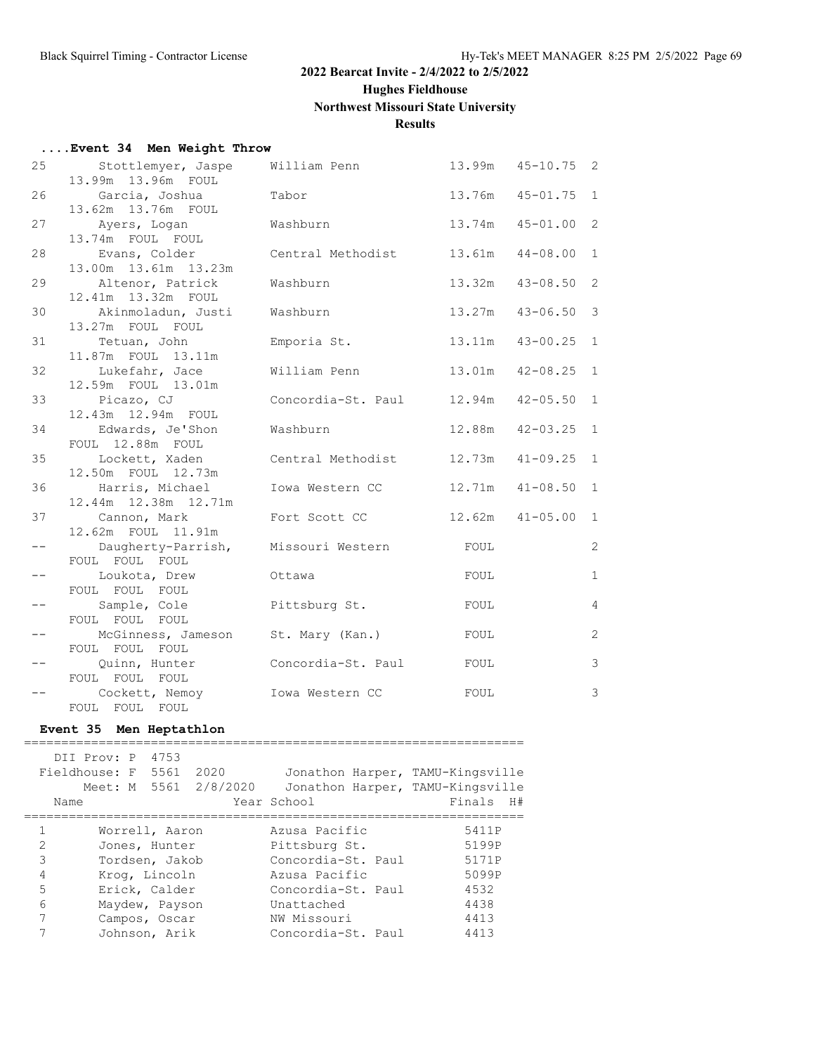**Hughes Fieldhouse**

#### **Northwest Missouri State University**

## **Results**

#### **....Event 34 Men Weight Throw**

| 25                | Stottlemyer, Jaspe<br>13.99m 13.96m FOUL                     | William Penn              | 13.99m | $45 - 10.75$ 2 |              |
|-------------------|--------------------------------------------------------------|---------------------------|--------|----------------|--------------|
| 26                | Garcia, Joshua<br>13.62m 13.76m FOUL                         | Tabor                     | 13.76m | $45 - 01.75$   | $\mathbf{1}$ |
| 27                | Ayers, Logan<br>13.74m FOUL FOUL                             | Washburn                  | 13.74m | $45 - 01.00$   | 2            |
| 28                | Evans, Colder                                                | Central Methodist         | 13.61m | $44 - 08.00$   | $\mathbf{1}$ |
| 29                | 13.00m  13.61m  13.23m<br>Altenor, Patrick                   | Washburn                  | 13.32m | $43 - 08.50$   | 2            |
| 30                | 12.41m  13.32m  FOUL<br>Akinmoladun, Justi                   | Washburn                  | 13.27m | $43 - 06.50$   | 3            |
| 31                | 13.27m FOUL FOUL<br>Tetuan, John<br>11.87m FOUL 13.11m       | Emporia St.               | 13.11m | $43 - 00.25$   | $\mathbf{1}$ |
| 32                | Lukefahr, Jace<br>12.59m FOUL 13.01m                         | William Penn              | 13.01m | $42 - 08.25$   | $\mathbf{1}$ |
| 33                | Picazo, CJ<br>12.43m  12.94m  FOUL                           | Concordia-St. Paul 12.94m |        | $42 - 05.50$   | $\mathbf{1}$ |
| 34                | Edwards, Je'Shon                                             | Washburn                  | 12.88m | $42 - 03.25$   | $\mathbf{1}$ |
| 35                | FOUL 12.88m FOUL<br>Lockett, Xaden                           | Central Methodist         | 12.73m | $41 - 09.25$   | $\mathbf{1}$ |
| 36                | 12.50m FOUL 12.73m<br>Harris, Michael                        | Iowa Western CC           | 12.71m | $41 - 08.50$   | 1            |
| 37                | 12.44m  12.38m  12.71m<br>Cannon, Mark<br>12.62m FOUL 11.91m | Fort Scott CC             | 12.62m | $41 - 05.00$   | $\mathbf{1}$ |
| $ -$              | Daugherty-Parrish,<br>FOUL FOUL FOUL                         | Missouri Western          | FOUL   |                | 2            |
| $\qquad \qquad -$ | Loukota, Drew<br>FOUL FOUL FOUL                              | Ottawa                    | FOUL   |                | $\mathbf{1}$ |
| $- \, -$          | Sample, Cole<br>FOUL FOUL FOUL                               | Pittsburg St.             | FOUL   |                | 4            |
| $-\,-$            | McGinness, Jameson<br>FOUL FOUL FOUL                         | St. Mary (Kan.)           | FOUL   |                | 2            |
| $- -$             | Quinn, Hunter<br>FOUL FOUL FOUL                              | Concordia-St. Paul        | FOUL   |                | 3            |
| $- -$             | Cockett, Nemoy<br>FOUL FOUL FOUL                             | Iowa Western CC           | FOUL   |                | 3            |

#### **Event 35 Men Heptathlon** ===================================================================

 DII Prov: P 4753 Fieldhouse: F 5561 2020 Jonathon Harper, TAMU-Kingsville Meet: M 5561 2/8/2020 Jonathon Harper, TAMU-Kingsville Name Year School Finals H# =================================================================== 1 Worrell, Aaron Azusa Pacific 5411P 2 Jones, Hunter Pittsburg St. 5199P 3 Tordsen, Jakob Concordia-St. Paul 5171P 4 Krog, Lincoln Azusa Pacific 5099P 5 Erick, Calder Concordia-St. Paul 4532 6 Maydew, Payson Unattached 4438 7 Campos, Oscar NW Missouri 4413 7 Johnson, Arik Concordia-St. Paul 4413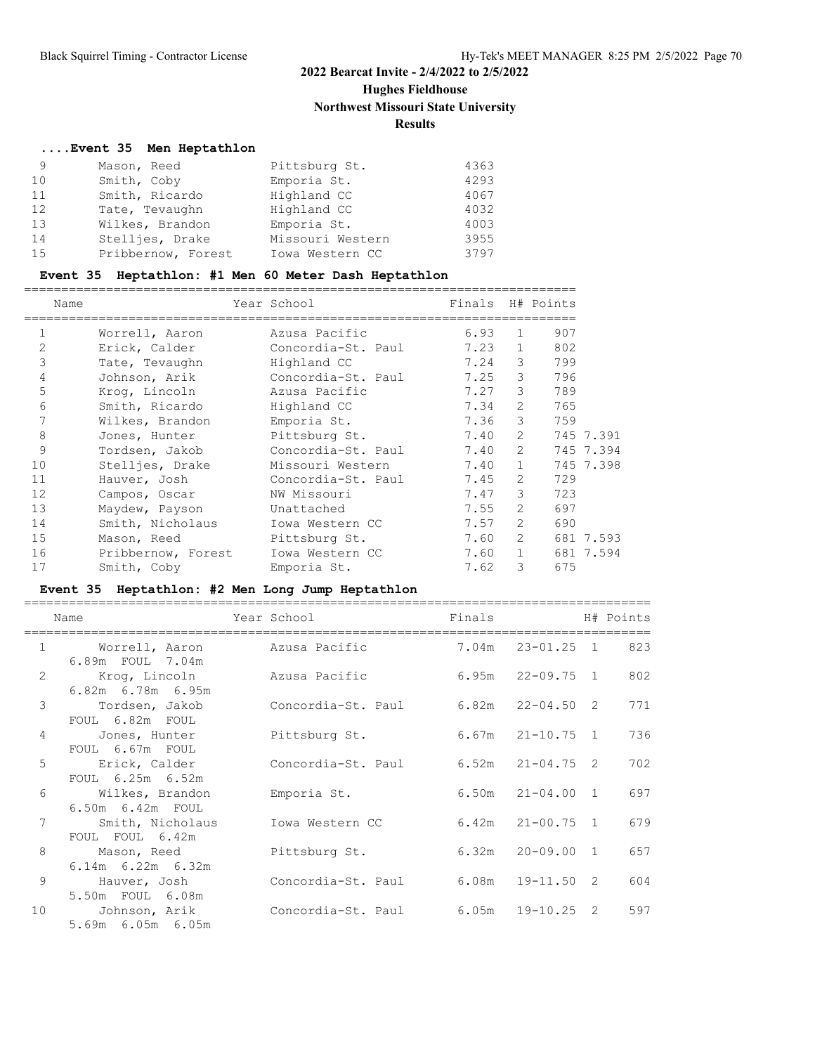# **Hughes Fieldhouse**

**Northwest Missouri State University**

# **Results**

# **....Event 35 Men Heptathlon**

| 9  | Mason, Reed        | Pittsburg St.    | 4363 |
|----|--------------------|------------------|------|
| 10 | Smith, Coby        | Emporia St.      | 4293 |
| 11 | Smith, Ricardo     | Highland CC      | 4067 |
| 12 | Tate, Tevaughn     | Highland CC      | 4032 |
| 13 | Wilkes, Brandon    | Emporia St.      | 4003 |
| 14 | Stellies, Drake    | Missouri Western | 3955 |
| 15 | Pribbernow, Forest | Iowa Western CC  | 3797 |

# **Event 35 Heptathlon: #1 Men 60 Meter Dash Heptathlon**

| Name           |                    | Year School        | Finals H# Points |                |             |           |
|----------------|--------------------|--------------------|------------------|----------------|-------------|-----------|
| 1              | Worrell, Aaron     | Azusa Pacific      | 6.93             | $\mathbf{1}$   | 907         |           |
| $\overline{2}$ | Erick, Calder      | Concordia-St. Paul | 7.23             | $\mathbf{1}$   | 802         |           |
| 3              | Tate, Tevaughn     | Highland CC        | 7.24             | 3              | 799         |           |
| 4              | Johnson, Arik      | Concordia-St. Paul | 7.25             | 3 <sup>7</sup> | 796         |           |
| 5              | Kroq, Lincoln      | Azusa Pacific      | 7.27             | 3 <sup>7</sup> | 789         |           |
| 6              | Smith, Ricardo     | Highland CC        | 7.34             | $\overline{2}$ | 765         |           |
| 7              | Wilkes, Brandon    | Emporia St.        | 7.36             | 3              | 759         |           |
| 8              | Jones, Hunter      | Pittsburg St.      | 7.40             |                | $2^{\circ}$ | 745 7.391 |
| 9              | Tordsen, Jakob     | Concordia-St. Paul | 7.40             |                | $2^{\circ}$ | 745 7.394 |
| 10             | Stelljes, Drake    | Missouri Western   | 7.40             | $\mathbf{1}$   |             | 745 7.398 |
| 11             | Hauver, Josh       | Concordia-St. Paul | 7.45             | $\overline{2}$ | 729         |           |
| 12             | Campos, Oscar      | NW Missouri        | 7.47             | 3              | 723         |           |
| 13             | Maydew, Payson     | Unattached         | 7.55             | 2              | 697         |           |
| 14             | Smith, Nicholaus   | Iowa Western CC    | 7.57             | $\overline{2}$ | 690         |           |
| 15             | Mason, Reed        | Pittsburg St.      | 7.60             | 2              |             | 681 7.593 |
| 16             | Pribbernow, Forest | Iowa Western CC    | 7.60             | $\mathbf{1}$   |             | 681 7.594 |
| 17             | Smith, Coby        | Emporia St.        | 7.62             | 3              | 675         |           |

# **Event 35 Heptathlon: #2 Men Long Jump Heptathlon**

|                | Name                                     | Year School        | Finals |                      | H# Points |
|----------------|------------------------------------------|--------------------|--------|----------------------|-----------|
| $\mathbf{1}$   | Worrell, Aaron<br>6.89m FOUL 7.04m       | Azusa Pacific      |        | 7.04m  23-01.25  1   | 823       |
| $\overline{2}$ | Krog, Lincoln<br>$6.82m$ $6.78m$ $6.95m$ | Azusa Pacific      | 6.95m  | 22-09.75 1           | 802       |
| 3              | Tordsen, Jakob<br>FOUL 6.82m FOUL        | Concordia-St. Paul |        | $6.82m$ $22-04.50$ 2 | 771       |
| 4              | Jones, Hunter<br>FOUL 6.67m FOUL         | Pittsburg St.      |        | $6.67m$ $21-10.75$ 1 | 736       |
| 5              | Erick, Calder<br>FOUL 6.25m 6.52m        | Concordia-St. Paul |        | $6.52m$ $21-04.75$ 2 | 702       |
| 6              | Wilkes, Brandon<br>6.50m  6.42m  FOUL    | Emporia St.        |        | $6.50m$ $21-04.00$ 1 | 697       |
| 7              | Smith, Nicholaus<br>FOUL FOUL 6.42m      | Iowa Western CC    |        | $6.42m$ $21-00.75$ 1 | 679       |
| 8              | Mason, Reed<br>$6.14m$ $6.22m$ $6.32m$   | Pittsburg St.      | 6.32m  | 20-09.00 1           | 657       |
| 9              | Hauver, Josh<br>5.50m FOUL 6.08m         | Concordia-St. Paul |        | $6.08m$ $19-11.50$ 2 | 604       |
| 10             | Johnson, Arik<br>5.69m 6.05m 6.05m       | Concordia-St. Paul |        | $6.05m$ $19-10.25$ 2 | 597       |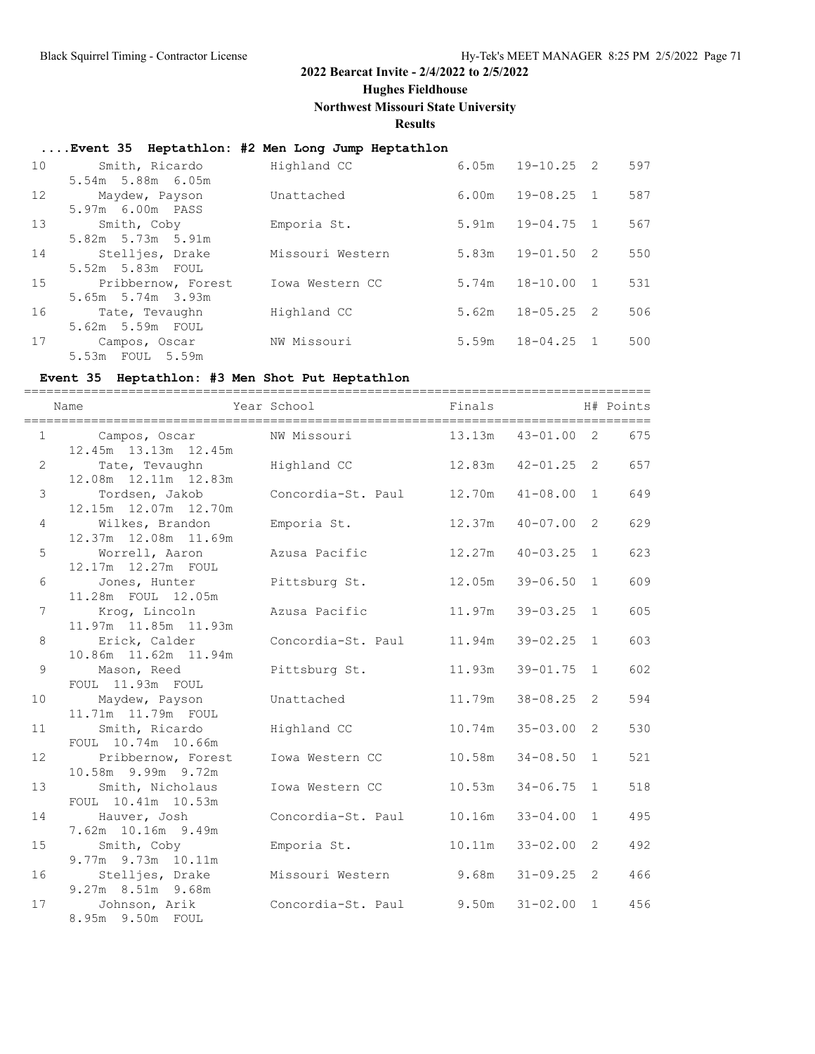**Hughes Fieldhouse**

**Northwest Missouri State University**

**Results**

# **....Event 35 Heptathlon: #2 Men Long Jump Heptathlon**

| 10 | Smith, Ricardo     | Highland CC      | 6.05m | 19-10.25 2     |                | 597 |
|----|--------------------|------------------|-------|----------------|----------------|-----|
|    | 5.54m 5.88m 6.05m  |                  |       |                |                |     |
| 12 | Maydew, Payson     | Unattached       | 6.00m | $19 - 08.25$   | $\overline{1}$ | 587 |
|    | 5.97m 6.00m PASS   |                  |       |                |                |     |
| 13 | Smith, Coby        | Emporia St.      | 5.91m | $19 - 04.75$ 1 |                | 567 |
|    | 5.82m 5.73m 5.91m  |                  |       |                |                |     |
| 14 | Stelljes, Drake    | Missouri Western | 5.83m | $19 - 01.50$ 2 |                | 550 |
|    | 5.52m 5.83m FOUL   |                  |       |                |                |     |
| 15 | Pribbernow, Forest | Iowa Western CC  | 5.74m | $18 - 10.00$   | $\overline{1}$ | 531 |
|    | 5.65m 5.74m 3.93m  |                  |       |                |                |     |
| 16 | Tate, Tevaughn     | Highland CC      | 5.62m | $18 - 05.25$ 2 |                | 506 |
|    | 5.62m 5.59m FOUL   |                  |       |                |                |     |
| 17 | Campos, Oscar      | NW Missouri      | 5.59m | $18 - 04.25$   | $\overline{1}$ | 500 |
|    | 5.53m FOUL 5.59m   |                  |       |                |                |     |

#### **Event 35 Heptathlon: #3 Men Shot Put Heptathlon**

|                | Name                                                       | Year School              | Finals              |                |              | H# Points |
|----------------|------------------------------------------------------------|--------------------------|---------------------|----------------|--------------|-----------|
|                | $1 \qquad \qquad$<br>Campos, Oscar<br>12.45m 13.13m 12.45m | NW Missouri              | 13.13m  43-01.00  2 |                |              | 675       |
| $\mathbf{2}$   | Tate, Tevaughn<br>12.08m  12.11m  12.83m                   | Highland CC              | 12.83m              | $42 - 01.25$ 2 |              | 657       |
| 3              | Tordsen, Jakob<br>12.15m  12.07m  12.70m                   | Concordia-St. Paul       | 12.70m              | $41 - 08.00$ 1 |              | 649       |
| 4              | Wilkes, Brandon<br>12.37m 12.08m 11.69m                    | Emporia St.              | 12.37m              | $40 - 07.00$   | 2            | 629       |
| 5              | Worrell, Aaron<br>12.17m  12.27m  FOUL                     | Azusa Pacific            | 12.27m              | $40 - 03.25$ 1 |              | 623       |
| 6              | Jones, Hunter<br>11.28m FOUL 12.05m                        | Pittsburg St.            | 12.05m              | $39 - 06.50$   | 1            | 609       |
| 7              | Krog, Lincoln<br>11.97m  11.85m  11.93m                    | Azusa Pacific            | 11.97m              | $39 - 03.25$   | 1            | 605       |
| 8              | Erick, Calder<br>10.86m 11.62m 11.94m                      | Concordia-St. Paul       | 11.94m              | 39-02.25       | $\mathbf{1}$ | 603       |
| $\overline{9}$ | Mason, Reed<br>FOUL 11.93m FOUL                            | Pittsburg St.            | 11.93m              | $39 - 01.75$   | 1            | 602       |
| 10             | Maydew, Payson<br>11.71m  11.79m  FOUL                     | Unattached               | 11.79m              | $38 - 08.25$   | 2            | 594       |
| 11             | Smith, Ricardo<br>FOUL 10.74m 10.66m                       | Highland CC              | 10.74m              | $35 - 03.00$   | 2            | 530       |
| 12             | Pribbernow, Forest<br>10.58m 9.99m 9.72m                   | Iowa Western CC          | 10.58m              | $34 - 08.50$   | $\mathbf{1}$ | 521       |
| 13             | Smith, Nicholaus<br>FOUL 10.41m 10.53m                     | Iowa Western CC          | 10.53m              | $34 - 06.75$   | $\mathbf{1}$ | 518       |
| 14             | Hauver, Josh<br>7.62m 10.16m 9.49m                         | Concordia-St. Paul       | 10.16m              | $33 - 04.00$   | 1            | 495       |
| 15             | Smith, Coby<br>9.77m 9.73m 10.11m                          | Emporia St.              | 10.11m              | $33 - 02.00$   | 2            | 492       |
| 16             | Stelljes, Drake<br>9.27m 8.51m 9.68m                       | Missouri Western 9.68m   |                     | $31 - 09.25$ 2 |              | 466       |
| 17             | Johnson, Arik<br>8.95m 9.50m FOUL                          | Concordia-St. Paul 9.50m |                     | $31 - 02.00$ 1 |              | 456       |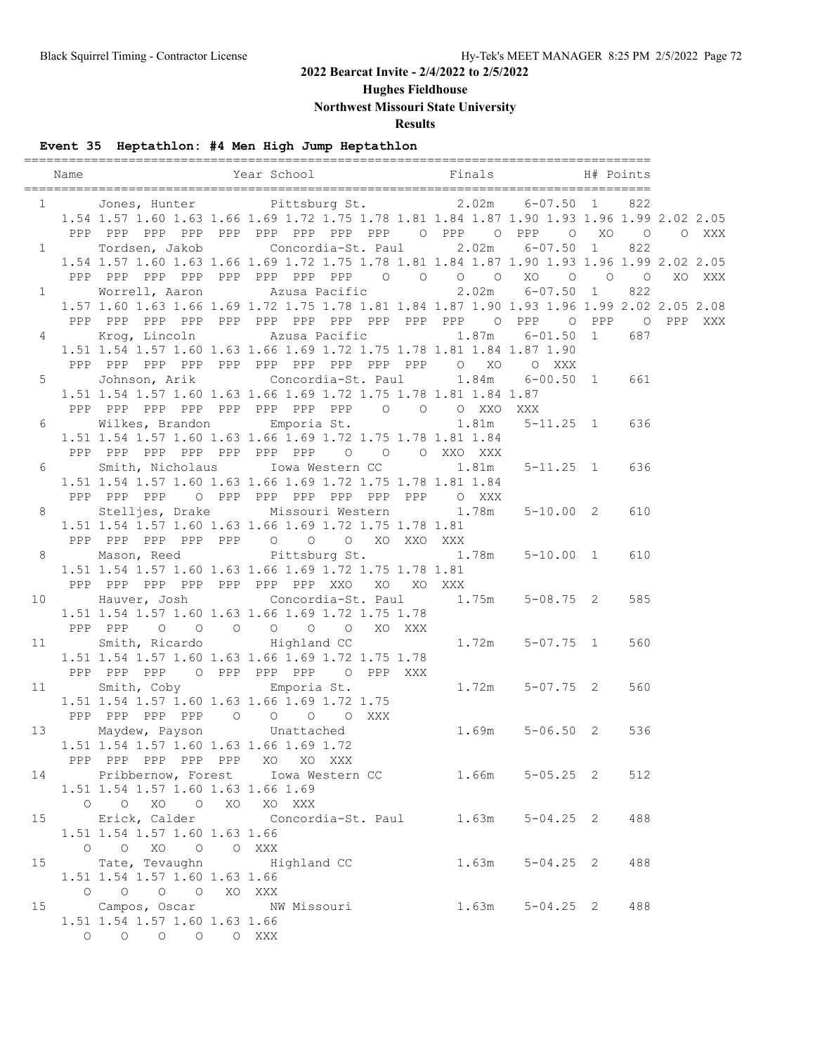**Hughes Fieldhouse**

**Northwest Missouri State University**

**Results**

# **Event 35 Heptathlon: #4 Men High Jump Heptathlon**

|    | Name                   |                                         | Year School Finals                                                                                                                             |                     | H# Points |        |
|----|------------------------|-----------------------------------------|------------------------------------------------------------------------------------------------------------------------------------------------|---------------------|-----------|--------|
|    |                        |                                         |                                                                                                                                                |                     |           |        |
|    |                        |                                         | 1 Jones, Hunter Pittsburg St. 2.02m 6-07.50 1 822<br>1.54 1.57 1.60 1.63 1.66 1.69 1.72 1.75 1.78 1.81 1.84 1.87 1.90 1.93 1.96 1.99 2.02 2.05 |                     |           |        |
|    |                        |                                         | PPP PPP PPP PPP PPP PPP PPP PPP PPP O PPP O PPP O XO O O XXX                                                                                   |                     |           |        |
|    | $1 \quad \blacksquare$ |                                         | Tordsen, Jakob Concordia-St. Paul 2.02m 6-07.50 1                                                                                              |                     | 822       |        |
|    |                        |                                         | 1.54 1.57 1.60 1.63 1.66 1.69 1.72 1.75 1.78 1.81 1.84 1.87 1.90 1.93 1.96 1.99 2.02 2.05                                                      |                     |           |        |
|    |                        |                                         |                                                                                                                                                |                     |           | XO XXX |
|    |                        |                                         | 1 Worrell, Aaron Marusa Pacific 2.02m 6-07.50 1                                                                                                |                     | 822       |        |
|    |                        |                                         | 1.57 1.60 1.63 1.66 1.69 1.72 1.75 1.78 1.81 1.84 1.87 1.90 1.93 1.96 1.99 2.02 2.05 2.08                                                      |                     |           |        |
|    |                        |                                         |                                                                                                                                                |                     |           |        |
|    |                        |                                         | 4 Krog, Lincoln Mzusa Pacific 1.87m                                                                                                            | $6 - 01.50$ 1 687   |           |        |
|    |                        |                                         | 1.51 1.54 1.57 1.60 1.63 1.66 1.69 1.72 1.75 1.78 1.81 1.84 1.87 1.90                                                                          |                     |           |        |
|    |                        |                                         |                                                                                                                                                |                     |           |        |
|    |                        |                                         | 5 Johnson, Arik Concordia-St. Paul 1.84m 6-00.50 1 661                                                                                         |                     |           |        |
|    |                        |                                         | 1.51 1.54 1.57 1.60 1.63 1.66 1.69 1.72 1.75 1.78 1.81 1.84 1.87                                                                               |                     |           |        |
|    |                        |                                         | PPP PPP PPP PPP PPP PPP PPP PPP 0 0 0 XXO XXX                                                                                                  |                     |           |        |
|    | $6\overline{6}$        |                                         | Wilkes, Brandon Emporia St. 1.81m 5-11.25 1 636                                                                                                |                     |           |        |
|    |                        |                                         | 1.51 1.54 1.57 1.60 1.63 1.66 1.69 1.72 1.75 1.78 1.81 1.84                                                                                    |                     |           |        |
|    |                        |                                         | PPP PPP PPP PPP PPP PPP PPP 0 0 0 XXO XXX                                                                                                      |                     |           |        |
|    | $6\degree$             |                                         | Smith, Nicholaus Iowa Western CC 1.81m 5-11.25 1 636                                                                                           |                     |           |        |
|    |                        |                                         | 1.51 1.54 1.57 1.60 1.63 1.66 1.69 1.72 1.75 1.78 1.81 1.84                                                                                    |                     |           |        |
|    |                        |                                         | PPP PPP PPP O PPP PPP PPP PPP PPP PPP O XXX                                                                                                    |                     |           |        |
|    | $8 - 8$                |                                         | Stelljes, Drake Missouri Western 1.78m 5-10.00 2 610                                                                                           |                     |           |        |
|    |                        |                                         | 1.51 1.54 1.57 1.60 1.63 1.66 1.69 1.72 1.75 1.78 1.81                                                                                         |                     |           |        |
|    |                        |                                         | PPP PPP PPP PPP PPP 0 0 0 XO XXO XXX                                                                                                           |                     |           |        |
|    |                        |                                         | 8 Mason, Reed Pittsburg St. 1.78m 5-10.00 1 610                                                                                                |                     |           |        |
|    |                        |                                         | 1.51 1.54 1.57 1.60 1.63 1.66 1.69 1.72 1.75 1.78 1.81                                                                                         |                     |           |        |
|    |                        |                                         | PPP PPP PPP PPP PPP PPP PPP XXO XO XO XXX                                                                                                      |                     |           |        |
|    |                        |                                         | 10 Hauver, Josh Concordia-St. Paul 1.75m 5-08.75 2                                                                                             |                     | 585       |        |
|    |                        |                                         | 1.51 1.54 1.57 1.60 1.63 1.66 1.69 1.72 1.75 1.78                                                                                              |                     |           |        |
|    |                        |                                         | PPP PPP 0 0 0 0 0 0 XO XXX                                                                                                                     |                     |           |        |
|    | 11 — 1                 | Smith, Ricardo Highland CC              | xo xxx<br>1.72m 5-07.75 1 560                                                                                                                  |                     |           |        |
|    |                        |                                         | 1.51 1.54 1.57 1.60 1.63 1.66 1.69 1.72 1.75 1.78                                                                                              |                     |           |        |
|    |                        |                                         | PPP PPP PPP 0 PPP PPP PPP 0 PPP XXX                                                                                                            |                     |           |        |
|    | 11                     | Smith, Coby Emporia St.                 |                                                                                                                                                | $1.72m$ $5-07.75$ 2 | 560       |        |
|    |                        |                                         | 1.51 1.54 1.57 1.60 1.63 1.66 1.69 1.72 1.75                                                                                                   |                     |           |        |
|    |                        |                                         | PPP PPP PPP PPP 0 0 0 0 XXX                                                                                                                    |                     |           |        |
|    |                        |                                         | 13 Maydew, Payson Unattached 1.69m 5-06.50 2 536                                                                                               |                     |           |        |
|    |                        | 1.51 1.54 1.57 1.60 1.63 1.66 1.69 1.72 |                                                                                                                                                |                     |           |        |
|    |                        | PPP PPP PPP PPP PPP XO XO XXX           |                                                                                                                                                |                     |           |        |
|    |                        |                                         | 14 Pribbernow, Forest Iowa Western CC 1.66m 5-05.25 2 512                                                                                      |                     |           |        |
|    |                        | 1.51 1.54 1.57 1.60 1.63 1.66 1.69      |                                                                                                                                                |                     |           |        |
|    |                        | O O XO O XO XO XXX                      |                                                                                                                                                |                     |           |        |
|    |                        |                                         | 15 Erick, Calder Concordia-St. Paul 1.63m 5-04.25 2 488                                                                                        |                     |           |        |
|    |                        | 1.51 1.54 1.57 1.60 1.63 1.66           |                                                                                                                                                |                     |           |        |
|    |                        | 0 0 XO 0 0 XXX                          |                                                                                                                                                |                     |           |        |
|    |                        |                                         | 15 Tate, Tevaughn Highland CC                                                                                                                  | 1.63m 5-04.25 2 488 |           |        |
|    |                        | 1.51 1.54 1.57 1.60 1.63 1.66           |                                                                                                                                                |                     |           |        |
|    |                        | 0 0 0 0 XO XXX                          |                                                                                                                                                |                     |           |        |
| 15 |                        |                                         |                                                                                                                                                |                     |           |        |
|    |                        | 1.51 1.54 1.57 1.60 1.63 1.66           |                                                                                                                                                |                     |           |        |
|    |                        | 0 0 0 0 0 XXX                           |                                                                                                                                                |                     |           |        |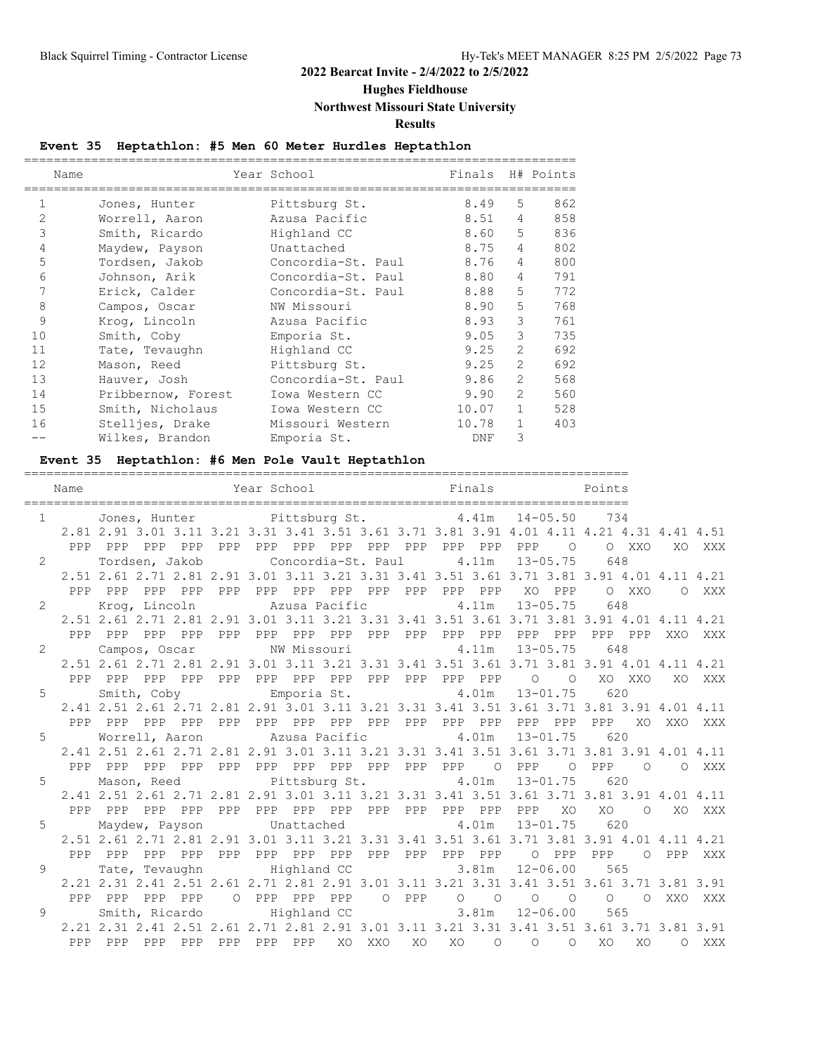### **Hughes Fieldhouse**

### **Northwest Missouri State University**

**Results**

### **Event 35 Heptathlon: #5 Men 60 Meter Hurdles Heptathlon**

|                | Name               | Year School        | Finals H# Points |                |     |
|----------------|--------------------|--------------------|------------------|----------------|-----|
| $\mathbf{1}$   | Jones, Hunter      | Pittsburg St.      | 8.49             | .5             | 862 |
| $\mathfrak{D}$ | Worrell, Aaron     | Azusa Pacific      | 8.51             | 4              | 858 |
| 3              | Smith, Ricardo     | Highland CC        | 8.60             | 5              | 836 |
| 4              | Maydew, Payson     | Unattached         | 8.75             | 4              | 802 |
| 5              | Tordsen, Jakob     | Concordia-St. Paul | 8.76             | $\overline{4}$ | 800 |
| 6              | Johnson, Arik      | Concordia-St. Paul | 8.80             | $\overline{4}$ | 791 |
| 7              | Erick, Calder      | Concordia-St. Paul | 8.88             | 5              | 772 |
| 8              | Campos, Oscar      | NW Missouri        | 8.90             | 5              | 768 |
| 9              | Krog, Lincoln      | Azusa Pacific      | 8.93             | 3              | 761 |
| 10             | Smith, Coby        | Emporia St.        | 9.05             | 3              | 735 |
| 11             | Tate, Tevaughn     | Highland CC        | 9.25             | $\overline{2}$ | 692 |
| 12             | Mason, Reed        | Pittsburg St.      | 9.25             | $\overline{2}$ | 692 |
| 13             | Hauver, Josh       | Concordia-St. Paul | 9.86             | $\overline{2}$ | 568 |
| 14             | Pribbernow, Forest | Iowa Western CC    | 9.90             | $\overline{2}$ | 560 |
| 15             | Smith, Nicholaus   | Iowa Western CC    | 10.07            | $\mathbf{1}$   | 528 |
| 16             | Stelljes, Drake    | Missouri Western   | 10.78            | $\mathbf{1}$   | 403 |
|                | Wilkes, Brandon    | Emporia St.        | DNF              | 3              |     |

# **Event 35 Heptathlon: #6 Men Pole Vault Heptathlon**

| Name                           |               |     | Year School and Finals Points                                                                                                         |     |  |  |                               |  |                |                                      |         |            |        |
|--------------------------------|---------------|-----|---------------------------------------------------------------------------------------------------------------------------------------|-----|--|--|-------------------------------|--|----------------|--------------------------------------|---------|------------|--------|
| $1 - 1$                        |               |     | Jones, Hunter Pittsburg St. 4.41m 14-05.50 734                                                                                        |     |  |  |                               |  |                |                                      |         |            |        |
|                                |               |     | 2.81 2.91 3.01 3.11 3.21 3.31 3.41 3.51 3.61 3.71 3.81 3.91 4.01 4.11 4.21 4.31 4.41 4.51                                             |     |  |  |                               |  |                |                                      |         |            |        |
|                                |               |     |                                                                                                                                       |     |  |  |                               |  | $\overline{O}$ |                                      | O XXO   |            | XO XXX |
| $2 \left( \frac{1}{2} \right)$ |               |     | Tordsen, Jakob Concordia-St. Paul a.11m 13-05.75                                                                                      |     |  |  |                               |  |                | 648                                  |         |            |        |
|                                |               |     | 2.51 2.61 2.71 2.81 2.91 3.01 3.11 3.21 3.31 3.41 3.51 3.61 3.71 3.81 3.91 4.01 4.11 4.21                                             |     |  |  |                               |  |                |                                      |         |            |        |
|                                | PPP PPP       |     |                                                                                                                                       |     |  |  |                               |  |                |                                      | O XXO   | O XXX      |        |
| $2 \left( \frac{1}{2} \right)$ | Krog, Lincoln |     |                                                                                                                                       |     |  |  | Azusa Pacific 4.11m           |  | $13 - 05.75$   | 648                                  |         |            |        |
|                                |               |     | 2.51 2.61 2.71 2.81 2.91 3.01 3.11 3.21 3.31 3.41 3.51 3.61 3.71 3.81 3.91 4.01 4.11 4.21                                             |     |  |  |                               |  |                |                                      |         |            |        |
|                                |               |     |                                                                                                                                       |     |  |  |                               |  |                | PPP PPP                              |         | XXO XXX    |        |
| $2 \left( \frac{1}{2} \right)$ |               |     | Campos, Oscar MW Missouri 4.11m 13-05.75                                                                                              |     |  |  |                               |  |                | 648                                  |         |            |        |
|                                |               |     | 2.51 2.61 2.71 2.81 2.91 3.01 3.11 3.21 3.31 3.41 3.51 3.61 3.71 3.81 3.91 4.01 4.11 4.21                                             |     |  |  |                               |  |                |                                      |         |            |        |
|                                |               |     |                                                                                                                                       |     |  |  |                               |  |                |                                      | XO XXO  |            | XO XXX |
| $5 - 5$                        |               |     | Smith, Coby Emporia St. 4.01m 13-01.75                                                                                                |     |  |  |                               |  |                | 620                                  |         |            |        |
|                                |               |     | 2.41 2.51 2.61 2.71 2.81 2.91 3.01 3.11 3.21 3.31 3.41 3.51 3.61 3.71 3.81 3.91 4.01 4.11                                             |     |  |  |                               |  |                |                                      |         |            |        |
|                                |               |     |                                                                                                                                       |     |  |  |                               |  |                | PPP                                  |         | XO XXO XXX |        |
|                                |               |     | 5 Worrell, Aaron Mazusa Pacific 4.01m 13-01.75 620                                                                                    |     |  |  |                               |  |                |                                      |         |            |        |
|                                |               |     | 2.41 2.51 2.61 2.71 2.81 2.91 3.01 3.11 3.21 3.31 3.41 3.51 3.61 3.71 3.81 3.91 4.01 4.11                                             |     |  |  |                               |  |                |                                      |         |            |        |
| PPP                            | PPP           |     | PPP PPP                                                                                                                               | PPP |  |  | PPP PPP PPP PPP PPP PPP O PPP |  |                | O PPP<br>620                         | $\circ$ | O XXX      |        |
| $5 - 5$                        |               |     | Mason, Reed Pittsburg St. 4.01m 13-01.75<br>2.41 2.51 2.61 2.71 2.81 2.91 3.01 3.11 3.21 3.31 3.41 3.51 3.61 3.71 3.81 3.91 4.01 4.11 |     |  |  |                               |  |                |                                      |         |            |        |
|                                | PPP PPP       |     |                                                                                                                                       |     |  |  |                               |  | XO             | XO                                   |         | O XO XXX   |        |
| $5 \quad \cdots$               |               |     | Maydew, Payson Unattached 4.01m 13-01.75                                                                                              |     |  |  |                               |  |                | 620                                  |         |            |        |
|                                |               |     | 2.51 2.61 2.71 2.81 2.91 3.01 3.11 3.21 3.31 3.41 3.51 3.61 3.71 3.81 3.91 4.01 4.11 4.21                                             |     |  |  |                               |  |                |                                      |         |            |        |
|                                |               |     |                                                                                                                                       |     |  |  |                               |  |                | PPP                                  |         | O PPP XXX  |        |
| $9 \left( \frac{1}{2} \right)$ |               |     | Tate, Tevaughn Highland CC                                                                                                            |     |  |  | 3.81m                         |  | $12 - 06.00$   | 565                                  |         |            |        |
|                                |               |     | 2.21 2.31 2.41 2.51 2.61 2.71 2.81 2.91 3.01 3.11 3.21 3.31 3.41 3.51 3.61 3.71 3.81 3.91                                             |     |  |  |                               |  |                |                                      |         |            |        |
|                                |               |     |                                                                                                                                       |     |  |  |                               |  |                |                                      |         |            |        |
| $9 \left( \frac{1}{2} \right)$ |               |     | Smith, Ricardo Highland CC 3.81m                                                                                                      |     |  |  |                               |  | $12 - 06.00$   | 565                                  |         |            |        |
|                                |               |     | 2.21 2.31 2.41 2.51 2.61 2.71 2.81 2.91 3.01 3.11 3.21 3.31 3.41 3.51 3.61 3.71 3.81 3.91                                             |     |  |  |                               |  |                |                                      |         |            |        |
| PPP                            | PPP           | PPP | PPP                                                                                                                                   |     |  |  |                               |  |                | PPP PPP PPP XO XXO XO XO O O O XO XO |         | O XXX      |        |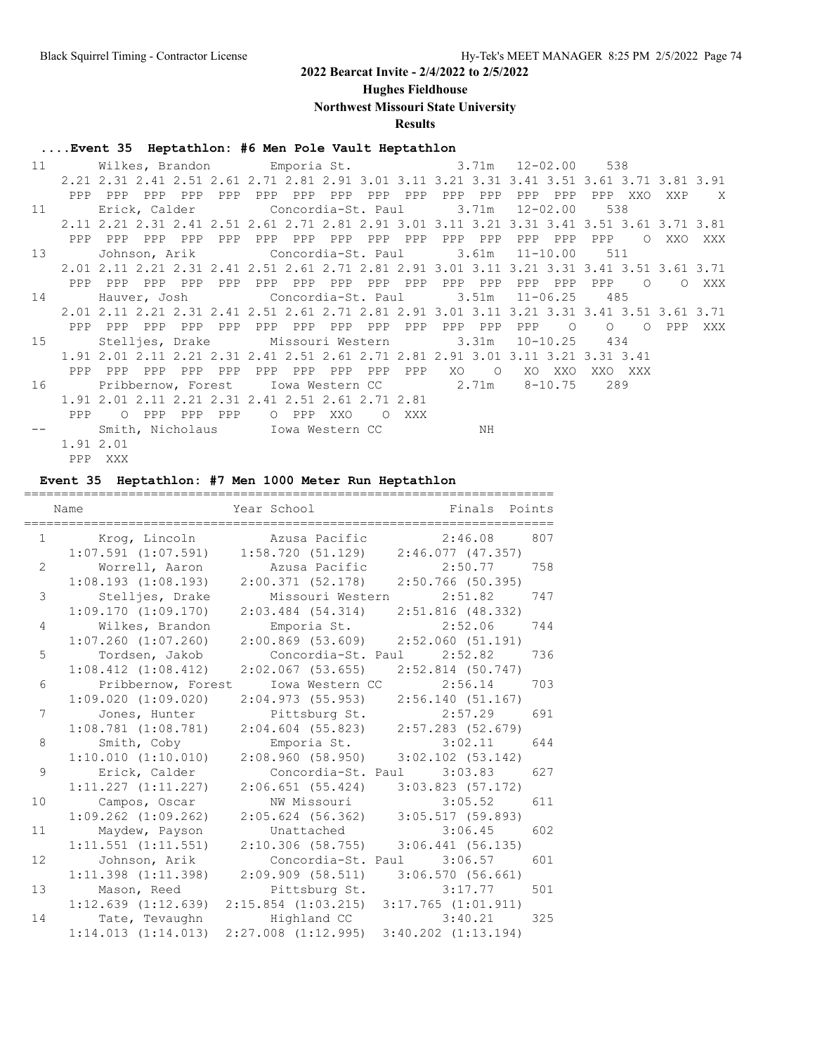**Hughes Fieldhouse**

**Northwest Missouri State University**

**Results**

### **....Event 35 Heptathlon: #6 Men Pole Vault Heptathlon**

| 11 |           |                                                                                           |       | Wilkes, Brandon Emporia St. 3.71m 12-02.00   |         |     |       |                 |          |         |     |                |                    |              | 538      |          |     |       |
|----|-----------|-------------------------------------------------------------------------------------------|-------|----------------------------------------------|---------|-----|-------|-----------------|----------|---------|-----|----------------|--------------------|--------------|----------|----------|-----|-------|
|    |           | 2.21 2.31 2.41 2.51 2.61 2.71 2.81 2.91 3.01 3.11 3.21 3.31 3.41 3.51 3.61 3.71 3.81 3.91 |       |                                              |         |     |       |                 |          |         |     |                |                    |              |          |          |     |       |
|    | PPP       | PPP                                                                                       | PPP   | PPP                                          | PPP     |     |       | PPP PPP PPP     |          | PPP PPP | PPP | PPP            | PPP                | PPP          | PPP      | XXO      |     | XXP X |
| 11 |           |                                                                                           |       | Erick, Calder Concordia-St. Paul 3.71m       |         |     |       |                 |          |         |     |                |                    | 12-02.00     | 538      |          |     |       |
|    |           | 2.11 2.21 2.31 2.41 2.51 2.61 2.71 2.81 2.91 3.01 3.11 3.21 3.31 3.41 3.51 3.61 3.71 3.81 |       |                                              |         |     |       |                 |          |         |     |                |                    |              |          |          |     |       |
|    | PPP       | PPP                                                                                       | PPP   | PPP                                          | PPP     | PPP |       | PPP PPP         | PPP      | PPP     | PPP | PPP            | PPP                | PPP          | PPP      | $\Omega$ | XXO | XXX   |
| 13 |           |                                                                                           |       | Johnson, Arik             Concordia-St. Paul |         |     |       |                 |          |         |     |                | $3.61m$ $11-10.00$ |              | 511      |          |     |       |
|    |           | 2.01 2.11 2.21 2.31 2.41 2.51 2.61 2.71 2.81 2.91 3.01 3.11 3.21 3.31 3.41 3.51 3.61 3.71 |       |                                              |         |     |       |                 |          |         |     |                |                    |              |          |          |     |       |
|    | PPP       | PPP                                                                                       |       | PPP PPP                                      | PPP     |     |       | PPP PPP PPP     |          | PPP PPP | PPP | PPP            | PPP                | PPP          | PPP      | $\circ$  |     | O XXX |
| 14 |           |                                                                                           |       | Hauver, Josh           Concordia-St. Paul    |         |     |       |                 |          |         |     |                | $3.51m$ $11-06.25$ |              | 485      |          |     |       |
|    |           | 2.01 2.11 2.21 2.31 2.41 2.51 2.61 2.71 2.81 2.91 3.01 3.11 3.21 3.31 3.41 3.51 3.61 3.71 |       |                                              |         |     |       |                 |          |         |     |                |                    |              |          |          |     |       |
|    |           | PPP PPP                                                                                   | PPP   | PPP                                          | PPP     |     |       | PPP PPP PPP PPP |          | PPP     |     | PPP PPP        | PPP                | $\circ$      | $\Omega$ | $\circ$  | PPP | XXX   |
| 15 |           |                                                                                           |       | Stelljes, Drake Missouri Western 3.31m       |         |     |       |                 |          |         |     |                |                    | $10 - 10.25$ | 434      |          |     |       |
|    |           | 1.91 2.01 2.11 2.21 2.31 2.41 2.51 2.61 2.71 2.81 2.91 3.01 3.11 3.21 3.31 3.41           |       |                                              |         |     |       |                 |          |         |     |                |                    |              |          |          |     |       |
|    | PPP       | PPP                                                                                       | PPP   | PPP                                          | PPP     | PPP |       | PPP PPP         | PPP      | PPP     | XO  | $\overline{O}$ | XO                 | XXO          |          | XXO XXX  |     |       |
| 16 |           | Pribbernow, Forest 10wa Western CC 2.71m                                                  |       |                                              |         |     |       |                 |          |         |     |                |                    | 8-10.75      | 289      |          |     |       |
|    |           | 1.91 2.01 2.11 2.21 2.31 2.41 2.51 2.61 2.71 2.81                                         |       |                                              |         |     |       |                 |          |         |     |                |                    |              |          |          |     |       |
|    | PPP       |                                                                                           | O PPP |                                              | PPP PPP |     | O PPP | XXO             | $\Omega$ | XXX     |     |                |                    |              |          |          |     |       |
|    |           |                                                                                           |       | Smith, Nicholaus Iowa Western CC 3 NH        |         |     |       |                 |          |         |     |                |                    |              |          |          |     |       |
|    | 1.91 2.01 |                                                                                           |       |                                              |         |     |       |                 |          |         |     |                |                    |              |          |          |     |       |
|    |           | PPP XXX                                                                                   |       |                                              |         |     |       |                 |          |         |     |                |                    |              |          |          |     |       |

### **Event 35 Heptathlon: #7 Men 1000 Meter Run Heptathlon**

|                | Name                                                                    | Year School                             | Finals Points           |
|----------------|-------------------------------------------------------------------------|-----------------------------------------|-------------------------|
|                | 1 Krog, Lincoln                                                         | Azusa Pacific                           | 2:46.08<br>807          |
|                | $1:07.591$ $(1:07.591)$                                                 | $1:58.720$ (51.129) $2:46.077$ (47.357) |                         |
| $\overline{2}$ | Worrell, Aaron                                                          | Azusa Pacific                           | 2:50.77<br>758          |
|                | 1:08.193(1:08.193)                                                      | $2:00.371$ (52.178) $2:50.766$ (50.395) |                         |
| 3              | Stelljes, Drake                                                         | Missouri Western 2:51.82                | 747                     |
|                | 1:09.170(1:09.170)                                                      | $2:03.484$ $(54.314)$                   | $2:51.816$ (48.332)     |
| 4              | Wilkes, Brandon                                                         | Emporia St.                             | 2:52.06<br>744          |
|                | $1:07.260$ $(1:07.260)$                                                 | $2:00.869$ (53.609) $2:52.060$ (51.191) |                         |
| 5              | Tordsen, Jakob                                                          | Concordia-St. Paul 2:52.82              | 736                     |
|                | $1:08.412$ $(1:08.412)$                                                 | $2:02.067$ (53.655) 2:52.814 (50.747)   |                         |
| 6              | Pribbernow, Forest                                                      | Iowa Western CC                         | 2:56.14<br>703          |
|                | $1:09.020$ $(1:09.020)$                                                 | 2:04.973(55.953)                        | 2:56.140(51.167)        |
| 7              | Jones, Hunter                                                           | Pittsburg St.                           | 2:57.29<br>691          |
|                | $1:08.781$ $(1:08.781)$                                                 | $2:04.604$ (55.823) $2:57.283$ (52.679) |                         |
| 8              | Smith, Coby                                                             | Emporia St. 3:02.11                     | 644                     |
|                | 1:10.010(1:10.010)                                                      | 2:08.960(58.950)                        | $3:02.102$ $(53.142)$   |
| 9              | Erick, Calder                                                           | Concordia-St. Paul 3:03.83              | 627                     |
|                | 1:11.227(1:11.227)                                                      | 2:06.651(55.424)                        | $3:03.823$ (57.172)     |
| 10             | Campos, Oscar                                                           | NW Missouri                             | 3:05.52<br>611          |
|                | $1:09.262$ $(1:09.262)$                                                 | $2:05.624$ (56.362)                     | 3:05.517(59.893)        |
| 11             | Maydew, Payson                                                          | Unattached                              | 3:06.45<br>602          |
|                | $1:11.551$ $(1:11.551)$                                                 | $2:10.306$ (58.755) 3:06.441 (56.135)   |                         |
| 12             | Johnson, Arik                                                           | Concordia-St. Paul 3:06.57              | 601                     |
|                | $1:11.398$ $(1:11.398)$                                                 | $2:09.909$ (58.511) 3:06.570 (56.661)   |                         |
|                |                                                                         |                                         |                         |
| 13             | Mason, Reed                                                             | Pittsburg St. 3:17.77                   | 501                     |
|                | $1:12.639$ $(1:12.639)$ $2:15.854$ $(1:03.215)$ $3:17.765$ $(1:01.911)$ |                                         |                         |
| 14             | Tate, Tevaughn                                                          | Highland CC                             | 3:40.21<br>325          |
|                | 1:14.013(1:14.013)                                                      | $2:27.008$ $(1:12.995)$                 | $3:40.202$ $(1:13.194)$ |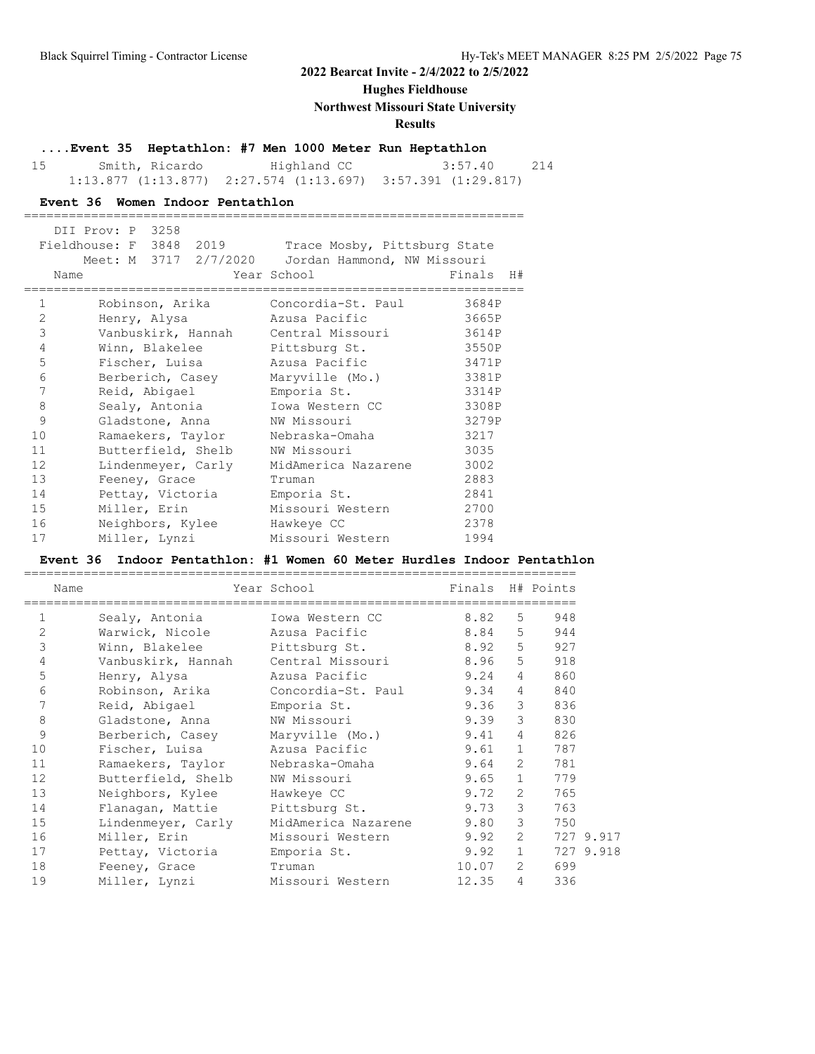### **Hughes Fieldhouse**

#### **Northwest Missouri State University**

### **Results**

### **....Event 35 Heptathlon: #7 Men 1000 Meter Run Heptathlon**

 15 Smith, Ricardo Highland CC 3:57.40 214 1:13.877 (1:13.877) 2:27.574 (1:13.697) 3:57.391 (1:29.817)

===================================================================

#### **Event 36 Women Indoor Pentathlon**

|                | DII Prov: P 3258<br>Fieldhouse: F 3848 2019<br>Name | Trace Mosby, Pittsburg State<br>Meet: M 3717 2/7/2020 Jordan Hammond, NW Missouri<br>Year School | Finals H# |
|----------------|-----------------------------------------------------|--------------------------------------------------------------------------------------------------|-----------|
| $\mathbf{1}$   | Robinson, Arika                                     | Concordia-St. Paul                                                                               | 3684P     |
| 2              | Henry, Alysa                                        | Azusa Pacific                                                                                    | 3665P     |
| 3              |                                                     | Vanbuskirk, Hannah Central Missouri                                                              | 3614P     |
| $\overline{4}$ | Winn, Blakelee                                      | Pittsburg St.                                                                                    | 3550P     |
| 5              | Fischer, Luisa                                      | Azusa Pacific                                                                                    | 3471P     |
| 6              | Berberich, Casey                                    | Maryville (Mo.)                                                                                  | 3381P     |
| 7              | Reid, Abigael                                       | Emporia St.                                                                                      | 3314P     |
| 8              |                                                     | Sealy, Antonia Mowa Western CC                                                                   | 3308P     |
| 9              | Gladstone, Anna                                     | NW Missouri                                                                                      | 3279P     |
| 10             | Ramaekers, Taylor                                   | Nebraska-Omaha                                                                                   | 3217      |
| 11             | Butterfield, Shelb                                  | NW Missouri                                                                                      | 3035      |
| 12             | Lindenmeyer, Carly                                  | MidAmerica Nazarene                                                                              | 3002      |
| 13             | Feeney, Grace                                       | Truman                                                                                           | 2883      |
| 14             | Pettay, Victoria                                    | Emporia St.                                                                                      | 2841      |
| 15             | Miller, Erin                                        | Missouri Western                                                                                 | 2700      |
| 16             | Neighbors, Kylee                                    | Hawkeye CC                                                                                       | 2378      |
| 17             | Miller, Lynzi                                       | Missouri Western                                                                                 | 1994      |

#### **Event 36 Indoor Pentathlon: #1 Women 60 Meter Hurdles Indoor Pentathlon**

==========================================================================

| Name           |                                     | Year School                        | Finals H# Points |                       |                        |
|----------------|-------------------------------------|------------------------------------|------------------|-----------------------|------------------------|
| $\mathbf 1$    | Sealy, Antonia                      | Iowa Western CC                    | 8.82             |                       | 5<br>948               |
| $\overline{2}$ | Warwick, Nicole Mazusa Pacific      |                                    | 8.84             |                       | $5 -$<br>944           |
| 3              | Winn, Blakelee Pittsburg St.        |                                    | 8.92             |                       | 5 927                  |
| 4              | Vanbuskirk, Hannah Central Missouri |                                    | 8.96             |                       | $5 -$<br>918           |
| 5              | Henry, Alysa                        | Azusa Pacific                      | 9.24             |                       | $4\degree$<br>860      |
| 6              |                                     | Robinson, Arika Concordia-St. Paul | 9.34             |                       | $4 \quad$<br>840       |
| 7              | Reid, Abiqael                       | Emporia St.                        | 9.36             |                       | 3 <sup>7</sup><br>836  |
| 8              | Gladstone, Anna                     | NW Missouri                        | 9.39             |                       | 3 <sup>7</sup><br>830  |
| 9              | Berberich, Casey                    | Maryville (Mo.)                    | 9.41             |                       | $4\degree$<br>826      |
| 10             | Fischer, Luisa azusa Pacific        |                                    | 9.61             |                       | 787<br>$1 \quad$       |
| 11             | Ramaekers, Taylor Nebraska-Omaha    |                                    | 9.64             |                       | $2^{\circ}$<br>781     |
| 12             | Butterfield, Shelb                  | NW Missouri                        | 9.65             |                       | $1 \quad$<br>779       |
| 13             | Neighbors, Kylee                    | Hawkeye CC                         | 9.72             | $\mathbf{2}^{\prime}$ | 765                    |
| 14             | Flanagan, Mattie                    | Pittsburg St.                      | 9.73             |                       | $3^{\circ}$<br>763     |
| 15             | Lindenmeyer, Carly                  | MidAmerica Nazarene                | 9.80             |                       | 3 <sup>7</sup><br>750  |
| 16             | Miller, Erin                        | Missouri Western                   | 9.92             |                       | $2 \quad$<br>727 9.917 |
| 17             | Pettay, Victoria                    | Emporia St.                        | 9.92             |                       | $1 \quad$<br>727 9.918 |
| 18             | Feeney, Grace                       | Truman                             | 10.07            |                       | $2^{\circ}$<br>699     |
| 19             | Miller, Lynzi                       | Missouri Western                   | 12.35            | $\overline{4}$        | 336                    |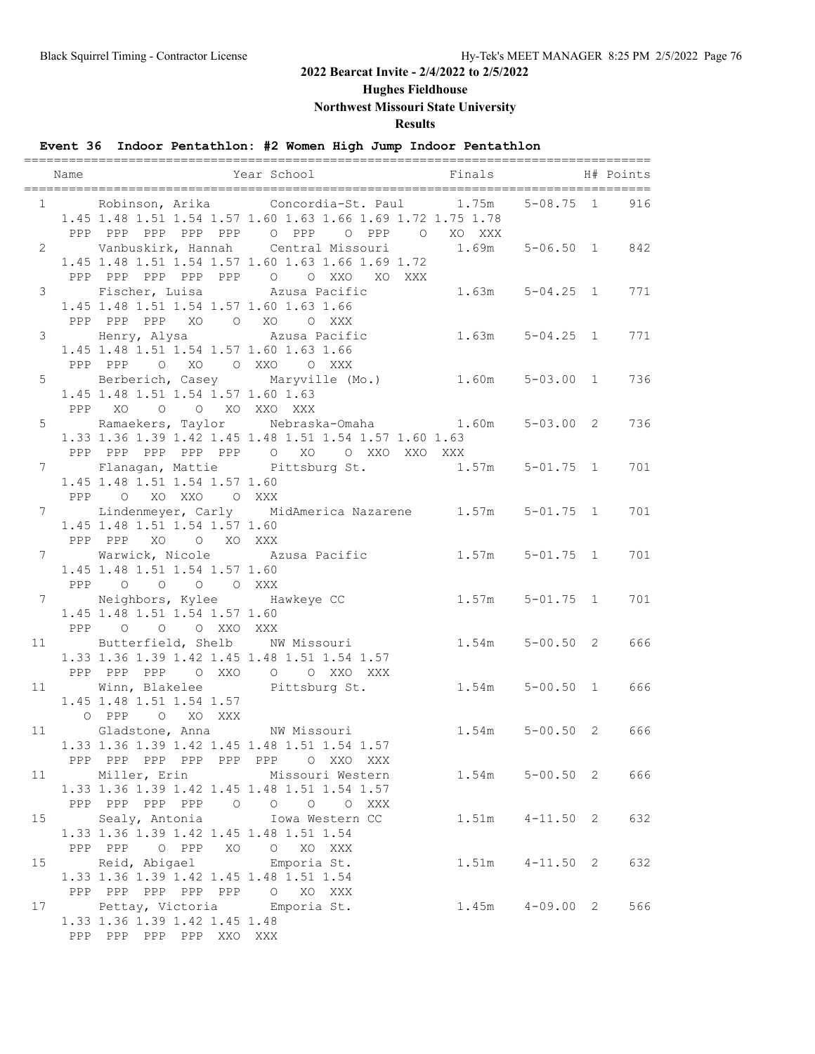**Hughes Fieldhouse**

**Northwest Missouri State University**

**Results**

### **Event 36 Indoor Pentathlon: #2 Women High Jump Indoor Pentathlon**

|                 | Name |                                                                                                      | =======<br>Year School Finals                                                                                                                          |                     | H# Points           |     |
|-----------------|------|------------------------------------------------------------------------------------------------------|--------------------------------------------------------------------------------------------------------------------------------------------------------|---------------------|---------------------|-----|
|                 |      |                                                                                                      | 1 Robinson, Arika Concordia-St. Paul 1.75m<br>1.45 1.48 1.51 1.54 1.57 1.60 1.63 1.66 1.69 1.72 1.75 1.78<br>PPP PPP PPP PPP PPP O PPP O PPP O XO XXX  |                     | 5-08.75 1           | 916 |
|                 |      |                                                                                                      | 2 Vanbuskirk, Hannah Central Missouri 1.69m 5-06.50 1 842<br>1.45 1.48 1.51 1.54 1.57 1.60 1.63 1.66 1.69 1.72<br>PPP PPP PPP PPP PPP 0 0 XXO XO XXX   |                     |                     |     |
|                 |      | 1.45 1.48 1.51 1.54 1.57 1.60 1.63 1.66<br>PPP PPP PPP XO O XO O XXX                                 | 3 Fischer, Luisa 220sa Pacific 2.63m 5-04.25 1                                                                                                         |                     |                     | 771 |
|                 |      | 1.45 1.48 1.51 1.54 1.57 1.60 1.63 1.66<br>PPP PPP                                                   | 3 Henry, Alysa Marusa Pacific 21.63m 5-04.25 1<br>O XO O XXO O XXX                                                                                     |                     |                     | 771 |
|                 |      | 5 Berberich, Casey Maryville (Mo.)<br>1.45 1.48 1.51 1.54 1.57 1.60 1.63<br>O O XO XXO XXX<br>PPP XO |                                                                                                                                                        | $1.60m$ $5-03.00$ 1 |                     | 736 |
|                 |      |                                                                                                      | 5 Ramaekers, Taylor Nebraska-Omaha 1.60m 5-03.00 2<br>1.33 1.36 1.39 1.42 1.45 1.48 1.51 1.54 1.57 1.60 1.63<br>PPP PPP PPP PPP PPP 0 XO 0 XXO XXO XXX |                     |                     | 736 |
|                 |      | 1.45 1.48 1.51 1.54 1.57 1.60<br>PPP 0 XO XXO 0 XXX                                                  | 7 Flanagan, Mattie Pittsburg St. 1.57m 5-01.75 1                                                                                                       |                     |                     | 701 |
|                 |      | 1.45 1.48 1.51 1.54 1.57 1.60<br>PPP PPP XO O XO XXX                                                 | 7 Lindenmeyer, Carly MidAmerica Nazarene 1.57m 5-01.75 1                                                                                               |                     |                     | 701 |
|                 |      | 1.45 1.48 1.51 1.54 1.57 1.60<br>PPP 0 0 0 0 XXX                                                     | 7 Warwick, Nicole 22usa Pacific 21.57m 5-01.75 1                                                                                                       |                     |                     | 701 |
|                 |      | 7 Neighbors, Kylee Hawkeye CC<br>1.45 1.48 1.51 1.54 1.57 1.60<br>PPP 0 0 0 XXO XXX                  |                                                                                                                                                        | $1.57m$ $5-01.75$ 1 |                     | 701 |
|                 |      | 1.33 1.36 1.39 1.42 1.45 1.48 1.51 1.54 1.57<br>PPP PPP PPP 0 XXO 0 0 XXO XXX                        | 11 Butterfield, Shelb NW Missouri                                                                                                                      |                     | $1.54m$ $5-00.50$ 2 | 666 |
|                 |      | 11 Winn, Blakelee Pittsburg St.<br>1.45 1.48 1.51 1.54 1.57<br>O PPP<br>O XO XXX                     |                                                                                                                                                        |                     | $1.54m$ $5-00.50$ 1 | 666 |
|                 |      | 1.33 1.36 1.39 1.42 1.45 1.48 1.51 1.54 1.57<br>PPP PPP PPP PPP PPP PPP O XXO XXX                    | 11 Gladstone, Anna NW Missouri                                                                                                                         |                     | $1.54m$ $5-00.50$ 2 | 666 |
|                 | 11   | 1.33 1.36 1.39 1.42 1.45 1.48 1.51 1.54 1.57<br>PPP PPP PPP PPP 0                                    | Miller, Erin Missouri Western<br>$\begin{matrix} 0 & 0 \end{matrix}$<br>O XXX                                                                          |                     | $1.54m$ $5-00.50$ 2 | 666 |
| 15 <sub>2</sub> |      | Sealy, Antonia Mowa Western CC<br>1.33 1.36 1.39 1.42 1.45 1.48 1.51 1.54<br>PPP PPP O PPP XO        | O XO XXX                                                                                                                                               |                     | $1.51m$ $4-11.50$ 2 | 632 |
| 15              |      | Reid, Abigael<br>1.33 1.36 1.39 1.42 1.45 1.48 1.51 1.54<br>PPP PPP PPP PPP PPP                      | Emporia St.<br>O XO XXX                                                                                                                                |                     | $1.51m$ $4-11.50$ 2 | 632 |
| 17              |      | Pettay, Victoria Emporia St.<br>1.33 1.36 1.39 1.42 1.45 1.48<br>PPP PPP PPP PPP XXO XXX             |                                                                                                                                                        |                     | $1.45m$ $4-09.00$ 2 | 566 |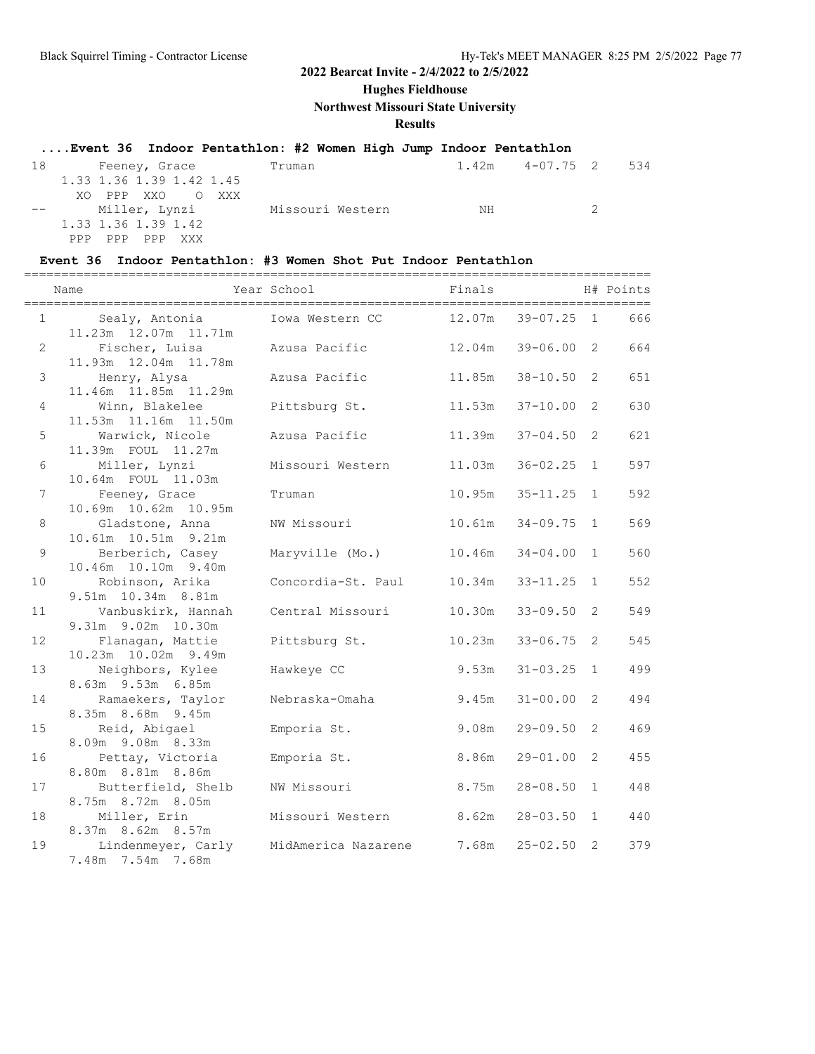**Hughes Fieldhouse**

**Northwest Missouri State University**

### **Results**

### **....Event 36 Indoor Pentathlon: #2 Women High Jump Indoor Pentathlon**

| 18 | Feeney, Grace            | Truman           |      | 1.42m  4-07.75  2  534 |                             |  |
|----|--------------------------|------------------|------|------------------------|-----------------------------|--|
|    | 1.33 1.36 1.39 1.42 1.45 |                  |      |                        |                             |  |
|    | XO PPP XXO O XXX         |                  |      |                        |                             |  |
|    | -- Miller, Lynzi         | Missouri Western | NH . |                        | $\mathcal{D}_{\mathcal{A}}$ |  |
|    | 1.33 1.36 1.39 1.42      |                  |      |                        |                             |  |
|    | PPP PPP<br>PPP<br>XXX X  |                  |      |                        |                             |  |

#### **Event 36 Indoor Pentathlon: #3 Women Shot Put Indoor Pentathlon**

|                | Name                                      | -------------------------<br>Year School | Finals | ------------------------------- |                | H# Points |
|----------------|-------------------------------------------|------------------------------------------|--------|---------------------------------|----------------|-----------|
| 1              | Sealy, Antonia<br>11.23m  12.07m  11.71m  | Iowa Western CC                          | 12.07m | $39 - 07.25$ 1                  |                | 666       |
| $\overline{2}$ | Fischer, Luisa<br>11.93m  12.04m  11.78m  | Azusa Pacific                            | 12.04m | $39 - 06.00$                    | 2              | 664       |
| $\mathfrak{Z}$ | Henry, Alysa<br>11.46m  11.85m  11.29m    | Azusa Pacific                            | 11.85m | $38 - 10.50$                    | $\overline{2}$ | 651       |
| $\overline{4}$ | Winn, Blakelee<br>11.53m  11.16m  11.50m  | Pittsburg St.                            | 11.53m | $37 - 10.00$                    | 2              | 630       |
| 5              | Warwick, Nicole<br>11.39m FOUL 11.27m     | Azusa Pacific                            | 11.39m | $37 - 04.50$                    | 2              | 621       |
| 6              | Miller, Lynzi<br>10.64m FOUL 11.03m       | Missouri Western                         | 11.03m | $36 - 02.25$                    | $\mathbf{1}$   | 597       |
| $\overline{7}$ | Feeney, Grace<br>10.69m  10.62m  10.95m   | Truman                                   | 10.95m | $35 - 11.25$                    | $\mathbf{1}$   | 592       |
| $\,8\,$        | Gladstone, Anna<br>10.61m  10.51m  9.21m  | NW Missouri                              | 10.61m | $34 - 09.75$                    | $\mathbf{1}$   | 569       |
| 9              | Berberich, Casey<br>10.46m 10.10m 9.40m   | Maryville (Mo.)                          | 10.46m | $34 - 04.00$                    | $\mathbf{1}$   | 560       |
| 10             | Robinson, Arika<br>9.51m 10.34m 8.81m     | Concordia-St. Paul                       | 10.34m | $33 - 11.25$                    | $\mathbf{1}$   | 552       |
| 11             | Vanbuskirk, Hannah<br>9.31m 9.02m 10.30m  | Central Missouri                         | 10.30m | $33 - 09.50$                    | 2              | 549       |
| 12             | Flanagan, Mattie<br>10.23m  10.02m  9.49m | Pittsburg St.                            | 10.23m | $33 - 06.75$                    | 2              | 545       |
| 13             | Neighbors, Kylee<br>8.63m 9.53m 6.85m     | Hawkeye CC                               | 9.53m  | $31 - 03.25$                    | $\mathbf{1}$   | 499       |
| 14             | Ramaekers, Taylor<br>8.35m 8.68m 9.45m    | Nebraska-Omaha                           | 9.45m  | $31 - 00.00$                    | 2              | 494       |
| 15             | Reid, Abigael<br>8.09m 9.08m 8.33m        | Emporia St.                              | 9.08m  | $29 - 09.50$                    | $\overline{2}$ | 469       |
| 16             | Pettay, Victoria<br>8.80m 8.81m 8.86m     | Emporia St.                              | 8.86m  | $29 - 01.00$                    | 2              | 455       |
| 17             | Butterfield, Shelb<br>8.75m 8.72m 8.05m   | NW Missouri                              | 8.75m  | $28 - 08.50$                    | 1              | 448       |
| 18             | Miller, Erin<br>8.37m 8.62m 8.57m         | Missouri Western                         | 8.62m  | $28 - 03.50$                    | $\mathbf{1}$   | 440       |
| 19             | Lindenmeyer, Carly<br>7.48m 7.54m 7.68m   | MidAmerica Nazarene                      | 7.68m  | $25 - 02.50$                    | 2              | 379       |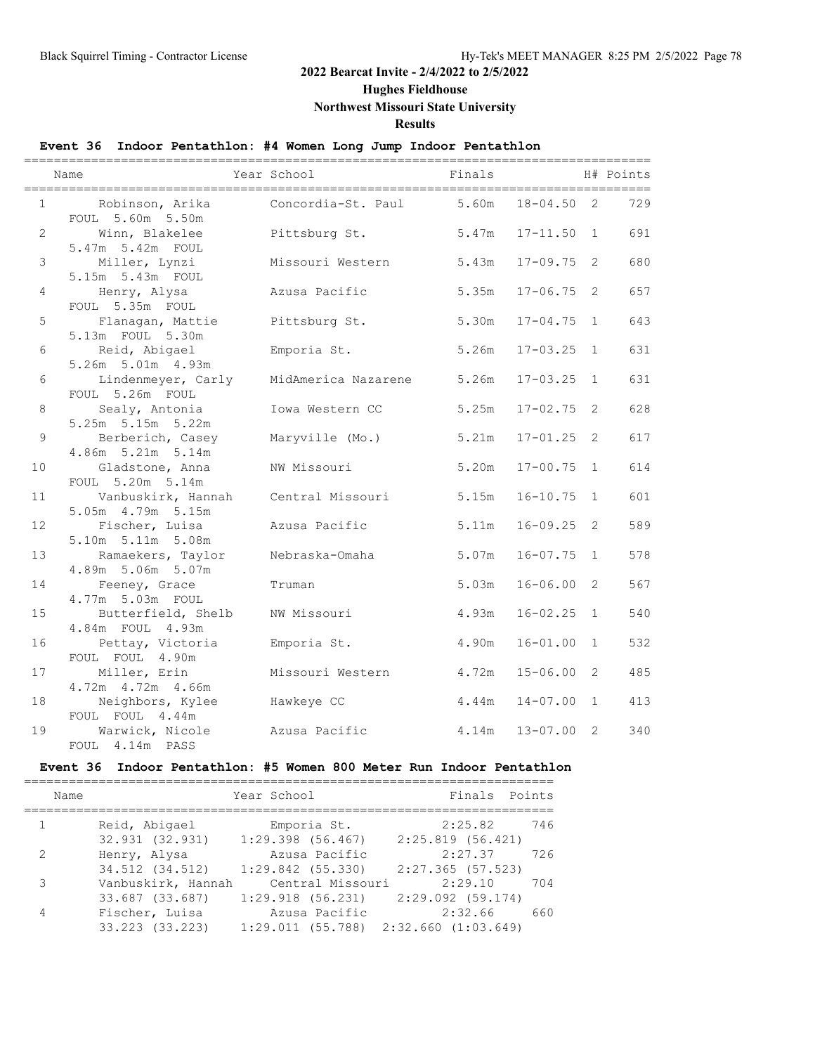**Hughes Fieldhouse**

### **Northwest Missouri State University**

**Results**

### **Event 36 Indoor Pentathlon: #4 Women Long Jump Indoor Pentathlon**

|                | Name                                      | Year School              | Finals |                |   | H# Points<br>$==$ |
|----------------|-------------------------------------------|--------------------------|--------|----------------|---|-------------------|
| $\mathbf{1}$   | Robinson, Arika<br>FOUL 5.60m 5.50m       | Concordia-St. Paul 5.60m |        | $18 - 04.50$ 2 |   | 729               |
| $\overline{2}$ | Winn, Blakelee<br>5.47m 5.42m FOUL        | Pittsburg St.            | 5.47m  | $17 - 11.50$ 1 |   | 691               |
| 3              | Miller, Lynzi<br>5.15m 5.43m FOUL         | Missouri Western         | 5.43m  | $17 - 09.75$ 2 |   | 680               |
| 4              | Henry, Alysa<br>FOUL 5.35m FOUL           | Azusa Pacific            | 5.35m  | $17 - 06.75$ 2 |   | 657               |
| 5              | Flanagan, Mattie<br>5.13m FOUL 5.30m      | Pittsburg St.            | 5.30m  | $17 - 04.75$ 1 |   | 643               |
| 6              | Reid, Abigael<br>5.26m 5.01m 4.93m        | Emporia St.              | 5.26m  | $17 - 03.25$ 1 |   | 631               |
| 6              | Lindenmeyer, Carly<br>FOUL 5.26m FOUL     | MidAmerica Nazarene      | 5.26m  | $17 - 03.25$ 1 |   | 631               |
| 8              | Sealy, Antonia<br>5.25m 5.15m 5.22m       | Iowa Western CC          | 5.25m  | $17 - 02.75$ 2 |   | 628               |
| 9              | Berberich, Casey<br>4.86m 5.21m 5.14m     | Maryville (Mo.)          | 5.21m  | $17 - 01.25$ 2 |   | 617               |
| 10             | Gladstone, Anna<br>FOUL 5.20m 5.14m       | NW Missouri              | 5.20m  | $17 - 00.75$ 1 |   | 614               |
| 11             | Vanbuskirk, Hannah<br>5.05m  4.79m  5.15m | Central Missouri         | 5.15m  | $16 - 10.75$ 1 |   | 601               |
| 12             | Fischer, Luisa<br>5.10m 5.11m 5.08m       | Azusa Pacific            | 5.11m  | $16 - 09.25$   | 2 | 589               |
| 13             | Ramaekers, Taylor<br>4.89m 5.06m 5.07m    | Nebraska-Omaha           | 5.07m  | $16 - 07.75$ 1 |   | 578               |
| 14             | Feeney, Grace<br>4.77m 5.03m FOUL         | Truman                   | 5.03m  | $16 - 06.00$   | 2 | 567               |
| 15             | Butterfield, Shelb<br>4.84m FOUL 4.93m    | NW Missouri              | 4.93m  | $16 - 02.25$ 1 |   | 540               |
| 16             | Pettay, Victoria<br>FOUL FOUL 4.90m       | Emporia St.              | 4.90m  | $16 - 01.00$ 1 |   | 532               |
| 17             | Miller, Erin<br>4.72m  4.72m  4.66m       | Missouri Western         | 4.72m  | $15 - 06.00$   | 2 | 485               |
| 18             | Neighbors, Kylee<br>FOUL FOUL 4.44m       | Hawkeye CC               | 4.44m  | $14 - 07.00$ 1 |   | 413               |
| 19             | Warwick, Nicole<br>FOUL 4.14m PASS        | Azusa Pacific            | 4.14m  | $13 - 07.00$ 2 |   | 340               |

### **Event 36 Indoor Pentathlon: #5 Women 800 Meter Run Indoor Pentathlon**

| Name          |                                       | Year School                                                | Finals Points                  |     |
|---------------|---------------------------------------|------------------------------------------------------------|--------------------------------|-----|
| $\mathbf{1}$  | Reid, Abigael<br>32.931 (32.931)      | Emporia St.<br>$1:29.398$ (56.467)                         | 2:25.82<br>$2:25.819$ (56.421) | 746 |
| $\mathcal{L}$ | Henry, Alysa<br>34.512 (34.512)       | Azusa Pacific<br>$1:29.842$ (55.330)                       | 2:27.37<br>$2:27.365$ (57.523) | 726 |
| 3             | Vanbuskirk, Hannah<br>33.687 (33.687) | Central Missouri<br>$1:29.918$ (56.231)                    | 2:29.10<br>$2:29.092$ (59.174) | 704 |
| 4             | Fischer, Luisa<br>33.223 (33.223)     | Azusa Pacific<br>$1:29.011$ (55.788) $2:32.660$ (1:03.649) | 2:32.66                        | 660 |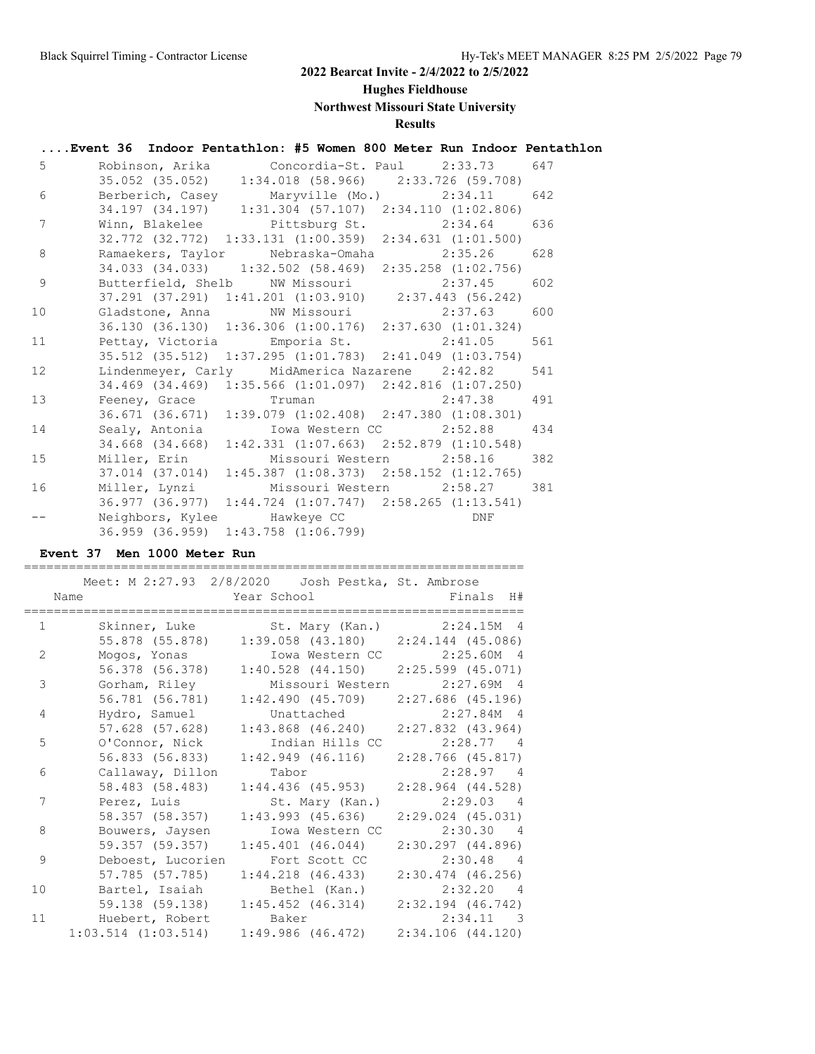**Hughes Fieldhouse**

**Northwest Missouri State University**

# **Results**

# **....Event 36 Indoor Pentathlon: #5 Women 800 Meter Run Indoor Pentathlon** 5 Robinson, Arika Concordia-St. Paul 2:33.73 647 35.052 (35.052) 1:34.018 (58.966) 2:33.726 (59.708) 6 Berberich, Casey Maryville (Mo.) 2:34.11 642 34.197 (34.197) 1:31.304 (57.107) 2:34.110 (1:02.806)

| 7               | Winn, Blakelee Pittsburg St. 2:34.64 636                            |  |
|-----------------|---------------------------------------------------------------------|--|
|                 | 32.772 (32.772) 1:33.131 (1:00.359) 2:34.631 (1:01.500)             |  |
| 8               | Ramaekers, Taylor Nebraska-Omaha 2:35.26 628                        |  |
|                 | 34.033 (34.033) 1:32.502 (58.469) 2:35.258 (1:02.756)               |  |
| 9               | Butterfield, Shelb NW Missouri 2:37.45 602                          |  |
|                 | 37.291 (37.291) 1:41.201 (1:03.910) 2:37.443 (56.242)               |  |
| 10 <sup>1</sup> | Gladstone, Anna MW Missouri 2:37.63 600                             |  |
|                 | 36.130 (36.130) 1:36.306 (1:00.176) 2:37.630 (1:01.324)             |  |
| 11              | Pettay, Victoria Emporia St. 2:41.05 561                            |  |
|                 | 35.512 (35.512) 1:37.295 (1:01.783) 2:41.049 (1:03.754)             |  |
| 12              | Lindenmeyer, Carly MidAmerica Nazarene 2:42.82 541                  |  |
|                 | 34.469 (34.469) 1:35.566 (1:01.097) 2:42.816 (1:07.250)             |  |
| 13              | Feeney, Grace Truman 2:47.38 491                                    |  |
|                 | 36.671 (36.671) 1:39.079 (1:02.408) 2:47.380 (1:08.301)             |  |
| 14              | Sealy, Antonia (Iowa Western CC 2:52.88 434                         |  |
|                 | 34.668 (34.668) 1:42.331 (1:07.663) 2:52.879 (1:10.548)             |  |
| 15              | Miller, Erin Missouri Western 2:58.16 382                           |  |
|                 | $37.014$ $(37.014)$ $1:45.387$ $(1:08.373)$ $2:58.152$ $(1:12.765)$ |  |
| 16              | Miller, Lynzi Missouri Western 2:58.27 381                          |  |
|                 | 36.977 (36.977) 1:44.724 (1:07.747) 2:58.265 (1:13.541)             |  |
|                 | Neighbors, Kylee Hawkeye CC Neighbors, Experience                   |  |
|                 | 36.959 (36.959) 1:43.758 (1:06.799)                                 |  |

#### **Event 37 Men 1000 Meter Run**

|                |                         | Meet: M 2:27.93 2/8/2020 Josh Pestka, St. Ambrose |                       |
|----------------|-------------------------|---------------------------------------------------|-----------------------|
|                | Name                    | Year School The Manuscript School                 | Finals H#             |
|                |                         |                                                   |                       |
| $\mathbf{1}$   |                         | Skinner, Luke St. Mary (Kan.) 2:24.15M 4          |                       |
|                | 55.878 (55.878)         | $1:39.058$ (43.180) $2:24.144$ (45.086)           |                       |
| $\overline{2}$ | Mogos, Yonas            | Iowa Western CC 2:25.60M 4                        |                       |
|                | 56.378 (56.378)         | $1:40.528$ (44.150) $2:25.599$ (45.071)           |                       |
| 3              | Gorham, Riley           | Missouri Western                                  | 2:27.69M 4            |
|                | 56.781 (56.781)         | $1:42.490$ (45.709) $2:27.686$ (45.196)           |                       |
| 4              | Hydro, Samuel           | Unattached                                        | 2:27.84M 4            |
|                | 57.628 (57.628)         | $1:43.868$ (46.240) $2:27.832$ (43.964)           |                       |
| 5              | O'Connor, Nick          | Indian Hills CC                                   | $2:28.77$ 4           |
|                | 56.833 (56.833)         | $1:42.949$ $(46.116)$                             | $2:28.766$ (45.817)   |
| 6              | Callaway, Dillon        | Tabor                                             | $2:28.97$ 4           |
|                | 58.483 (58.483)         | $1:44.436$ (45.953)                               | $2:28.964$ $(44.528)$ |
| 7              | Perez, Luis             | St. Mary (Kan.)                                   | $2:29.03$ 4           |
|                | 58.357 (58.357)         | $1:43.993$ (45.636)                               | $2:29.024$ $(45.031)$ |
| 8              | Bouwers, Jaysen         | Iowa Western CC                                   | 2:30.30 4             |
|                | 59.357 (59.357)         | $1:45.401$ $(46.044)$                             | 2:30.297(44.896)      |
| 9              | Deboest, Lucorien       | Fort Scott CC                                     | $2:30.48$ 4           |
|                | 57.785 (57.785)         | $1:44.218$ (46.433)                               | $2:30.474$ $(46.256)$ |
| 10             | Bartel, Isaiah          | Bethel (Kan.)                                     | 2:32.20 4             |
|                | 59.138 (59.138)         | $1:45.452$ (46.314)                               | $2:32.194$ $(46.742)$ |
| 11             | Huebert, Robert         | Baker                                             | $2:34.11$ 3           |
|                | $1:03.514$ $(1:03.514)$ | $1:49.986$ (46.472)                               | 2:34.106(44.120)      |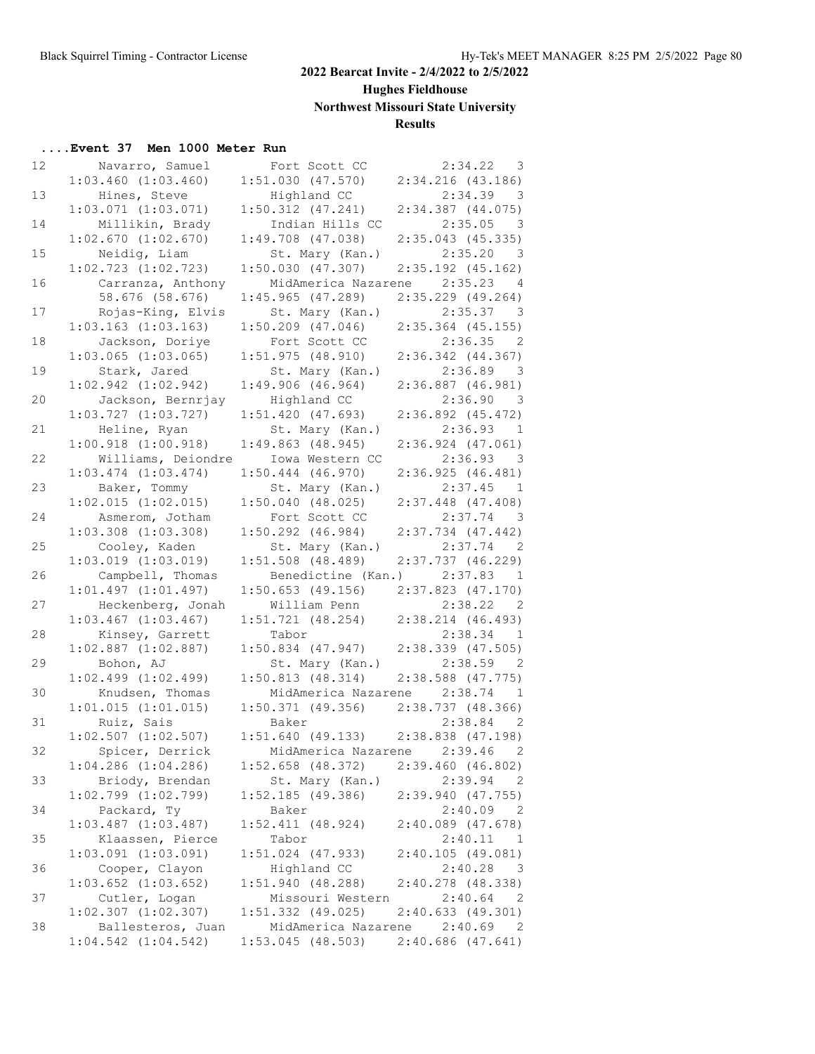# **Hughes Fieldhouse**

**Northwest Missouri State University**

### **Results**

# **....Event 37 Men 1000 Meter Run**

| 12 | Navarro, Samuel         | Fort Scott CC 2:34.22                   | - 3                                   |
|----|-------------------------|-----------------------------------------|---------------------------------------|
|    | $1:03.460$ $(1:03.460)$ | $1:51.030$ (47.570) $2:34.216$ (43.186) |                                       |
| 13 | Hines, Steve            | Highland CC                             | $2:34.39$ 3                           |
|    | $1:03.071$ $(1:03.071)$ | $1:50.312$ (47.241) $2:34.387$ (44.075) |                                       |
| 14 | Millikin, Brady         | Indian Hills CC                         | $2:35.05$ 3                           |
|    | 1:02.670(1:02.670)      | $1:49.708$ $(47.038)$                   | $2:35.043$ (45.335)                   |
| 15 |                         |                                         |                                       |
|    | Neidig, Liam            | St. Mary (Kan.)                         | $2:35.20$ 3                           |
|    | $1:02.723$ $(1:02.723)$ | 1:50.030(47.307)                        | $2:35.192$ (45.162)                   |
| 16 | Carranza, Anthony       |                                         | MidAmerica Nazarene 2:35.23 4         |
|    | 58.676 (58.676)         | $1:45.965$ (47.289)                     | $2:35.229$ (49.264)                   |
| 17 | Rojas-King, Elvis       | St. Mary (Kan.)                         | $2:35.37$ 3                           |
|    | $1:03.163$ $(1:03.163)$ | $1:50.209$ $(47.046)$                   | $2:35.364$ (45.155)                   |
| 18 | Jackson, Doriye         | Fort Scott CC                           | 2:36.35 2                             |
|    | $1:03.065$ $(1:03.065)$ | $1:51.975$ (48.910) $2:36.342$ (44.367) |                                       |
| 19 | Stark, Jared            | St. Mary (Kan.) 2:36.89 3               |                                       |
|    | $1:02.942$ $(1:02.942)$ | 1:49.906(46.964)                        | $2:36.887$ (46.981)                   |
| 20 | Jackson, Bernrjay       | Highland CC                             | $2:36.90$ 3                           |
|    | $1:03.727$ $(1:03.727)$ | 1:51.420(47.693)                        | $2:36.892$ $(45.472)$                 |
| 21 |                         |                                         | $2:36.93$ 1                           |
|    | Heline, Ryan            | St. Mary (Kan.)                         |                                       |
|    | $1:00.918$ $(1:00.918)$ | 1:49.863(48.945)                        | $2:36.924$ $(47.061)$                 |
| 22 | Williams, Deiondre      | Iowa Western CC                         | $2:36.93$ 3                           |
|    | $1:03.474$ $(1:03.474)$ | $1:50.444$ $(46.970)$                   | 2:36.925(46.481)                      |
| 23 | Baker, Tommy            | St. Mary (Kan.)                         | $2:37.45$ 1                           |
|    | 1:02.015(1:02.015)      | 1:50.040(48.025)                        | $2:37.448$ (47.408)                   |
| 24 | Asmerom, Jotham         | Fort Scott CC                           | $2:37.74$ 3                           |
|    | $1:03.308$ $(1:03.308)$ | $1:50.292$ $(46.984)$                   | $2:37.734$ $(47.442)$                 |
| 25 | Cooley, Kaden           | St. Mary (Kan.) 2:37.74 2               |                                       |
|    | $1:03.019$ $(1:03.019)$ | $1:51.508$ (48.489)                     | $2:37.737$ (46.229)                   |
| 26 | Campbell, Thomas        | Benedictine (Kan.) 2:37.83 1            |                                       |
|    | $1:01.497$ $(1:01.497)$ | $1:50.653$ (49.156) $2:37.823$ (47.170) |                                       |
| 27 | Heckenberg, Jonah       | William Penn                            | $2:38.22$ 2                           |
|    | $1:03.467$ $(1:03.467)$ | 1:51.721 (48.254) 2:38.214 (46.493)     |                                       |
|    |                         | Tabor                                   |                                       |
| 28 | Kinsey, Garrett         |                                         | $2:38.34$ 1                           |
|    | $1:02.887$ $(1:02.887)$ | $1:50.834$ (47.947) $2:38.339$ (47.505) |                                       |
| 29 | Bohon, AJ               | St. Mary (Kan.)                         | $2:38.59$ 2                           |
|    | $1:02.499$ $(1:02.499)$ | $1:50.813$ (48.314) $2:38.588$ (47.775) |                                       |
| 30 | Knudsen, Thomas         | MidAmerica Nazarene 2:38.74             | 1                                     |
|    | $1:01.015$ $(1:01.015)$ | $1:50.371$ (49.356) $2:38.737$ (48.366) |                                       |
| 31 | Ruiz, Sais              | Baker                                   | $2:38.84$ 2                           |
|    | $1:02.507$ $(1:02.507)$ | $1:51.640$ (49.133) $2:38.838$ (47.198) |                                       |
| 32 | Spicer, Derrick         |                                         | MidAmerica Nazarene 2:39.46 2         |
|    | $1:04.286$ $(1:04.286)$ | $1:52.658$ (48.372)                     | 2:39.460(46.802)                      |
| 33 | Briody, Brendan         | St. Mary (Kan.)                         | 2:39.94<br>- 2                        |
|    | $1:02.799$ $(1:02.799)$ | 1:52.185(49.386)                        | 2:39.940(47.755)                      |
| 34 | Packard, Ty             | Baker                                   | 2:40.09<br>$\overline{\phantom{0}}^2$ |
|    | $1:03.487$ $(1:03.487)$ | $1:52.411$ (48.924)                     | $2:40.089$ (47.678)                   |
| 35 | Klaassen, Pierce        |                                         | 2:40.11                               |
|    |                         | Tabor                                   | <sup>1</sup>                          |
|    | $1:03.091$ $(1:03.091)$ | $1:51.024$ (47.933)                     | 2:40.105(49.081)                      |
| 36 | Cooper, Clayon          | Highland CC                             | 2:40.28<br>$\overline{\mathbf{3}}$    |
|    | $1:03.652$ $(1:03.652)$ | 1:51.940(48.288)                        | 2:40.278 (48.338)                     |
| 37 | Cutler, Logan           | Missouri Western                        | 2:40.64<br>$\overline{\phantom{0}}^2$ |
|    | $1:02.307$ $(1:02.307)$ | $1:51.332$ (49.025)                     | 2:40.633(49.301)                      |
| 38 | Ballesteros, Juan       | MidAmerica Nazarene                     | 2:40.69<br>2                          |
|    | $1:04.542$ $(1:04.542)$ | $1:53.045$ (48.503)                     | $2:40.686$ (47.641)                   |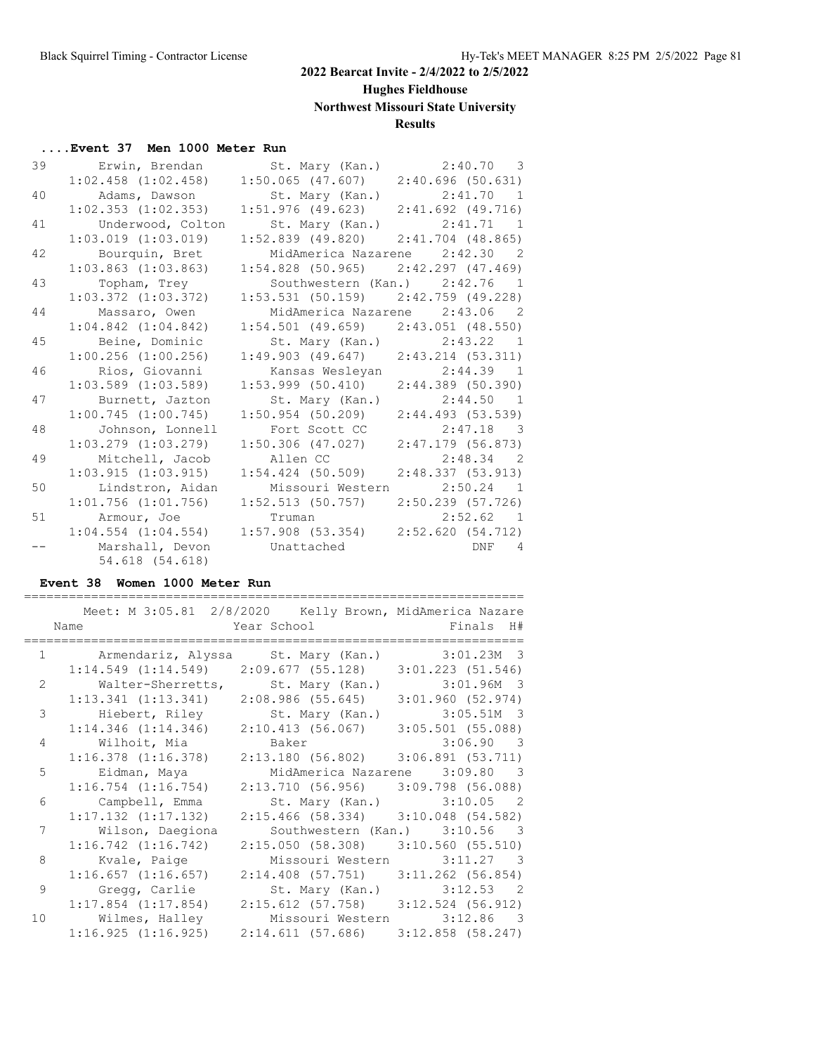# **Hughes Fieldhouse**

### **Northwest Missouri State University**

### **Results**

### **....Event 37 Men 1000 Meter Run**

| 39 | Erwin, Brendan                     | St. Mary (Kan.) 2:40.70 3               |                               |
|----|------------------------------------|-----------------------------------------|-------------------------------|
|    | $1:02.458$ $(1:02.458)$            | $1:50.065$ (47.607) $2:40.696$ (50.631) |                               |
| 40 | Adams, Dawson                      | St. Mary (Kan.) 2:41.70 1               |                               |
|    | $1:02.353$ $(1:02.353)$            | $1:51.976$ (49.623) $2:41.692$ (49.716) |                               |
| 41 | Underwood, Colton                  | St. Mary (Kan.) 2:41.71 1               |                               |
|    | $1:03.019$ $(1:03.019)$            | $1:52.839$ (49.820) $2:41.704$ (48.865) |                               |
| 42 | Bourquin, Bret                     | MidAmerica Nazarene 2:42.30 2           |                               |
|    | $1:03.863$ $(1:03.863)$            | $1:54.828$ (50.965) $2:42.297$ (47.469) |                               |
| 43 | Topham, Trey                       |                                         | Southwestern (Kan.) 2:42.76 1 |
|    | $1:03.372$ $(1:03.372)$            | $1:53.531$ (50.159) $2:42.759$ (49.228) |                               |
| 44 | Massaro, Owen                      | MidAmerica Nazarene 2:43.06 2           |                               |
|    | $1:04.842$ $(1:04.842)$            | $1:54.501$ (49.659) $2:43.051$ (48.550) |                               |
| 45 | Beine, Dominic                     | St. Mary (Kan.) 2:43.22 1               |                               |
|    | $1:00.256$ $(1:00.256)$            | $1:49.903$ (49.647) $2:43.214$ (53.311) |                               |
|    |                                    |                                         |                               |
| 46 | Rios, Giovanni                     | Kansas Wesleyan 2:44.39 1               |                               |
|    | $1:03.589$ $(1:03.589)$            | $1:53.999$ (50.410) $2:44.389$ (50.390) |                               |
| 47 | Burnett, Jazton                    | St. Mary (Kan.) 2:44.50 1               |                               |
|    | 1:00.745(1:00.745)                 | $1:50.954$ (50.209)                     | 2:44.493(53.539)              |
| 48 | Johnson, Lonnell                   | Fort Scott CC                           | 2:47.18 3                     |
|    | $1:03.279$ $(1:03.279)$            | $1:50.306$ (47.027)                     | $2:47.179$ (56.873)           |
| 49 | Mitchell, Jacob                    | Allen CC 2:48.34 2                      |                               |
|    | $1:03.915$ $(1:03.915)$            | $1:54.424$ (50.509) $2:48.337$ (53.913) |                               |
| 50 | Lindstron, Aidan                   |                                         | Missouri Western 2:50.24 1    |
|    | $1:01.756$ $(1:01.756)$            | $1:52.513$ (50.757) $2:50.239$ (57.726) |                               |
| 51 | Armour, Joe Truman 2:52.62 1       |                                         |                               |
|    | $1:04.554$ $(1:04.554)$            | $1:57.908$ (53.354) $2:52.620$ (54.712) |                               |
|    | Marshall, Devon<br>54.618 (54.618) | Unattached                              | DNF 4                         |

# **Event 38 Women 1000 Meter Run**

|    |                                                                     | Meet: M 3:05.81 2/8/2020 Kelly Brown, MidAmerica Nazare  |              |
|----|---------------------------------------------------------------------|----------------------------------------------------------|--------------|
|    | Name                                                                | Year School and the School and the School and the School | Finals H#    |
|    |                                                                     |                                                          |              |
|    | 1 Armendariz, Alyssa St. Mary (Kan.) 3:01.23M 3                     |                                                          |              |
|    | $1:14.549$ $(1:14.549)$ $2:09.677$ $(55.128)$ $3:01.223$ $(51.546)$ |                                                          |              |
|    | 2 Walter-Sherretts, St. Mary (Kan.)                                 |                                                          | $3:01.96M$ 3 |
|    | $1:13.341$ (1:13.341) $2:08.986$ (55.645) $3:01.960$ (52.974)       |                                                          |              |
| 3  | Hiebert, Riley                                                      | St. Mary (Kan.)                                          | $3:05.51M$ 3 |
|    | $1:14.346$ (1:14.346) 2:10.413 (56.067) 3:05.501 (55.088)           |                                                          |              |
| 4  | Wilhoit, Mia                                                        | Baker                                                    | $3:06.90$ 3  |
|    | $1:16.378$ $(1:16.378)$                                             | 2:13.180 (56.802) 3:06.891 (53.711)                      |              |
| 5  | Eidman, Maya                                                        | MidAmerica Nazarene 3:09.80 3                            |              |
|    | $1:16.754$ $(1:16.754)$                                             | $2:13.710$ (56.956) 3:09.798 (56.088)                    |              |
| 6  | Campbell, Emma                                                      | St. Mary (Kan.) 3:10.05 2                                |              |
|    | $1:17.132$ $(1:17.132)$                                             | $2:15.466$ (58.334) 3:10.048 (54.582)                    |              |
| 7  | Wilson, Daegiona                                                    | Southwestern (Kan.) 3:10.56 3                            |              |
|    | $1:16.742$ $(1:16.742)$                                             | $2:15.050$ (58.308) 3:10.560 (55.510)                    |              |
| 8  | Kvale, Paige                                                        | Missouri Western 3:11.27 3                               |              |
|    | $1:16.657$ $(1:16.657)$                                             | $2:14.408$ (57.751) 3:11.262 (56.854)                    |              |
| 9  | Gregg, Carlie                                                       | St. Mary (Kan.) 3:12.53 2                                |              |
|    | $1:17.854$ (1:17.854) 2:15.612 (57.758) 3:12.524 (56.912)           |                                                          |              |
| 10 | Wilmes, Halley                                                      | Missouri Western 3:12.86 3                               |              |
|    | $1:16.925$ (1:16.925) $2:14.611$ (57.686) $3:12.858$ (58.247)       |                                                          |              |
|    |                                                                     |                                                          |              |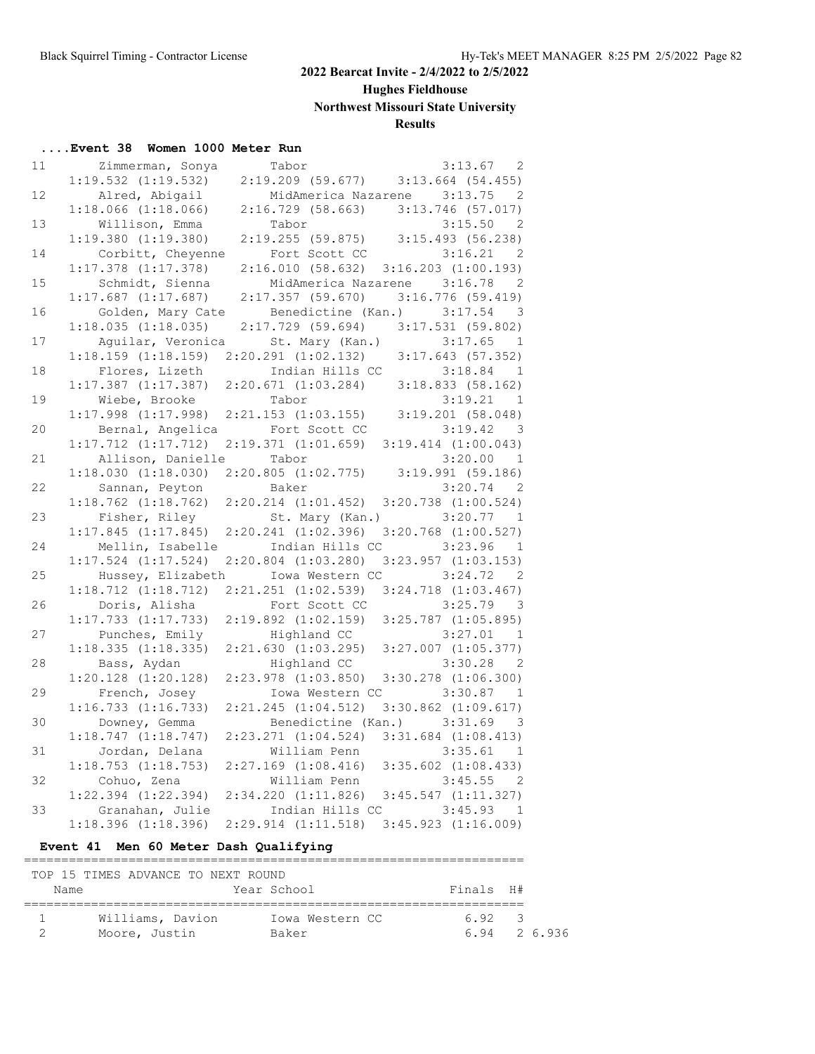### **Hughes Fieldhouse**

**Northwest Missouri State University**

### **Results**

### **....Event 38 Women 1000 Meter Run**

| 11 | Zimmerman, Sonya        | Tabor                                                                                                    | $\overline{2}$<br>3:13.67                             |
|----|-------------------------|----------------------------------------------------------------------------------------------------------|-------------------------------------------------------|
|    | $1:19.532$ $(1:19.532)$ |                                                                                                          | $2:19.209$ (59.677) 3:13.664 (54.455)                 |
| 12 | Alred, Abigail          |                                                                                                          | MidAmerica Nazarene 3:13.75<br>-2                     |
|    | $1:18.066$ $(1:18.066)$ |                                                                                                          | 2:16.729 (58.663) 3:13.746 (57.017)                   |
| 13 | Willison, Emma          | Tabor                                                                                                    | 3:15.50<br>$\overline{\phantom{0}}^2$                 |
|    | $1:19.380$ $(1:19.380)$ |                                                                                                          | 2:19.255 (59.875) 3:15.493 (56.238)                   |
| 14 | Corbitt, Cheyenne       | Fort Scott CC                                                                                            | 3:16.21<br>-2                                         |
|    | $1:17.378$ $(1:17.378)$ |                                                                                                          | $2:16.010$ (58.632) $3:16.203$ (1:00.193)             |
| 15 | Schmidt, Sienna         |                                                                                                          | MidAmerica Nazarene 3:16.78<br>-2                     |
|    | $1:17.687$ $(1:17.687)$ | $2:17.357$ (59.670)                                                                                      | 3:16.776 (59.419)                                     |
| 16 | Golden, Mary Cate       | Benedictine (Kan.) 3:17.54                                                                               | $\overline{\phantom{a}}$                              |
|    | 1:18.035(1:18.035)      |                                                                                                          | 2:17.729 (59.694) 3:17.531 (59.802)                   |
| 17 |                         | Aguilar, Veronica 5t. Mary (Kan.) 3:17.65 1<br>1:18.159 (1:18.159) 2:20.291 (1:02.132) 3:17.643 (57.352) |                                                       |
|    |                         |                                                                                                          |                                                       |
| 18 | Flores, Lizeth          | Indian Hills CC                                                                                          | 3:18.84<br>1                                          |
|    | $1:17.387$ $(1:17.387)$ | 2:20.671(1:03.284)                                                                                       | 3:18.833 (58.162)                                     |
| 19 | Wiebe, Brooke           | Tabor                                                                                                    | 3:19.21<br>$\overline{1}$                             |
|    | $1:17.998$ $(1:17.998)$ | $2:21.153$ $(1:03.155)$                                                                                  | $3:19.201$ (58.048)                                   |
| 20 | Bernal, Angelica        | Fort Scott CC                                                                                            | $3:19.42$ 3                                           |
|    | $1:17.712$ $(1:17.712)$ | $2:19.371$ $(1:01.659)$ $3:19.414$ $(1:00.043)$                                                          |                                                       |
| 21 | Allison, Danielle       | Tabor                                                                                                    | 3:20.00<br>$\overline{1}$                             |
|    | 1:18.030(1:18.030)      | $2:20.805$ $(1:02.775)$ $3:19.991$ $(59.186)$                                                            |                                                       |
| 22 | Sannan, Peyton          | Baker                                                                                                    | $3:20.74$ 2                                           |
|    | $1:18.762$ $(1:18.762)$ | $2:20.214$ $(1:01.452)$                                                                                  | $3:20.738$ $(1:00.524)$                               |
| 23 | Fisher, Riley           | St. Mary (Kan.)                                                                                          | $3:20.77$ 1                                           |
|    | 1:17.845(1:17.845)      | $2:20.241$ $(1:02.396)$                                                                                  | $3:20.768$ $(1:00.527)$                               |
| 24 | Mellin, Isabelle        | Indian Hills CC                                                                                          | 3:23.96<br>$\overline{1}$                             |
|    | $1:17.524$ $(1:17.524)$ | $2:20.804$ $(1:03.280)$                                                                                  | $3:23.957$ $(1:03.153)$                               |
| 25 | Hussey, Elizabeth       | Iowa Western CC                                                                                          | 3:24.72<br>- 2                                        |
|    | $1:18.712$ $(1:18.712)$ | $2:21.251$ $(1:02.539)$                                                                                  | $3:24.718$ $(1:03.467)$                               |
| 26 | Doris, Alisha           | Fort Scott CC                                                                                            | 3:25.79<br>$\overline{\mathbf{3}}$                    |
|    | $1:17.733$ $(1:17.733)$ | $2:19.892$ $(1:02.159)$                                                                                  | $3:25.787$ $(1:05.895)$                               |
| 27 | Punches, Emily          | Highland CC                                                                                              | 3:27.01 1                                             |
|    | 1:18.335(1:18.335)      | 2:21.630(1:03.295)                                                                                       | $3:27.007$ $(1:05.377)$                               |
| 28 | Bass, Aydan             | Highland CC                                                                                              | $3:30.28$ 2                                           |
|    | $1:20.128$ $(1:20.128)$ | $2:23.978$ $(1:03.850)$                                                                                  | $3:30.278$ $(1:06.300)$                               |
| 29 | French, Josey           | Iowa Western CC                                                                                          | 3:30.87<br>1                                          |
|    | $1:16.733$ $(1:16.733)$ | 2:21.245 (1:04.512) 3:30.862 (1:09.617)                                                                  |                                                       |
| 30 | Downey, Gemma           |                                                                                                          | Benedictine (Kan.) 3:31.69<br>$\overline{\mathbf{3}}$ |
|    | $1:18.747$ $(1:18.747)$ | $2:23.271$ $(1:04.524)$                                                                                  | $3:31.684$ $(1:08.413)$                               |
| 31 | Jordan, Delana          | William Penn                                                                                             | 3:35.61<br>$\overline{1}$                             |
|    | $1:18.753$ $(1:18.753)$ | $2:27.169$ $(1:08.416)$                                                                                  | $3:35.602$ $(1:08.433)$                               |
| 32 | Cohuo, Zena             | William Penn                                                                                             | 3:45.55<br>$\overline{\phantom{0}}^2$                 |
|    | $1:22.394$ $(1:22.394)$ | 2:34.220 (1:11.826) 3:45.547 (1:11.327)                                                                  |                                                       |
| 33 | Granahan, Julie         | Indian Hills CC                                                                                          | 3:45.93<br>$\overline{1}$                             |
|    | $1:18.396$ $(1:18.396)$ | $2:29.914$ $(1:11.518)$                                                                                  | $3:45.923$ $(1:16.009)$                               |

### **Event 41 Men 60 Meter Dash Qualifying**

|      | TOP 15 TIMES ADVANCE TO NEXT ROUND |                 |              |   |  |
|------|------------------------------------|-----------------|--------------|---|--|
| Name |                                    | Year School     | Finals H#    |   |  |
|      |                                    |                 |              |   |  |
|      | Williams, Davion                   | Iowa Western CC | 692          | २ |  |
|      | Moore, Justin                      | Baker           | 6.94 2 6.936 |   |  |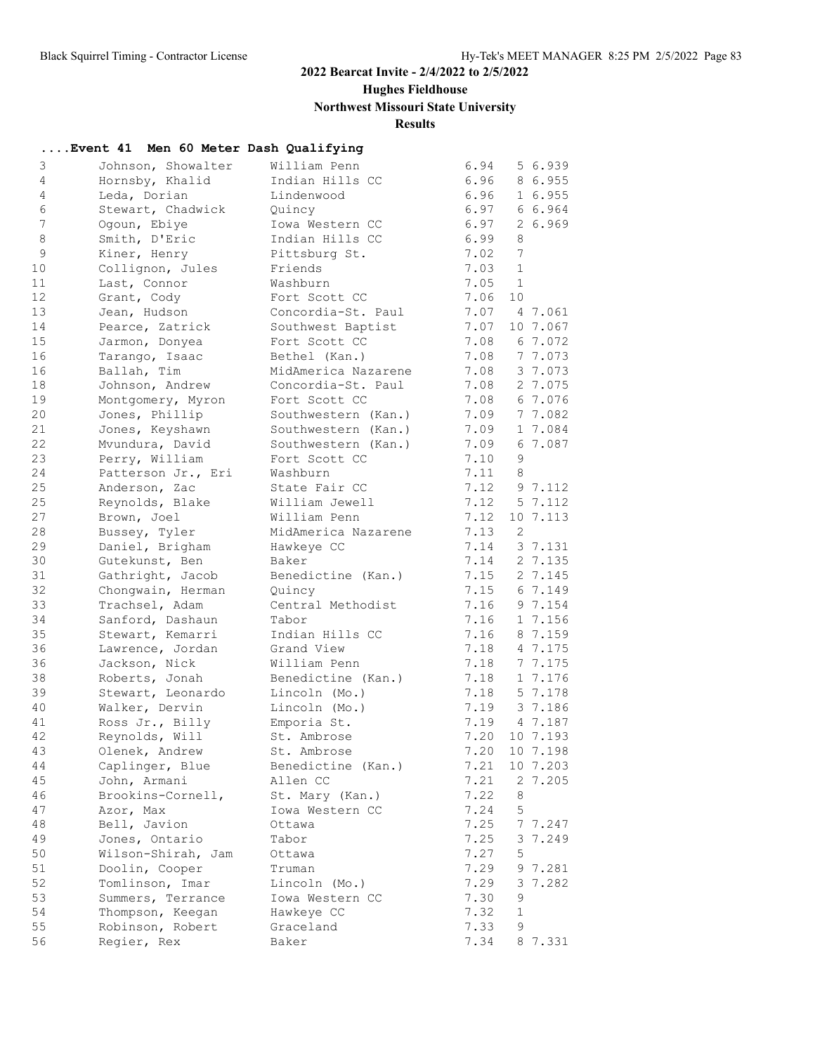### **Hughes Fieldhouse**

# **Northwest Missouri State University**

### **Results**

|                 | Event 41 Men 60 Meter Dash Qualifying |                     |              |                |               |
|-----------------|---------------------------------------|---------------------|--------------|----------------|---------------|
| 3               | Johnson, Showalter                    | William Penn        | 6.94         |                | 5 6.939       |
| $\overline{4}$  | Hornsby, Khalid                       | Indian Hills CC     | 6.96         |                | 8 6.955       |
| $\overline{4}$  | Leda, Dorian                          | Lindenwood          | 6.96         |                | 1 6.955       |
| 6               | Stewart, Chadwick                     | Quincy              | 6.97         |                | 6 6.964       |
| $7\overline{ }$ | Ogoun, Ebiye                          | Iowa Western CC     | 6.97         |                | 26.969        |
| 8               | Smith, D'Eric                         | Indian Hills CC     | 6.99         | 8              |               |
| $\mathcal{G}$   | Kiner, Henry                          | Pittsburg St.       | 7.02         | 7              |               |
| 10              | Collignon, Jules                      | Friends             | 7.03         | $\mathbf{1}$   |               |
| 11              | Last, Connor                          | Washburn            | 7.05         | $\overline{1}$ |               |
| 12              | Grant, Cody                           | Fort Scott CC       | 7.06         | 10             |               |
| 13              | Jean, Hudson                          | Concordia-St. Paul  | 7.07         |                | 4 7.061       |
| 14              | Pearce, Zatrick                       | Southwest Baptist   | 7.07         |                | 10 7.067      |
| 15              | Jarmon, Donyea                        | Fort Scott CC       | 7.08         |                | 6 7.072       |
| 16              | Tarango, Isaac                        | Bethel (Kan.)       | 7.08         |                | 7 7.073       |
| 16              | Ballah, Tim                           | MidAmerica Nazarene | 7.08         |                | 3 7.073       |
| 18              | Johnson, Andrew                       | Concordia-St. Paul  | 7.08         |                | 2 7.075       |
| 19              | Montgomery, Myron                     | Fort Scott CC       | 7.08         |                | 6 7.076       |
| 20              | Jones, Phillip                        | Southwestern (Kan.) | 7.09         |                | 7 7.082       |
| 21              | Jones, Keyshawn                       | Southwestern (Kan.) | 7.09         |                | 1 7.084       |
| 22              | Mvundura, David                       | Southwestern (Kan.) | 7.09         |                | 6 7.087       |
| 23              | Perry, William                        | Fort Scott CC       | 7.10         | 9              |               |
| 24              | Patterson Jr., Eri                    | Washburn            | 7.11         | 8              |               |
| 25              | Anderson, Zac                         | State Fair CC       |              |                | 7.12 9 7.112  |
| 25              | Reynolds, Blake                       | William Jewell      | 7.12         |                | 5 7.112       |
| 27              | Brown, Joel                           | William Penn        | 7.12         |                | 10 7.113      |
| 28              | Bussey, Tyler                         | MidAmerica Nazarene | 7.13         | 2              |               |
| 29              | Daniel, Brigham                       | Hawkeye CC          | 7.14         |                | 3 7.131       |
| 30              | Gutekunst, Ben                        | Baker               | 7.14         |                | 2 7.135       |
| 31              | Gathright, Jacob                      | Benedictine (Kan.)  | 7.15         |                | 2 7.145       |
| 32              | Chongwain, Herman                     | Quincy              | 7.15         |                | 6 7.149       |
| 33              | Trachsel, Adam                        | Central Methodist   | 7.16         |                | 9 7.154       |
| 34              | Sanford, Dashaun                      | Tabor               | 7.16         |                | 1 7.156       |
| 35              | Stewart, Kemarri                      | Indian Hills CC     | 7.16         |                | 8 7.159       |
| 36              | Lawrence, Jordan                      | Grand View          | 7.18         |                | 4 7.175       |
| 36              | Jackson, Nick                         | William Penn        | 7.18         |                | 7 7.175       |
| 38              | Roberts, Jonah                        | Benedictine (Kan.)  | 7.18         |                | 1 7.176       |
| 39              | Stewart, Leonardo                     | Lincoln (Mo.)       | 7.18         |                | 5 7.178       |
| 40              | Walker, Dervin                        | Lincoln (Mo.)       | 7.19         |                | 3 7.186       |
| 41              | Ross Jr., Billy                       | Emporia St.         | 7.19         |                | 4 7.187       |
| 42              | Reynolds, Will                        | St. Ambrose         |              |                | 7.20 10 7.193 |
| 43              | Olenek, Andrew                        | St. Ambrose         | 7.20         |                | 10 7.198      |
| $4\,4$          | Caplinger, Blue                       | Benedictine (Kan.)  | 7.21         |                | 10 7.203      |
| 45              | John, Armani                          | Allen CC            | 7.21         |                | 2 7.205       |
| 46              | Brookins-Cornell,                     | St. Mary (Kan.)     | 7.22         | 8              |               |
| 47              | Azor, Max                             | Iowa Western CC     | 7.24         | 5              |               |
| 48              | Bell, Javion                          | Ottawa              | 7.25         |                | 7 7.247       |
| 49              | Jones, Ontario                        | Tabor               | 7.25         |                | 3 7.249       |
| 50              | Wilson-Shirah, Jam                    | Ottawa              | 7.27         | 5              |               |
| 51              | Doolin, Cooper                        | Truman              | 7.29         |                | 9 7.281       |
| 52              | Tomlinson, Imar                       | Lincoln (Mo.)       | 7.29         | 9              | 3 7.282       |
| 53<br>54        | Summers, Terrance                     | Iowa Western CC     | 7.30<br>7.32 | $\mathbf{1}$   |               |
| 55              | Thompson, Keegan                      | Hawkeye CC          | 7.33         | 9              |               |
| 56              | Robinson, Robert<br>Regier, Rex       | Graceland           | 7.34         |                |               |
|                 |                                       | Baker               |              |                | 8 7.331       |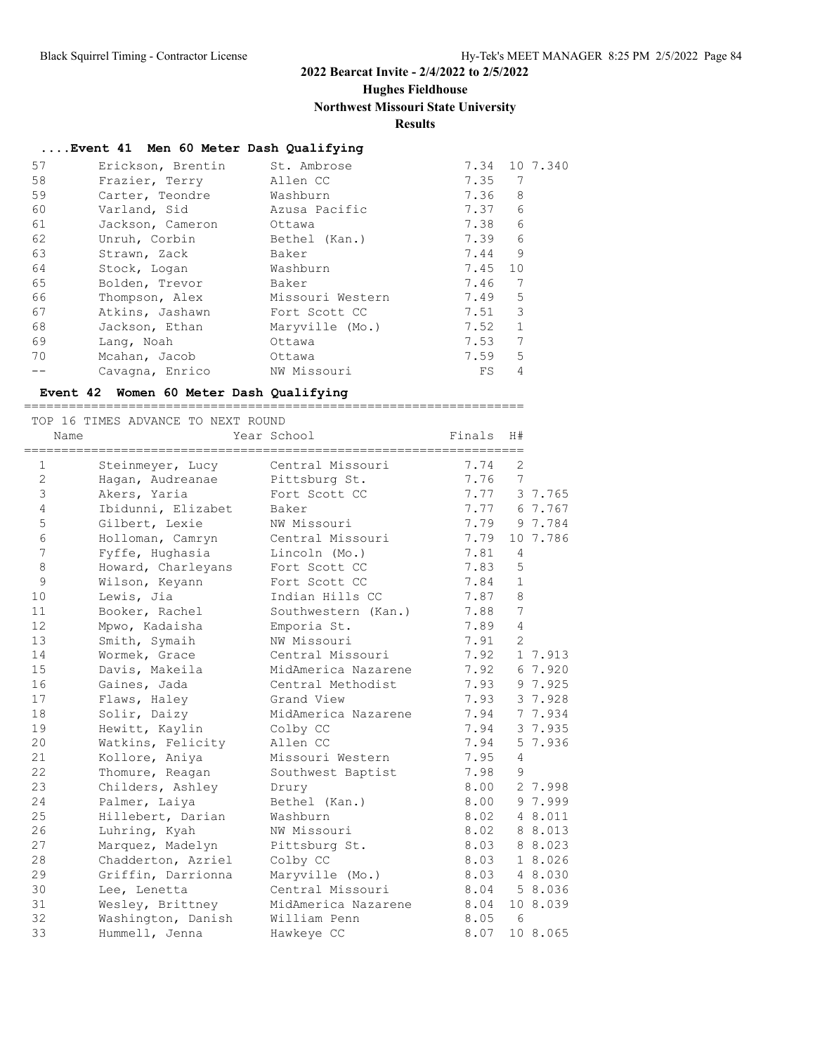### **Hughes Fieldhouse**

### **Northwest Missouri State University**

### **Results**

### **....Event 41 Men 60 Meter Dash Qualifying**

| 57 | Erickson, Brentin | St. Ambrose      | 7.34    | 10 7.340     |
|----|-------------------|------------------|---------|--------------|
| 58 | Frazier, Terry    | Allen CC         | 7.35    | 7            |
| 59 | Carter, Teondre   | Washburn         | 7.36    | 8            |
| 60 | Varland, Sid      | Azusa Pacific    | 7.37    | 6            |
| 61 | Jackson, Cameron  | Ottawa           | 7.38    | 6            |
| 62 | Unruh, Corbin     | Bethel (Kan.)    | 7.39    | 6            |
| 63 | Strawn, Zack      | Baker            | 7.44    | 9            |
| 64 | Stock, Logan      | Washburn         | 7.45 10 |              |
| 65 | Bolden, Trevor    | Baker            | 7.46    | 7            |
| 66 | Thompson, Alex    | Missouri Western | 7.49    | 5            |
| 67 | Atkins, Jashawn   | Fort Scott CC    | 7.51    | 3            |
| 68 | Jackson, Ethan    | Maryville (Mo.)  | 7.52    | $\mathbf{1}$ |
| 69 | Lang, Noah        | Ottawa           | 7.53    | 7            |
| 70 | Mcahan, Jacob     | Ottawa           | 7.59    | 5            |
|    | Cavagna, Enrico   | NW Missouri      | FS      | 4            |

#### **Event 42 Women 60 Meter Dash Qualifying**

#### ===================================================================

|                 | TOP 16 TIMES ADVANCE TO NEXT ROUND |                     |        |                 |              |
|-----------------|------------------------------------|---------------------|--------|-----------------|--------------|
| Name            |                                    | Year School         | Finals | H#              |              |
| $\mathbf{1}$    | Steinmeyer, Lucy                   | Central Missouri    | 7.74   | $\overline{2}$  |              |
| $\mathbf{2}$    | Hagan, Audreanae                   | Pittsburg St.       | 7.76   | $7\phantom{.0}$ |              |
| $\mathfrak{Z}$  | Akers, Yaria                       | Fort Scott CC       | 7.77   |                 | 3 7.765      |
| $\overline{4}$  | Ibidunni, Elizabet                 | Baker               | 7.77   |                 | 6 7.767      |
| 5               | Gilbert, Lexie                     | NW Missouri         | 7.79   |                 | 9 7.784      |
| 6               | Holloman, Camryn                   | Central Missouri    | 7.79   |                 | 10 7.786     |
| $7\overline{ }$ | Fyffe, Hughasia                    | Lincoln (Mo.)       | 7.81   | 4               |              |
| 8               | Howard, Charleyans                 | Fort Scott CC       | 7.83   | 5               |              |
| $\mathsf 9$     | Wilson, Keyann                     | Fort Scott CC       | 7.84   | $\mathbf{1}$    |              |
| 10              | Lewis, Jia                         | Indian Hills CC     | 7.87   | 8               |              |
| 11              | Booker, Rachel                     | Southwestern (Kan.) | 7.88   | 7               |              |
| 12              | Mpwo, Kadaisha                     | Emporia St.         | 7.89   | $\overline{4}$  |              |
| 13              | Smith, Symaih                      | NW Missouri         | 7.91   | $\overline{2}$  |              |
| 14              | Wormek, Grace                      | Central Missouri    | 7.92   |                 | 1 7.913      |
| 15              | Davis, Makeila                     | MidAmerica Nazarene | 7.92   |                 | 6 7.920      |
| 16              | Gaines, Jada                       | Central Methodist   | 7.93   |                 | 9 7.925      |
| 17              | Flaws, Haley                       | Grand View          | 7.93   |                 | 3 7.928      |
| 18              | Solir, Daizy                       | MidAmerica Nazarene | 7.94   |                 | 7 7.934      |
| 19              | Hewitt, Kaylin                     | Colby CC            | 7.94   |                 | 3 7.935      |
| 20              | Watkins, Felicity                  | Allen CC            | 7.94   |                 | 5 7.936      |
| 21              | Kollore, Aniya                     | Missouri Western    | 7.95   | $\overline{4}$  |              |
| 22              | Thomure, Reagan                    | Southwest Baptist   | 7.98   | 9               |              |
| 23              | Childers, Ashley                   | Drury               | 8.00   |                 | 2 7.998      |
| 24              | Palmer, Laiya                      | Bethel (Kan.)       | 8.00   |                 | 9 7.999      |
| 25              | Hillebert, Darian                  | Washburn            | 8.02   |                 | 4 8.011      |
| 26              | Luhring, Kyah                      | NW Missouri         | 8.02   |                 | 8 8.013      |
| 27              | Marquez, Madelyn                   | Pittsburg St.       | 8.03   |                 | 8 8.023      |
| 28              | Chadderton, Azriel                 | Colby CC            | 8.03   |                 | 1 8.026      |
| 29              | Griffin, Darrionna                 | Maryville (Mo.)     | 8.03   |                 | 4 8.030      |
| 30              | Lee, Lenetta                       | Central Missouri    |        |                 | 8.04 5 8.036 |
| 31              | Wesley, Brittney                   | MidAmerica Nazarene | 8.04   |                 | 10 8.039     |
| 32              | Washington, Danish                 | William Penn        | 8.05   | 6               |              |
| 33              | Hummell, Jenna                     | Hawkeye CC          | 8.07   |                 | 10 8.065     |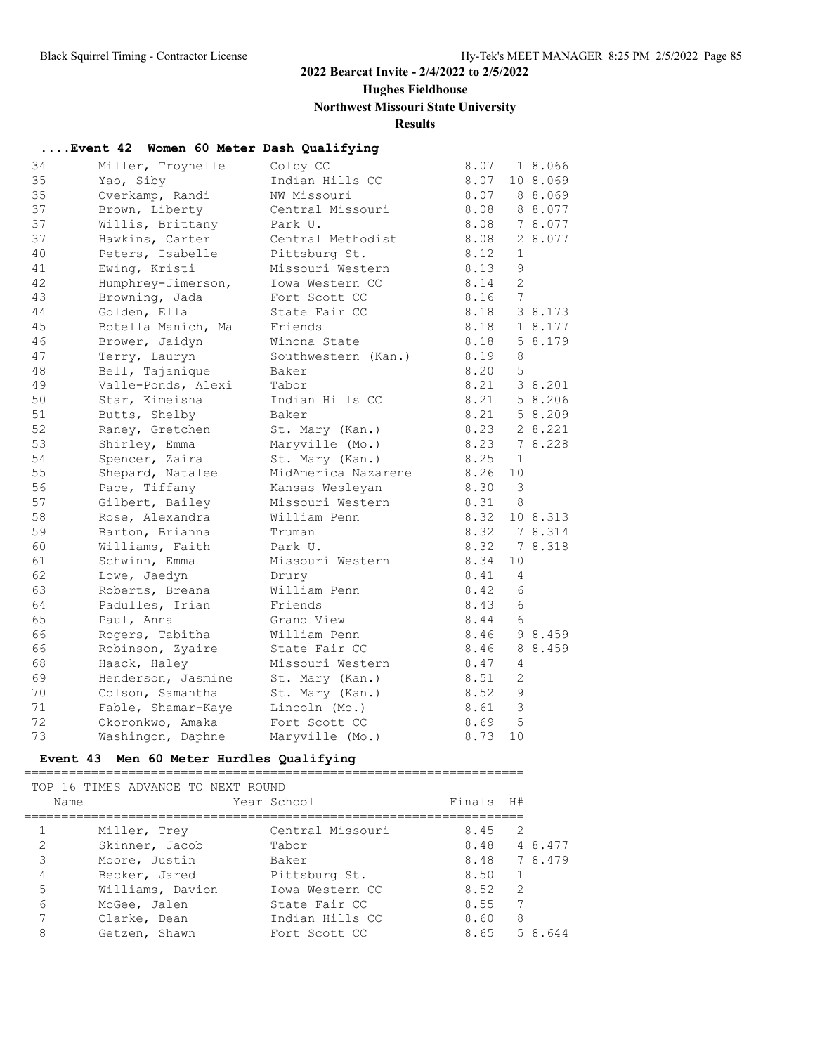### **Hughes Fieldhouse**

# **Northwest Missouri State University**

### **Results**

| Event 42 Women 60 Meter Dash Qualifying |                    |                     |      |                |          |
|-----------------------------------------|--------------------|---------------------|------|----------------|----------|
| 34                                      | Miller, Troynelle  | Colby CC            | 8.07 |                | 1 8.066  |
| 35                                      | Yao, Siby          | Indian Hills CC     | 8.07 |                | 10 8.069 |
| 35                                      | Overkamp, Randi    | NW Missouri         | 8.07 |                | 8 8.069  |
| 37                                      | Brown, Liberty     | Central Missouri    | 8.08 |                | 8 8.077  |
| 37                                      | Willis, Brittany   | Park U.             | 8.08 |                | 7 8.077  |
| 37                                      | Hawkins, Carter    | Central Methodist   | 8.08 |                | 2 8.077  |
| 40                                      | Peters, Isabelle   | Pittsburg St.       | 8.12 | $\mathbf{1}$   |          |
| 41                                      | Ewing, Kristi      | Missouri Western    | 8.13 | 9              |          |
| 42                                      | Humphrey-Jimerson, | Iowa Western CC     | 8.14 | $\overline{c}$ |          |
| 43                                      | Browning, Jada     | Fort Scott CC       | 8.16 | 7              |          |
| 44                                      | Golden, Ella       | State Fair CC       | 8.18 |                | 3 8.173  |
| 45                                      | Botella Manich, Ma | Friends             | 8.18 |                | 1 8.177  |
| 46                                      | Brower, Jaidyn     | Winona State        | 8.18 |                | 5 8.179  |
| 47                                      | Terry, Lauryn      | Southwestern (Kan.) | 8.19 | 8              |          |
| 48                                      | Bell, Tajanique    | Baker               | 8.20 | 5              |          |
| 49                                      | Valle-Ponds, Alexi | Tabor               | 8.21 |                | 3 8.201  |
| 50                                      | Star, Kimeisha     | Indian Hills CC     | 8.21 |                | 5 8.206  |
| 51                                      | Butts, Shelby      | Baker               | 8.21 |                | 5 8.209  |
| 52                                      | Raney, Gretchen    | St. Mary (Kan.)     | 8.23 |                | 2 8.221  |
| 53                                      | Shirley, Emma      | Maryville (Mo.)     | 8.23 |                | 7 8.228  |
| 54                                      | Spencer, Zaira     | St. Mary (Kan.)     | 8.25 | $\mathbf{1}$   |          |
| 55                                      | Shepard, Natalee   | MidAmerica Nazarene | 8.26 | 10             |          |
| 56                                      | Pace, Tiffany      | Kansas Wesleyan     | 8.30 | 3              |          |
| 57                                      | Gilbert, Bailey    | Missouri Western    | 8.31 | 8              |          |
| 58                                      | Rose, Alexandra    | William Penn        | 8.32 |                | 10 8.313 |
| 59                                      | Barton, Brianna    | Truman              | 8.32 |                | 7 8.314  |
| 60                                      | Williams, Faith    | Park U.             | 8.32 |                | 7 8.318  |
| 61                                      | Schwinn, Emma      | Missouri Western    | 8.34 | 10             |          |
| 62                                      | Lowe, Jaedyn       | Drury               | 8.41 | 4              |          |
| 63                                      | Roberts, Breana    | William Penn        | 8.42 | 6              |          |
| 64                                      | Padulles, Irian    | Friends             | 8.43 | 6              |          |
| 65                                      | Paul, Anna         | Grand View          | 8.44 | 6              |          |
| 66                                      | Rogers, Tabitha    | William Penn        | 8.46 |                | 9 8.459  |
| 66                                      | Robinson, Zyaire   | State Fair CC       | 8.46 |                | 8 8.459  |
| 68                                      | Haack, Haley       | Missouri Western    | 8.47 | 4              |          |
| 69                                      | Henderson, Jasmine | St. Mary (Kan.)     | 8.51 | $\overline{2}$ |          |
| 70                                      | Colson, Samantha   | St. Mary (Kan.)     | 8.52 | 9              |          |
| 71                                      | Fable, Shamar-Kaye | Lincoln (Mo.)       | 8.61 | 3              |          |
| 72                                      | Okoronkwo, Amaka   | Fort Scott CC       | 8.69 | 5              |          |
| 73                                      | Washingon, Daphne  | Maryville (Mo.)     | 8.73 | 10             |          |

# **Event 43 Men 60 Meter Hurdles Qualifying**

| Name           | TOP 16 TIMES ADVANCE TO NEXT ROUND | Year School      | Finals H#      |                |         |
|----------------|------------------------------------|------------------|----------------|----------------|---------|
|                | Miller, Trey                       | Central Missouri | $8.45 \quad 2$ |                |         |
| $\mathfrak{D}$ | Skinner, Jacob                     | Tabor            | 8.48 4 8.477   |                |         |
| 3              | Moore, Justin                      | Baker            | 8.48 7 8.479   |                |         |
| 4              | Becker, Jared                      | Pittsburg St.    | 8.50           | $\overline{1}$ |         |
| 5              | Williams, Davion                   | Iowa Western CC  | 8.52           | 2              |         |
| 6              | McGee, Jalen                       | State Fair CC    | 8.55           | 7              |         |
| 7              | Clarke, Dean                       | Indian Hills CC  | 8.60           | 8              |         |
| 8              | Getzen, Shawn                      | Fort Scott CC    | 8.65           |                | 5 8.644 |
|                |                                    |                  |                |                |         |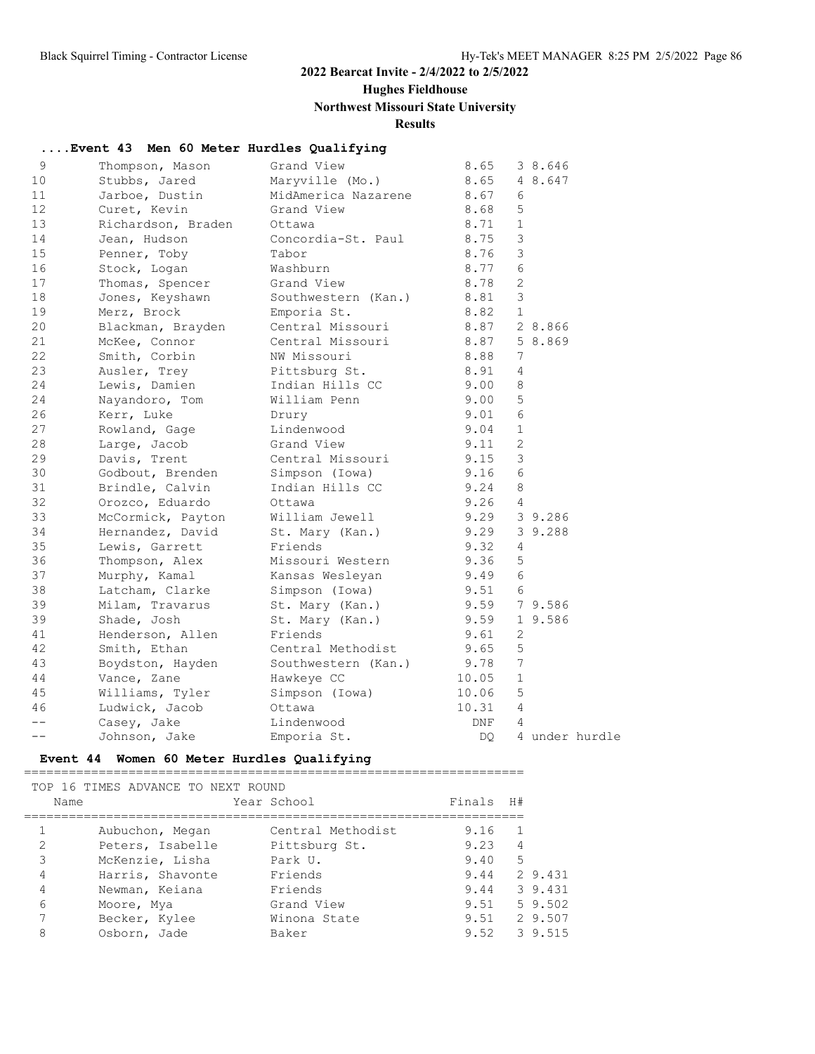### **Hughes Fieldhouse**

### **Northwest Missouri State University**

# **Results**

### **....Event 43 Men 60 Meter Hurdles Qualifying**

| 9     | Thompson, Mason    | Grand View          | 8.65       | 3 8.646         |
|-------|--------------------|---------------------|------------|-----------------|
| 10    | Stubbs, Jared      | Maryville (Mo.)     | 8.65       | 4 8.647         |
| 11    | Jarboe, Dustin     | MidAmerica Nazarene | 8.67       | 6               |
| 12    | Curet, Kevin       | Grand View          | 8.68       | 5               |
| 13    | Richardson, Braden | Ottawa              | 8.71       | $\mathbf{1}$    |
| 14    | Jean, Hudson       | Concordia-St. Paul  | 8.75       | 3               |
| 15    | Penner, Toby       | Tabor               | 8.76       | 3               |
| 16    | Stock, Logan       | Washburn            | 8.77       | 6               |
| 17    | Thomas, Spencer    | Grand View          | 8.78       | 2               |
| 18    | Jones, Keyshawn    | Southwestern (Kan.) | 8.81       | 3               |
| 19    | Merz, Brock        | Emporia St.         | 8.82       | $\mathbf{1}$    |
| 20    | Blackman, Brayden  | Central Missouri    | 8.87       | 2 8.866         |
| 21    | McKee, Connor      | Central Missouri    | 8.87       | 5 8.869         |
| 22    | Smith, Corbin      | NW Missouri         | 8.88       | 7               |
| 23    | Ausler, Trey       | Pittsburg St.       | 8.91       | $\overline{4}$  |
| 24    | Lewis, Damien      | Indian Hills CC     | 9.00       | 8               |
| 24    | Nayandoro, Tom     | William Penn        | 9.00       | 5               |
| 26    | Kerr, Luke         | Drury               | 9.01       | 6               |
| 27    | Rowland, Gage      | Lindenwood          | 9.04       | $\mathbf{1}$    |
| 28    | Large, Jacob       | Grand View          | 9.11       | $\mathbf{2}$    |
| 29    | Davis, Trent       | Central Missouri    | 9.15       | 3               |
| 30    | Godbout, Brenden   | Simpson (Iowa)      | 9.16       | 6               |
| 31    | Brindle, Calvin    | Indian Hills CC     | 9.24       | $\,8\,$         |
| 32    | Orozco, Eduardo    | Ottawa              | 9.26       | 4               |
| 33    | McCormick, Payton  | William Jewell      | 9.29       | 3 9.286         |
| 34    | Hernandez, David   | St. Mary (Kan.)     | 9.29       | 3 9.288         |
| 35    | Lewis, Garrett     | Friends             | 9.32       | 4               |
| 36    | Thompson, Alex     | Missouri Western    | 9.36       | 5               |
| 37    | Murphy, Kamal      | Kansas Wesleyan     | 9.49       | 6               |
| 38    | Latcham, Clarke    | Simpson (Iowa)      | 9.51       | 6               |
| 39    | Milam, Travarus    | St. Mary (Kan.)     | 9.59       | 7 9.586         |
| 39    | Shade, Josh        | St. Mary (Kan.)     | 9.59       | 1 9.586         |
| 41    | Henderson, Allen   | Friends             | 9.61       | $\mathbf{2}$    |
| 42    | Smith, Ethan       | Central Methodist   | 9.65       | 5               |
| 43    | Boydston, Hayden   | Southwestern (Kan.) | 9.78       | $7\overline{ }$ |
| 44    | Vance, Zane        | Hawkeye CC          | 10.05      | $\mathbf{1}$    |
| 45    | Williams, Tyler    | Simpson (Iowa)      | 10.06      | 5               |
| 46    | Ludwick, Jacob     | Ottawa              | 10.31      | $\overline{4}$  |
| $- -$ | Casey, Jake        | Lindenwood          | <b>DNF</b> | 4               |
| $- -$ | Johnson, Jake      | Emporia St.         | DO.        | 4 under hurdle  |
|       |                    |                     |            |                 |

#### **Event 44 Women 60 Meter Hurdles Qualifying**

| Name           | TOP 16 TIMES ADVANCE TO NEXT ROUND | Year School       | Finals | H#             |              |
|----------------|------------------------------------|-------------------|--------|----------------|--------------|
|                | Aubuchon, Megan                    | Central Methodist | 9.16   | $\overline{1}$ |              |
| $\overline{2}$ | Peters, Isabelle                   | Pittsburg St.     | 9.23   | $\overline{4}$ |              |
| 3              | McKenzie, Lisha                    | Park U.           | 9.40   | 5              |              |
| 4              | Harris, Shavonte                   | Friends           |        |                | 9.44 2 9.431 |
| 4              | Newman, Keiana                     | Friends           | 9.44   |                | 3 9.431      |
| 6              | Moore, Mya                         | Grand View        | 9.51   |                | 5 9.502      |
| 7              | Becker, Kylee                      | Winona State      |        |                | 9.51 2 9.507 |
| 8              | Osborn, Jade                       | Baker             |        |                | 9.52 3 9.515 |
|                |                                    |                   |        |                |              |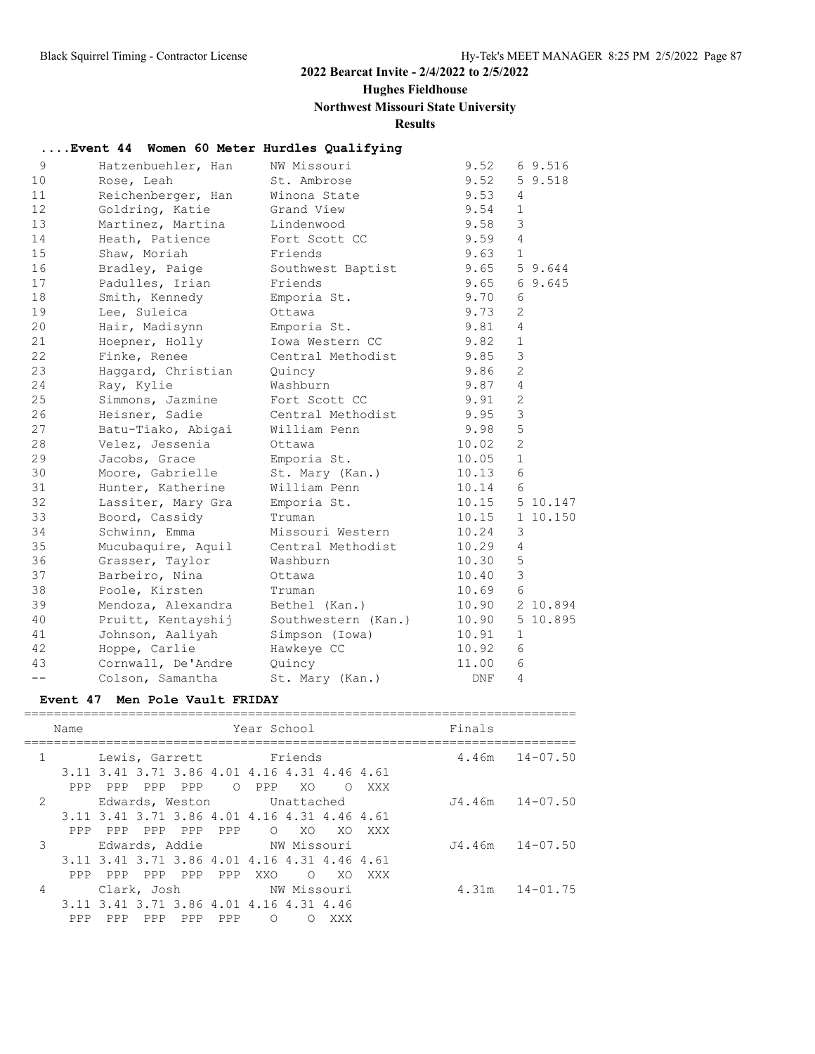### **Hughes Fieldhouse**

### **Northwest Missouri State University**

**Results**

### **....Event 44 Women 60 Meter Hurdles Qualifying**

| 9                 | Hatzenbuehler, Han | NW Missouri         | 9.52             |                 | 69.516   |
|-------------------|--------------------|---------------------|------------------|-----------------|----------|
| 10                | Rose, Leah         | St. Ambrose         | 9.52             |                 | 59.518   |
| 11                | Reichenberger, Han | Winona State        | 9.53             | 4               |          |
| $12 \overline{ }$ | Goldring, Katie    | Grand View          | 9.54             | $\mathbf{1}$    |          |
| 13                | Martinez, Martina  | Lindenwood          | 9.58             | 3               |          |
| 14                | Heath, Patience    | Fort Scott CC       | 9.59             | $\overline{4}$  |          |
| 15                | Shaw, Moriah       | Friends             | 9.63             | $\mathbf{1}$    |          |
| 16                | Bradley, Paige     | Southwest Baptist   | $9.65$ 5 $9.644$ |                 |          |
| 17                | Padulles, Irian    | Friends             | $9.65$ 6 9.645   |                 |          |
| 18                | Smith, Kennedy     | Emporia St.         | 9.70             | 6               |          |
| 19                | Lee, Suleica       | Ottawa              | 9.73             | 2               |          |
| 20                | Hair, Madisynn     | Emporia St.         | 9.81             | $\overline{4}$  |          |
| 21                | Hoepner, Holly     | Iowa Western CC     | 9.82             | $\mathbf{1}$    |          |
| 22                | Finke, Renee       | Central Methodist   | 9.85             | 3               |          |
| 23                | Haggard, Christian | Quincy              | 9.86             | 2               |          |
| 24                | Ray, Kylie         | Washburn            | 9.87             | $\overline{4}$  |          |
| 25                | Simmons, Jazmine   | Fort Scott CC       | 9.91             | $\mathbf{2}$    |          |
| 26                | Heisner, Sadie     | Central Methodist   | 9.95             | 3               |          |
| 27                | Batu-Tiako, Abigai | William Penn        | 9.98             | 5               |          |
| 28                | Velez, Jessenia    | Ottawa              | 10.02            | 2               |          |
| 29                | Jacobs, Grace      | Emporia St.         | 10.05            | $\mathbf{1}$    |          |
| 30                | Moore, Gabrielle   | St. Mary (Kan.)     | 10.13            | $6\phantom{1}6$ |          |
| 31                | Hunter, Katherine  | William Penn        | 10.14            | 6               |          |
| 32                | Lassiter, Mary Gra | Emporia St.         | 10.15 5 10.147   |                 |          |
| 33                | Boord, Cassidy     | Truman              | 10.15            |                 | 1 10.150 |
| 34                | Schwinn, Emma      | Missouri Western    | 10.24            | 3               |          |
| 35                | Mucubaquire, Aquil | Central Methodist   | 10.29            | $\overline{4}$  |          |
| 36                | Grasser, Taylor    | Washburn            | 10.30            | 5               |          |
| 37                | Barbeiro, Nina     | Ottawa              | 10.40            | $\mathfrak{Z}$  |          |
| 38                | Poole, Kirsten     | Truman              | 10.69            | 6               |          |
| 39                | Mendoza, Alexandra | Bethel (Kan.)       | 10.90 2 10.894   |                 |          |
| 40                | Pruitt, Kentayshij | Southwestern (Kan.) | 10.90            |                 | 5 10.895 |
| 41                | Johnson, Aaliyah   | Simpson (Iowa)      | 10.91            | $\mathbf{1}$    |          |
| 42                | Hoppe, Carlie      | Hawkeye CC          | 10.92            | 6               |          |
| 43                | Cornwall, De'Andre | Quincy              | 11.00            | 6               |          |
|                   | Colson, Samantha   | St. Mary (Kan.)     | DNF              | $\overline{4}$  |          |

#### **Event 47 Men Pole Vault FRIDAY**

|              | Name |         |                                              |         |     | Year School                |                |         |                    | Finals |                    |
|--------------|------|---------|----------------------------------------------|---------|-----|----------------------------|----------------|---------|--------------------|--------|--------------------|
| $\mathbf{1}$ |      |         | Lewis, Garrett Friends                       |         |     |                            |                |         |                    |        | $4.46m$ $14-07.50$ |
|              |      |         | 3.11 3.41 3.71 3.86 4.01 4.16 4.31 4.46 4.61 |         |     |                            |                |         |                    |        |                    |
|              | PPP  | PPP     | PPP PPP                                      |         |     | O PPP                      | XO.            | $\circ$ | XXX                |        |                    |
| 2            |      |         |                                              |         |     | Edwards, Weston Unattached |                |         |                    |        | J4.46m 14-07.50    |
|              |      |         | 3.11 3.41 3.71 3.86 4.01 4.16 4.31 4.46 4.61 |         |     |                            |                |         |                    |        |                    |
|              | PPP. |         | PPP PPP PPP PPP                              |         |     |                            | O XO           |         | XO XXX             |        |                    |
| 3            |      |         | Edwards, Addie NW Missouri                   |         |     |                            |                |         | J4.46m 14-07.50    |        |                    |
|              |      |         | 3.11 3.41 3.71 3.86 4.01 4.16 4.31 4.46 4.61 |         |     |                            |                |         |                    |        |                    |
|              |      | PPP PPP |                                              | PPP PPP | PPP | XXO                        | $\overline{O}$ | XO      | XXX                |        |                    |
| 4            |      |         |                                              |         |     | Clark, Josh NW Missouri    |                |         | $4.31m$ $14-01.75$ |        |                    |
|              |      |         | 3.11 3.41 3.71 3.86 4.01 4.16 4.31 4.46      |         |     |                            |                |         |                    |        |                    |
|              | PPP  | PPP     | PPP                                          | PPP     | PPP | $\bigcirc$                 | ∩              | XXX     |                    |        |                    |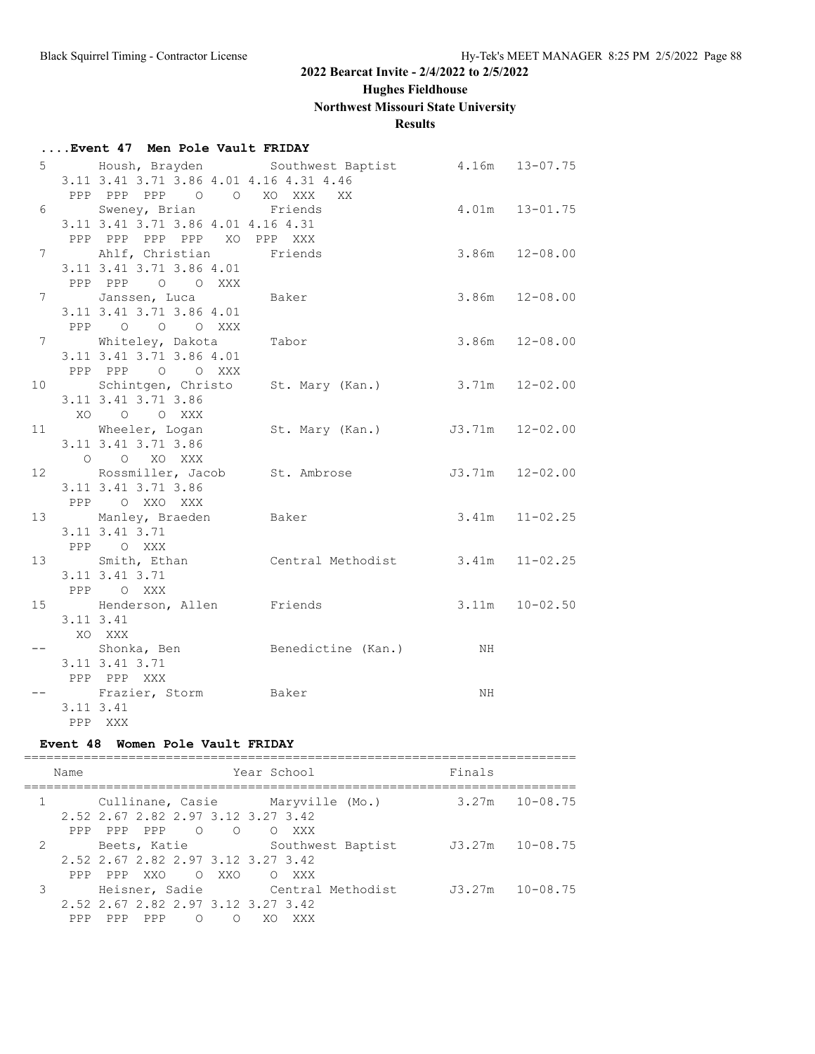**Hughes Fieldhouse**

### **Northwest Missouri State University**

**Results**

### **....Event 47 Men Pole Vault FRIDAY**

|           |                                              | 5 Housh, Brayden Southwest Baptist 4.16m 13-07.75    |                    |                    |
|-----------|----------------------------------------------|------------------------------------------------------|--------------------|--------------------|
|           | 3.11 3.41 3.71 3.86 4.01 4.16 4.31 4.46      |                                                      |                    |                    |
|           | PPP PPP PPP 0 0 XO XXX XX                    |                                                      |                    |                    |
|           | 6 Sweney, Brian Friends                      |                                                      | $4.01m$ $13-01.75$ |                    |
|           | 3.11 3.41 3.71 3.86 4.01 4.16 4.31           |                                                      |                    |                    |
|           | PPP PPP PPP PPP XO PPP XXX                   |                                                      |                    |                    |
|           | 7 Ahlf, Christian Friends                    |                                                      |                    | $3.86m$ $12-08.00$ |
|           | 3.11 3.41 3.71 3.86 4.01                     |                                                      |                    |                    |
|           | PPP PPP 0 0 XXX                              |                                                      |                    |                    |
|           | 7 Janssen, Luca Baker                        |                                                      |                    | $3.86m$ $12-08.00$ |
|           | 3.11 3.41 3.71 3.86 4.01                     |                                                      |                    |                    |
|           | PPP 0 0 0 XXX                                |                                                      |                    |                    |
|           | 7 Whiteley, Dakota Tabor                     |                                                      |                    | $3.86m$ $12-08.00$ |
|           | 3.11 3.41 3.71 3.86 4.01                     |                                                      |                    |                    |
|           | PPP PPP 0 0 XXX                              |                                                      |                    |                    |
|           |                                              | 10 Schintgen, Christo St. Mary (Kan.) 3.71m 12-02.00 |                    |                    |
|           | 3.11 3.41 3.71 3.86                          |                                                      |                    |                    |
|           | XOOO XXX                                     |                                                      |                    |                    |
|           |                                              | 11 Wheeler, Logan St. Mary (Kan.) J3.71m 12-02.00    |                    |                    |
|           | 3.11 3.41 3.71 3.86                          |                                                      |                    |                    |
|           | O O XO XXX                                   |                                                      |                    |                    |
|           |                                              | 12 Rossmiller, Jacob St. Ambrose 53.71m 12-02.00     |                    |                    |
|           | 3.11 3.41 3.71 3.86                          |                                                      |                    |                    |
|           | PPP O XXO XXX                                |                                                      |                    |                    |
|           | 13 Manley, Braeden Baker                     |                                                      | $3.41m$ $11-02.25$ |                    |
|           | 3.11 3.41 3.71                               |                                                      |                    |                    |
|           | PPP OXXX                                     |                                                      |                    |                    |
|           |                                              | 13 Smith, Ethan Central Methodist 3.41m 11-02.25     |                    |                    |
|           | 3.11 3.41 3.71                               |                                                      |                    |                    |
|           | PPP OXXX                                     |                                                      |                    |                    |
|           | 15 Henderson, Allen Friends<br>$3.11$ $3.41$ |                                                      | $3.11m$ $10-02.50$ |                    |
|           | XO XXX                                       |                                                      |                    |                    |
|           |                                              |                                                      |                    |                    |
|           | 3.11 3.41 3.71                               | -- Shonka, Ben Senedictine (Kan.) NH                 |                    |                    |
|           | PPP PPP XXX                                  |                                                      |                    |                    |
|           | -- Frazier, Storm Baker                      |                                                      | NH                 |                    |
| 3.11 3.41 |                                              |                                                      |                    |                    |
|           | PPP XXX                                      |                                                      |                    |                    |
|           |                                              |                                                      |                    |                    |

#### **Event 48 Women Pole Vault FRIDAY**

|   | Name |             |                                    |            |          | Year School |                                  |                                  | Finals |                    |
|---|------|-------------|------------------------------------|------------|----------|-------------|----------------------------------|----------------------------------|--------|--------------------|
|   |      |             | 2.52 2.67 2.82 2.97 3.12 3.27 3.42 |            |          |             | Cullinane, Casie Maryville (Mo.) |                                  |        | $3.27m$ $10-08.75$ |
|   |      | PPP PPP PPP |                                    |            |          | O O O XXX   |                                  |                                  |        |                    |
| 2 |      |             |                                    |            |          |             |                                  | Beets, Katie Southwest Baptist   |        | J3.27m 10-08.75    |
|   |      |             | 2.52 2.67 2.82 2.97 3.12 3.27 3.42 |            |          |             |                                  |                                  |        |                    |
|   |      |             | PPP PPP XXO OXXO                   |            |          | O XXX       |                                  |                                  |        |                    |
| 3 |      |             |                                    |            |          |             |                                  | Heisner, Sadie Central Methodist |        | J3.27m 10-08.75    |
|   |      |             | 2.52 2.67 2.82 2.97 3.12 3.27 3.42 |            |          |             |                                  |                                  |        |                    |
|   | PPP. | PPP         | PPP                                | $\bigcirc$ | $\Omega$ | XO.         | XXX                              |                                  |        |                    |